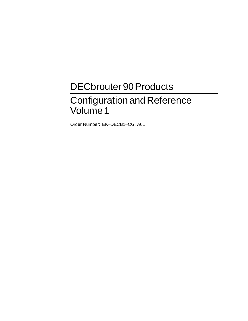# DECbrouter 90 Products ConfigurationandReference Volume1

Order Number: EK–DECB1–CG. A01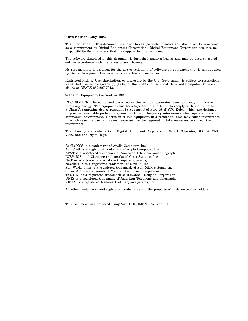#### **First Edition, May 1993**

The information in this document is subject to change without notice and should not be construed as a commitment by Digital Equipment Corporation. Digital Equipment Corporation assumes no responsibility for any errors that may appear in this document.

The software described in this document is furnished under a license and may be used or copied only in accordance with the terms of such license.

No responsibility is assumed for the use or reliability of software on equipment that is not supplied by Digital Equipment Corporation or its affiliated companies.

Restricted Rights: Use, duplication, or disclosure by the U.S. Government is subject to restrictions as set forth in subparagraph (c) (1) (ii) of the Rights in Technical Data and Computer Software clause at DFARS 252.227-7013.

© Digital Equipment Corporation 1993.

**FCC NOTICE:** The equipment described in this manual generates, uses, and may emit radio frequency energy. The equipment has been type tested and found to comply with the limits for a Class A computing device pursuant to Subpart J of Part 15 of FCC Rules, which are designed to provide reasonable protection against such radio frequency interference when operated in a commercial environment. Operation of this equipment in a residential area may cause interference, in which case the user at his own expense may be required to take measures to correct the interference.

The following are trademarks of Digital Equipment Corporation: DEC, DECbrouter, DECnet, VAX, VMS, and the Digital logo.

Apollo NCS is a trademark of Apollo Computer, Inc. AppleTalk is a registered trademark of Apple Computer, Inc. AT&T is a registered trademark of American Telephone and Telegraph. IGRP, IGS, and Cisco are trademarks of Cisco Systems, Inc. NetBios is a trademark of Micro Computer Systems, Inc. Novelle IPX is a registered trademark of Novelle, Inc. Sun Workstation is a registered trademark of Sun Microsystems, Inc. SuperLAT is a trademark of Meridan Technology Corporation. TYMNET is a registered trademark of McDonnell Douglas Corporation. UNIX is a registered trademark of American Telephone and Telegraph. VINES is a registered trademark of Banyan Systems, Inc.

All other trademarks and registered trademarks are the property of their respective holders.

This document was prepared using VAX DOCUMENT, Version 2.1.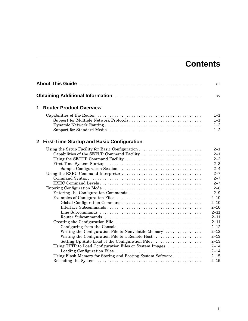# **Contents**

|                                                                   | xiii     |
|-------------------------------------------------------------------|----------|
|                                                                   | XV       |
| <b>Router Product Overview</b><br>1                               |          |
|                                                                   | $1 - 1$  |
| Support for Multiple Network Protocols                            | $1 - 1$  |
|                                                                   | $1 - 2$  |
|                                                                   | $1 - 2$  |
| $\mathbf{2}$<br><b>First-Time Startup and Basic Configuration</b> |          |
|                                                                   | $2 - 1$  |
|                                                                   | $2 - 1$  |
|                                                                   | $2 - 2$  |
|                                                                   | $2 - 3$  |
|                                                                   | $2 - 4$  |
|                                                                   | $2 - 7$  |
|                                                                   | $2 - 7$  |
|                                                                   | $2 - 7$  |
|                                                                   | $2 - 8$  |
|                                                                   | $2 - 9$  |
|                                                                   | $2 - 10$ |
|                                                                   | $2 - 10$ |
|                                                                   | $2 - 10$ |
|                                                                   | $2 - 11$ |
|                                                                   | $2 - 11$ |
|                                                                   | $2 - 11$ |
|                                                                   | $2 - 12$ |
| Writing the Configuration File to Nonvolatile Memory              | $2 - 12$ |
| Writing the Configuration File to a Remote Host                   | $2 - 13$ |
| Setting Up Auto Load of the Configuration File                    | $2 - 13$ |
| Using TFTP to Load Configuration Files or System Images           | $2 - 14$ |
|                                                                   | $2 - 14$ |
| Using Flash Memory for Storing and Booting System Software        | $2 - 15$ |
|                                                                   | $2 - 15$ |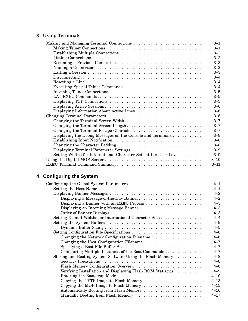## **3 Using Terminals**

| Making and Managing Terminal Connections                          | $3 - 1$  |
|-------------------------------------------------------------------|----------|
|                                                                   | $3 - 1$  |
|                                                                   | $3 - 2$  |
|                                                                   | $3 - 2$  |
|                                                                   | $3 - 3$  |
|                                                                   | $3 - 3$  |
|                                                                   | $3 - 3$  |
|                                                                   | $3 - 4$  |
|                                                                   | $3 - 4$  |
|                                                                   | $3 - 4$  |
|                                                                   | $3 - 5$  |
|                                                                   | $3 - 5$  |
|                                                                   | $3 - 5$  |
|                                                                   | $3 - 6$  |
|                                                                   | $3 - 6$  |
|                                                                   | $3 - 6$  |
| Changing the Terminal Screen Width                                | $3 - 7$  |
|                                                                   | $3 - 7$  |
|                                                                   | $3 - 7$  |
| Displaying the Debug Messages on the Console and Terminals        | $3 - 8$  |
|                                                                   | $3 - 8$  |
|                                                                   | $3 - 8$  |
|                                                                   | $3 - 9$  |
| Setting Widths for International Character Sets at the User Level | $3 - 9$  |
|                                                                   | $3 - 10$ |
|                                                                   | $3 - 11$ |

# **4 Configuring the System**

| Configuring the Global System Parameters                   | $4 - 1$  |
|------------------------------------------------------------|----------|
|                                                            | 4-1      |
|                                                            | $4 - 2$  |
| Displaying a Message-of-the-Day Banner                     | $4 - 2$  |
| Displaying a Banner with an EXEC Process                   | $4 - 3$  |
| Displaying an Incoming Message Banner                      | $4 - 3$  |
|                                                            | $4 - 3$  |
| Setting Default Widths for International Character Sets    | $4 - 4$  |
|                                                            | $4 - 5$  |
|                                                            | $4 - 5$  |
|                                                            | $4 - 6$  |
| Changing the Network Configuration Filename                | $4 - 6$  |
| Changing the Host Configuration Filename                   | $4 - 7$  |
|                                                            | $4 - 7$  |
| Configuring Multiple Instances of the Boot Commands        | $4 - 7$  |
| Storing and Booting System Software Using the Flash Memory | $4 - 8$  |
|                                                            | $4 - 8$  |
| Flash Memory Configuration Overview                        | $4 - 8$  |
| Verifying Installation and Displaying Flash ROM Statistics | $4 - 9$  |
|                                                            | $4 - 10$ |
| Copying the TFTP Image to Flash Memory                     | $4 - 13$ |
| Copying the MOP Image to Flash Memory                      | $4 - 15$ |
| Automatically Booting from Flash Memory                    | $4 - 16$ |
| Manually Booting from Flash Memory                         | $4 - 17$ |
|                                                            |          |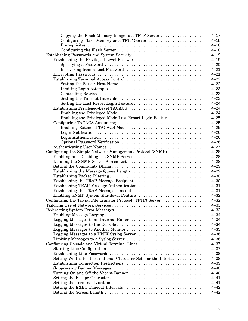| Copying the Flash Memory Image to a TFTP Server                   | $4 - 17$ |
|-------------------------------------------------------------------|----------|
| Configuring Flash Memory as a TFTP Server                         | $4 - 18$ |
|                                                                   | $4 - 18$ |
|                                                                   | $4 - 18$ |
|                                                                   | $4 - 19$ |
| Establishing Passwords and System Security                        |          |
| Establishing the Privileged-Level Password                        | $4 - 19$ |
|                                                                   | $4 - 20$ |
| Recovering from a Lost Password                                   | $4 - 21$ |
|                                                                   | $4 - 21$ |
|                                                                   | $4 - 22$ |
|                                                                   | $4 - 22$ |
|                                                                   | $4 - 23$ |
|                                                                   | $4 - 23$ |
|                                                                   | $4 - 23$ |
|                                                                   | $4 - 24$ |
|                                                                   | $4 - 24$ |
|                                                                   | $4 - 24$ |
| Enabling the Privileged Mode Last Resort Login Feature            | $4 - 25$ |
|                                                                   | $4 - 25$ |
| Enabling Extended TACACS Mode                                     | $4 - 25$ |
|                                                                   | $4 - 26$ |
|                                                                   | $4 - 26$ |
|                                                                   | $4 - 26$ |
|                                                                   | $4 - 27$ |
|                                                                   | $4 - 28$ |
| Configuring the Simple Network Management Protocol (SNMP)         |          |
|                                                                   | $4 - 28$ |
|                                                                   | $4 - 28$ |
|                                                                   | $4 - 29$ |
|                                                                   | $4 - 29$ |
|                                                                   | $4 - 30$ |
| Establishing the TRAP Message Recipient                           | $4 - 30$ |
|                                                                   | $4 - 31$ |
| Establishing the TRAP Message Timeout                             | $4 - 31$ |
| Enabling SNMP System Shutdown Feature                             | $4 - 32$ |
| Configuring the Trivial File Transfer Protocol (TFTP) Server      | $4 - 32$ |
|                                                                   | $4 - 33$ |
|                                                                   | $4 - 33$ |
|                                                                   | $4 - 34$ |
|                                                                   | $4 - 34$ |
|                                                                   | $4 - 34$ |
|                                                                   | $4 - 35$ |
|                                                                   | $4 - 36$ |
|                                                                   | $4 - 36$ |
| Configuring Console and Virtual Terminal Lines                    | $4 - 37$ |
|                                                                   | $4 - 37$ |
|                                                                   | $4 - 38$ |
|                                                                   | $4 - 38$ |
| Setting Widths for International Character Sets for the Interface |          |
|                                                                   | $4 - 39$ |
|                                                                   | $4 - 40$ |
|                                                                   | $4 - 40$ |
|                                                                   | $4 - 41$ |
|                                                                   | $4 - 41$ |
|                                                                   | $4 - 42$ |
|                                                                   | $4 - 42$ |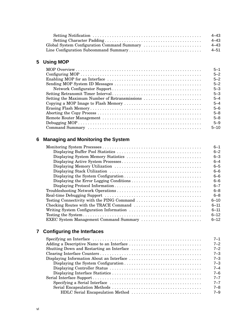| 4–43  |
|-------|
| 4–43  |
| -4–43 |
| 4–51  |

## **5 Using MOP**

|                                               | $5 - 1$  |
|-----------------------------------------------|----------|
|                                               | $5 - 2$  |
|                                               | $5 - 2$  |
|                                               | $5 - 2$  |
|                                               | $5 - 3$  |
|                                               | $5 - 3$  |
| Setting the Maximum Number of Retransmissions | $5 - 4$  |
|                                               | $5 - 4$  |
|                                               | $5 - 6$  |
|                                               | $5 - 8$  |
|                                               | $5 - 8$  |
|                                               | $5 - 9$  |
|                                               | $5 - 10$ |

# **6 Managing and Monitoring the System**

|                                          | $6 - 1$  |
|------------------------------------------|----------|
|                                          | $6 - 2$  |
|                                          | $6 - 3$  |
|                                          | հ–4      |
|                                          | $6 - 5$  |
|                                          | 6–6      |
|                                          | 6-6      |
|                                          | $6 - 6$  |
|                                          | $6 - 7$  |
|                                          | 6–8      |
|                                          | $6 - 8$  |
|                                          | $6 - 10$ |
|                                          | $6 - 11$ |
| Writing System Configuration Information | $6 - 11$ |
|                                          | $6 - 12$ |
| EXEC System Management Command Summary   | $6 - 12$ |

## **7 Configuring the Interfaces**

|                                           | $7 - 1$ |
|-------------------------------------------|---------|
|                                           | $7 - 2$ |
| Shutting Down and Restarting an Interface | $7 - 2$ |
|                                           | $7 - 3$ |
|                                           | $7 - 3$ |
|                                           | $7 - 3$ |
|                                           | $7 - 4$ |
|                                           | $7 - 6$ |
|                                           | $7 - 7$ |
|                                           | $7 - 7$ |
|                                           | $7 - 8$ |
| HDLC Serial Encapsulation Method          | $7 - 9$ |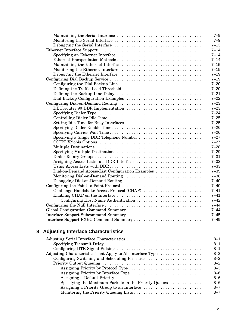|                                                   | $7 - 9$  |
|---------------------------------------------------|----------|
|                                                   | $7 - 9$  |
|                                                   | $7 - 13$ |
|                                                   | $7 - 14$ |
|                                                   | $7 - 14$ |
|                                                   | $7 - 14$ |
|                                                   | $7 - 15$ |
|                                                   | $7 - 15$ |
|                                                   | $7 - 19$ |
|                                                   | $7 - 19$ |
|                                                   | $7 - 20$ |
|                                                   | $7 - 20$ |
|                                                   | $7 - 21$ |
|                                                   | $7 - 22$ |
|                                                   | $7 - 23$ |
|                                                   | $7 - 23$ |
| DECbrouter 90 DDR Implementation                  | $7 - 24$ |
|                                                   |          |
|                                                   | $7 - 25$ |
|                                                   | $7 - 25$ |
|                                                   | $7 - 26$ |
|                                                   | $7 - 26$ |
|                                                   | $7 - 27$ |
|                                                   | $7 - 27$ |
|                                                   | $7 - 28$ |
|                                                   | $7 - 29$ |
|                                                   | $7 - 31$ |
| Assigning Access Lists to a DDR Interface         | $7 - 32$ |
|                                                   | $7 - 33$ |
| Dial-on-Demand Access-List Configuration Examples | $7 - 35$ |
|                                                   | $7 - 38$ |
| Debugging Dial-on-Demand Routing                  | $7 - 40$ |
|                                                   | $7 - 40$ |
| Challenge Handshake Access Protocol (CHAP)        | $7 - 41$ |
|                                                   | $7 - 41$ |
| Configuring Host Name Authentication              | $7 - 42$ |
|                                                   | $7 - 44$ |
|                                                   | $7 - 44$ |
|                                                   | $7 - 45$ |
| Interface Support EXEC Command Summary            | $7 - 49$ |

## **8 Adjusting Interface Characteristics**

|                                                             | $8 - 1$ |
|-------------------------------------------------------------|---------|
|                                                             | $8 - 1$ |
|                                                             | $8 - 1$ |
| Adjusting Characteristics That Apply to All Interface Types | $8 - 2$ |
|                                                             | $8 - 2$ |
|                                                             | $8 - 2$ |
|                                                             | $8 - 3$ |
|                                                             | $8 - 6$ |
|                                                             | $8 - 6$ |
| Specifying the Maximum Packets in the Priority Queues       | $8 - 6$ |
|                                                             | $8 - 7$ |
|                                                             | $8 - 7$ |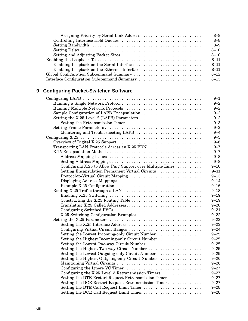|                                            | $8 - 8$  |
|--------------------------------------------|----------|
|                                            | $8 - 8$  |
|                                            | $8 - 9$  |
|                                            | $8 - 10$ |
|                                            | $8 - 10$ |
|                                            | $8 - 11$ |
|                                            | $8 - 11$ |
|                                            | $8 - 11$ |
|                                            | $8 - 12$ |
| Interface Configuration Subcommand Summary | $8 - 13$ |

# **9 Configuring Packet-Switched Software**

|                                                            | $9 - 1$  |
|------------------------------------------------------------|----------|
|                                                            | $9 - 2$  |
|                                                            | $9 - 2$  |
|                                                            | $9 - 2$  |
|                                                            | $9 - 2$  |
| Setting the Retransmission Timer                           | $9 - 3$  |
|                                                            | $9 - 3$  |
| Monitoring and Troubleshooting LAPB                        | $9 - 4$  |
|                                                            | $9 - 5$  |
|                                                            | $9 - 6$  |
|                                                            | $9 - 7$  |
|                                                            | $9 - 7$  |
|                                                            | $9 - 8$  |
|                                                            | $9 - 8$  |
| Configuring X.25 to Allow Ping Support over Multiple Lines | $9 - 10$ |
| Setting Encapsulation Permanent Virtual Circuits           | $9 - 11$ |
|                                                            | $9 - 13$ |
|                                                            | $9 - 14$ |
|                                                            | $9 - 16$ |
|                                                            | $9 - 18$ |
|                                                            | $9 - 19$ |
|                                                            | $9 - 19$ |
|                                                            | $9 - 20$ |
|                                                            | $9 - 21$ |
| X.25 Switching Configuration Examples                      | $9 - 22$ |
|                                                            | $9 - 23$ |
|                                                            | $9 - 23$ |
| Configuring Virtual Circuit Ranges                         | $9 - 24$ |
| Setting the Lowest Incoming-only Circuit Number            | $9 - 25$ |
| Setting the Highest Incoming-only Circuit Number           | $9 - 25$ |
| Setting the Lowest Two-way Circuit Number                  | $9 - 25$ |
| Setting the Highest Two-way Circuit Number                 | $9 - 25$ |
| Setting the Lowest Outgoing-only Circuit Number            | $9 - 25$ |
| Setting the Highest Outgoing-only Circuit Number           | $9 - 26$ |
|                                                            | $9 - 26$ |
|                                                            | $9 - 27$ |
| Configuring the X.25 Level 3 Retransmission Timers         | $9 - 27$ |
| Setting the DTE Restart Request Retransmission Timer       | $9 - 27$ |
| Setting the DCE Restart Request Retransmission Timer       | $9 - 27$ |
| Setting the DTE Call Request Limit Timer                   | $9 - 28$ |
| Setting the DCE Call Request Limit Timer                   | $9 - 28$ |
|                                                            |          |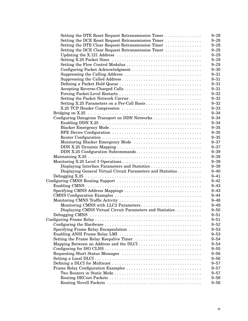| Setting the DTE Reset Request Retransmission Timer           | $9 - 28$ |
|--------------------------------------------------------------|----------|
| Setting the DCE Reset Request Retransmission Timer           | $9 - 28$ |
| Setting the DTE Clear Request Retransmission Timer           | $9 - 28$ |
| Setting the DCE Clear Request Retransmission Timer           | $9 - 28$ |
|                                                              | $9 - 29$ |
|                                                              | $9 - 29$ |
| Setting the Flow Control Modulus                             | $9 - 29$ |
|                                                              | $9 - 30$ |
|                                                              | $9 - 31$ |
|                                                              | $9 - 31$ |
|                                                              | $9 - 31$ |
|                                                              | $9 - 31$ |
|                                                              | $9 - 32$ |
| Setting the Packet Network Carrier                           | $9 - 32$ |
|                                                              | $9 - 32$ |
|                                                              | $9 - 33$ |
|                                                              | $9 - 34$ |
|                                                              | $9 - 34$ |
| Configuring Datagram Transport on DDN Networks               | $9 - 34$ |
|                                                              |          |
|                                                              | $9 - 35$ |
|                                                              | $9 - 35$ |
|                                                              | $9 - 35$ |
| Monitoring Blacker Emergency Mode                            | $9 - 37$ |
|                                                              | $9 - 37$ |
| DDN X.25 Configuration Subcommands                           | $9 - 39$ |
|                                                              | $9 - 39$ |
|                                                              | $9 - 39$ |
|                                                              | $9 - 39$ |
| Displaying General Virtual Circuit Parameters and Statistics | $9 - 40$ |
|                                                              | $9 - 41$ |
|                                                              | $9 - 42$ |
|                                                              | $9 - 43$ |
|                                                              | $9 - 43$ |
|                                                              | $9 - 44$ |
|                                                              | $9 - 48$ |
| Monitoring CMNS with LLC2 Parameters                         | $9 - 49$ |
| Displaying CMNS Virtual Circuit Parameters and Statistics    | $9 - 50$ |
|                                                              | $9 - 51$ |
|                                                              | $9 - 51$ |
|                                                              | $9 - 52$ |
|                                                              | $9 - 53$ |
|                                                              | $9 - 53$ |
| Setting the Frame Relay Keepalive Timer                      | $9 - 54$ |
|                                                              | $9 - 54$ |
|                                                              | $9 - 55$ |
|                                                              | $9 - 56$ |
|                                                              | $9 - 56$ |
|                                                              | $9 - 57$ |
|                                                              | $9 - 57$ |
|                                                              | $9 - 57$ |
|                                                              | $9 - 58$ |
|                                                              | $9 - 58$ |
|                                                              |          |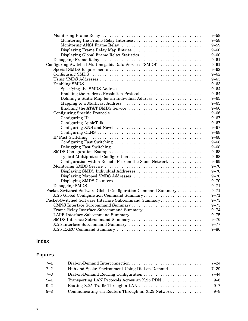|                                                               | $9 - 58$ |
|---------------------------------------------------------------|----------|
| Monitoring the Frame Relay Interface                          | $9 - 58$ |
|                                                               | $9 - 59$ |
| Displaying Frame Relay Map Entries                            | $9 - 60$ |
| Displaying Global Frame Relay Statistics                      | $9 - 60$ |
|                                                               | $9 - 61$ |
| Configuring Switched Multimegabit Data Services (SMDS)        | $9 - 61$ |
|                                                               | $9 - 62$ |
|                                                               | $9 - 62$ |
|                                                               | $9 - 63$ |
|                                                               | $9 - 63$ |
|                                                               | $9 - 64$ |
| Enabling the Address Resolution Protocol                      | $9 - 64$ |
|                                                               | $9 - 65$ |
|                                                               | $9 - 65$ |
|                                                               | $9 - 66$ |
|                                                               | $9 - 66$ |
|                                                               | $9 - 67$ |
|                                                               | $9 - 67$ |
|                                                               | $9 - 67$ |
|                                                               | $9 - 68$ |
|                                                               | $9 - 68$ |
|                                                               | $9 - 68$ |
|                                                               | $9 - 68$ |
|                                                               | $9 - 68$ |
|                                                               | $9 - 68$ |
| Configuration with a Remote Peer on the Same Network          | $9 - 69$ |
|                                                               | $9 - 70$ |
|                                                               | $9 - 70$ |
| Displaying Mapped SMDS Addresses                              | $9 - 70$ |
|                                                               | $9 - 70$ |
|                                                               | $9 - 71$ |
| Packet-Switched Software Global Configuration Command Summary | $9 - 71$ |
| X.25 Global Configuration Command Summary                     | $9 - 71$ |
| Packet-Switched Software Interface Subcommand Summary         | $9 - 73$ |
| CMNS Interface Subcommand Summary                             | $9 - 73$ |
| Frame Relay Interface Subcommand Summary                      | $9 - 74$ |
| LAPB Interface Subcommand Summary                             | $9 - 75$ |
| SMDS Interface Subcommand Summary                             | $9 - 76$ |
|                                                               | $9 - 77$ |
|                                                               | $9 - 86$ |

## **Index**

## **Figures**

| 7–1     |                                                                                      | $7 - 24$ |
|---------|--------------------------------------------------------------------------------------|----------|
| 7–2     | Hub-and-Spoke Environment Using Dial-on-Demand                                       | $7 - 29$ |
| 7–3     |                                                                                      | $7 - 44$ |
| 9–1     | Transporting LAN Protocols Across an X.25 PDN                                        | $9 - 6$  |
| $9 - 2$ | Routing X.25 Traffic Through a LAN $\dots \dots \dots \dots \dots \dots \dots \dots$ | $9 - 7$  |
| $9 - 3$ | Communicating via Routers Through an X.25 Network                                    | $9 - 8$  |
|         |                                                                                      |          |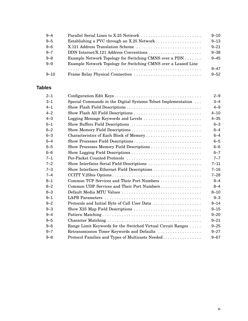| $9 - 4$  | Parallel Serial Lines to X.25 Network                          | $9 - 10$ |
|----------|----------------------------------------------------------------|----------|
| $9 - 5$  |                                                                | $9 - 13$ |
| $9 - 6$  | X.121 Address Translation Scheme                               | $9 - 21$ |
| $9 - 7$  |                                                                | $9 - 38$ |
| $9 - 8$  | Example Network Topology for Switching CMNS over a PDN         | $9 - 45$ |
| $9 - 9$  | Example Network Topology for Switching CMNS over a Leased Line |          |
|          |                                                                | $9 - 47$ |
| $9 - 10$ | Frame Relay Physical Connection                                | $9 - 52$ |

## **Tables**

| $2 - 1$ |                                                               | $2 - 9$  |
|---------|---------------------------------------------------------------|----------|
| $3 - 1$ | Special Commands in the Digital Systems Telnet Implementation | $3 - 4$  |
| $4 - 1$ |                                                               | $4 - 9$  |
| $4 - 2$ | Show Flash All Field Descriptions                             | $4 - 10$ |
| $4 - 3$ | Logging Message Keywords and Levels                           | $4 - 35$ |
| $6 - 1$ | Show Buffers Field Descriptions                               | $6 - 3$  |
| $6 - 2$ |                                                               | $6 - 4$  |
| $6 - 3$ | Characteristics of Each Block of Memory                       | $6 - 4$  |
| $6 - 4$ | Show Processes Field Descriptions                             | $6 - 5$  |
| $6 - 5$ | Show Processes Memory Field Descriptions                      | $6 - 6$  |
| $6 - 6$ | Show Logging Field Descriptions                               | $6 - 7$  |
| $7 - 1$ | Per-Packet Counted Protocols                                  | $7 - 7$  |
| $7 - 2$ | Show Interfaces Serial Field Descriptions                     | $7 - 11$ |
| $7 - 3$ | Show Interfaces Ethernet Field Descriptions                   | $7 - 16$ |
| $7 - 4$ |                                                               | $7 - 28$ |
| $8 - 1$ | Common TCP Services and Their Port Numbers                    | $8 - 4$  |
| $8 - 2$ | Common UDP Services and Their Port Numbers                    | $8 - 4$  |
| $8 - 3$ | Default Media MTU Values                                      | $8 - 10$ |
| $9 - 1$ |                                                               | $9 - 3$  |
| $9 - 2$ | Protocols and Initial Byte of Call User Data                  | $9 - 14$ |
| $9 - 3$ | Show X25 Map Field Descriptions                               | $9 - 15$ |
| $9 - 4$ |                                                               | $9 - 20$ |
| $9 - 5$ |                                                               | $9 - 21$ |
| $9 - 6$ | Range Limit Keywords for the Switched Virtual Circuit Ranges  | $9 - 25$ |
| $9 - 7$ | Retransmission Timer Keywords and Defaults                    | $9 - 27$ |
| $9 - 8$ | Protocol Families and Types of Multicasts Needed              | $9 - 67$ |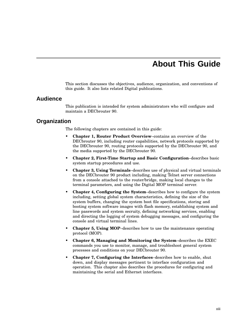# **About This Guide**

This section discusses the objectives, audience, organization, and conventions of this guide. It also lists related Digital publications.

## **Audience**

This publication is intended for system administrators who will configure and maintain a DECbrouter 90.

## **Organization**

The following chapters are contained in this guide:

- **Chapter 1, Router Product Overview**–contains an overview of the DECbrouter 90, including router capabilities, network protocols supported by the DECbrouter 90, routing protocols supported by the DECbrouter 90, and the media supported by the DECbrouter 90.
- **Chapter 2, First-Time Startup and Basic Configuration**–describes basic system startup procedures and use.
- **Chapter 3, Using Terminals**–describes use of physical and virtual terminals on the DECbrouter 90 product including, making Telnet server connections from a console attached to the router/bridge, making local changes to the terminal parameters, and using the Digital MOP terminal server.
- **Chapter 4, Configuring the System**–describes how to configure the system including, setting global system characteristics, defining the size of the system buffers, changing the system boot file specifications, storing and booting system software images with flash memory, establishing system and line passwords and system secruity, defining networking services, enabling and directing the logging of system debugging messages, and configuring the console and virtual terminal lines.
- **Chapter 5, Using MOP**–describes how to use the maintenance operating protocol (MOP).
- **Chapter 6, Managing and Monitoring the System**–describes the EXEC commands you use to monitor, manage, and troubleshoot general system processes and conditions on your DECbrouter 90.
- **Chapter 7, Configuring the Interfaces**–describes how to enable, shut down, and display messages pertinent to interface configuration and operation. This chapter also describes the procedures for configuring and maintaining the serial and Ethernet interfaces.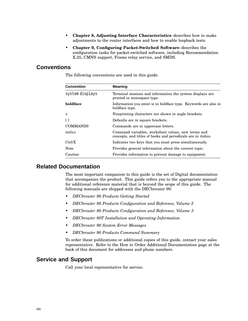- **Chapter 8, Adjusting Interface Characteristics**–describes how to make adjustments to the router interfaces and how to enable loopback tests.
- **Chapter 9, Configuring Packet-Switched Software**–describes the configuration tasks for packet-switched software, including Recommendation X.25, CMNS support, Frame relay service, and SMDS.

## **Conventions**

The following conventions are used in this guide:

| <b>Convention</b> | <b>Meaning</b>                                                                                                      |
|-------------------|---------------------------------------------------------------------------------------------------------------------|
| system displays   | Terminal sessions and information the system displays are<br>printed in monospace type.                             |
| boldface          | Information you enter is in boldface type. Keywords are also in<br>boldface type.                                   |
| $\geq$            | Nonprinting characters are shown in angle brackets.                                                                 |
| $\Box$            | Defaults are in square brackets.                                                                                    |
| <b>COMMANDS</b>   | Commands are in uppercase letters.                                                                                  |
| italics           | Command variables, worksheet values, new terms and<br>concepts, and titles of books and periodicals are in italics. |
| Ctrl/X            | Indicates two keys that you must press simultaneously.                                                              |
| <b>Note</b>       | Provides general information about the current topic.                                                               |
| Caution           | Provides information to prevent damage to equipment.                                                                |

## **Related Documentation**

The most important companion to this guide is the set of Digital documentation that accompanies the product. This guide refers you to the appropriate manual for additional reference material that is beyond the scope of this guide. The following manuals are shipped with the DECbrouter 90:

- *DECbrouter 90 Products Getting Started*
- *DECbrouter 90 Products Configuration and Reference, Volume 2*
- *DECbrouter 90 Products Configuration and Reference, Volume 3*
- *DECbrouter 90T Installation and Operating Information*
- *DECbrouter 90 System Error Messages*
- *DECbrouter 90 Products Command Summary*

To order these publications or additional copies of this guide, contact your sales representative. Refer to the How to Order Additional Documentation page at the back of this document for addresses and phone numbers.

## **Service and Support**

Call your local representative for service.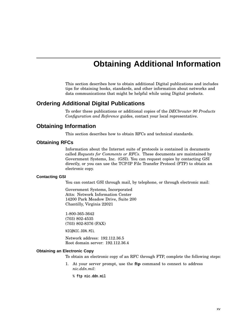# **Obtaining Additional Information**

This section describes how to obtain additional Digital publications and includes tips for obtaining books, standards, and other information about networks and data communications that might be helpful while using Digital products.

## **Ordering Additional Digital Publications**

To order these publications or additional copies of the *DECbrouter 90 Products Configuration and Reference* guides, contact your local representative.

## **Obtaining Information**

This section describes how to obtain RFCs and technical standards.

## **Obtaining RFCs**

Information about the Internet suite of protocols is contained in documents called *Requests for Comments or RFCs*. These documents are maintained by Government Systems, Inc. (GSI). You can request copies by contacting GSI directly, or you can use the TCP/IP File Transfer Protocol (FTP) to obtain an electronic copy.

#### **Contacting GSI**

You can contact GSI through mail, by telephone, or through electronic mail:

Government Systems, Incorporated Attn: Network Information Center 14200 Park Meadow Drive, Suite 200 Chantilly, Virginia 22021

1-800-365-3642 (703) 802-4535 (703) 802-8376 (FAX)

NIC@NIC.DDN.MIL

Network address: 192.112.36.5 Root domain server: 192.112.36.4

#### **Obtaining an Electronic Copy**

To obtain an electronic copy of an RFC through FTP, complete the following steps:

1. At your server prompt, use the **ftp** command to connect to address *nic.ddn.mil*:

% **ftp nic.ddn.mil**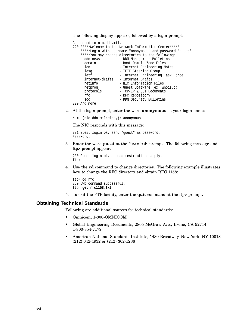The following display appears, followed by a login prompt:

Connected to nic.ddn.mil. 220-\*\*\*\*\*Welcome to the Network Information Center\*\*\*\*\* \*\*\*\*\*Login with username "anonymous" and password "guest" \*\*\*\*\*You may change directories to the following: ddn-news - DDN Management Bulletins domain - Root Domain Zone Files ien - Internet Engineering Notes iesg - IETF Steering Group ietf - Internet Engineering Task Force internet-drafts - Internet Drafts netinfo - NIC Information Files netprog - Guest Software (ex. whois.c) protocols - TCP-IP & OSI Documents rfc - RFC Repository scc - DDN Security Bulletins 220 And more.

2. At the login prompt, enter the word **anonymous** as your login name:

Name (nic.ddn.mil:cindy): **anonymous**

The NIC responds with this message:

331 Guest login ok, send "guest" as password. Password:

3. Enter the word **guest** at the Password: prompt. The following message and ftp> prompt appear:

230 Guest login ok, access restrictions apply. ftp>

4. Use the **cd** command to change directories. The following example illustrates how to change the RFC directory and obtain RFC 1158:

ftp> **cd rfc** 250 CWD command successful. ftp> **get rfc1158.txt**

5. To exit the FTP facility, enter the **quit** command at the ftp> prompt.

## **Obtaining Technical Standards**

Following are additional sources for technical standards:

- Omnicom, 1-800-OMNICOM
- Global Engineering Documents, 2805 McGraw Ave., Irvine, CA 92714 1-800-854-7179
- American National Standards Institute, 1430 Broadway, New York, NY 10018 (212) 642-4932 or (212) 302-1286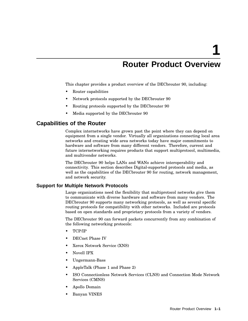# **Router Product Overview**

This chapter provides a product overview of the DECbrouter 90, including:

- Router capabilities
- Network protocols supported by the DECbrouter 90
- Routing protocols supported by the DECbrouter 90
- Media supported by the DECbrouter 90

## **Capabilities of the Router**

Complex internetworks have grown past the point where they can depend on equipment from a single vendor. Virtually all organizations connecting local area networks and creating wide area networks today have major commitments to hardware and software from many different vendors. Therefore, current and future internetworking requires products that support multiprotocol, multimedia, and multivendor networks.

The DECbrouter 90 helps LANs and WANs achieve interoperability and connectivity. This section describes Digital-supported protocols and media, as well as the capabilities of the DEC brouter 90 for routing, network management, and network security.

## **Support for Multiple Network Protocols**

Large organizations need the flexibility that multiprotocol networks give them to communicate with diverse hardware and software from many vendors. The DECbrouter 90 supports many networking protocols, as well as several specific routing protocols for compatibility with other networks. Included are protocols based on open standards and proprietary protocols from a variety of vendors.

The DECbrouter 90 can forward packets concurrently from any combination of the following networking protocols:

- TCP/IP
- DECnet Phase IV
- Xerox Network Service (XNS)
- Novell IPX
- Ungermann-Bass
- AppleTalk (Phase 1 and Phase 2)
- ISO Connectionless Network Services (CLNS) and Connection Mode Network Services (CMNS)
- Apollo Domain
- Banyan VINES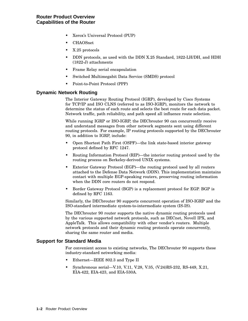## **Router Product Overview Capabilities of the Router**

- Xerox's Universal Protocol (PUP)
- CHAOSnet
- X.25 protocols
- DDN protocols, as used with the DDN X.25 Standard, 1822-LH/DH, and HDH (1822-J) attachments
- Frame Relay serial encapsulation
- Switched Multimegabit Data Service (SMDS) protocol
- Point-to-Point Protocol (PPP)

## **Dynamic Network Routing**

The Interior Gateway Routing Protocol (IGRP), developed by Cisco Systems for TCP/IP and ISO CLNS (referred to as ISO-IGRP), monitors the network to determine the status of each route and selects the best route for each data packet. Network traffic, path reliability, and path speed all influence route selection.

While running IGRP or ISO-IGRP, the DECbrouter 90 can concurrently receive and understand messages from other network segments sent using different routing protocols. For example, IP routing protocols supported by the DECbrouter 90, in addition to IGRP, include:

- Open Shortest Path First (OSPF)—the link state-based interior gateway protocol defined by RFC 1247.
- Routing Information Protocol (RIP)—the interior routing protocol used by the routing process on Berkeley-derived UNIX systems.
- Exterior Gateway Protocol (EGP)—the routing protocol used by all routers attached to the Defense Data Network (DDN). This implementation maintains contact with multiple EGP-speaking routers, preserving routing information when the DDN core routers do not respond.
- Border Gateway Protocol (BGP) is a replacement protocol for EGP. BGP is defined by RFC 1163.

Similarly, the DECbrouter 90 supports concurrent operation of ISO-IGRP and the ISO-standard intermediate system-to-intermediate system (IS-IS).

The DECbrouter 90 router supports the native dynamic routing protocols used by the various supported network protocols, such as DECnet, Novell IPX, and AppleTalk. This allows compatibility with other vendor's routers. Multiple network protocols and their dynamic routing protocols operate concurrently, sharing the same router and media.

## **Support for Standard Media**

For convenient access to existing networks, The DECbrouter 90 supports these industry-standard networking media:

- Ethernet—IEEE 802.3 and Type II
- Synchronous serial—V.10, V.11, V.28, V.35, (V.24)RS-232, RS-449, X.21, EIA-422, EIA-423, and EIA-530A.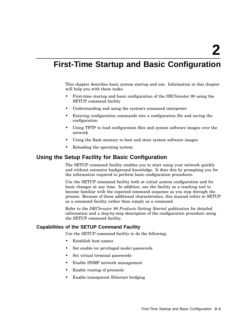# **First-Time Startup and Basic Configuration**

This chapter describes basic system startup and use. Information in this chapter will help you with these tasks:

- First-time startup and basic configuration of the DECbrouter 90 using the SETUP command facility
- Understanding and using the system's command interpreter
- Entering configuration commands into a configuration file and saving the configuration
- Using TFTP to load configuration files and system software images over the network
- Using the flash memory to boot and store system software images
- Reloading the operating system

## **Using the Setup Facility for Basic Configuration**

The SETUP command facility enables you to start using your network quickly and without extensive background knowledge. It does this by prompting you for the information required to perform basic configuration procedures.

Use the SETUP command facility both at initial system configuration and for basic changes at any time. In addition, use the facility as a teaching tool to become familiar with the expected command sequence as you step through the process. Because of these additional characteristics, this manual refers to SETUP as a command facility rather than simply as a command.

Refer to the *DECbrouter 90 Products Getting Started* publication for detailed information and a step-by-step description of the configuration procedure using the SETUP command facility.

## **Capabilities of the SETUP Command Facility**

Use the SETUP command facility to do the following:

- Establish host names
- Set enable (or privileged mode) passwords
- Set virtual terminal passwords
- Enable SNMP network management
- Enable routing of protocols
- Enable transparent Ethernet bridging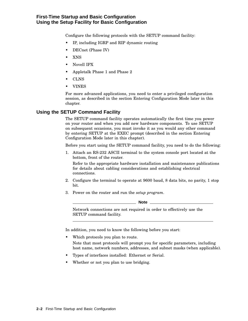## **First-Time Startup and Basic Configuration Using the Setup Facility for Basic Configuration**

Configure the following protocols with the SETUP command facility:

- IP, including IGRP and RIP dynamic routing
- DECnet (Phase IV)
- XNS
- Novell IPX
- Appletalk Phase 1 and Phase 2
- CLNS
- VINES

For more advanced applications, you need to enter a privileged configuration session, as described in the section Entering Configuration Mode later in this chapter.

## **Using the SETUP Command Facility**

The SETUP command facility operates automatically the first time you power on your router and when you add new hardware components. To use SETUP on subsequent occasions, you must invoke it as you would any other command by entering SETUP at the EXEC prompt (described in the section Entering Configuration Mode later in this chapter).

Before you start using the SETUP command facility, you need to do the following:

1. Attach an RS-232 ASCII terminal to the system console port located at the bottom, front of the router.

Refer to the appropriate hardware installation and maintenance publications for details about cabling considerations and establishing electrical connections.

- 2. Configure the terminal to operate at 9600 baud, 8 data bits, no parity, 1 stop bit.
- 3. Power on the router and run the *setup program*.

**Note** 2008

Network connections are not required in order to effectively use the SETUP command facility.

In addition, you need to know the following before you start:

Which protocols you plan to route.

Note that most protocols will prompt you for specific parameters, including host name, network numbers, addresses, and subnet masks (when applicable).

- Types of interfaces installed: Ethernet or Serial.
- Whether or not you plan to use bridging.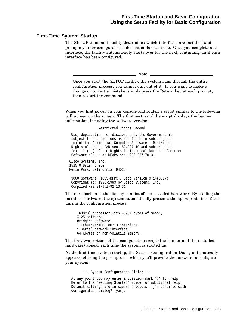## **First-Time System Startup**

The SETUP command facility determines which interfaces are installed and prompts you for configuration information for each one. Once you complete one interface, the facility automatically starts over for the next, continuing until each interface has been configured.

**Note**

Once you start the SETUP facility, the system runs through the entire configuration process; you cannot quit out of it. If you want to make a change or correct a mistake, simply press the Return key at each prompt, then restart the command.

When you first power on your console and router, a script similar to the following will appear on the screen. The first section of the script displays the banner information, including the software version:

Restricted Rights Legend

Use, duplication, or disclosure by the Government is subject to restrictions as set forth in subparagraph (c) of the Commercial Computer Software - Restricted Rights clause at FAR sec. 52.227-19 and subparagraph (c) (1) (ii) of the Rights in Technical Data and Computer Software clause at DFARS sec. 252.227-7013. Cisco Systems, Inc. 1525 O'Brien Drive Menlo Park, California 94025 3000 Software (IGS3-BFPX), Beta Version 9.14(0.17) Copyright (c) 1986-1993 by Cisco Systems, Inc. Compiled Fri 31-Jul-92 13:31

The next portion of the display is a list of the installed hardware. By reading the installed hardware, the system automatically presents the appropriate interfaces during the configuration process.

(68020) processor with 4096K bytes of memory. X.25 software. Bridging software. 1 Ethernet/IEEE 802.3 interface. 1 Serial network interface. 64 Kbytes of non-volatile memory.

The first two sections of the configuration script (the banner and the installed hardware) appear each time the system is started up.

At the first-time system startup, the System Configuration Dialog automatically appears, offering the prompts for which you'll provide the answers to configure your system.

--- System Configuration Dialog --- At any point you may enter a question mark '?' for help. Refer to the 'Getting Started' Guide for additional help. Default settings are in square brackets '[]'. Continue with configuration dialog? [yes]: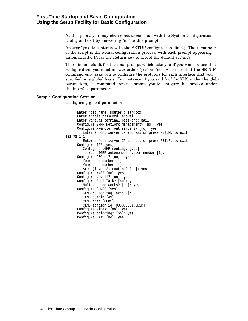## **First-Time Startup and Basic Configuration Using the Setup Facility for Basic Configuration**

At this point, you may choose not to continue with the System Configuration Dialog and exit by answering "no" to this prompt.

Answer "yes" to continue with the SETUP configuration dialog. The remainder of the script is the actual configuration process, with each prompt appearing automatically. Press the Return key to accept the default settings.

There is no default for the final prompt which asks you if you want to use this configuration; you must answer either "yes" or "no." Also note that the SETUP command only asks you to configure the protocols for each interface that you specified on a global basis. For instance, if you said "no" for XNS under the global parameters, the command does not prompt you to configure that protocol under the interface parameters.

#### **Sample Configuration Session**

Configuring global parameters:

```
Enter host name [Router]: sandbox
     Enter enable password: shovel
     Enter virtual terminal password: pail
     Configure SNMP Network Management? [no]: yes
     Configure XRemote font servers? [no]: yes
        Enter a font server IP address or press RETURN to exit:
121.78.1.1
        Enter a font server IP address or press RETURN to exit:
     Configure IP? [yes]:
        Configure IGRP routing? [yes]:
           Your IGRP autonomous system number [1]:
     Configure DECnet? [no]: yes
        Your area number [1]:
        Your node number [1]:
        Area (level 2) routing? [no]: yes
     Configure XNS? [no]: yes
     Configure Novell? [no]: yes
     Configure AppleTalk? [no]: yes
        Multizone networks? [no]: yes
     Configure CLNS? [yes]:
        CLNS router tag [area_1]:
        CLNS domain [49]:
        CLNS area [0001]:
        CLNS station id [0000.0C01.0D1D]:
     Configure Vines? [no]: yes
     Configure bridging? [no]: yes
     Configure LAT? [no]: yes
```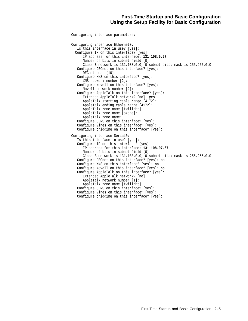Configuring interface parameters:

Configuring interface Ethernet0: Is this interface in use? [yes]: Configure IP on this interface? [yes]: IP address for this interface: **131.108.6.67** Number of bits in subnet field [0]: Class B network is 131.108.0.0, 0 subnet bits; mask is 255.255.0.0 Configure DECnet on this interface? [yes]: DECnet cost [10]: Configure XNS on this interface? [yes]: XNS network number [2]: Configure Novell on this interface? [yes]: Novell network number [2]: Configure AppleTalk on this interface? [yes]: Extended AppleTalk network? [no]: **yes** AppleTalk starting cable range [4172]: AppleTalk ending cable range [4172]: AppleTalk zone name [twilight]: AppleTalk zone name [ozone]: AppleTalk zone name: Configure CLNS on this interface? [yes]: Configure Vines on this interface? [yes]: Configure bridging on this interface? [yes]: Configuring interface Serial0: Is this interface in use? [yes]: Configure IP on this interface? [yes]: IP address for this interface: **131.108.97.67** Number of bits in subnet field [0]: Class B network is 131.108.0.0, 0 subnet bits; mask is 255.255.0.0 Configure DECnet on this interface? [yes]: **no** Configure XNS on this interface? [yes]: **no** Configure Novell on this interface? [yes]: **no** Configure AppleTalk on this interface? [yes]: Extended AppleTalk network? [no]: AppleTalk network number [1]: AppleTalk zone name [twilight]: Configure CLNS on this interface? [yes]: Configure Vines on this interface? [yes]: Configure bridging on this interface? [yes]: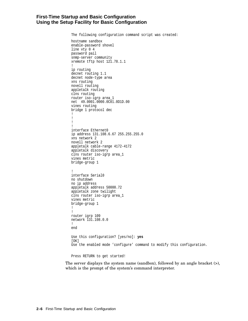## **First-Time Startup and Basic Configuration Using the Setup Facility for Basic Configuration**

The following configuration command script was created: hostname sandbox enable-password shovel line vty 0 4 password pail snmp-server community xremote tftp host 121.78.1.1 ! ip routing decnet routing 1.1 decnet node-type area xns routing novell routing appletalk routing clns routing router iso-igrp area\_1 net 49.0001.0000.0C01.0D1D.00 vines routing bridge 1 protocol dec ! ! ! ! interface Ethernet0 ip address 131.108.6.67 255.255.255.0 xns network 2 novell network 2 appletalk cable-range 4172-4172 appletalk discovery clns router iso-igrp area\_1 vines metric bridge-group 1 ! interface Serial0 no shutdown no ip address appletalk address 50000.72 appletalk zone twilight clns router iso-igrp area\_1 vines metric bridge-group 1 ! ! router igrp 109 network 131.108.0.0 ! end Use this configuration? [yes/no]: **yes** [OK] Use the enabled mode 'configure' command to modify this configuration.

Press RETURN to get started!

The server displays the system name (sandbox), followed by an angle bracket  $(>)$ , which is the prompt of the system's command interpreter.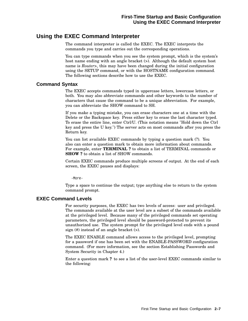## **Using the EXEC Command Interpreter**

The command interpreter is called the EXEC. The EXEC interprets the commands you type and carries out the corresponding operations.

You can type commands when you see the system prompt, which is the system's host name ending with an angle bracket (>). Although the default system host name is *Router*>, this may have been changed during the initial configuration using the SETUP command, or with the HOSTNAME configuration command. The following sections describe how to use the EXEC.

## **Command Syntax**

The EXEC accepts commands typed in uppercase letters, lowercase letters, or both. You may also abbreviate commands and other keywords to the number of characters that cause the command to be a unique abbreviation. For example, you can abbreviate the SHOW command to SH.

If you make a typing mistake, you can erase characters one at a time with the Delete or the Backspace key. Press either key to erase the last character typed. To erase the entire line, enter Ctrl/U. (This notation means "Hold down the Ctrl key and press the U key.") The server acts on most commands after you press the Return key.

You can list available EXEC commands by typing a question mark (?). You also can enter a question mark to obtain more information about commands. For example, enter **TERMINAL ?** to obtain a list of TERMINAL commands or **SHOW ?** to obtain a list of SHOW commands.

Certain EXEC commands produce multiple screens of output. At the end of each screen, the EXEC pauses and displays:

-More-

Type a space to continue the output; type anything else to return to the system command prompt.

## **EXEC Command Levels**

For security purposes, the EXEC has two levels of access: user and privileged. The commands available at the user level are a subset of the commands available at the privileged level. Because many of the privileged commands set operating parameters, the privileged level should be password-protected to prevent its unauthorized use. The system prompt for the privileged level ends with a pound sign (#) instead of an angle bracket (>).

The EXEC ENABLE command allows access to the privileged level, prompting for a password if one has been set with the ENABLE-PASSWORD configuration command. (For more information, see the section Establishing Passwords and System Security in Chapter 4.)

Enter a question mark **?** to see a list of the user-level EXEC commands similar to the following: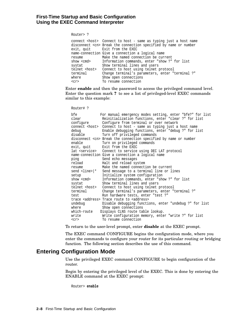## **First-Time Startup and Basic Configuration Using the EXEC Command Interpreter**

Router> ?

|                      | connect <host> Connect to host - same as typing just a host name<br/>disconnect <cn> Break the connection specified by name or number</cn></host> |
|----------------------|---------------------------------------------------------------------------------------------------------------------------------------------------|
|                      | exit, quit Exit from the EXEC                                                                                                                     |
|                      | name-connection Give a connection a logical name                                                                                                  |
| resume               | Make the named connection be current                                                                                                              |
| show <cmd></cmd>     | Information commands, enter "show?" for list                                                                                                      |
| systat               | Show terminal lines and users                                                                                                                     |
| telnet <host></host> | Connect to host using telnet protocol                                                                                                             |
| terminal             | Change terminal's parameters, enter "terminal ?"                                                                                                  |
| where                | Show open connections                                                                                                                             |
| $<$ cr>              | To resume connection                                                                                                                              |

Enter **enable** and then the password to access the privileged command level. Enter the question mark **?** to see a list of privileged-level EXEC commands similar to this example:

```
Router# ?
```

| bfe                                                                   | For manual emergency modes setting, enter "bfe?" for list               |  |  |
|-----------------------------------------------------------------------|-------------------------------------------------------------------------|--|--|
| clear                                                                 | Reinitialization functions, enter "clear ?" for list                    |  |  |
| configure                                                             | Configure from terminal or over network                                 |  |  |
|                                                                       | connect <host> Connect to host - same as typing just a host name</host> |  |  |
| debug                                                                 | Enable debugging functions, enter "debug ?" for list                    |  |  |
| disable                                                               | Turn off privileged commands                                            |  |  |
|                                                                       | disconnect <cn> Break the connection specified by name or number</cn>   |  |  |
| enable                                                                | Turn on privileged commands                                             |  |  |
| exit, quit                                                            | Exit from the EXEC                                                      |  |  |
| lat <service><br/>Connect to service using DEC LAT protocol</service> |                                                                         |  |  |
| name-connection Give a connection a logical name                      |                                                                         |  |  |
| ping                                                                  | Send echo messages                                                      |  |  |
| reload                                                                | Halt and reload system                                                  |  |  |
| resume                                                                | Make the named connection be current                                    |  |  |
| send $\langle$ line> $ \cdot $                                        | Send message to a terminal line or lines                                |  |  |
| setup                                                                 | Initialize system configuration                                         |  |  |
| show <cmd></cmd>                                                      | Information commands, enter "show?" for list                            |  |  |
| systat                                                                | Show terminal lines and users                                           |  |  |
| telnet <host></host>                                                  | Connect to host using telnet protocol                                   |  |  |
| terminal                                                              | Change terminal's parameters, enter "terminal ?"                        |  |  |
| test                                                                  | Run hardware tests, enter "test ?"                                      |  |  |
|                                                                       | trace <address> Trace route to <address></address></address>            |  |  |
| undebug                                                               | Disable debugging functions, enter "undebug ?" for list                 |  |  |
| where                                                                 | Show open connections                                                   |  |  |
| which-route                                                           | Displays CLNS route table lookup.                                       |  |  |
| write                                                                 | Write configuration memory, enter "write ?" for list                    |  |  |
| $<$ cr>                                                               | To resume connection                                                    |  |  |

To return to the user-level prompt, enter **disable** at the EXEC prompt.

The EXEC command CONFIGURE begins the configuration mode, where you enter the commands to configure your router for its particular routing or bridging function. The following section describes the use of this command.

## **Entering Configuration Mode**

Use the privileged EXEC command CONFIGURE to begin configuration of the router.

Begin by entering the privileged level of the EXEC. This is done by entering the ENABLE command at the EXEC prompt:

Router> **enable**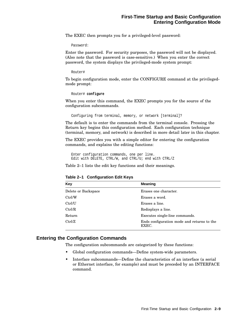The EXEC then prompts you for a privileged-level password:

Password:

Enter the password. For security purposes, the password will not be displayed. (Also note that the password is case-sensitive.) When you enter the correct password, the system displays the privileged-mode system prompt:

Router#

To begin configuration mode, enter the CONFIGURE command at the privilegedmode prompt:

Router# **configure**

When you enter this command, the EXEC prompts you for the source of the configuration subcommands.

Configuring from terminal, memory, or network [terminal]?

The default is to enter the commands from the terminal console. Pressing the Return key begins this configuration method. Each configuration technique (terminal, memory, and network) is described in more detail later in this chapter.

The EXEC provides you with a simple editor for entering the configuration commands, and explains the editing functions:

Enter configuration commands, one per line. Edit with DELETE, CTRL/W, and CTRL/U; end with CTRL/Z

Table 2–1 lists the edit key functions and their meanings.

**Key Meaning** Delete or Backspace Erases one character. Ctrl/W Erases a word. Ctrl/U Erases a line. Ctrl/R Redisplays a line. Return Executes single-line commands. Ctrl/Z Ends configuration mode and returns to the EXEC.

**Table 2–1 Configuration Edit Keys**

## **Entering the Configuration Commands**

The configuration subcommands are categorized by these functions:

- Global configuration commands—Define system-wide parameters.
- Interface subcommands—Define the characteristics of an interface (a serial or Ethernet interface, for example) and must be preceded by an INTERFACE command.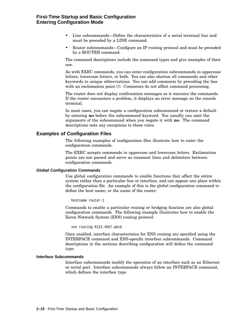## **First-Time Startup and Basic Configuration Entering Configuration Mode**

- Line subcommands—Define the characteristics of a serial terminal line and must be preceded by a LINE command.
- Router subcommands—Configure an IP routing protocol and must be preceded by a ROUTER command.

The command descriptions include the command types and give examples of their use.

As with EXEC commands, you can enter configuration subcommands in uppercase letters, lowercase letters, or both. You can also shorten all commands and other keywords to unique abbreviations. You can add comments by preceding the line with an exclamation point (!). Comments do not affect command processing.

The router does not display confirmation messages as it executes the commands. If the router encounters a problem, it displays an error message on the console terminal.

In most cases, you can negate a configuration subcommand or restore a default by entering **no** before the subcommand keyword. You usually can omit the arguments of the subcommand when you negate it with **no**. The command descriptions note any exceptions to these rules.

## **Examples of Configuration Files**

The following examples of configuration files illustrate how to enter the configuration commands.

The EXEC accepts commands in uppercase and lowercase letters. Exclamation points are not parsed and serve as comment lines and delimiters between configuration commands.

#### **Global Configuration Commands**

Use global configuration commands to enable functions that affect the entire system rather than a particular line or interface, and can appear any place within the configuration file. An example of this is the global configuration command to define the host name, or the name of the router:

hostname router-1

Commands to enable a particular routing or bridging function are also global configuration commands. The following example illustrates how to enable the Xerox Network System (XNS) routing protocol:

xns routing 0123.4567.abcd

Once enabled, interface characteristics for XNS routing are specified using the INTERFACE command and XNS-specific interface subcommands. Command descriptions in the sections describing configuration will define the command type.

#### **Interface Subcommands**

Interface subcommands modify the operation of an interface such as an Ethernet or serial port. Interface subcommands always follow an INTERFACE command, which defines the interface type.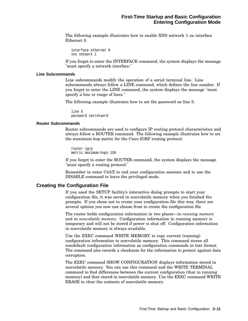The following example illustrates how to enable XNS network 1 on interface Ethernet 0:

interface ethernet 0 xns network 1

If you forget to enter the INTERFACE command, the system displays the message "must specify a network interface."

#### **Line Subcommands**

Line subcommands modify the operation of a serial terminal line. Line subcommands always follow a LINE command, which defines the line number. If you forget to enter the LINE command, the system displays the message "must specify a line or range of lines."

The following example illustrates how to set the password on line 5:

line 5 password secretword

#### **Router Subcommands**

Router subcommands are used to configure IP routing protocol characteristics and always follow a ROUTER command. The following example illustrates how to set the maximum hop metric for the Cisco IGRP routing protocol:

router igrp metric maximum-hops 150

If you forget to enter the ROUTER command, the system displays the message "must specify a routing protocol."

Remember to enter Ctrl/Z to end your configuration sessions and to use the DISABLE command to leave the privileged mode.

## **Creating the Configuration File**

If you used the SETUP facility's interactive dialog prompts to start your configuration file, it was saved in nonvolatile memory when you finished the prompts. If you chose not to create your configuration file this way, there are several options you now can choose from to create the configuration file.

The router holds configuration information in two places—in *running memory* and in *nonvolatile memory*. Configuration information in running memory is temporary and will not be stored if power is shut off. Configuration information in nonvolatile memory is always available.

Use the EXEC command WRITE MEMORY to copy current (running) configuration information to nonvolatile memory. This command stores all nondefault configuration information as configuration commands in text format. The command also records a checksum for the information to protect against data corruption.

The EXEC command SHOW CONFIGURATION displays information stored in nonvolatile memory. You can use this command and the WRITE TERMINAL command to find differences between the current configuration (that in running memory) and that stored in nonvolatile memory. Use the EXEC command WRITE ERASE to clear the contents of nonvolatile memory.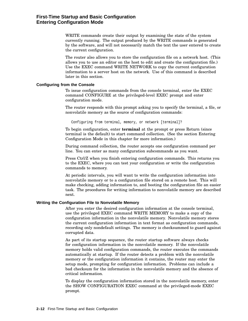## **First-Time Startup and Basic Configuration Entering Configuration Mode**

WRITE commands create their output by examining the state of the system currently running. The output produced by the WRITE commands is generated by the software, and will not necessarily match the text the user entered to create the current configuration.

The router also allows you to store the configuration file on a network host. (This allows you to use an editor on the host to edit and create the configuration file.) Use the EXEC command WRITE NETWORK to copy the current configuration information to a server host on the network. Use of this command is described later in this section.

#### **Configuring from the Console**

To issue configuration commands from the console terminal, enter the EXEC command CONFIGURE at the privileged-level EXEC prompt and enter configuration mode.

The router responds with this prompt asking you to specify the terminal, a file, or nonvolatile memory as the source of configuration commands:

Configuring from terminal, memory, or network [terminal]?

To begin configuration, enter **terminal** at the prompt or press Return (since terminal is the default) to start command collection. (See the section Entering Configuration Mode in this chapter for more information.)

During command collection, the router accepts one configuration command per line. You can enter as many configuration subcommands as you want.

Press Ctrl/Z when you finish entering configuration commands. This returns you to the EXEC, where you can test your configuration or write the configuration commands to memory.

At periodic intervals, you will want to write the configuration information into nonvolatile memory or to a configuration file stored on a remote host. This will make checking, adding information to, and booting the configuration file an easier task. The procedures for writing information to nonvolatile memory are described next.

#### **Writing the Configuration File to Nonvolatile Memory**

After you enter the desired configuration information at the console terminal, use the privileged EXEC command WRITE MEMORY to make a copy of the configuration information in the nonvolatile memory. Nonvolatile memory stores the current configuration information in text format as configuration commands, recording only nondefault settings. The memory is checksummed to guard against corrupted data.

As part of its startup sequence, the router startup software always checks for configuration information in the nonvolatile memory. If the nonvolatile memory holds valid configuration commands, the router executes the commands automatically at startup. If the router detects a problem with the nonvolatile memory or the configuration information it contains, the router may enter the setup mode, prompting for configuration information. Problems can include a bad checksum for the information in the nonvolatile memory and the absence of critical information.

To display the configuration information stored in the nonvolatile memory, enter the SHOW CONFIGURATION EXEC command at the privileged-mode EXEC prompt.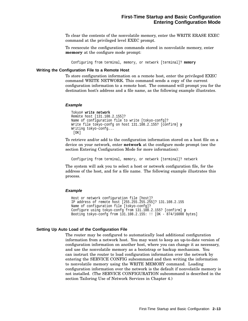To clear the contents of the nonvolatile memory, enter the WRITE ERASE EXEC command at the privileged level EXEC prompt.

To reexecute the configuration commands stored in nonvolatile memory, enter **memory** at the configure mode prompt:

Configuring from terminal, memory, or network [terminal]? **memory**

#### **Writing the Configuration File to a Remote Host**

To store configuration information on a remote host, enter the privileged EXEC command WRITE NETWORK. This command sends a copy of the current configuration information to a remote host. The command will prompt you for the destination host's address and a file name, as the following example illustrates.

#### **Example**

```
Tokyo# write network
Remote host [131.108.2.155]?
Name of configuration file to write [tokyo-confg]?
Write file tokyo-confg on host 131.108.2.155? [confirm] y
Writing tokyo-confg...
 [OK]
```
To retrieve and/or add to the configuration information stored on a host file on a device on your network, enter **network** at the configure mode prompt (see the section Entering Configuration Mode for more information):

Configuring from terminal, memory, or network [terminal]? network

The system will ask you to select a host or network configuration file, for the address of the host, and for a file name. The following example illustrates this process.

#### **Example**

```
Host or network configuration file [host]?
IP address of remote host [255.255.255.255]? 131.108.2.155
Name of configuration file [tokyo-confg]?
Configure using tokyo-confg from 131.108.2.155? [confirm] y
Booting tokyo-confg from 131.108.2.155: !! [OK - 874/16000 bytes]
```
#### **Setting Up Auto Load of the Configuration File**

The router may be configured to automatically load additional configuration information from a network host. You may want to keep an up-to-date version of configuration information on another host, where you can change it as necessary, and use the nonvolatile memory as a bootstrap or backup mechanism. You can instruct the router to load configuration information over the network by entering the SERVICE CONFIG subcommand and then writing the information to nonvolatile memory using the WRITE MEMORY command. Loading configuration information over the network is the default if nonvolatile memory is not installed. (The SERVICE CONFIGURATION subcommand is described in the section Tailoring Use of Network Services in Chapter 4.)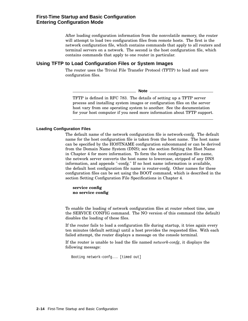After loading configuration information from the nonvolatile memory, the router will attempt to load two configuration files from remote hosts. The first is the network configuration file, which contains commands that apply to all routers and terminal servers on a network. The second is the host configuration file, which contains commands that apply to one router in particular.

## **Using TFTP to Load Configuration Files or System Images**

The router uses the Trivial File Transfer Protocol (TFTP) to load and save configuration files.

**Note**

TFTP is defined in RFC 783. The details of setting up a TFTP server process and installing system images or configuration files on the server host vary from one operating system to another. See the documentation for your host computer if you need more information about TFTP support.

#### **Loading Configuration Files**

The default name of the network configuration file is network-confg. The default name for the host configuration file is taken from the host name. The host name can be specified by the HOSTNAME configuration subcommand or can be derived from the Domain Name System (DNS); see the section Setting the Host Name in Chapter 4 for more information. To form the host configuration file name, the network server converts the host name to lowercase, stripped of any DNS information, and appends "-confg." If no host name information is available, the default host configuration file name is router-confg. Other names for these configuration files can be set using the BOOT command, which is described in the section Setting Configuration File Specifications in Chapter 4.

**service config no service config**

To enable the loading of network configuration files at router reboot time, use the SERVICE CONFIG command. The NO version of this command (the default) disables the loading of these files.

If the router fails to load a configuration file during startup, it tries again every ten minutes (default setting) until a host provides the requested files. With each failed attempt, the router displays a message on the console terminal.

If the router is unable to load the file named *network-confg*, it displays the following message:

Booting network-confg... [timed out]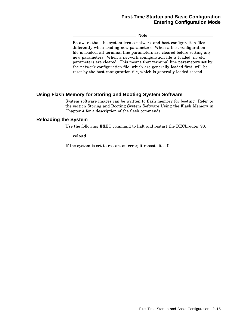## **First-Time Startup and Basic Configuration Entering Configuration Mode**

**Note**

Be aware that the system treats network and host configuration files differently when loading new parameters. When a host configuration file is loaded, all terminal line parameters are cleared before setting any new parameters. When a network configuration file is loaded, no old parameters are cleared. This means that terminal line parameters set by the network configuration file, which are generally loaded first, will be reset by the host configuration file, which is generally loaded second.

## **Using Flash Memory for Storing and Booting System Software**

System software images can be written to flash memory for booting. Refer to the section Storing and Booting System Software Using the Flash Memory in Chapter 4 for a description of the flash commands.

## **Reloading the System**

Use the following EXEC command to halt and restart the DECbrouter 90:

## **reload**

If the system is set to restart on error, it reboots itself.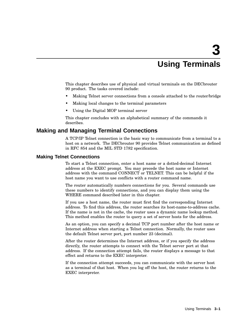# **3 Using Terminals**

This chapter describes use of physical and virtual terminals on the DECbrouter 90 product. The tasks covered include:

- Making Telnet server connections from a console attached to the router/bridge
- Making local changes to the terminal parameters
- Using the Digital MOP terminal server

This chapter concludes with an alphabetical summary of the commands it describes.

## **Making and Managing Terminal Connections**

A TCP/IP Telnet connection is the basic way to communicate from a terminal to a host on a network. The DEC brouter 90 provides Telnet communication as defined in RFC 854 and the MIL STD 1782 specification.

#### **Making Telnet Connections**

To start a Telnet connection, enter a host name or a dotted-decimal Internet address at the EXEC prompt. You may precede the host name or Internet address with the command CONNECT or TELNET. This can be helpful if the host name you want to use conflicts with a router command name.

The router automatically numbers connections for you. Several commands use these numbers to identify connections, and you can display them using the WHERE command described later in this chapter.

If you use a host name, the router must first find the corresponding Internet address. To find this address, the router searches its host-name-to-address cache. If the name is not in the cache, the router uses a dynamic name lookup method. This method enables the router to query a set of server hosts for the address.

As an option, you can specify a decimal TCP port number after the host name or Internet address when starting a Telnet connection. Normally, the router uses the default Telnet server port, port number 23 (decimal).

After the router determines the Internet address, or if you specify the address directly, the router attempts to connect with the Telnet server port at that address. If the connection attempt fails, the router displays a message to that effect and returns to the EXEC interpreter.

If the connection attempt succeeds, you can communicate with the server host as a terminal of that host. When you log off the host, the router returns to the EXEC interpreter.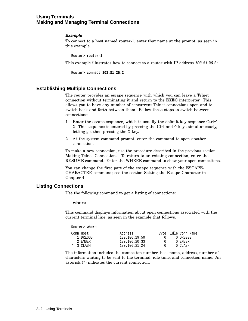## **Using Terminals Making and Managing Terminal Connections**

## **Example**

To connect to a host named router-1, enter that name at the prompt, as seen in this example.

Router> **router-1**

This example illustrates how to connect to a router with IP address *103.81.25.2:*

```
Router> connect 103.81.25.2
```
## **Establishing Multiple Connections**

The router provides an escape sequence with which you can leave a Telnet connection without terminating it and return to the EXEC interpreter. This allows you to have any number of concurrent Telnet connections open and to switch back and forth between them. Follow these steps to switch between connections:

- 1. Enter the escape sequence, which is usually the default key sequence  $\mathrm{Ctrl}/\wedge$ X. This sequence is entered by pressing the Ctrl and  $\wedge$  keys simultaneously, letting go, then pressing the X key.
- 2. At the system command prompt, enter the command to open another connection.

To make a new connection, use the procedure described in the previous section Making Telnet Connections. To return to an existing connection, enter the RESUME command. Enter the WHERE command to show your open connections.

You can change the first part of the escape sequence with the ESCAPE-CHARACTER command; see the section Setting the Escape Character in Chapter 4.

## **Listing Connections**

Use the following command to get a listing of connections:

#### **where**

This command displays information about open connections associated with the current terminal line, as seen in the example that follows.

| Router> where |  |
|---------------|--|
|---------------|--|

| Conn Host   | Address       |  | Byte Idle Conn Name |
|-------------|---------------|--|---------------------|
| 1 DREGGS    | 130.106.19.50 |  | 0 DREGGS            |
| 2. FMBER    | 130.106.20.33 |  | $0$ FMRER           |
| $*$ 3 CLASH | 130.106.21.24 |  | O CLASH             |

The information includes the connection number, host name, address, number of characters waiting to be sent to the terminal, idle time, and connection name. An asterisk (\*) indicates the current connection.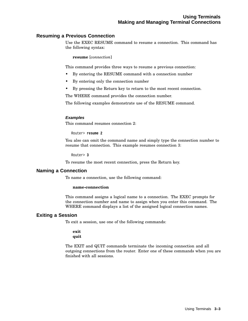### **Resuming a Previous Connection**

Use the EXEC RESUME command to resume a connection. This command has the following syntax:

**resume** [*connection*]

This command provides three ways to resume a previous connection:

- By entering the RESUME command with a connection number
- By entering only the connection number
- By pressing the Return key to return to the most recent connection.

The WHERE command provides the connection number.

The following examples demonstrate use of the RESUME command.

### **Examples**

This command resumes connection 2:

Router> **resume 2**

You also can omit the command name and simply type the connection number to resume that connection. This example resumes connection 3:

Router> **3**

To resume the most recent connection, press the Return key.

### **Naming a Connection**

To name a connection, use the following command:

#### **name-connection**

This command assigns a logical name to a connection. The EXEC prompts for the connection number and name to assign when you enter this command. The WHERE command displays a list of the assigned logical connection names.

### **Exiting a Session**

To exit a session, use one of the following commands:

**exit quit**

The EXIT and QUIT commands terminate the incoming connection and all outgoing connections from the router. Enter one of these commands when you are finished with all sessions.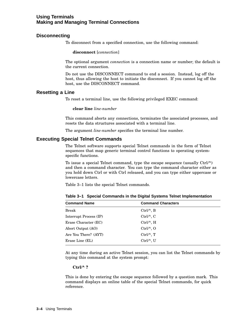### **Disconnecting**

To disconnect from a specified connection, use the following command:

**disconnect** [*connection*]

The optional argument *connection* is a connection name or number; the default is the current connection.

Do not use the DISCONNECT command to end a session. Instead, log off the host, thus allowing the host to initiate the disconnect. If you cannot log off the host, use the DISCONNECT command.

### **Resetting a Line**

To reset a terminal line, use the following privileged EXEC command:

**clear line** *line-number*

This command aborts any connections, terminates the associated processes, and resets the data structures associated with a terminal line.

The argument *line-number* specifies the terminal line number.

### **Executing Special Telnet Commands**

The Telnet software supports special Telnet commands in the form of Telnet sequences that map generic terminal control functions to operating systemspecific functions.

To issue a special Telnet command, type the escape sequence (usually Ctrl/^) and then a command character. You can type the command character either as you hold down Ctrl or with Ctrl released, and you can type either uppercase or lowercase letters.

Table 3–1 lists the special Telnet commands.

| <b>Command Name</b>    | <b>Command Characters</b> |  |
|------------------------|---------------------------|--|
| Break                  | Ctrl $\wedge$ , B         |  |
| Interrupt Process (IP) | Ctrl $\wedge$ , C         |  |
| Erase Character (EC)   | Ctrl $\sqrt{\ }$ , H      |  |
| Abort Output (AO)      | Ctrl $\wedge$ , O         |  |
| Are You There? (AYT)   | Ctrl $\sqrt{\ }$ . T      |  |
| Erase Line (EL)        | Ctrl $\wedge$ , U         |  |

**Table 3–1 Special Commands in the Digital Systems Telnet Implementation**

At any time during an active Telnet session, you can list the Telnet commands by typing this command at the system prompt:

### **Ctrl/^ ?**

This is done by entering the escape sequence followed by a question mark. This command displays an online table of the special Telnet commands, for quick reference.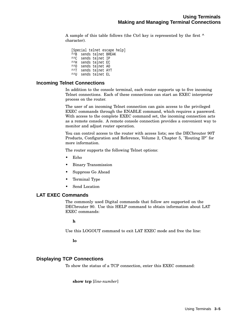A sample of this table follows (the Ctrl key is represented by the first  $\wedge$ character).

[Special telnet escape help] ^^B sends telnet BREAK ^^C sends telnet IP ^^H sends telnet EC ^^O sends telnet AO ^^T sends telnet AYT ^^U sends telnet EL

### **Incoming Telnet Connections**

In addition to the console terminal, each router supports up to five incoming Telnet connections. Each of these connections can start an EXEC interpreter process on the router.

The user of an incoming Telnet connection can gain access to the privileged EXEC commands through the ENABLE command, which requires a password. With access to the complete EXEC command set, the incoming connection acts as a remote console. A remote console connection provides a convenient way to monitor and adjust router operation.

You can control access to the router with access lists; see the DECbrouter 90T Products, Configuration and Reference, Volume 2, Chapter 5, "Routing IP" for more information.

The router supports the following Telnet options:

- Echo
- Binary Transmission
- Suppress Go Ahead
- Terminal Type
- Send Location

### **LAT EXEC Commands**

The commonly used Digital commands that follow are supported on the DECbrouter 90. Use this HELP command to obtain information about LAT EXEC commands:

### **h**

Use this LOGOUT command to exit LAT EXEC mode and free the line:

**lo**

### **Displaying TCP Connections**

To show the status of a TCP connection, enter this EXEC command:

**show tcp** [*line-number*]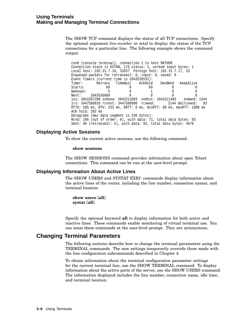The SHOW TCP command displays the status of all TCP connections. Specify the optional argument *line-number* in octal to display the status of the TCP connections for a particular line. The following example shows the command output:

con0 (console terminal), connection 1 to host MATHOM Connection state is ESTAB, I/O status: 1, unread input bytes: 1 Local host: 192.31.7.18, 33537 Foreign host: 192.31.7.17, 23 Enqueued packets for retransmit: 0, input: 0, saved: 0 Event Timers (current time is 2043535532): Timer: Retrans TimeWait AckHold SendWnd KeepAlive Starts: 69 0 69 0 0 Wakeups: 5 0 1 0 0 Next: 2043536089 0 0 0 0 0 iss: 2043207208 snduna: 2043211083 sndnxt: 2043211483 sndwnd: 1344 irs: 3447586816 rcvnxt: 3447586900 rcvwnd: 2144 delrcvwnd: 83 RTTO: 565 ms, RTV: 233 ms, KRTT: 0 ms, minRTT: 68 ms, maxRTT: 1900 ms ACK hold: 282 ms Datagrams (max data segment is 536 bytes): Rcvd: 106 (out of order: 0), with data: 71, total data bytes: 83 Sent: 96 (retransmit: 5), with data: 92, total data bytes: 4678

### **Displaying Active Sessions**

To show the current active sessions, use the following command:

#### **show sessions**

The SHOW SESSIONS command provides information about open Telnet connections. This command can be run at the user-level prompt.

### **Displaying Information About Active Lines**

The SHOW USERS and SYSTAT EXEC commands display information about the active lines of the router, including the line number, connection names, and terminal location.

**show users** [**all**] **systat** [**all**]

Specify the optional keyword **all** to display information for both active and inactive lines. These commands enable monitoring of virtual terminal use. You can issue these commands at the user-level prompt. They are synonymous.

## **Changing Terminal Parameters**

The following sections describe how to change the terminal parameters using the TERMINAL commands. The new settings temporarily override those made with the line configuration subcommands described in Chapter 4.

To obtain information about the terminal configuration parameter settings for the current terminal line, use the SHOW TERMINAL command. To display information about the active ports of the server, use the SHOW USERS command. The information displayed includes the line number, connection name, idle time, and terminal location.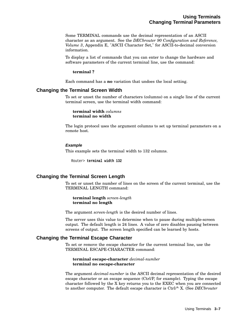Some TERMINAL commands use the decimal representation of an ASCII character as an argument. See the *DECbrouter 90 Configuration and Reference, Volume 3*, Appendix E, "ASCII Character Set," for ASCII-to-decimal conversion information.

To display a list of commands that you can enter to change the hardware and software parameters of the current terminal line, use the command:

#### **terminal ?**

Each command has a **no** variation that undoes the local setting.

### **Changing the Terminal Screen Width**

To set or unset the number of characters (columns) on a single line of the current terminal screen, use the terminal width command:

**terminal width** *columns* **terminal no width**

The login protocol uses the argument columns to set up terminal parameters on a remote host.

#### **Example**

This example sets the terminal width to 132 columns.

Router> **terminal width 132**

### **Changing the Terminal Screen Length**

To set or unset the number of lines on the screen of the current terminal, use the TERMINAL LENGTH command:

**terminal length** *screen-length* **terminal no length**

The argument *screen-length* is the desired number of lines.

The server uses this value to determine when to pause during multiple-screen output. The default length is 24 lines. A value of zero disables pausing between screens of output. The screen length specified can be learned by hosts.

### **Changing the Terminal Escape Character**

To set or remove the escape character for the current terminal line, use the TERMINAL ESCAPE-CHARACTER command:

### **terminal escape-character** *decimal-number* **terminal no escape-character**

The argument *decimal-number* is the ASCII decimal representation of the desired escape character or an escape sequence (Ctrl/P, for example). Typing the escape character followed by the X key returns you to the EXEC when you are connected to another computer. The default escape character is Ctrl/^ X. (See *DECbrouter*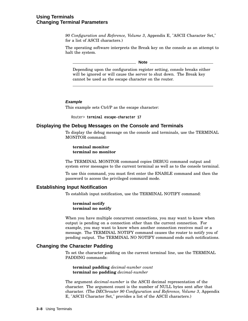### **Using Terminals Changing Terminal Parameters**

*90 Configuration and Reference, Volume 3*, Appendix E, "ASCII Character Set," for a list of ASCII characters.)

The operating software interprets the Break key on the console as an attempt to halt the system.

**Note**

Depending upon the configuration register setting, console breaks either will be ignored or will cause the server to shut down. The Break key cannot be used as the escape character on the router.

### **Example**

This example sets Ctrl/P as the escape character:

Router> **terminal escape-character 17**

### **Displaying the Debug Messages on the Console and Terminals**

To display the debug message on the console and terminals, use the TERMINAL MONITOR command:

### **terminal monitor terminal no monitor**

The TERMINAL MONITOR command copies DEBUG command output and system error messages to the current terminal as well as to the console terminal.

To use this command, you must first enter the ENABLE command and then the password to access the privileged command mode.

### **Establishing Input Notification**

To establish input notification, use the TERMINAL NOTIFY command:

**terminal notify terminal no notify**

When you have multiple concurrent connections, you may want to know when output is pending on a connection other than the current connection. For example, you may want to know when another connection receives mail or a message. The TERMINAL NOTIFY command causes the router to notify you of pending output. The TERMINAL NO NOTIFY command ends such notifications.

### **Changing the Character Padding**

To set the character padding on the current terminal line, use the TERMINAL PADDING commands:

**terminal padding** *decimal-number count* **terminal no padding** *decimal-number*

The argument *decimal-number* is the ASCII decimal representation of the character. The argument count is the number of NULL bytes sent after that character. (The *DECbrouter 90 Configuration and Reference, Volume 3*, Appendix E, "ASCII Character Set," provides a list of the ASCII characters.)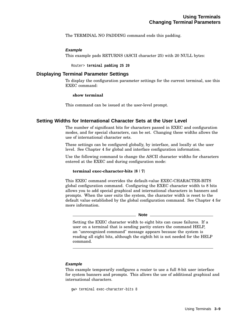### The TERMINAL NO PADDING command ends this padding.

### **Example**

This example pads RETURNS (ASCII character 25) with 20 NULL bytes:

Router> **terminal padding 25 20**

### **Displaying Terminal Parameter Settings**

To display the configuration parameter settings for the current terminal, use this EXEC command:

### **show terminal**

This command can be issued at the user-level prompt.

### **Setting Widths for International Character Sets at the User Level**

The number of significant bits for characters passed in EXEC and configuration modes, and for special characters, can be set. Changing these widths allows the use of international character sets.

These settings can be configured globally, by interface, and locally at the user level. See Chapter 4 for global and interface configuration information.

Use the following command to change the ASCII character widths for characters entered at the EXEC and during configuration mode:

#### **terminal exec-character-bits** {**8** | **7**}

This EXEC command overrides the default-value EXEC-CHARACTER-BITS global configuration command. Configuring the EXEC character width to 8 bits allows you to add special graphical and international characters in banners and prompts. When the user exits the system, the character width is reset to the default value established by the global configuration command. See Chapter 4 for more information.

**Note**

Setting the EXEC character width to eight bits can cause failures. If a user on a terminal that is sending parity enters the command HELP, an "unrecognized command" message appears because the system is reading all eight bits, although the eighth bit is not needed for the HELP command.

### **Example**

This example temporarily configures a router to use a full 8-bit user interface for system banners and prompts. This allows the use of additional graphical and international characters.

```
gw> terminal exec-character-bits 8
```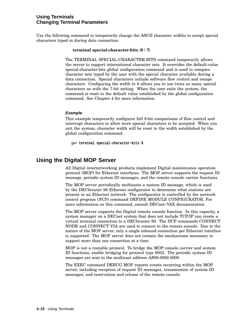### **Using Terminals Changing Terminal Parameters**

Use the following command to temporarily change the ASCII character widths to accept special characters typed in during data connection:

### **terminal special-character-bits** {**8** | **7**}

The TERMINAL SPECIAL-CHARACTER-BITS command temporarily allows the server to support international character sets. It overrides the default-value special-character-bits global configuration command and is used to compare character sets typed by the user with the special character available during a data connection. Special characters include software flow control and escape characters. Configuring the width to 8 allows you to use twice as many special characters as with the 7-bit setting. When the user exits the system, the command is reset to the default value established by the global configuration command. See Chapter 4 for more information.

### **Example**

This example temporarily configures full 8-bit comparisons of flow control and interrupt characters to allow more special characters to be accepted. When you exit the system, character width will be reset to the width established by the global configuration command.

gw> **terminal special-character-bits 8**

# **Using the Digital MOP Server**

All Digital internetworking products implement Digital maintenance operation protocol (MOP) for Ethernet interfaces. The MOP server supports the request ID message, periodic system ID messages, and the remote console carrier functions.

The MOP server periodically multicasts a system ID message, which is used by the DECbrouter 90 Ethernet configurator to determine what stations are present in an Ethernet network. The configurator is controlled by the network control program (NCP) command DEFINE MODULE CONFIGURATOR. For more information on this command, consult DECnet–VAX documentation.

The MOP server supports the Digital remote console function. In this capacity, a system manager on a DECnet system that does not include TCP/IP can create a virtual terminal connection to a DECbrouter 90. The NCP commands CONNECT NODE and CONNECT VIA are used to connect to the remote console. Due to the nature of the MOP server, only a single inbound connection per Ethernet interface is supported. The MOP server does not contain the mechanisms necessary to support more than one connection at a time.

MOP is not a routable protocol. To bridge the MOP console carrier and system ID functions, enable bridging for protocol type 6002. The periodic system ID messages are sent to the multicast address *AB00.0002.0000*.

The EXEC command DEBUG MOP reports events occurring within the MOP server, including reception of request ID messages, transmission of system ID messages, and reservation and release of the remote console.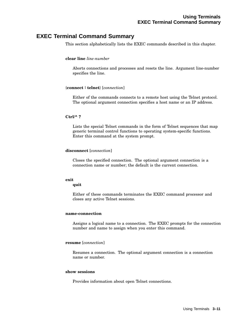# **EXEC Terminal Command Summary**

This section alphabetically lists the EXEC commands described in this chapter.

### **clear line** *line-number*

Aborts connections and processes and resets the line. Argument line-number specifies the line.

### {**connect** | **telnet**} [*connection*]

Either of the commands connects to a remote host using the Telnet protocol. The optional argument connection specifies a host name or an IP address.

### **Ctrl/^ ?**

Lists the special Telnet commands in the form of Telnet sequences that map generic terminal control functions to operating system-specific functions. Enter this command at the system prompt.

### **disconnect** [*connection*]

Closes the specified connection. The optional argument connection is a connection name or number; the default is the current connection.

#### **exit**

### **quit**

Either of these commands terminates the EXEC command processor and closes any active Telnet sessions.

### **name-connection**

Assigns a logical name to a connection. The EXEC prompts for the connection number and name to assign when you enter this command.

#### **resume** [*connection*]

Resumes a connection. The optional argument connection is a connection name or number.

### **show sessions**

Provides information about open Telnet connections.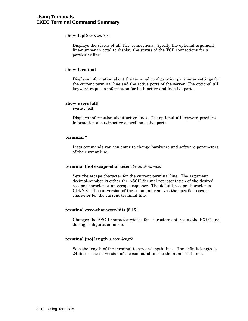### **Using Terminals EXEC Terminal Command Summary**

### **show tcp**[*line-number*]

Displays the status of all TCP connections. Specify the optional argument line-number in octal to display the status of the TCP connections for a particular line.

### **show terminal**

Displays information about the terminal configuration parameter settings for the current terminal line and the active ports of the server. The optional **all** keyword requests information for both active and inactive ports.

### **show users** [**all**] **systat** [**all**]

Displays information about active lines. The optional **all** keyword provides information about inactive as well as active ports.

### **terminal ?**

Lists commands you can enter to change hardware and software parameters of the current line.

### **terminal** [**no**] **escape-character** *decimal-number*

Sets the escape character for the current terminal line. The argument decimal-number is either the ASCII decimal representation of the desired escape character or an escape sequence. The default escape character is Ctrl/^ X. The **no** version of the command removes the specified escape character for the current terminal line.

### **terminal exec-character-bits** {**8** | **7**}

Changes the ASCII character widths for characters entered at the EXEC and during configuration mode.

### **terminal** [**no**] **length** *screen-length*

Sets the length of the terminal to screen-length lines. The default length is 24 lines. The no version of the command unsets the number of lines.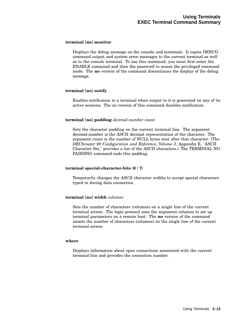### **terminal** [**no**] **monitor**

Displays the debug message on the console and terminals. It copies DEBUG command output and system error messages to the current terminal as well as to the console terminal. To use this command, you must first enter the ENABLE command and then the password to access the privileged command mode. The **no** version of the command discontinues the display of the debug message.

### **terminal** [**no**] **notify**

Enables notification to a terminal when output to it is generated on any of its active sessions. The no version of this command disables notification.

### **terminal** [**no**] **padding** *decimal-number count*

Sets the character padding on the current terminal line. The argument decimal-number is the ASCII decimal representation of the character. The argument count is the number of NULL bytes sent after that character. (The *DECbrouter 90 Configuration and Reference, Volume 3*, Appendix E, "ASCII Character Set," provides a list of the ASCII characters.) The TERMINAL NO PADDING command ends this padding.

### **terminal special-character-bits** {**8** | **7**}

Temporarily changes the ASCII character widths to accept special characters typed in during data connection.

#### **terminal** [**no**] **width** *columns*

Sets the number of characters (columns) on a single line of the current terminal screen. The login protocol uses the argument columns to set up terminal parameters on a remote host. The **no** version of the command unsets the number of characters (columns) on the single line of the current terminal screen.

### **where**

Displays information about open connections associated with the current terminal line and provides the connection number.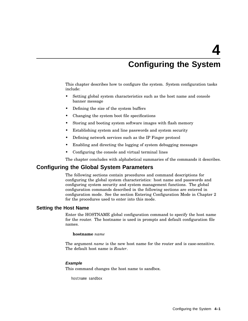# **Configuring the System**

This chapter describes how to configure the system. System configuration tasks include:

- Setting global system characteristics such as the host name and console banner message
- Defining the size of the system buffers
- Changing the system boot file specifications
- Storing and booting system software images with flash memory
- Establishing system and line passwords and system security
- Defining network services such as the IP Finger protocol
- Enabling and directing the logging of system debugging messages
- Configuring the console and virtual terminal lines

The chapter concludes with alphabetical summaries of the commands it describes.

### **Configuring the Global System Parameters**

The following sections contain procedures and command descriptions for configuring the global system characteristics: host name and passwords and configuring system security and system management functions. The global configuration commands described in the following sections are entered in configuration mode. See the section Entering Configuration Mode in Chapter 2 for the procedures used to enter into this mode.

### **Setting the Host Name**

Enter the HOSTNAME global configuration command to specify the host name for the router. The hostname is used in prompts and default configuration file names.

#### **hostname** *name*

The argument *name* is the new host name for the router and is case-sensitive. The default host name is *Router*.

### **Example**

This command changes the host name to sandbox.

hostname sandbox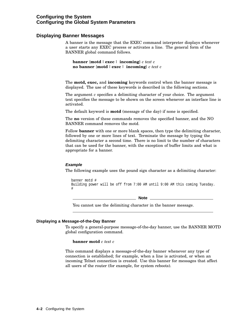### **Displaying Banner Messages**

A banner is the message that the EXEC command interpreter displays whenever a user starts any EXEC process or activates a line. The general form of the BANNER global command follows.

```
banner {motd| exec | incoming} c text c
no banner {motd| exec | incoming} c text c
```
The **motd, exec,** and **incoming** keywords control when the banner message is displayed. The use of these keywords is described in the following sections.

The argument *c* specifies a delimiting character of your choice. The argument text specifies the message to be shown on the screen whenever an interface line is activated.

The default keyword is **motd** (message of the day) if none is specified.

The **no** version of these commands removes the specified banner, and the NO BANNER command removes the motd.

Follow **banner** with one or more blank spaces, then type the delimiting character, followed by one or more lines of text. Terminate the message by typing the delimiting character a second time. There is no limit to the number of characters that can be used for the banner, with the exception of buffer limits and what is appropriate for a banner.

### **Example**

The following example uses the pound sign character as a delimiting character:

```
banner motd #
Building power will be off from 7:00 AM until 9:00 AM this coming Tuesday.
#
```
**Note**

You cannot use the delimiting character in the banner message.

### **Displaying a Message-of-the-Day Banner**

To specify a general-purpose message-of-the-day banner, use the BANNER MOTD global configuration command.

**banner motd** *c text c*

This command displays a message-of-the-day banner whenever any type of connection is established; for example, when a line is activated, or when an incoming Telnet connection is created. Use this banner for messages that affect all users of the router (for example, for system reboots).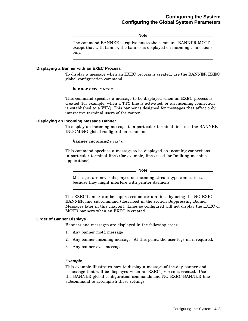**Note**

The command BANNER is equivalent to the command BANNER MOTD except that with banner, the banner is displayed on incoming connections only.

### **Displaying a Banner with an EXEC Process**

To display a message when an EXEC process is created, use the BANNER EXEC global configuration command.

#### **banner exec** *c text c*

This command specifies a message to be displayed when an EXEC process is created (for example, when a TTY line is activated, or an incoming connection is established to a VTY). This banner is designed for messages that affect only interactive terminal users of the router.

### **Displaying an Incoming Message Banner**

To display an incoming message to a particular terminal line, use the BANNER INCOMING global configuration command.

#### **banner incoming** *c text c*

This command specifies a message to be displayed on incoming connections to particular terminal lines (for example, lines used for "milking machine" applications).

\_ Note \_

Messages are never displayed on incoming stream-type connections, because they might interfere with printer daemons.

The EXEC banner can be suppressed on certain lines by using the NO EXEC-BANNER line subcommand (described in the section Suppressing Banner Messages later in this chapter). Lines so configured will not display the EXEC or MOTD banners when an EXEC is created.

### **Order of Banner Displays**

Banners and messages are displayed in the following order:

- 1. Any banner motd message
- 2. Any banner incoming message. At this point, the user logs in, if required.
- 3. Any banner exec message

### **Example**

This example illustrates how to display a message-of-the-day banner and a message that will be displayed when an EXEC process is created. Use the BANNER global configuration commands and NO EXEC-BANNER line subcommand to accomplish these settings.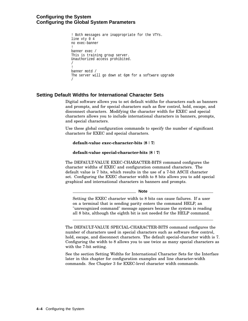```
! Both messages are inappropriate for the VTYs.
line vty 0 4
no exec-banner
!
banner exec /
This is training group server.
Unauthorized access prohibited.
/
!
banner motd /
The server will go down at 6pm for a software upgrade
/
```
### **Setting Default Widths for International Character Sets**

Digital software allows you to set default widths for characters such as banners and prompts, and for special characters such as flow control, hold, escape, and disconnect characters. Modifying the character width for EXEC and special characters allows you to include international characters in banners, prompts, and special characters.

Use these global configuration commands to specify the number of significant characters for EXEC and special characters.

### **default-value exec-character-bits** {**8** | **7**}

### **default-value special-character-bits** {**8** | **7**}

The DEFAULT-VALUE EXEC-CHARACTER-BITS command configures the character widths of EXEC and configuration command characters. The default value is 7 bits, which results in the use of a 7-bit ASCII character set. Configuring the EXEC character width to 8 bits allows you to add special graphical and international characters in banners and prompts.

**Note**

Setting the EXEC character width to 8 bits can cause failures. If a user on a terminal that is sending parity enters the command HELP, an "unrecognized command" message appears because the system is reading all 8 bits, although the eighth bit is not needed for the HELP command.

The DEFAULT-VALUE SPECIAL-CHARACTER-BITS command configures the number of characters used in special characters such as software flow control, hold, escape, and disconnect characters. The default special-character width is 7. Configuring the width to 8 allows you to use twice as many special characters as with the 7-bit setting.

See the section Setting Widths for International Character Sets for the Interface later in this chapter for configuration examples and line character-width commands. See Chapter 3 for EXEC-level character width commands.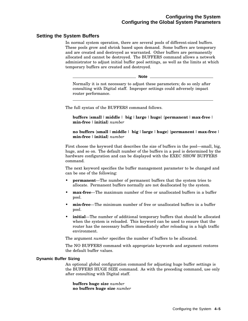### **Setting the System Buffers**

In normal system operation, there are several pools of different-sized buffers. These pools grow and shrink based upon demand. Some buffers are temporary and are created and destroyed as warranted. Other buffers are permanently allocated and cannot be destroyed. The BUFFERS command allows a network administrator to adjust initial buffer pool settings, as well as the limits at which temporary buffers are created and destroyed.

**Note**

Normally it is not necessary to adjust these parameters; do so only after consulting with Digital staff. Improper settings could adversely impact router performance.

The full syntax of the BUFFERS command follows.

**buffers** {**small** | **middle** | **big** | **large** |**huge**} {**permanent** | **max-free** | **min-free** | **initial**} *number*

### **no buffers** {**small** | **middle** | **big** | **large** |**huge**} {**permanent** | **max-free** | **min-free** | **initial**} *number*

First choose the keyword that describes the size of buffers in the pool—small, big, huge, and so on. The default number of the buffers in a pool is determined by the hardware configuration and can be displayed with the EXEC SHOW BUFFERS command.

The next keyword specifies the buffer management parameter to be changed and can be one of the following:

- **permanent**—The number of permanent buffers that the system tries to allocate. Permanent buffers normally are not deallocated by the system.
- **max-free—The maximum number of free or unallocated buffers in a buffer** pool.
- **min-free**—The minimum number of free or unallocated buffers in a buffer pool.
- **initial**—The number of additional temporary buffers that should be allocated when the system is reloaded. This keyword can be used to ensure that the router has the necessary buffers immediately after reloading in a high traffic environment.

The argument *number* specifies the number of buffers to be allocated.

The NO BUFFERS command with appropriate keywords and argument restores the default buffer values.

### **Dynamic Buffer Sizing**

An optional global configuration command for adjusting huge buffer settings is the BUFFERS HUGE SIZE command. As with the preceding command, use only after consulting with Digital staff.

**buffers huge size** *number* **no buffers huge size** *number*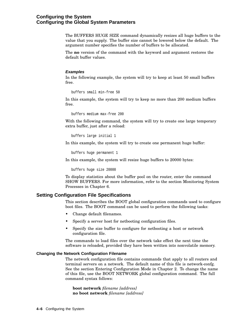The BUFFERS HUGE SIZE command dynamically resizes all huge buffers to the value that you supply. The buffer size cannot be lowered below the default. The argument number specifies the number of buffers to be allocated.

The **no** version of the command with the keyword and argument restores the default buffer values.

#### **Examples**

In the following example, the system will try to keep at least 50 small buffers free.

```
buffers small min-free 50
```
In this example, the system will try to keep no more than 200 medium buffers free.

buffers medium max-free 200

With the following command, the system will try to create one large temporary extra buffer, just after a reload:

buffers large initial 1

In this example, the system will try to create one permanent huge buffer:

buffers huge permanent 1

In this example, the system will resize huge buffers to 20000 bytes:

buffers huge size 20000

To display statistics about the buffer pool on the router, enter the command SHOW BUFFERS. For more information, refer to the section Monitoring System Processes in Chapter 6.

### **Setting Configuration File Specifications**

This section describes the BOOT global configuration commands used to configure boot files. The BOOT command can be used to perform the following tasks:

- Change default filenames.
- Specify a server host for netbooting configuration files.
- Specify the size buffer to configure for netbooting a host or network configuration file.

The commands to load files over the network take effect the next time the software is reloaded, provided they have been written into nonvolatile memory.

### **Changing the Network Configuration Filename**

The network configuration file contains commands that apply to all routers and terminal servers on a network. The default name of this file is network-confg. See the section Entering Configuration Mode in Chapter 2. To change the name of this file, use the BOOT NETWORK global configuration command. The full command syntax follows:

**boot network** *filename [address]* **no boot network** *filename [address]*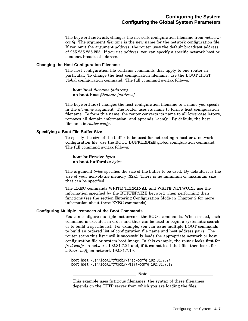The keyword **network** changes the network configuration filename from *networkconfg*. The argument *filename* is the new name for the network configuration file. If you omit the argument *address*, the router uses the default broadcast address of 255.255.255.255. If you use *address*, you can specify a specific network host or a subnet broadcast address.

### **Changing the Host Configuration Filename**

The host configuration file contains commands that apply to one router in particular. To change the host configuration filename, use the BOOT HOST global configuration command. The full command syntax follows:

**boot host** *filename [address]* **no boot host** *filename [address]*

The keyword **host** changes the host configuration filename to a name you specify in the *filename* argument. The router uses its name to form a host configuration filename. To form this name, the router converts its name to all lowercase letters, removes all domain information, and appends "-confg." By default, the host filename is *router-confg*.

### **Specifying a Boot File Buffer Size**

To specify the size of the buffer to be used for netbooting a host or a network configuration file, use the BOOT BUFFERSIZE global configuration command. The full command syntax follows:

**boot buffersize** *bytes* **no boot buffersize** *bytes*

The argument *bytes* specifies the size of the buffer to be used. By default, it is the size of your nonvolatile memory (32k). There is no minimum or maximum size that can be specified.

The EXEC commands WRITE TERMINAL and WRITE NETWORK use the information specified by the BUFFERSIZE keyword when performing their functions (see the section Entering Configuration Mode in Chapter 2 for more information about these EXEC commands).

#### **Configuring Multiple Instances of the Boot Commands**

You can configure multiple instances of the BOOT commands. When issued, each command is executed in order and thus can be used to begin a systematic search or to build a specific list. For example, you can issue multiple BOOT commands to build an ordered list of configuration file name and host address pairs. The router scans this list until it successfully loads the appropriate network or host configuration file or system boot image. In this example, the router looks first for *fred-confg* on network 192.31.7.24 and, if it cannot load that file, then looks for *wilma-confg* on network 192.31.7.19.

boot host /usr/local/tftpdir/fred-confg 192.31.7.24 boot host /usr/local/tftpdir/wilma-confg 192.31.7.19

#### **Note**

This example uses fictitious filenames; the syntax of these filenames depends on the TFTP server from which you are loading the files.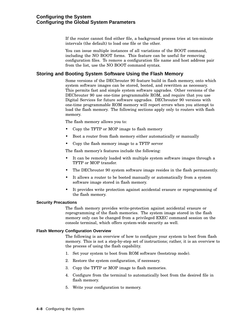If the router cannot find either file, a background process tries at ten-minute intervals (the default) to load one file or the other.

You can issue multiple instances of all variations of the BOOT command, including the NO BOOT forms. This feature can be useful for removing configuration files. To remove a configuration file name and host address pair from the list, use the NO BOOT command syntax.

### **Storing and Booting System Software Using the Flash Memory**

Some versions of the DECbrouter 90 feature build in flash memory, onto which system software images can be stored, booted, and rewritten as necessary. This permits fast and simple system software upgrades. Other versions of the DECbrouter 90 use one-time programmable ROM, and require that you use Digital Services for future software upgrades. DECbrouter 90 versions with one-time programmable ROM memory will report errors when you attempt to load the flash memory. The following sections apply only to routers with flash memory.

The flash memory allows you to:

- Copy the TFTP or MOP image to flash memory
- Boot a router from flash memory either automatically or manually
- Copy the flash memory image to a TFTP server

The flash memory's features include the following:

- It can be remotely loaded with multiple system software images through a TFTP or MOP transfer.
- The DECbrouter 90 system software image resides in the flash permanently.
- It allows a router to be booted manually or automatically from a system software image stored in flash memory.
- It provides write protection against accidental erasure or reprogramming of the flash memory.

### **Security Precautions**

The flash memory provides write-protection against accidental erasure or reprogramming of the flash memories. The system image stored in the flash memory only can be changed from a privileged EXEC command session on the console terminal, which offers system-wide security as well.

#### **Flash Memory Configuration Overview**

The following is an overview of how to configure your system to boot from flash memory. This is not a step-by-step set of instructions; rather, it is an overview to the process of using the flash capability.

- 1. Set your system to boot from ROM software (bootstrap mode).
- 2. Restore the system configuration, if necessary.
- 3. Copy the TFTP or MOP image to flash memories.
- 4. Configure from the terminal to automatically boot from the desired file in flash memory.
- 5. Write your configuration to memory.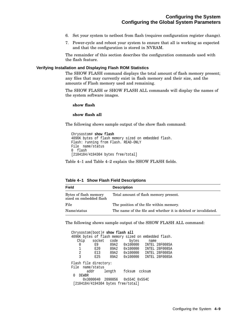- 6. Set your system to netboot from flash (requires configuration register change).
- 7. Power-cycle and reboot your system to ensure that all is working as expected and that the configuration is stored in NVRAM.

The remainder of this section describes the configuration commands used with the flash feature.

#### **Verifying Installation and Displaying Flash ROM Statistics**

The SHOW FLASH command displays the total amount of flash memory present; any files that may currently exist in flash memory and their size, and the amounts of Flash memory used and remaining.

The SHOW FLASH or SHOW FLASH ALL commands will display the names of the system software images.

**show flash**

**show flash all**

The following shows sample output of the show flash command:

```
Chrysostom# show flash
4096K bytes of flash memory sized on embedded flash.
Flash: running from Flash. READ-ONLY
File name/status
0 flash
[2104184/4194304 bytes free/total]
```
Table 4–1 and Table 4–2 explain the SHOW FLASH fields.

**Table 4–1 Show Flash Field Descriptions**

| Field                                            | <b>Description</b>                                             |
|--------------------------------------------------|----------------------------------------------------------------|
| Bytes of flash memory<br>sized on embedded flash | Total amount of flash memory present.                          |
| File                                             | The position of the file within memory.                        |
| Name/status                                      | The name of the file and whether it is deleted or invalidated. |

The following shows sample output of the SHOW FLASH ALL command:

| Chrysostom(boot)# show flash all                     |        |      |                                 |      |                |  |  |
|------------------------------------------------------|--------|------|---------------------------------|------|----------------|--|--|
| 4096K bytes of flash memory sized on embedded flash. |        |      |                                 |      |                |  |  |
| Chip                                                 | socket | code | bytes                           | name |                |  |  |
| 0                                                    | F.9    |      | 89A2 0x100000                   |      | INTEL 28F008SA |  |  |
| 1                                                    | E20    | 89A2 | 0x100000                        |      | INTEL 28F008SA |  |  |
| $\mathfrak{D}$                                       | F.13   | 89A2 | 0x100000                        |      | INTEL 28F008SA |  |  |
| 3                                                    | F.25   | 89A2 | 0x100000                        |      | INTEL 28F008SA |  |  |
| Flash file directory:                                |        |      |                                 |      |                |  |  |
| File name/status                                     |        |      |                                 |      |                |  |  |
|                                                      |        |      | addr length fcksum ccksum       |      |                |  |  |
| U<br><b>DEWBR</b>                                    |        |      |                                 |      |                |  |  |
|                                                      |        |      | 0x3000040 2090056 0x554C 0x554C |      |                |  |  |
| [2104184/4194304 bytes free/total]                   |        |      |                                 |      |                |  |  |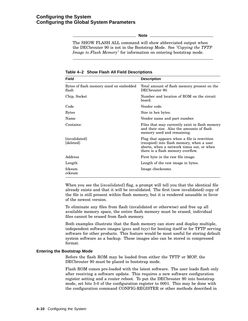**Note**

The SHOW FLASH ALL command will show abbreviated output when the DECbrouter 90 is not in the Bootstrap Mode. See *"Copying the TFTP Image to Flash Memory"* for information on entering bootstrap mode.

**Table 4–2 Show Flash All Field Descriptions**

| <b>Field</b>                                     | <b>Description</b>                                                                                                                                                        |
|--------------------------------------------------|---------------------------------------------------------------------------------------------------------------------------------------------------------------------------|
| Bytes of flash memory sized on embedded<br>flash | Total amount of flash memory present on the<br>DECbrouter 90.                                                                                                             |
| Chip, Socket                                     | Number and location of ROM on the circuit<br>board.                                                                                                                       |
| Code                                             | Vendor code.                                                                                                                                                              |
| <b>Bytes</b>                                     | Size in hex bytes.                                                                                                                                                        |
| Name                                             | Vendor name and part number.                                                                                                                                              |
| Contains:                                        | Files that may currently exist in flash memory<br>and their size. Also the amounts of flash<br>memory used and remaining.                                                 |
| [invalidated]<br>[deleted]                       | Flag that appears when a file is rewritten<br>(recopied) into flash memory, when a user<br>aborts, when a network times out, or when<br>there is a flash memory overflow. |
| Address                                          | First byte in the raw file image.                                                                                                                                         |
| Length                                           | Length of the raw image in bytes.                                                                                                                                         |
| fcksum<br>ccksum                                 | Image checksums.                                                                                                                                                          |

When you see the [*invalidated*] flag, a prompt will tell you that the identical file already exists and that it will be invalidated. The first (now invalidated) copy of the file is still present within flash memory, but it is rendered unusable in favor of the newest version.

To eliminate any files from flash (invalidated or otherwise) and free up all available memory space, the entire flash memory must be erased; individual files cannot be erased from flash memory.

Both examples illustrate that the flash memory can store and display multiple, independent software images (*gsxx* and *tsyy*) for booting itself or for TFTP serving software for other products. This feature would be most useful for storing default system software as a backup. These images also can be stored in compressed format.

#### **Entering the Bootstrap Mode**

Before the flash ROM may be loaded from either the TFTP or MOP, the DECbrouter 90 must be placed in bootstrap mode.

Flash ROM comes pre-loaded with the latest software. The user loads flash only after receiving a software update. This requires a new software configuration register setting and a router reboot. To put the DECbrouter 90 into bootstrap mode, set bits 3-0 of the configuration register to 0001. This may be done with the configuration command CONFIG-REGISTER or other methods described in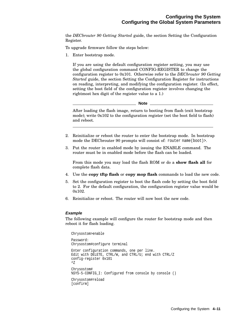the *DECbrouter 90 Getting Started* guide, the section Setting the Configuration Register.

To upgrade firmware follow the steps below:

1. Enter bootstrap mode.

If you are using the default configuration register setting, you may use the global configuration command CONFIG-REGISTER to change the configuration register to 0x101. Otherwise refer to the *DECbrouter 90 Getting Started* guide, the section Setting the Configuration Register for instructions on reading, interpreting, and modifying the configuration register. (In effect, setting the boot field of the configuration register involves changing the rightmost hex digit of the register value to a 1.)

```
Note
```
After loading the flash image, return to booting from flash (exit bootstrap mode); write 0x102 to the configuration register (set the boot field to flash) and reboot.

- 2. Reinitialize or reboot the router to enter the bootstrap mode. In bootstrap mode the DECbrouter 90 prompts will consist of: router name(boot)>.
- 3. Put the router in enabled mode by issuing the ENABLE command. The router must be in enabled mode before the flash can be loaded.

From this mode you may load the flash ROM or do a **show flash all** for complete flash data.

- 4. Use the **copy tftp flash** or **copy mop flash** commands to load the new code.
- 5. Set the configuration register to boot the flash code by setting the boot field to 2. For the default configuration, the configuration register value would be 0x102.
- 6. Reinitialize or reboot. The router will now boot the new code.

### **Example**

The following example will configure the router for bootstrap mode and then reboot it for flash loading.

```
Chrysostom>enable
Password:
Chrysostom#configure terminal
Enter configuration commands, one per line.
Edit with DELETE, CTRL/W, and CTRL/U; end with CTRL/Z
config-register 0x101
^{\wedge}ZChrysostom#
%SYS-5-CONFIG_I: Configured from console by console ()
Chrysostom#reload
[confirm]
```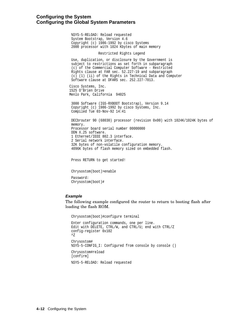%SYS-5-RELOAD: Reload requested System Bootstrap, Version 4.6 Copyright (c) 1986-1992 by cisco Systems 2000 processor with 1024 Kbytes of main memory

Restricted Rights Legend

Use, duplication, or disclosure by the Government is subject to restrictions as set forth in subparagraph (c) of the Commercial Computer Software - Restricted Rights clause at FAR sec. 52.227-19 and subparagraph (c) (1) (ii) of the Rights in Technical Data and Computer Software clause at DFARS sec. 252.227-7013.

Cisco Systems, Inc. 1525 O'Brien Drive Menlo Park, California 94025

3000 Software (IGS-RXBOOT Bootstrap), Version 9.14 Copyright (c) 1986-1992 by cisco Systems, Inc. Compiled Tue 03-Nov-92 14:41

DECbrouter 90 (68030) processor (revision 0x00) with 1024K/1024K bytes of memory. Processor board serial number 00000000 DDN X.25 software. 1 Ethernet/IEEE 802.3 interface. 2 Serial network interface. 32K bytes of non-volatile configuration memory. 4096K bytes of flash memory sized on embedded flash.

Press RETURN to get started!

Chrysostom(boot)>enable Password: Chrysostom(boot)#

### **Example**

The following example configured the router to return to booting flash after loading the flash ROM.

Chrysostom(boot)#configure terminal

```
Enter configuration commands, one per line.
Edit with DELETE, CTRL/W, and CTRL/U; end with CTRL/Z
config-register 0x102
^{\wedge}ZChrysostom#
%SYS-5-CONFIG_I: Configured from console by console ()
Chrysostom#reload
[confirm]
```
%SYS-5-RELOAD: Reload requested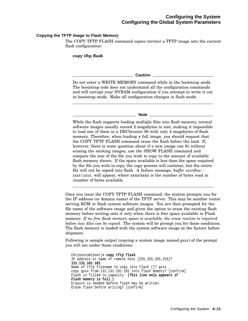### **Copying the TFTP Image to Flash Memory**

The COPY TFTP FLASH command copies (writes) a TFTP image into the current flash configuration:

**copy tftp flash**

**Caution**

Do not enter a WRITE MEMORY command while in the bootstrap mode. The bootstrap code does not understand all the configuration commands and will corrupt your NVRAM configuration if you attempt to write it out in bootstrap mode. Make all configuration changes in flash mode.

**Note**

While the flash supports loading multiple files into flash memory, normal software images usually exceed 2 megabytes in size, making it impossible to load one of them in a DECbrouter 90 with only 4 megabytes of flash memory. Therefore, when loading a full image, you should request that the COPY TFTP FLASH command erase the flash before the load. If, however, there is some question about if a new image can fit without erasing the existing images, use the SHOW FLASH command and compare the size of the file you wish to copy to the amount of available flash memory shown. If the space available is less than the space required by the file you wish to copy, the copy process will continue, but the entire file will not be copied into flash. A failure message, *buffer overflow xxxx/xxxx*, will appear, where xxxx/xxxx is the number of bytes read in /number of bytes available.

Once you issue the COPY TFTP FLASH command, the system prompts you for the IP address (or domain name) of the TFTP server. This may be another router serving ROM or flash system software images. You are then prompted for the file name of the software image and given the option to erase the existing flash memory before writing onto it only when there is free space available in Flash memory. *If no free flash memory space is available, the erase routine is required before new files can be copied*. The system will be prompt you for these conditions. The flash memory is loaded with the system software image at the factory before shipment.

Following is sample output (copying a system image named *gsxx*) of the prompt you will see under these conditions:

Chrysostom(boot)# **copy tftp flash** IP address or name of remote host [255.255.255.255]? **131.131.101.101** Name of tftp filename to copy into flash []? gsxx copy gsxx from 131.131.101.101 into flash memory? [confirm] Flash is filled to capacity. **(This line only appears if Flash memory is full.)** Erasure is needed before flash may be written. Erase flash before writing? [confirm]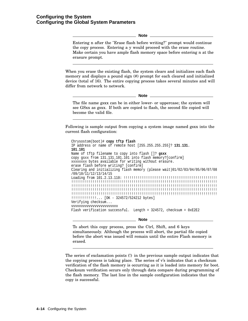**Note**

Entering n after the "Erase flash before writing?" prompt would continue the copy process. Entering a y would proceed with the erase routine. Make certain you have ample flash memory space before entering n at the erasure prompt.

When you erase the existing flash, the system clears and initializes each flash memory and displays a pound sign (#) prompt for each cleared and initialized device (total of 16). The entire copying process takes several minutes and will differ from network to network.

**Note**

The file name gsxx can be in either lower- or uppercase; the system will see GSxx as gsxx. If both are copied to flash, the second file copied will become the valid file.

Following is sample output from copying a system image named gsxx into the current flash configuration:

Chrysostom(boot)# **copy tftp flash** IP address or name of remote host [255.255.255.255]? **131.131. 101.101** Name of tftp filename to copy into flash []? **gsxx** copy gsxx from 131.131.101.101 into flash memory?[confirm] xxxxxxxx bytes available for writing without erasure. erase flash before writing? [confirm] Clearing and initializing flash memory (please wait)01/02/03/04/05/06/07/08 /09/10/11/12/13/14/15 Loading from 101.2.13.110: !!!!!!!!!!!!!!!!!!!!!!!!!!!!!!!!!!!!!!!!!!!!!!!! !!!!!!!!!!!!!!!!!!!!!!!!!!!!!!!!!!!!!!!!!!!!!!!!!!!!!!!!!!!!!!!!!!!!!!!!!!! !!!!!!!!!!!!!!!!!!!!!!!!!!!!!!!!!!!!!!!!!!!!!!!!!!!!!!!!!!!!!!!!!!!!!!!!!!! !!!!!!!!!!!!!!!!!!!!!!!!!!!!!!!!!!!!!!!!!!!!!!!!!!!!!!!!!!!!!!!!!!!!!!!!!!! !!!!!!!!!!!!!!!!!!!!!!!!!!!!!!!!!!!!!!!!!!!!!!!!!!!!!!!!!!!!!!!!!!!!!!!!!!! !!!!!!!!!!!!!... [OK - 324572/524212 bytes] Verifying checksum... vvvvvvvvvvvvvvvvvvvvvvvv Flash verification successful. Length = 324572, checksum = 0xE2E2

#### **Note**

To abort this copy process, press the Ctrl, Shift, and 6 keys simultaneously. Although the process will abort, the partial file copied before the abort was issued will remain until the entire Flash memory is erased.

The series of exclamation points (!) in the previous sample output indicates that the copying process is taking place. The series of v's indicates that a checksum verification of the flash memory is occurring as it is loaded into memory for boot. Checksum verification occurs only through data compare during programming of the flash memory. The last line in the sample configuration indicates that the copy is successful.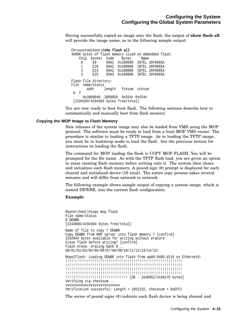Having successfully copied an image onto the flash, the output of **show flash all** will provide the image name, as in the following sample output:

Chrysostom(boot)#**sho flash all** 4096K bytes of flash memory sized on embedded flash. Chip Socket Code Bytes Name<br>0 E9 89A2 0x100000 INTEL 89A2 0x100000 INTEL 28F008SA 1 E20 89A2 0x100000 INTEL 28F008SA 2 E13 89A2 0x100000 INTEL 28F008SA 3 E25 89A2 0x100000 INTEL 28F008SA Flash file directory: File name/status<br>: addr length fcksum ccksum 0 f 0x3000040 2090056 0x554c 0x554c [2104184/4194304 bytes free/total]

You are now ready to boot from flash. The following sections describe how to automatically and manually boot from flash memory.

#### **Copying the MOP Image to Flash Memory**

New releases of the system image may also be loaded from VMS using the MOP protocol. The software must be ready to load from a local MOP VMS router. The procedure is similar to loading a TFTP image. As in loading the TFTP image, you must be in bootstrap mode to load the flash. See the previous section for instructions on loading the flash.

The command for MOP loading the flash is COPY MOP FLASH. You will be prompted for the file name. As with the TFTP flash load, you are given an option to erase existing flash memory before writing onto it. The system then clears and initializes each flash memory. A pound sign (#) prompt is displayed for each cleared and initialized device (16 total). The entire copy process takes several minutes and will differ from network to network.

The following example shows sample output of copying a system image, which is named DEWBR, into the current flash configuration.

### **Example**

```
Router(boot)#copy mop flash
File name/status
0 DEWBR
[2243008/4194304 bytes free/total]
Name of file to copy ? DEWBR
Copy DEWBR from MOP server into flash memory ? [confirm]
2242944 bytes available for writing without erasure
Erase flash before writing? [confirm]
Flash erase: erasing bank 0.
00/01/02/03/04/05/06/07/08/09/10/11/12/13/14/15/
Mope2flash: Loading DEWBR into flash from aa00.0400.d116 on Ethernet0:
!!!!!!!!!!!!!!!!!!!!!!!!!!!!!!!!!!!!!!!!!!!!!!!!!!!!!!!!!!!!
!!!!!!!!!!!!!!!!!!!!!!!!!!!!!!!!!!!!!!!!!!!!!!!!!!!!!!!!!!!!
!!!!!!!!!!!!!!!!!!!!!!!!!!!!!!!!!!!!!!!!!!!!!!!!!!!!!!!!!!!!
!!!!!!!!!!!!!!!!!!!!!!!!!!!!!!!!!!!!!!!!!!!!!!!!!!!!!!!!!!!!
!!!!!!!!!!!!!!!!!!!!!!!!!!!!!!!! [OK - 1648952/4194176 bytes]
Verifying via checksum...
vvvvvvvvvvvvvvvvvvvvvvvvvvvv
Verification successful: Length = 1951232, checksum = 0xEFF1
```
The series of pound signs (#) indicate each flash device is being cleared and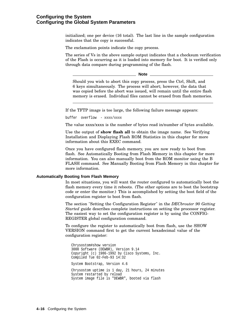initialized; one per device (16 total). The last line in the sample configuration indicates that the copy is successful.

The exclamation points indicate the copy process.

The series of Vs in the above sample output indicates that a checksum verification of the Flash is occurring as it is loaded into memory for boot. It is verified only through data compare during programming of the flash.

**Note**

Should you wish to abort this copy process, press the Ctrl, Shift, and 6 keys simultaneously. The process will abort; however, the data that was copied before the abort was issued, will remain until the entire flash memory is erased. Individual files cannot be erased from flash memories.

If the TFTP image is too large, the following failure message appears:

buffer overflow - xxxx/xxxx

The value xxxx/xxxx is the number of bytes read in/number of bytes available.

Use the output of **show flash all** to obtain the image name. See Verifying Installation and Displaying Flash ROM Statistics in this chapter for more information about this EXEC command.

Once you have configured flash memory, you are now ready to boot from flash. See Automatically Booting from Flash Memory in this chapter for more information. You can also manually boot from the ROM monitor using the B FLASH command. See Manually Booting from Flash Memory in this chapter for more information.

#### **Automatically Booting from Flash Memory**

In most situations, you will want the router configured to automatically boot the flash memory every time it reboots. (The other options are to boot the bootstrap code or enter the monitor.) This is accomplished by setting the boot field of the configuration register to boot from flash.

The section "Setting the Configuration Register" in the *DECbrouter 90 Getting Started* guide describes complete instructions on setting the processor register. The easiest way to set the configuration register is by using the CONFIG-REGISTER global configuration command.

To configure the register to automatically boot from flash, use the SHOW VERSION command first to get the current hexadecimal value of the configuration register:

Chrysostom#show version 3000 Software (DEWBR), Version 9.14 Copyright (c) 1986-1992 by Cisco Systems, Inc. Compiled Tue 02-Feb-93 14:32 System Bootstrap, Version 4.6 Chrysostom uptime is 1 day, 21 hours, 24 minutes System restarted by reload System image file is "DEWBR", booted via flash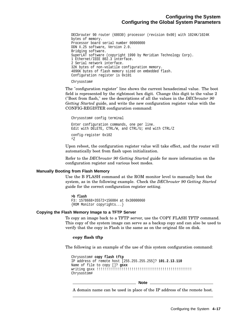DECbrouter 90 router (68030) processor (revision 0x00) with 1024K/1024K bytes of memory. Processor board serial number 00000000 DDN X.25 software, Version 2.0. Bridging software. SuperLAT software (copyright 1990 by Meridian Technology Corp). 1 Ethernet/IEEE 802.3 interface. 2 Serial network interface. 32K bytes of non-volatile configuration memory. 4096K bytes of flash memory sized on embedded flash. Configuration register is 0x101

Chrysostom#

The "configuration register" line shows the current hexadecimal value. The boot field is represented by the rightmost hex digit. Change this digit to the value 2 ("Boot from flash," see the descriptions of all the values in the *DECbrouter 90 Getting Started* guide, and write the new configuration register value with the CONFIG-REGISTER configuration command:

Chrysostom# config terminal Enter configuration commands, one per line. Edit with DELETE, CTRL/W, and CTRL/U; end with CTRL/Z config-register 0x102  $^{\prime}$ <sub>Z</sub>

Upon reboot, the configuration register value will take effect, and the router will automatically boot from flash upon initialization.

Refer to the *DECbrouter 90 Getting Started* guide for more information on the configuration register and various boot modes.

#### **Manually Booting from Flash Memory**

Use the B FLASH command at the ROM monitor level to manually boot the system, as in the following example. Check the *DECbrouter 90 Getting Started* guide for the correct configuration register setting.

**>b flash** F3: 1578668+35572+156084 at 0x30000060 {ROM Monitor copyrights...}

### **Copying the Flash Memory Image to a TFTP Server**

To copy an image back to a TFTP server, use the COPY FLASH TFTP command. This copy of the system image can serve as a backup copy and can also be used to verify that the copy in Flash is the same as on the original file on disk.

### **copy flash tftp**

The following is an example of the use of this system configuration command:

```
Chrysostom# copy flash tftp
IP address of remote host [255.255.255.255]? 101.2.13.110
Name of file to copy []? gsxx
writing gsxx !!!!!!!!!!!!!!!!!!!!!!!!!!!!!!!!!!!!!!!!!!!!!!!!!
Chrysostom#
```
**Note**

A domain name can be used in place of the IP address of the remote host.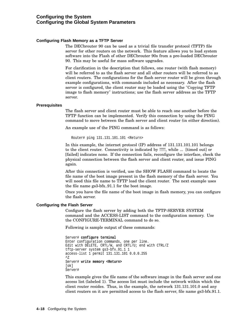#### **Configuring Flash Memory as a TFTP Server**

The DECbrouter 90 can be used as a trivial file transfer protocol (TFTP) file server for other routers on the network. This feature allows you to load system software into the Flash of other DECbrouter 90s from a pre-loaded DECbrouter 90. This may be useful for mass software upgrades.

For clarification in the description that follows, one router (with flash memory) will be referred to as the flash server and all other routers will be referred to as client routers. The configurations for the flash server router will be given through example configurations, with commands included as necessary. After the flash server is configured, the client router may be loaded using the "Copying TFTP image to flash memory" instructions; use the flash server address as the TFTP server.

#### **Prerequisites**

The flash server and client router must be able to reach one another before the TFTP function can be implemented. Verify this connection by using the PING command to move between the flash server and client router (in either direction).

An example use of the PING command is as follows:

Router# ping 131.131.101.101 <Return>

In this example, the internet protocol (IP) address of 131.131.101.101 belongs to the client router. Connectivity is indicated by !!!!!, while ... [timed out] or [failed] indicates none. If the connection fails, reconfigure the interface, check the physical connection between the flash server and client router, and issue PING again.

After this connection is verified, use the SHOW FLASH command to locate the file name of the boot image present in the flash memory of the flash server. You will need this file name to TFTP load the client router. The next example uses the file name gs3-bfx..91.1 for the boot image.

Once you have the file name of the boot image in flash memory, you can configure the flash server.

#### **Configuring the Flash Server**

Configure the flash server by adding both the TFTP-SERVER SYSTEM command and the ACCESS-LIST command to the configuration memory. Use the CONFIGURE-TERMINAL command to do so.

Following is sample output of these commands:

```
Server# configure terminal
Enter configuration commands, one per line.
Edit with DELETE, CRTL/W, and CRTL/U; end with CTRL/Z
tftp-server system gs3-bfx.91.1 1
access-list 1 permit 131.131.101 0.0.0.255
^{\wedge}ZServer# write memory <Return>
[ok]Server#
```
This example gives the file name of the software image in the flash server and one access list (labeled 1). The access list must include the network within which the client router resides. Thus, in the example, the network 131.131.101.0 and any client routers on it are permitted access to the flash server, file name gs3-bfx.91.1.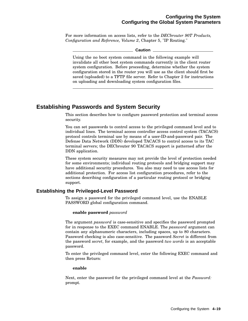For more information on access lists, refer to the *DECbrouter 90T Products, Configuration and Reference, Volume 2*, Chapter 5, "IP Routing."

**Caution**

Using the no boot system command in the following example will invalidate all other boot system commands currently in the client router system configuration. Before proceeding, determine whether the system configuration stored in the router you will use as the client should first be saved (uploaded) to a TFTP file server. Refer to Chapter 2 for instructions on uploading and downloading system configuration files.

# **Establishing Passwords and System Security**

This section describes how to configure password protection and terminal access security.

You can set passwords to control access to the privileged command level and to individual lines. The terminal access controller access control system (TACACS) protocol controls terminal use by means of a user-ID-and-password pair. The Defense Data Network (DDN) developed TACACS to control access to its TAC terminal servers; the DECbrouter 90 TACACS support is patterned after the DDN application.

These system security measures may not provide the level of protection needed for some environments; individual routing protocols and bridging support may have additional security procedures. You also may need to use access lists for additional protection. For access list configuration procedures, refer to the sections describing configuration of a particular routing protocol or bridging support.

### **Establishing the Privileged-Level Password**

To assign a password for the privileged command level, use the ENABLE PASSWORD global configuration command.

#### **enable password** *password*

The argument *password* is case-sensitive and specifies the password prompted for in response to the EXEC command ENABLE. The *password* argument can contain any alphanumeric characters, including spaces, up to 80 characters. Password checking is also case-sensitive. The password *Secret* is different from the password *secret*, for example, and the password *two words* is an acceptable password.

To enter the privileged command level, enter the following EXEC command and then press Return:

#### **enable**

Next, enter the password for the privileged command level at the *Password:* prompt.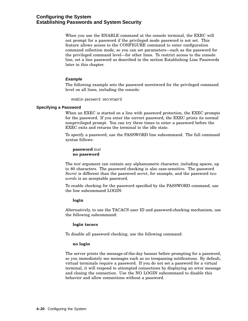### **Configuring the System Establishing Passwords and System Security**

When you use the ENABLE command at the console terminal, the EXEC will not prompt for a password if the privileged mode password is not set. This feature allows access to the CONFIGURE command to enter configuration command collection mode, so you can set parameters—such as the password for the privileged command level—for other lines. To restrict access to the console line, set a line password as described in the section Establishing Line Passwords later in this chapter.

### **Example**

The following example sets the password secretword for the privileged command level on all lines, including the console:

enable-password secretword

### **Specifying a Password**

When an EXEC is started on a line with password protection, the EXEC prompts for the password. If you enter the correct password, the EXEC prints its normal nonprivileged prompt. You can try three times to enter a password before the EXEC exits and returns the terminal to the idle state.

To specify a password, use the PASSWORD line subcommand. The full command syntax follows:

### **password** *text* **no password**

The *text* argument can contain any alphanumeric character, including spaces, up to 80 characters. The password checking is also case-sensitive. The password *Secret* is different than the password *secret*, for example, and the password *two words* is an acceptable password.

To enable checking for the password specified by the PASSWORD command, use the line subcommand LOGIN:

#### **login**

Alternatively, to use the TACACS user ID and password-checking mechanism, use the following subcommand:

#### **login tacacs**

To disable all password checking, use the following command:

#### **no login**

The server prints the message-of-the-day banner before prompting for a password, so you immediately see messages such as no trespassing notifications. By default, virtual terminals require a password. If you do not set a password for a virtual terminal, it will respond to attempted connections by displaying an error message and closing the connection. Use the NO LOGIN subcommand to disable this behavior and allow connections without a password.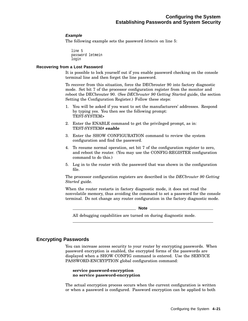### **Example**

The following example sets the password *letmein* on line 5:

line 5 password letmein login

### **Recovering from a Lost Password**

It is possible to lock yourself out if you enable password checking on the console terminal line and then forget the line password.

To recover from this situation, force the DECbrouter 90 into factory diagnostic mode. Set bit 7 of the processor configuration register from the monitor and reboot the DECbrouter 90. (See *DECbrouter 90 Getting Started* guide, the section Setting the Configuration Register.) Follow these steps:

- 1. You will be asked if you want to set the manufacturers' addresses. Respond by typing yes. You then see the following prompt: TEST-SYSTEM>
- 2. Enter the ENABLE command to get the privileged prompt, as in: TEST-SYSTEM# **enable**
- 3. Enter the SHOW CONFIGURATION command to review the system configuration and find the password.
- 4. To resume normal operation, set bit 7 of the configuration register to zero, and reboot the router. (You may use the CONFIG-REGISTER configuration command to do this.)
- 5. Log in to the router with the password that was shown in the configuration file.

The processor configuration registers are described in the *DECbrouter 90 Getting Started* guide.

When the router restarts in factory diagnostic mode, it does not read the nonvolatile memory, thus avoiding the command to set a password for the console terminal. Do not change any router configuration in the factory diagnostic mode.

**Note**

All debugging capabilities are turned on during diagnostic mode.

### **Encrypting Passwords**

You can increase access security to your router by encrypting passwords. When password encryption is enabled, the encrypted forms of the passwords are displayed when a SHOW CONFIG command is entered. Use the SERVICE PASSWORD-ENCRYPTION global configuration command:

### **service password-encryption no service password-encryption**

The actual encryption process occurs when the current configuration is written or when a password is configured. Password encryption can be applied to both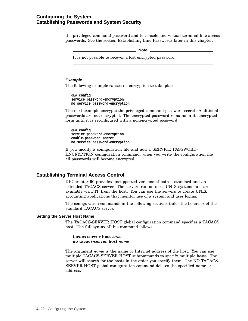### **Configuring the System Establishing Passwords and System Security**

the privileged command password and to console and virtual terminal line access passwords. See the section Establishing Line Passwords later in this chapter.

**Note**

It is not possible to recover a lost encrypted password.

### **Example**

The following example causes no encryption to take place:

gw# **config service password-encryption no service password-encryption**

The next example encrypts the privileged command password secret. Additional passwords are not encrypted. The encrypted password remains in its encrypted form until it is reconfigured with a nonencrypted password:

gw# **config service password-encryption enable-password secret no service password-encryption**

If you modify a configuration file and add a SERVICE PASSWORD-ENCRYPTION configuration command, when you write the configuration file all passwords will become encrypted.

### **Establishing Terminal Access Control**

DECbrouter 90 provides unsupported versions of both a standard and an extended TACACS server. The servers run on most UNIX systems and are available via FTP from the host. You can use the servers to create UNIX accounting applications that monitor use of a system and user logins.

The configuration commands in the following sections tailor the behavior of the standard TACACS server.

### **Setting the Server Host Name**

The TACACS-SERVER HOST global configuration command specifies a TACACS host. The full syntax of this command follows.

**tacacs-server host** *name* **no tacacs-server host** *name*

The argument *name* is the name or Internet address of the host. You can use multiple TACACS-SERVER HOST subcommands to specify multiple hosts. The server will search for the hosts in the order you specify them. The NO TACACS-SERVER HOST global configuration command deletes the specified name or address.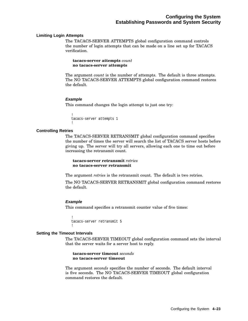### **Limiting Login Attempts**

The TACACS-SERVER ATTEMPTS global configuration command controls the number of login attempts that can be made on a line set up for TACACS verification.

**tacacs-server attempts** *count* **no tacacs-server attempts**

The argument *count* is the number of attempts. The default is three attempts. The NO TACACS-SERVER ATTEMPTS global configuration command restores the default.

### **Example**

This command changes the login attempt to just one try:

```
!
tacacs-server attempts 1
!
```
#### **Controlling Retries**

The TACACS-SERVER RETRANSMIT global configuration command specifies the number of times the server will search the list of TACACS server hosts before giving up. The server will try all servers, allowing each one to time out before increasing the retransmit count.

**tacacs-server retransmit** *retries* **no tacacs-server retransmit**

The argument *retries* is the retransmit count. The default is two retries.

The NO TACACS-SERVER RETRANSMIT global configuration command restores the default.

### **Example**

This command specifies a retransmit counter value of five times:

```
!
tacacs-server retransmit 5
!
```
#### **Setting the Timeout Intervals**

The TACACS-SERVER TIMEOUT global configuration command sets the interval that the server waits for a server host to reply.

**tacacs-server timeout** *seconds* **no tacacs-server timeout**

The argument *seconds* specifies the number of seconds. The default interval is five seconds. The NO TACACS-SERVER TIMEOUT global configuration command restores the default.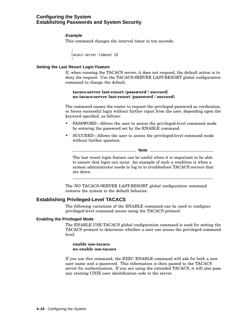### **Configuring the System Establishing Passwords and System Security**

### **Example**

This command changes the interval timer to ten seconds:

! tacacs-server timeout 10 !

#### **Setting the Last Resort Login Feature**

If, when running the TACACS server, it does not respond, the default action is to deny the request. Use the TACACS-SERVER LAST-RESORT global configuration command to change the default.

**tacacs-server last-resort** {**password** | **succeed**} **no tacacs-server last-resort** {**password** | **succeed**}

The command causes the router to request the privileged password as verification, or forces successful login without further input from the user, depending upon the keyword specified, as follows:

- PASSWORD—Allows the user to access the privileged-level command mode by entering the password set by the ENABLE command.
- SUCCEED—Allows the user to access the privileged-level command mode without further question.

**Note**

The last resort login feature can be useful when it is important to be able to ensure that login can occur. An example of such a condition is when a system administrator needs to log in to troubleshoot TACACS servers that are down.

The NO TACACS-SERVER LAST-RESORT global configuration command restores the system to the default behavior.

### **Establishing Privileged-Level TACACS**

The following variations of the ENABLE command can be used to configure privileged-level command access using the TACACS protocol.

#### **Enabling the Privileged Mode**

The ENABLE USE-TACACS global configuration command is used for setting the TACACS protocol to determine whether a user can access the privileged command level.

**enable use-tacacs no enable use-tacacs**

If you use this command, the EXEC ENABLE command will ask for both a new user name and a password. This information is then passed to the TACACS server for authentication. If you are using the extended TACACS, it will also pass any existing UNIX user identification code to the server.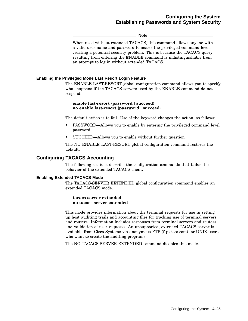## **Configuring the System Establishing Passwords and System Security**

#### **Note**

When used without extended TACACS, this command allows anyone with a valid user name and password to access the privileged command level, creating a potential security problem. This is because the TACACS query resulting from entering the ENABLE command is indistinguishable from an attempt to log in without extended TACACS.

#### **Enabling the Privileged Mode Last Resort Login Feature**

The ENABLE LAST-RESORT global configuration command allows you to specify what happens if the TACACS servers used by the ENABLE command do not respond.

#### **enable last-resort** {**password** | **succeed**} **no enable last-resort** {**password**| **succeed**}

The default action is to fail. Use of the keyword changes the action, as follows:

- PASSWORD—Allows you to enable by entering the privileged command level password.
- SUCCEED—Allows you to enable without further question.

The NO ENABLE LAST-RESORT global configuration command restores the default.

## **Configuring TACACS Accounting**

The following sections describe the configuration commands that tailor the behavior of the extended TACACS client.

#### **Enabling Extended TACACS Mode**

The TACACS-SERVER EXTENDED global configuration command enables an extended TACACS mode.

#### **tacacs-server extended no tacacs-server extended**

This mode provides information about the terminal requests for use in setting up host auditing trails and accounting files for tracking use of terminal servers and routers. Information includes responses from terminal servers and routers and validation of user requests. An unsupported, extended TACACS server is available from Cisco Systems via anonymous FTP (ftp.cisco.com) for UNIX users who want to create the auditing programs.

The NO TACACS-SERVER EXTENDED command disables this mode.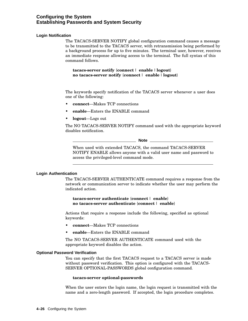## **Configuring the System Establishing Passwords and System Security**

#### **Login Notification**

The TACACS-SERVER NOTIFY global configuration command causes a message to be transmitted to the TACACS server, with retransmission being performed by a background process for up to five minutes. The terminal user, however, receives an immediate response allowing access to the terminal. The full syntax of this command follows.

**tacacs-server notify** {**connect** | **enable** | **logout**} **no tacacs-server notify** {**connect** | **enable** | **logout**}

The keywords specify notification of the TACACS server whenever a user does one of the following:

- **connect**—Makes TCP connections
- **enable**—Enters the ENABLE command
- **logout**—Logs out

The NO TACACS-SERVER NOTIFY command used with the appropriate keyword disables notification.

**Note**

When used with extended TACACS, the command TACACS-SERVER NOTIFY ENABLE allows anyone with a valid user name and password to access the privileged-level command mode.

#### **Login Authentication**

The TACACS-SERVER AUTHENTICATE command requires a response from the network or communication server to indicate whether the user may perform the indicated action.

**tacacs-server authenticate** {**connect** | **enable**} **no tacacs-server authenticate** {**connect** | **enable**}

Actions that require a response include the following, specified as optional keywords:

- **connect**—Makes TCP connections
- **enable**—Enters the ENABLE command

The NO TACACS-SERVER AUTHENTICATE command used with the appropriate keyword disables the action.

#### **Optional Password Verification**

You can specify that the first TACACS request to a TACACS server is made without password verification. This option is configured with the TACACS-SERVER OPTIONAL-PASSWORDS global configuration command.

#### **tacacs-server optional-passwords**

When the user enters the login name, the login request is transmitted with the name and a zero-length password. If accepted, the login procedure completes.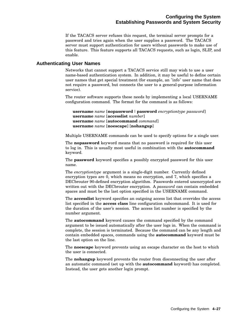If the TACACS server refuses this request, the terminal server prompts for a password and tries again when the user supplies a password. The TACACS server must support authentication for users without passwords to make use of this feature. This feature supports all TACACS requests, such as login, SLIP, and enable.

## **Authenticating User Names**

Networks that cannot support a TACACS service still may wish to use a user name-based authentication system. In addition, it may be useful to define certain user names that get special treatment (for example, an "info" user name that does not require a password, but connects the user to a general-purpose information service).

The router software supports these needs by implementing a local USERNAME configuration command. The format for the command is as follows:

**username** *name* [**nopassword**|**password** *encryptiontype password*] **username** *name* [**accesslist** *number*] **username** *name* [**autocommand** *command*] **username** *name* [**noescape**] [**nohangup**]

Multiple USERNAME commands can be used to specify options for a single user.

The **nopassword** keyword means that no password is required for this user to log in. This is usually most useful in combination with the **autocommand** keyword.

The **password** keyword specifies a possibly encrypted password for this user name.

The *encryptiontype* argument is a single-digit number. Currently defined encryption types are 0, which means no encryption, and 7, which specifies a DECbrouter 90-defined encryption algorithm. Passwords entered unencrypted are written out with the DECbrouter encryption. A *password* can contain embedded spaces and must be the last option specified in the USERNAME command.

The **accesslist** keyword specifies an outgoing access list that overrides the access list specified in the **access class** line configuration subcommand. It is used for the duration of the user's session. The access list number is specified by the number argument.

The **autocommand** keyword causes the command specified by the command argument to be issued automatically after the user logs in. When the command is complete, the session is terminated. Because the command can be any length and contain embedded spaces, commands using the **autocommand** keyword must be the last option on the line.

The **noescape** keyword prevents using an escape character on the host to which the user is connected.

The **nohangup** keyword prevents the router from disconnecting the user after an automatic command (set up with the **autocommand** keyword) has completed. Instead, the user gets another login prompt.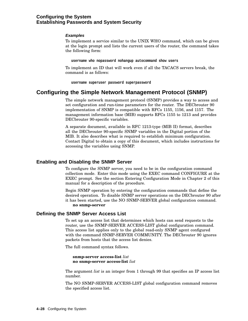## **Configuring the System Establishing Passwords and System Security**

#### **Examples**

To implement a service similar to the UNIX WHO command, which can be given at the login prompt and lists the current users of the router, the command takes the following form:

#### **username who nopassword nohangup autocommand show users**

To implement an ID that will work even if all the TACACS servers break, the command is as follows:

**username superuser password superpassword**

# **Configuring the Simple Network Management Protocol (SNMP)**

The simple network management protocol (SNMP) provides a way to access and set configuration and run-time parameters for the router. The DECbrouter 90 implementation of SNMP is compatible with RFCs 1155, 1156, and 1157. The management information base (MIB) supports RFCs 1155 to 1213 and provides DECbrouter 90-specific variables.

A separate document, available in RFC 1213-type (MIB II) format, describes all the DECbrouter 90-specific SNMP variables in the Digital portion of the MIB. It also describes what is required to establish minimum configuration. Contact Digital to obtain a copy of this document, which includes instructions for accessing the variables using SNMP.

## **Enabling and Disabling the SNMP Server**

To configure the SNMP server, you need to be in the configuration command collection mode. Enter this mode using the EXEC command CONFIGURE at the EXEC prompt. See the section Entering Configuration Mode in Chapter 2 of this manual for a description of the procedure.

Begin SNMP operation by entering the configuration commands that define the desired operation. To disable SNMP server operations on the DECbrouter 90 after it has been started, use the NO SNMP-SERVER global configuration command. **no snmp-server**

#### **Defining the SNMP Server Access List**

To set up an access list that determines which hosts can send requests to the router, use the SNMP-SERVER ACCESS-LIST global configuration command. This access list applies only to the global read-only SNMP agent configured with the command SNMP-SERVER COMMUNITY. The DECbrouter 90 ignores packets from hosts that the access list denies.

The full command syntax follows.

**snmp-server access-list** *list* **no snmp-server access-list** *list*

The argument *list* is an integer from 1 through 99 that specifies an IP access list number.

The NO SNMP-SERVER ACCESS-LIST global configuration command removes the specified access list.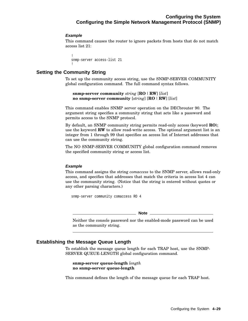#### **Example**

This command causes the router to ignore packets from hosts that do not match access list 21:

```
!
snmp-server access-list 21
!
```
## **Setting the Community String**

To set up the community access string, use the SNMP-SERVER COMMUNITY global configuration command. The full command syntax follows.

```
snmp-server community string [RO | RW] [list]
no snmp-server community [string] [RO | RW] [list]
```
This command enables SNMP server operation on the DECbrouter 90. The argument string specifies a community string that acts like a password and permits access to the SNMP protocol.

By default, an SNMP community string permits read-only access (keyword **RO**); use the keyword **RW** to allow read-write access. The optional argument list is an integer from 1 through 99 that specifies an access list of Internet addresses that can use the community string.

The NO SNMP-SERVER COMMUNITY global configuration command removes the specified community string or access list.

## **Example**

This command assigns the string *comaccess* to the SNMP server, allows read-only access, and specifies that addresses that match the criteria in access list 4 can use the community string. (Notice that the string is entered without quotes or any other parsing characters.)

snmp-server community comaccess RO 4

\_ Note \_

Neither the console password nor the enabled-mode password can be used as the community string.

## **Establishing the Message Queue Length**

To establish the message queue length for each TRAP host, use the SNMP-SERVER QUEUE-LENGTH global configuration command.

**snmp-server queue-length** *length* **no snmp-server queue-length**

This command defines the length of the message queue for each TRAP host.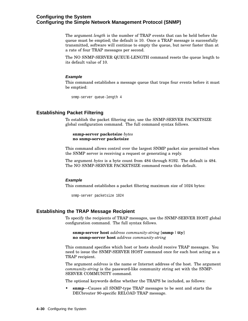## **Configuring the System Configuring the Simple Network Management Protocol (SNMP)**

The argument *length* is the number of TRAP events that can be held before the queue must be emptied; the default is 10. Once a TRAP message is successfully transmitted, software will continue to empty the queue, but never faster than at a rate of four TRAP messages per second.

The NO SNMP-SERVER QUEUE-LENGTH command resets the queue length to its default value of 10.

#### **Example**

This command establishes a message queue that traps four events before it must be emptied:

snmp-server queue-length 4

## **Establishing Packet Filtering**

To establish the packet filtering size, use the SNMP-SERVER PACKETSIZE global configuration command. The full command syntax follows.

#### **snmp-server packetsize** *bytes* **no snmp-server packetsize**

This command allows control over the largest SNMP packet size permitted when the SNMP server is receiving a request or generating a reply.

The argument *bytes* is a byte count from 484 through 8192. The default is 484. The NO SNMP-SERVER PACKETSIZE command resets this default.

#### **Example**

This command establishes a packet filtering maximum size of 1024 bytes:

snmp-server packetsize 1024

## **Establishing the TRAP Message Recipient**

To specify the recipients of TRAP messages, use the SNMP-SERVER HOST global configuration command. The full syntax follows.

**snmp-server host** *address community-string* [**snmp**| **tty**] **no snmp-server host** *address community-string*

This command specifies which host or hosts should receive TRAP messages. You need to issue the SNMP-SERVER HOST command once for each host acting as a TRAP recipient.

The argument *address* is the name or Internet address of the host. The argument *community-string* is the password-like community string set with the SNMP-SERVER COMMUNITY command.

The optional keywords define whether the TRAPS be included, as follows:

• **snmp**—Causes all SNMP-type TRAP messages to be sent and starts the DECbrouter 90-specific RELOAD TRAP message.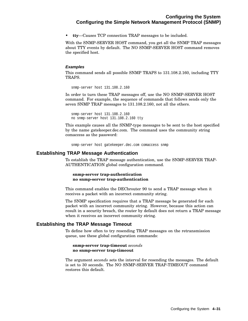• **tty**—Causes TCP connection TRAP messages to be included.

With the SNMP-SERVER HOST command, you get all the SNMP TRAP messages about TTY events by default. The NO SNMP-SERVER HOST command removes the specified host.

#### **Examples**

This command sends all possible SNMP TRAPS to 131.108.2.160, including TTY TRAPS.

snmp-server host 131.108.2.160

In order to turn these TRAP messages off, use the NO SNMP-SERVER HOST command. For example, the sequence of commands that follows sends only the seven SNMP TRAP messages to 131.108.2.160, not all the others.

```
snmp-server host 131.108.2.160
no snmp-server host 131.108.2.160 tty
```
This example causes all the SNMP-type messages to be sent to the host specified by the name gatekeeper.dec.com. The command uses the community string comaccess as the password:

snmp-server host gatekeeper.dec.com comaccess snmp

#### **Establishing TRAP Message Authentication**

To establish the TRAP message authentication, use the SNMP-SERVER TRAP-AUTHENTICATION global configuration command.

#### **snmp-server trap-authentication no snmp-server trap-authentication**

This command enables the DECbrouter 90 to send a TRAP message when it receives a packet with an incorrect community string.

The SNMP specification requires that a TRAP message be generated for each packet with an incorrect community string. However, because this action can result in a security breach, the router by default does not return a TRAP message when it receives an incorrect community string.

## **Establishing the TRAP Message Timeout**

To define how often to try resending TRAP messages on the retransmission queue, use these global configuration commands:

#### **snmp-server trap-timeout** *seconds* **no snmp-server trap-timeout**

The argument *seconds* sets the interval for resending the messages. The default is set to 30 seconds. The NO SNMP-SERVER TRAP-TIMEOUT command restores this default.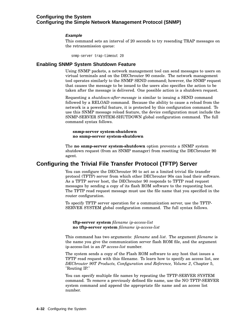## **Configuring the System Configuring the Simple Network Management Protocol (SNMP)**

#### **Example**

This command sets an interval of 20 seconds to try resending TRAP messages on the retransmission queue:

snmp-server trap-timeout 20

#### **Enabling SNMP System Shutdown Feature**

Using SNMP packets, a network management tool can send messages to users on virtual terminals and on the DECbrouter 90 console. The network management tool operates similarly to the SNMP SEND command; however, the SNMP request that causes the message to be issued to the users also specifies the action to be taken after the message is delivered. One possible action is a shutdown request.

Requesting a *shutdown-after-message* is similar to issuing a SEND command followed by a RELOAD command. Because the ability to cause a reload from the network is a powerful feature, it is protected by this configuration command. To use this SNMP message reload feature, the device configuration must include the SNMP-SERVER SYSTEM-SHUTDOWN global configuration command. The full command syntax follows.

**snmp-server system-shutdown no snmp-server system-shutdown**

The **no snmp-server system-shutdown** option prevents a SNMP system shutdown request (from an SNMP manager) from resetting the DECbrouter 90 agent.

## **Configuring the Trivial File Transfer Protocol (TFTP) Server**

You can configure the DECbrouter 90 to act as a limited trivial file transfer protocol (TFTP) server from which other DECbrouter 90s can load their software. As a TFTP server host, the DECbrouter 90 responds to TFTP read request messages by sending a copy of its flash ROM software to the requesting host. The TFTP read request message must use the file name that you specified in the router configuration.

To specify TFTP server operation for a communication server, use the TFTP-SERVER SYSTEM global configuration command. The full syntax follows.

**tftp-server system** *filename ip-access-list* **no tftp-server system** *filename ip-access-list*

This command has two arguments: *filename* and *list*. The argument *filename* is the name you give the communication server flash ROM file, and the argument ip-access-list is an *IP access-list* number.

The system sends a copy of the Flash ROM software to any host that issues a TFTP read request with this filename. To learn how to specify an access list, see *DECbrouter 90T Products, Configuration and Reference, Volume 2*, Chapter 5, "Routing IP."

You can specify multiple file names by repeating the TFTP-SERVER SYSTEM command. To remove a previously defined file name, use the NO TFTP-SERVER system command and append the appropriate file name and an access list number.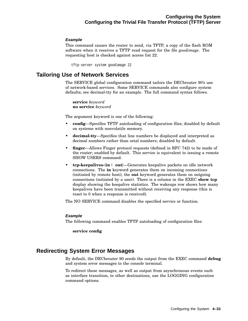## **Example**

This command causes the router to send, via TFTP, a copy of the flash ROM software when it receives a TFTP read request for the file *goodimage*. The requesting host is checked against access list 22.

tftp-server system goodimage 22

# **Tailoring Use of Network Services**

The SERVICE global configuration command tailors the DECbrouter 90's use of network-based services. Some SERVICE commands also configure system defaults; see decimal-tty for an example. The full command syntax follows.

**service** *keyword* **no service** *keyword*

The argument keyword is one of the following:

- **config**—Specifies TFTP autoloading of configuration files; disabled by default on systems with nonvolatile memory.
- **decimal-tty**—Specifies that line numbers be displayed and interpreted as decimal numbers rather than octal numbers; disabled by default.
- **finger**—Allows Finger protocol requests (defined in RFC 742) to be made of the router; enabled by default. This service is equivalent to issuing a remote SHOW USERS command.
- **tcp-keepalives-**{**in**| **out**}—Generates keepalive packets on idle network connections. The **in** keyword generates them on incoming connections (initiated by remote host); the **out** keyword generates them on outgoing connections (initiated by a user). There is a column in the EXEC **show tcp** display showing the keepalive statistics. The wakeups row shows how many keepalives have been transmitted without receiving any response (this is reset to 0 when a response is received).

The NO SERVICE command disables the specified service or function.

#### **Example**

The following command enables TFTP autoloading of configuration files:

**service config**

# **Redirecting System Error Messages**

By default, the DECbrouter 90 sends the output from the EXEC command **debug** and system error messages to the console terminal.

To redirect these messages, as well as output from asynchronous events such as interface transition, to other destinations, use the LOGGING configuration command options.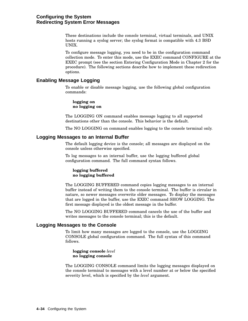These destinations include the console terminal, virtual terminals, and UNIX hosts running a syslog server; the syslog format is compatible with 4.3 BSD UNIX.

To configure message logging, you need to be in the configuration command collection mode. To enter this mode, use the EXEC command CONFIGURE at the EXEC prompt (see the section Entering Configuration Mode in Chapter 2 for the procedure). The following sections describe how to implement these redirection options.

## **Enabling Message Logging**

To enable or disable message logging, use the following global configuration commands:

**logging on no logging on**

The LOGGING ON command enables message logging to all supported destinations other than the console. This behavior is the default.

The NO LOGGING on command enables logging to the console terminal only.

## **Logging Messages to an Internal Buffer**

The default logging device is the console; all messages are displayed on the console unless otherwise specified.

To log messages to an internal buffer, use the logging buffered global configuration command. The full command syntax follows.

## **logging buffered no logging buffered**

The LOGGING BUFFERED command copies logging messages to an internal buffer instead of writing them to the console terminal. The buffer is circular in nature, so newer messages overwrite older messages. To display the messages that are logged in the buffer, use the EXEC command SHOW LOGGING. The first message displayed is the oldest message in the buffer.

The NO LOGGING BUFFERED command cancels the use of the buffer and writes messages to the console terminal; this is the default.

## **Logging Messages to the Console**

To limit how many messages are logged to the console, use the LOGGING CONSOLE global configuration command. The full syntax of this command follows.

**logging console** *level* **no logging console**

The LOGGING CONSOLE command limits the logging messages displayed on the console terminal to messages with a level number at or below the specified severity level, which is specified by the *level* argument.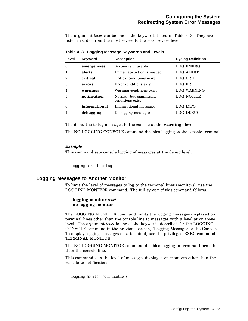The argument *level* can be one of the keywords listed in Table 4–3. They are listed in order from the most severe to the least severe level.

| Level    | Keyword       | <b>Description</b>                           | <b>Syslog Definition</b> |
|----------|---------------|----------------------------------------------|--------------------------|
| $\theta$ | emergencies   | System is unusable                           | <b>LOG EMERG</b>         |
|          | alerts        | Immediate action is needed                   | LOG ALERT                |
| 2        | critical      | Critical conditions exist                    | LOG CRIT                 |
| 3        | errors        | Error conditions exist                       | LOG ERR                  |
| 4        | warnings      | Warning conditions exist                     | <b>LOG WARNING</b>       |
| 5        | notification  | Normal, but significant,<br>conditions exist | LOG NOTICE               |
| 6        | informational | Informational messages                       | LOG INFO                 |
| 7        | debugging     | Debugging messages                           | LOG DEBUG                |

**Table 4–3 Logging Message Keywords and Levels**

The default is to log messages to the console at the **warnings** level.

The NO LOGGING CONSOLE command disables logging to the console terminal.

#### **Example**

This command sets console logging of messages at the debug level:

! logging console debug !

## **Logging Messages to Another Monitor**

To limit the level of messages to log to the terminal lines (monitors), use the LOGGING MONITOR command. The full syntax of this command follows.

#### **logging monitor** *level* **no logging monitor**

The LOGGING MONITOR command limits the logging messages displayed on terminal lines other than the console line to messages with a level at or above level. The argument *level* is one of the keywords described for the LOGGING CONSOLE command in the previous section, "Logging Messages to the Console." To display logging messages on a terminal, use the privileged EXEC command TERMINAL MONITOR.

The NO LOGGING MONITOR command disables logging to terminal lines other than the console line.

This command sets the level of messages displayed on monitors other than the console to notifications:

```
!
logging monitor notifications
!
```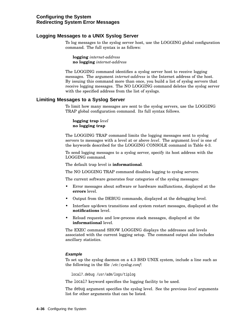## **Logging Messages to a UNIX Syslog Server**

To log messages to the syslog server host, use the LOGGING global configuration command. The full syntax is as follows:

**logging** *internet-address* **no logging** *internet-address*

The LOGGING command identifies a syslog server host to receive logging messages. The argument *internet-address* is the Internet address of the host. By issuing this command more than once, you build a list of syslog servers that receive logging messages. The NO LOGGING command deletes the syslog server with the specified address from the list of syslogs.

## **Limiting Messages to a Syslog Server**

To limit how many messages are sent to the syslog servers, use the LOGGING TRAP global configuration command. Its full syntax follows.

#### **logging trap** *level* **no logging trap**

The LOGGING TRAP command limits the logging messages sent to syslog servers to messages with a level at or above *level*. The argument *level* is one of the keywords described for the LOGGING CONSOLE command in Table 4-3.

To send logging messages to a syslog server, specify its host address with the LOGGING command.

The default trap level is **informational**.

The NO LOGGING TRAP command disables logging to syslog servers.

The current software generates four categories of the syslog messages:

- Error messages about software or hardware malfunctions, displayed at the **errors** level.
- Output from the DEBUG commands, displayed at the debugging level.
- Interface up/down transitions and system restart messages, displayed at the **notifications** level.
- Reload requests and low-process stack messages, displayed at the **informational** level.

The EXEC command SHOW LOGGING displays the addresses and levels associated with the current logging setup. The command output also includes ancillary statistics.

#### **Example**

To set up the syslog daemon on a 4.3 BSD UNIX system, include a line such as the following in the file */etc/syslog.conf*:

local7.debug /usr/adm/logs/tiplog

The local7 keyword specifies the logging facility to be used.

The debug argument specifies the syslog level. See the previous *level* arguments list for other arguments that can be listed.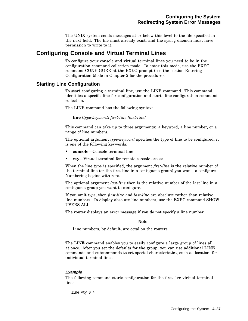The UNIX system sends messages at or below this level to the file specified in the next field. The file must already exist, and the syslog daemon must have permission to write to it.

# **Configuring Console and Virtual Terminal Lines**

To configure your console and virtual terminal lines you need to be in the configuration command collection mode. To enter this mode, use the EXEC command CONFIGURE at the EXEC prompt (see the section Entering Configuration Mode in Chapter 2 for the procedure).

## **Starting Line Configuration**

To start configuring a terminal line, use the LINE command. This command identifies a specific line for configuration and starts line configuration command collection.

The LINE command has the following syntax:

**line** *[type-keyword] first-line [last-line]*

This command can take up to three arguments: a keyword, a line number, or a range of line numbers.

The optional argument *type-keyword* specifies the type of line to be configured; it is one of the following keywords:

- **console**—Console terminal line
- **vty**—Virtual terminal for remote console access

When the line type is specified, the argument *first-line* is the relative number of the terminal line (or the first line in a contiguous group) you want to configure. Numbering begins with zero.

The optional argument *last-line* then is the relative number of the last line in a contiguous group you want to configure.

If you omit *type*, then *first-line* and *last-line* are absolute rather than relative line numbers. To display absolute line numbers, use the EXEC command SHOW USERS ALL.

The router displays an error message if you do not specify a line number.

**Note**

Line numbers, by default, are octal on the routers.

The LINE command enables you to easily configure a large group of lines all at once. After you set the defaults for the group, you can use additional LINE commands and subcommands to set special characteristics, such as location, for individual terminal lines.

## **Example**

The following command starts configuration for the first five virtual terminal lines:

line vty 0 4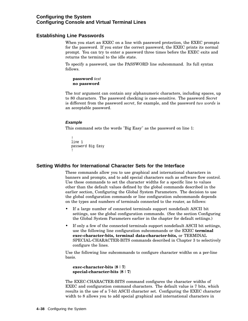## **Establishing Line Passwords**

When you start an EXEC on a line with password protection, the EXEC prompts for the password. If you enter the correct password, the EXEC prints its normal prompt. You can try to enter a password three times before the EXEC exits and returns the terminal to the idle state.

To specify a password, use the PASSWORD line subcommand. Its full syntax follows.

**password** *text* **no password**

The *text* argument can contain any alphanumeric characters, including spaces, up to 80 characters. The password checking is case-sensitive. The password *Secret* is different from the password *secret*, for example, and the password *two words* is an acceptable password.

#### **Example**

This command sets the words "Big Easy" as the password on line 1:

```
!
line 1
password Big Easy
!
```
## **Setting Widths for International Character Sets for the Interface**

These commands allow you to use graphical and international characters in banners and prompts, and to add special characters such as software flow control. Use these commands to set the character widths for a specific line to values other than the default values defined by the global commands described in the earlier section, Configuring the Global System Parameters. The decision to use the global configuration commands or line configuration subcommands depends on the types and numbers of terminals connected to the router, as follows:

- If a large number of connected terminals support nondefault ASCII bit settings, use the global configuration commands. (See the section Configuring the Global System Parameters earlier in the chapter for default settings.)
- If only a few of the connected terminals support nondefault ASCII bit settings, use the following line configuration subcommands or the EXEC **terminal exec-character-bits, terminal data-character-bits,** or TERMINAL SPECIAL-CHARACTER-BITS commands described in Chapter 3 to selectively configure the lines.

Use the following line subcommands to configure character widths on a per-line basis.

```
exec-character-bits {8 | 7}
special-character-bits {8 | 7}
```
The EXEC-CHARACTER-BITS command configures the character widths of EXEC and configuration command characters. The default value is 7 bits, which results in the use of a 7-bit ASCII character set. Configuring the EXEC character width to 8 allows you to add special graphical and international characters in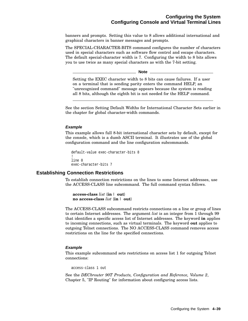banners and prompts. Setting this value to 8 allows additional international and graphical characters in banner messages and prompts.

The SPECIAL-CHARACTER-BITS command configures the number of characters used in special characters such as software flow control and escape characters. The default special-character width is 7. Configuring the width to 8 bits allows you to use twice as many special characters as with the 7-bit setting.

**Note**

Setting the EXEC character width to 8 bits can cause failures. If a user on a terminal that is sending parity enters the command HELP, an "unrecognized command" message appears because the system is reading all 8 bits, although the eighth bit is not needed for the HELP command.

See the section Setting Default Widths for International Character Sets earlier in the chapter for global character-width commands.

#### **Example**

This example allows full 8-bit international character sets by default, except for the console, which is a dumb ASCII terminal. It illustrates use of the global configuration command and the line configuration subcommands.

```
default-value exec-character-bits 8
!
line 0
exec-character-bits 7
```
## **Establishing Connection Restrictions**

To establish connection restrictions on the lines to some Internet addresses, use the ACCESS-CLASS line subcommand. The full command syntax follows.

**access-class** *list* {**in**| **out**} **no access-class** *list* {**in**| **out**}

The ACCESS-CLASS subcommand restricts connections on a line or group of lines to certain Internet addresses. The argument *list* is an integer from 1 through 99 that identifies a specific access list of Internet addresses. The keyword **in** applies to incoming connections, such as virtual terminals. The keyword **out** applies to outgoing Telnet connections. The NO ACCESS-CLASS command removes access restrictions on the line for the specified connections.

#### **Example**

This example subcommand sets restrictions on access list 1 for outgoing Telnet connections:

access-class 1 out

See the *DECbrouter 90T Products, Configuration and Reference, Volume 2*, Chapter 5, "IP Routing" for information about configuring access lists.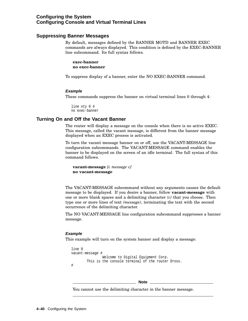## **Configuring the System Configuring Console and Virtual Terminal Lines**

### **Suppressing Banner Messages**

By default, messages defined by the BANNER MOTD and BANNER EXEC commands are always displayed. This condition is defined by the EXEC-BANNER line subcommand. Its full syntax follows.

**exec-banner no exec-banner**

To suppress display of a banner, enter the NO EXEC-BANNER command.

#### **Example**

These commands suppress the banner on virtual terminal lines 0 through 4:

```
line vty 0 4
no exec-banner
```
## **Turning On and Off the Vacant Banner**

The router will display a message on the console when there is no active EXEC. This message, called the vacant message, is different from the banner message displayed when an EXEC process is activated.

To turn the vacant message banner on or off, use the VACANT-MESSAGE line configuration subcommands. The VACANT-MESSAGE command enables the banner to be displayed on the screen of an idle terminal. The full syntax of this command follows.

**vacant-message** *[c message c]* **no vacant-message**

The VACANT-MESSAGE subcommand without any arguments causes the default message to be displayed. If you desire a banner, follow **vacant-message** with one or more blank spaces and a delimiting character *(c)* that you choose. Then type one or more lines of text *(message)*, terminating the text with the second occurrence of the delimiting character.

The NO VACANT-MESSAGE line configuration subcommand suppresses a banner message.

#### **Example**

This example will turn on the system banner and display a message:

```
line 0
vacant-message #
                Welcome to Digital Equipment Corp.
        This is the console terminal of the router Dross.
#
```
**Note**

You cannot use the delimiting character in the banner message.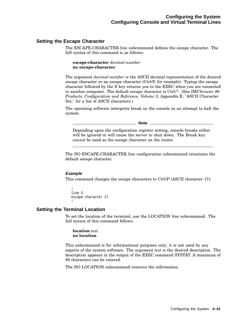## **Setting the Escape Character**

The ESCAPE-CHARACTER line subcommand defines the escape character. The full syntax of this command is as follows:

#### **escape-character** *decimal-number* **no escape-character**

The argument *decimal-number* is the ASCII decimal representation of the desired escape character or an escape character (Ctrl/P, for example). Typing the escape character followed by the X key returns you to the EXEC when you are connected to another computer. The default escape character is Ctrl/^. (See *DECbrouter 90 Products, Configuration and Reference, Volume 3*, Appendix E, "ASCII Character Set," for a list of ASCII characters.)

The operating software interprets break on the console as an attempt to halt the system.

**Note**

Depending upon the configuration register setting, console breaks either will be ignored or will cause the server to shut down. The Break key *cannot* be used as the escape character on the router.

The NO ESCAPE-CHARACTER line configuration subcommand reinstates the default escape character.

#### **Example**

This command changes the escape characters to Ctrl/P (ASCII character 17):

```
!
line 5
escape-character 17
!
```
## **Setting the Terminal Location**

To set the location of the terminal, use the LOCATION line subcommand. The full syntax of this command follows.

**location** *text* **no location**

This subcommand is for informational purposes only; it is not used by any aspects of the system software. The argument *text* is the desired description. The description appears in the output of the EXEC command SYSTAT. A maximum of 80 characters can be entered.

The NO LOCATION subcommand removes the information.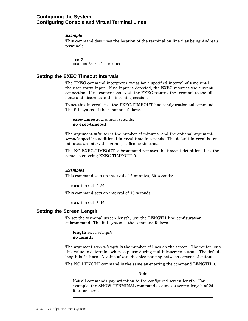## **Configuring the System Configuring Console and Virtual Terminal Lines**

#### **Example**

This command describes the location of the terminal on line 2 as being Andrea's terminal:

```
!
line 2
location Andrea's terminal
!
```
## **Setting the EXEC Timeout Intervals**

The EXEC command interpreter waits for a specified interval of time until the user starts input. If no input is detected, the EXEC resumes the current connection. If no connections exist, the EXEC returns the terminal to the idle state and disconnects the incoming session.

To set this interval, use the EXEC-TIMEOUT line configuration subcommand. The full syntax of the command follows.

**exec-timeout** *minutes [seconds]* **no exec-timeout**

The argument *minutes* is the number of minutes, and the optional argument *seconds* specifies additional interval time in seconds. The default interval is ten minutes; an interval of zero specifies no timeouts.

The NO EXEC-TIMEOUT subcommand removes the timeout definition. It is the same as entering EXEC-TIMEOUT 0.

#### **Examples**

This command sets an interval of 2 minutes, 30 seconds:

```
exec-timeout 2 30
```
This command sets an interval of 10 seconds:

exec-timeout 0 10

#### **Setting the Screen Length**

To set the terminal screen length, use the LENGTH line configuration subcommand. The full syntax of the command follows.

**length** *screen-length* **no length**

The argument *screen-length* is the number of lines on the screen. The router uses this value to determine when to pause during multiple-screen output. The default length is 24 lines. A value of zero disables pausing between screens of output.

The NO LENGTH command is the same as entering the command LENGTH 0.

**Note** \_\_\_\_\_\_\_

Not all commands pay attention to the configured screen length. For example, the SHOW TERMINAL command assumes a screen length of 24 lines or more.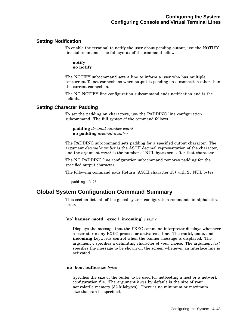## **Setting Notification**

To enable the terminal to notify the user about pending output, use the NOTIFY line subcommand. The full syntax of the command follows.

#### **notify no notify**

The NOTIFY subcommand sets a line to inform a user who has multiple, concurrent Telnet connections when output is pending on a connection other than the current connection.

The NO NOTIFY line configuration subcommand ends notification and is the default.

## **Setting Character Padding**

To set the padding on characters, use the PADDING line configuration subcommand. The full syntax of the command follows.

**padding** *decimal-number count* **no padding** *decimal-number*

The PADDING subcommand sets padding for a specified output character. The argument *decimal-number* is the ASCII decimal representation of the character, and the argument *count* is the number of NUL bytes sent after that character.

The NO PADDING line configuration subcommand removes padding for the specified output character.

The following command pads Return (ASCII character 13) with 25 NUL bytes:

padding 13 25

# **Global System Configuration Command Summary**

This section lists all of the global system configuration commands in alphabetical order.

#### [**no**] **banner** {**motd**| **exec** | **incoming**} *c text c*

Displays the message that the EXEC command interpreter displays whenever a user starts any EXEC process or activates a line. The **motd, exec,** and **incoming** keywords control when the banner message is displayed. The argument c specifies a delimiting character of your choice. The argument *text* specifies the message to be shown on the screen whenever an interface line is activated.

#### [**no**] **boot buffersize** *bytes*

Specifies the size of the buffer to be used for netbooting a host or a network configuration file. The argument *bytes* by default is the size of your nonvolatile memory (32 kilobytes). There is no minimum or maximum size that can be specified.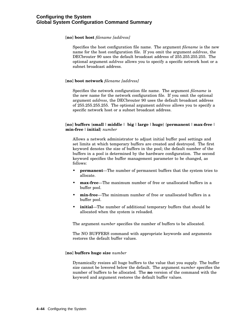#### [**no**] **boot host** *filename [address]*

Specifies the host configuration file name. The argument *filename* is the new name for the host configuration file. If you omit the argument *address*, the DECbrouter 90 uses the default broadcast address of 255.255.255.255. The optional argument *address* allows you to specify a specific network host or a subnet broadcast address.

#### [**no**] **boot network** *filename [address]*

Specifies the network configuration file name. The argument *filename* is the new name for the network configuration file. If you omit the optional argument *address*, the DECbrouter 90 uses the default broadcast address of 255.255.255.255. The optional argument *address* allows you to specify a specific network host or a subnet broadcast address.

#### [**no**] **buffers** {**small** | **middle** | **big** | **large** |**huge**} {**permanent** | **max-free** | **min-free** | **initial**} *number*

Allows a network administrator to adjust initial buffer pool settings and set limits at which temporary buffers are created and destroyed. The first keyword denotes the size of buffers in the pool; the default number of the buffers in a pool is determined by the hardware configuration. The second keyword specifies the buffer management parameter to be changed, as follows:

- **permanent**—The number of permanent buffers that the system tries to allocate.
- **max-free**—The maximum number of free or unallocated buffers in a buffer pool.
- **min-free**—The minimum number of free or unallocated buffers in a buffer pool.
- **initial**—The number of additional temporary buffers that should be allocated when the system is reloaded.

The argument *number* specifies the number of buffers to be allocated.

The NO BUFFERS command with appropriate keywords and arguments restores the default buffer values.

#### [**no**] **buffers huge size** *number*

Dynamically resizes all huge buffers to the value that you supply. The buffer size cannot be lowered below the default. The argument *number* specifies the number of buffers to be allocated. The **no** version of the command with the keyword and argument restores the default buffer values.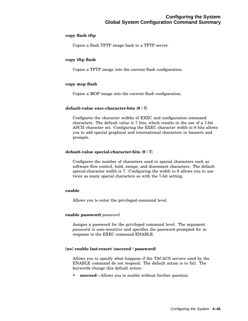#### **copy flash tftp**

Copies a flash TFTP image back to a TFTP server.

#### **copy tftp flash**

Copies a TFTP image into the current flash configuration.

#### **copy mop flash**

Copies a MOP image into the current flash configuration.

#### **default-value exec-character-bits** {**8** | **7**}

Configures the character widths of EXEC and configuration command characters. The default value is 7 bits, which results in the use of a 7-bit ASCII character set. Configuring the EXEC character width to 8 bits allows you to add special graphical and international characters in banners and prompts.

#### **default-value special-character-bits** {**8** | **7**}

Configures the number of characters used in special characters such as software flow control, hold, escape, and disconnect characters. The default special-character width is 7. Configuring the width to 8 allows you to use twice as many special characters as with the 7-bit setting.

#### **enable**

Allows you to enter the privileged command level.

#### **enable password** *password*

Assigns a password for the privileged command level. The argument *password* is case-sensitive and specifies the password prompted for in response to the EXEC command ENABLE.

## [**no**] **enable last-resort** {**succeed**|**password**}

Allows you to specify what happens if the TACACS servers used by the ENABLE command do not respond. The default action is to fail. The keywords change this default action:

• **succeed**—Allows you to enable without further question.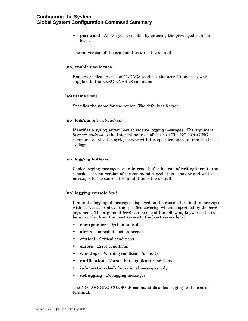## **Configuring the System Global System Configuration Command Summary**

• **password**—Allows you to enable by entering the privileged command level.

The **no** version of the command restores the default.

#### [**no**] **enable use-tacacs**

Enables or disables use of TACACS to check the user ID and password supplied to the EXEC ENABLE command.

#### **hostname** *name*

Specifies the name for the router. The default is *Router*.

#### [**no**] **logging** *internet-address*

Identifies a syslog server host to receive logging messages. The argument *internet-address* is the Internet address of the host.The NO LOGGING command deletes the syslog server with the specified address from the list of syslogs.

#### [**no**] **logging buffered**

Copies logging messages to an internal buffer instead of writing them to the console. The **no** version of the command cancels this behavior and writes messages to the console terminal; this is the default.

#### [**no**] **logging console** *level*

Limits the logging of messages displayed on the console terminal to messages with a level at or above the specified severity, which is specified by the *level* argument. The argument *level* can be one of the following keywords, listed here in order from the most severe to the least severe level.

- **emergencies**—System unusable
- **alerts**—Immediate action needed
- **critical**—Critical conditions
- **errors**—Error conditions
- **warnings**—Warning conditions (default)
- **notification**—Normal but significant conditions
- **informational**—Informational messages only
- **debugging**—Debugging messages

The NO LOGGING CONSOLE command disables logging to the console terminal.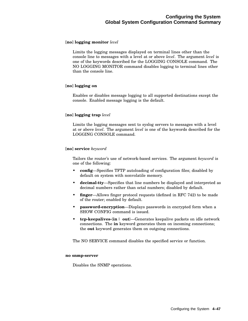#### [**no**] **logging monitor** *level*

Limits the logging messages displayed on terminal lines other than the console line to messages with a level at or above *level*. The argument *level* is one of the keywords described for the LOGGING CONSOLE command. The NO LOGGING MONITOR command disables logging to terminal lines other than the console line.

#### [**no**] **logging on**

Enables or disables message logging to all supported destinations except the console. Enabled message logging is the default.

#### [**no**] **logging trap** *level*

Limits the logging messages sent to syslog servers to messages with a level at or above *level*. The argument *level* is one of the keywords described for the LOGGING CONSOLE command.

#### [**no**] **service** *keyword*

Tailors the router's use of network-based services. The argument *keyword* is one of the following:

- **config**—Specifies TFTP autoloading of configuration files; disabled by default on system with nonvolatile memory.
- **decimal-tty**—Specifies that line numbers be displayed and interpreted as decimal numbers rather than octal numbers; disabled by default.
- **finger**—Allows finger protocol requests (defined in RFC 742) to be made of the router; enabled by default.
- **password-encryption**—Displays passwords in encrypted form when a SHOW CONFIG command is issued.
- **tcp-keepalives-**{**in**| **out**}—Generates keepalive packets on idle network connections. The **in** keyword generates them on incoming connections; the **out** keyword generates them on outgoing connections.

The NO SERVICE command disables the specified service or function.

#### **no snmp-server**

Disables the SNMP operations.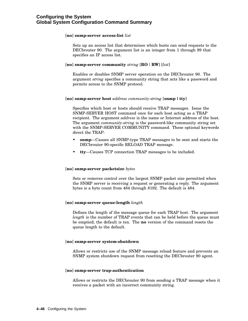#### [**no**] **snmp-server access-list** *list*

Sets up an access list that determines which hosts can send requests to the DECbrouter 90. The argument list is an integer from 1 through 99 that specifies an IP access list.

#### [**no**] **snmp-server community** *string* [**RO** | **RW**] [*list*]

Enables or disables SNMP server operation on the DECbrouter 90. The argument *string* specifies a community string that acts like a password and permits access to the SNMP protocol.

#### [**no**] **snmp-server host** *address community-string* [**snmp| tty**]

Specifies which host or hosts should receive TRAP messages. Issue the SNMP-SERVER HOST command once for each host acting as a TRAP recipient. The argument *address* is the name or Internet address of the host. The argument *community-string* is the password-like community string set with the SNMP-SERVER COMMUNITY command. These optional keywords direct the TRAP:

- **snmp**—Causes all SNMP-type TRAP messages to be sent and starts the DECbrouter 90-specific RELOAD TRAP message.
- **tty**—Causes TCP connection TRAP messages to be included.

#### [**no**] **snmp-server packetsize** *bytes*

Sets or removes control over the largest SNMP packet size permitted when the SNMP server is receiving a request or generating a reply. The argument bytes is a byte count from 484 through 8192. The default is 484.

#### [**no**] **snmp-server queue-length** *length*

Defines the length of the message queue for each TRAP host. The argument *length* is the number of TRAP events that can be held before the queue must be emptied; the default is ten. The **no** version of the command resets the queue length to the default.

#### [**no**] **snmp-server system-shutdown**

Allows or restricts use of the SNMP message reload feature and prevents an SNMP system shutdown request from resetting the DECbrouter 90 agent.

#### [**no**] **snmp-server trap-authentication**

Allows or restricts the DECbrouter 90 from sending a TRAP message when it receives a packet with an incorrect community string.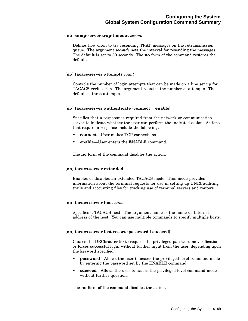#### [**no**] **snmp-server trap-timeout** *seconds*

Defines how often to try resending TRAP messages on the retransmission queue. The argument *seconds* sets the interval for resending the messages. The default is set to 30 seconds. The **no** form of the command restores the default.

#### [**no**] **tacacs-server attempts** *count*

Controls the number of login attempts that can be made on a line set up for TACACS verification. The argument *count* is the number of attempts. The default is three attempts.

#### [**no**] **tacacs-server authenticate** {**connect** | **enable**}

Specifies that a response is required from the network or communication server to indicate whether the user can perform the indicated action. Actions that require a response include the following:

- **connect**—User makes TCP connections.
- **enable**—User enters the ENABLE command.

The **no** form of the command disables the action.

#### [**no**] **tacacs-server extended**

Enables or disables an extended TACACS mode. This mode provides information about the terminal requests for use in setting up UNIX auditing trails and accounting files for tracking use of terminal servers and routers.

#### [**no**] **tacacs-server host** *name*

Specifies a TACACS host. The argument name is the name or Internet address of the host. You can use multiple commands to specify multiple hosts.

#### [**no**] **tacacs-server last-resort** {**password** | **succeed**}

Causes the DECbrouter 90 to request the privileged password as verification, or forces successful login without further input from the user, depending upon the keyword specified.

- **password**—Allows the user to access the privileged-level command mode by entering the password set by the ENABLE command.
- **succeed**—Allows the user to access the privileged-level command mode without further question.

The **no** form of the command disables the action.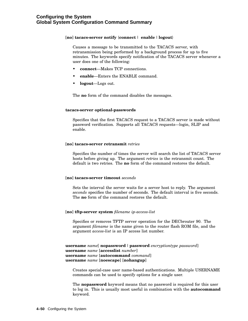#### [**no**] **tacacs-server notify** {**connect** | **enable** | **logout**}

Causes a message to be transmitted to the TACACS server, with retransmission being performed by a background process for up to five minutes. The keywords specify notification of the TACACS server whenever a user does one of the following:

- **connect**—Makes TCP connections.
- **enable**—Enters the ENABLE command.
- **logout**—Logs out.

The **no** form of the command disables the messages.

#### **tacacs-server optional-passwords**

Specifies that the first TACACS request to a TACACS server is made without password verification. Supports all TACACS requests—login, SLIP and enable.

#### [**no**] **tacacs-server retransmit** *retries*

Specifies the number of times the server will search the list of TACACS server hosts before giving up. The argument *retries* is the retransmit count. The default is two retries. The **no** form of the command restores the default.

#### [**no**] **tacacs-server timeout** *seconds*

Sets the interval the server waits for a server host to reply. The argument *seconds* specifies the number of seconds. The default interval is five seconds. The **no** form of the command restores the default.

#### [**no**] **tftp-server system** *filename ip-access-list*

Specifies or removes TFTP server operation for the DECbrouter 90. The argument *filename* is the name given to the router flash ROM file, and the argument *access-list* is an IP access list number.

```
username name[ nopassword|password encryptiontype password]
username name [accesslist number]
username name [autocommand command]
username name [noescape] [nohangup]
```
Creates special-case user name-based authentications. Multiple USERNAME commands can be used to specify options for a single user.

The **nopassword** keyword means that no password is required for this user to log in. This is usually most useful in combination with the **autocommand** keyword.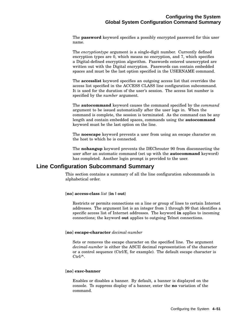The **password** keyword specifies a possibly encrypted password for this user name.

The *encryptiontype* argument is a single-digit number. Currently defined encryption types are 0, which means no encryption, and 7, which specifies a Digital-defined encryption algorithm. Passwords entered unencrypted are written out with the Digital encryption. Passwords can contain embedded spaces and must be the last option specified in the USERNAME command.

The **accesslist** keyword specifies an outgoing access list that overrides the access list specified in the ACCESS CLASS line configuration subcommand. It is used for the duration of the user's session. The access list number is specified by the *number* argument.

The **autocommand** keyword causes the command specified by the *command* argument to be issued automatically after the user logs in. When the command is complete, the session is terminated. As the command can be any length and contain embedded spaces, commands using the **autocommand** keyword must be the last option on the line.

The **noescape** keyword prevents a user from using an escape character on the host to which he is connected.

The **nohangup** keyword prevents the DECbrouter 90 from disconnecting the user after an automatic command (set up with the **autocommand** keyword) has completed. Another login prompt is provided to the user.

## **Line Configuration Subcommand Summary**

This section contains a summary of all the line configuration subcommands in alphabetical order.

#### [**no**] **access-class** *list* {**in| out**}

Restricts or permits connections on a line or group of lines to certain Internet addresses. The argument list is an integer from 1 through 99 that identifies a specific access list of Internet addresses. The keyword **in** applies to incoming connections; the keyword **out** applies to outgoing Telnet connections.

#### [**no**] **escape-character** *decimal-number*

Sets or removes the escape character on the specified line. The argument *decimal-number* is either the ASCII decimal representation of the character or a control sequence (Ctrl/E, for example). The default escape character is Ctrl/^.

#### [**no**] **exec-banner**

Enables or disables a banner. By default, a banner is displayed on the console. To suppress display of a banner, enter the **no** variation of the command.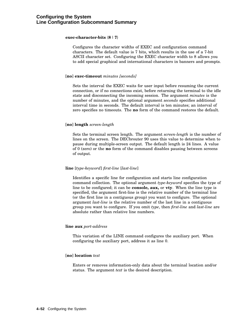## **Configuring the System Line Configuration Subcommand Summary**

#### **exec-character-bits** {**8** | **7**}

Configures the character widths of EXEC and configuration command characters. The default value is 7 bits, which results in the use of a 7-bit ASCII character set. Configuring the EXEC character width to 8 allows you to add special graphical and international characters in banners and prompts.

#### [**no**] **exec-timeout** *minutes [seconds]*

Sets the interval the EXEC waits for user input before resuming the current connection, or if no connections exist, before returning the terminal to the idle state and disconnecting the incoming session. The argument *minutes* is the number of minutes, and the optional argument *seconds* specifies additional interval time in seconds. The default interval is ten minutes; an interval of zero specifies no timeouts. The **no** form of the command restores the default.

#### [**no**] **length** *screen-length*

Sets the terminal screen length. The argument *screen-length* is the number of lines on the screen. The DECbrouter 90 uses this value to determine when to pause during multiple-screen output. The default length is 24 lines. A value of 0 (zero) or the **no** form of the command disables pausing between screens of output.

#### **line** [*type-keyword*] *first-line* [*last-line*]

Identifies a specific line for configuration and starts line configuration command collection. The optional argument *type-keyword* specifies the type of line to be configured; it can be **console, aux,** or **vty**. When the line type is specified, the argument first-line is the relative number of the terminal line (or the first line in a contiguous group) you want to configure. The optional argument *last-line* is the relative number of the last line in a contiguous group you want to configure. If you omit *type*, then *first-line* and *last-line* are absolute rather than relative line numbers.

#### **line aux** *port-address*

This variation of the LINE command configures the auxiliary port. When configuring the auxiliary port, address it as line 0.

#### [**no**] **location** *text*

Enters or removes information-only data about the terminal location and/or status. The argument *text* is the desired description.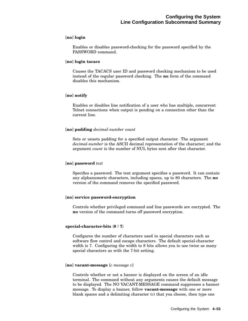#### [**no**] **login**

Enables or disables password-checking for the password specified by the PASSWORD command.

#### [**no**] **login tacacs**

Causes the TACACS user ID and password checking mechanism to be used instead of the regular password checking. The **no** form of the command disables this mechanism.

#### [**no**] **notify**

Enables or disables line notification of a user who has multiple, concurrent Telnet connections when output is pending on a connection other than the current line.

#### [**no**] **padding** *decimal-number count*

Sets or unsets padding for a specified output character. The argument *decimal-number* is the ASCII decimal representation of the character; and the argument *count* is the number of NUL bytes sent after that character.

#### [**no**] **password** *text*

Specifies a password. The text argument specifies a password. It can contain any alphanumeric characters, including spaces, up to 80 characters. The **no** version of the command removes the specified password.

#### [**no**] **service password-encryption**

Controls whether privileged command and line passwords are encrypted. The **no** version of the command turns off password encryption.

#### **special-character-bits** {**8** | **7**}

Configures the number of characters used in special characters such as software flow control and escape characters. The default special-character width is 7. Configuring the width to 8 bits allows you to use twice as many special characters as with the 7-bit setting.

#### [**no**] **vacant-message** [*c message c*]

Controls whether or not a banner is displayed on the screen of an idle terminal. The command without any arguments causes the default message to be displayed. The NO VACANT-MESSAGE command suppresses a banner message. To display a banner, follow **vacant-message** with one or more blank spaces and a delimiting character (*c*) that you choose, then type one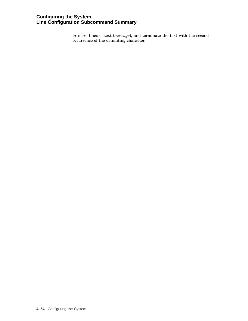## **Configuring the System Line Configuration Subcommand Summary**

or more lines of text (*message*), and terminate the text with the second occurrence of the delimiting character.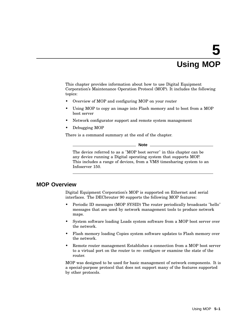# **5 Using MOP**

This chapter provides information about how to use Digital Equipment Corporation's Maintenance Operation Protocol (MOP). It includes the following topics:

- Overview of MOP and configuring MOP on your router
- Using MOP to copy an image into Flash memory and to boot from a MOP boot server
- Network configurator support and remote system management
- Debugging MOP

There is a command summary at the end of the chapter.

**Note**

The device referred to as a "MOP boot server" in this chapter can be any device running a Digital operating system that supports MOP. This includes a range of devices, from a VMS timesharing system to an Infoserver 150.

## **MOP Overview**

Digital Equipment Corporation's MOP is supported on Ethernet and serial interfaces. The DECbrouter 90 supports the following MOP features:

- Periodic ID messages (MOP SYSID) The router periodically broadcasts "hello" messages that are used by network management tools to produce network maps.
- System software loading Loads system software from a MOP boot server over the network.
- Flash memory loading Copies system software updates to Flash memory over the network.
- Remote router management Establishes a connection from a MOP boot server to a virtual port on the router to re- configure or examine the state of the router.

MOP was designed to be used for basic management of network components. It is a special-purpose protocol that does not support many of the features supported by other protocols.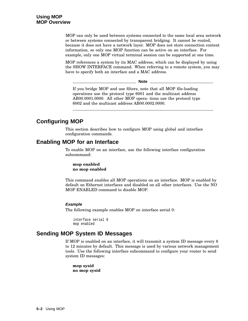MOP can only be used between systems connected to the same local area network or between systems connected by transparent bridging. It cannot be routed, because it does not have a network layer. MOP does not store connection context information, so only one MOP function can be active on an interface. For example, only one MOP virtual terminal session can be supported at one time.

MOP references a system by its MAC address, which can be displayed by using the SHOW INTERFACE command. When referring to a remote system, you may have to specify both an interface and a MAC address.

**Note**

If you bridge MOP and use filters, note that all MOP file-loading operations use the protocol type 6001 and the multicast address AB00.0001.0000. All other MOP opera- tions use the protocol type 6002 and the multicast address AB00.0002.0000.

# **Configuring MOP**

This section describes how to configure MOP using global and interface configuration commands.

# **Enabling MOP for an Interface**

To enable MOP on an interface, use the following interface configuration subcommand:

**mop enabled no mop enabled**

This command enables all MOP operations on an interface. MOP is enabled by default on Ethernet interfaces and disabled on all other interfaces. Use the NO MOP ENABLED command to disable MOP.

#### **Example**

The following example enables MOP on interface serial 0:

```
interface serial 0
mop enabled
```
# **Sending MOP System ID Messages**

If MOP is enabled on an interface, it will transmit a system ID message every 8 to 12 minutes by default. This message is used by various network management tools. Use the following interface subcommand to configure your router to send system ID messages:

**mop sysid no mop sysid**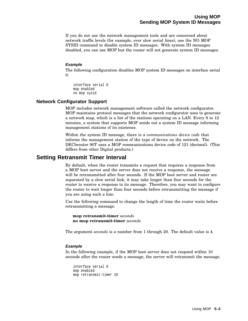If you do not use the network management tools and are concerned about network traffic levels (for example, over slow serial lines), use the NO MOP SYSID command to disable system ID messages. With system ID messages disabled, you can use MOP but the router will not generate system ID messages.

#### **Example**

The following configuration disables MOP system ID messages on interface serial  $0^{\circ}$ 

interface serial 0 mop enabled no mop sysid

#### **Network Configurator Support**

MOP includes network management software called the network configurator. MOP maintains protocol messages that the network configurator uses to generate a network map, which is a list of the stations operating on a LAN. Every 8 to 12 minutes, a system that supports MOP sends out a system ID message informing management stations of its existence.

Within the system ID message, there is a *communications device code* that informs the management station of the type of device on the network. The DECbrouter 90T uses a MOP communications device code of 121 (decimal). (This differs from other Digital products.)

## **Setting Retransmit Timer Interval**

By default, when the router transmits a request that requires a response from a MOP boot server and the server does not receive a response, the message will be retransmitted after four seconds. If the MOP boot server and router are separated by a slow serial link, it may take longer than four seconds for the router to receive a response to its message. Therefore, you may want to configure the router to wait longer than four seconds before retransmitting the message if you are using such a line.

Use the following command to change the length of time the router waits before retransmitting a message:

**mop retransmit-timer** *seconds* **no mop retransmit-timer** *seconds*

The argument *seconds* is a number from 1 through 20. The default value is 4.

#### **Example**

In the following example, if the MOP boot server does not respond within 10 seconds after the router sends a message, the server will retransmit the message.

```
interface serial 0
mop enabled
mop retransmit-timer 10
```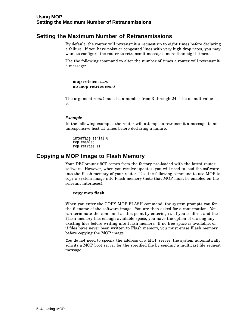# **Setting the Maximum Number of Retransmissions**

By default, the router will retransmit a request up to eight times before declaring a failure. If you have noisy or congested lines with very high drop rates, you may want to configure the router to retransmit messages more than eight times.

Use the following command to alter the number of times a router will retransmit a message:

**mop retries** *count* **no mop retries** *count*

The argument *count* must be a number from 3 through 24. The default value is 8.

## **Example**

In the following example, the router will attempt to retransmit a message to an unresponsive host 11 times before declaring a failure.

```
interface serial 0
mop enabled
mop retries 11
```
# **Copying a MOP Image to Flash Memory**

Your DECbrouter 90T comes from the factory pre-loaded with the latest router software. However, when you receive updates, you will need to load the software into the Flash memory of your router. Use the following command to use MOP to copy a system image into Flash memory (note that MOP must be enabled on the relevant interfaces):

#### **copy mop flash**

When you enter the COPY MOP FLASH command, the system prompts you for the filename of the software image. You are then asked for a confirmation. You can terminate the command at this point by entering **n**. If you confirm, and the Flash memory has enough available space, you have the option of erasing any existing files before writing into Flash memory. If no free space is available, or if files have never been written to Flash memory, you must erase Flash memory before copying the MOP image.

You do not need to specify the address of a MOP server; the system automatically solicits a MOP boot server for the specified file by sending a multicast file request message.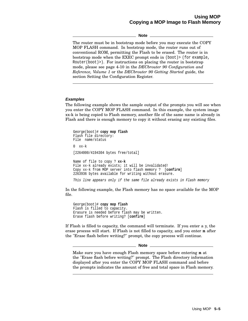#### **Note**

The router must be in bootstrap mode before you may execute the COPY MOP FLASH command. In bootstrap mode, the router runs out of conventional ROM, permitting the Flash to be erased. The router is in bootstrap mode when the EXEC prompt ends in (boot)> (for example, Router(boot)>). For instructions on placing the router in bootstrap mode, please see page 4-10 in the *DECbrouter 90 Configuration and Reference, Volume 1* or the *DECbrouter 90 Getting Started* guide, the section Setting the Configuration Register.

#### **Examples**

The following example shows the sample output of the prompts you will see when you enter the COPY MOP FLASH command. In this example, the system image xx-k is being copied to Flash memory, another file of the same name is already in Flash and there is enough memory to copy it without erasing any existing files.

George(boot)# **copy mop flash** Flash file directory: File name/status  $0$   $xx-k$ [2264000/4194304 bytes free/total] Name of file to copy ? **xx-k** File xx-k already exists; it will be invalidated! Copy xx-k from MOP server into flash memory ? [**confirm**] 2263936 bytes available for writing without erasure. This line appears only if the same file already exists in Flash memory

In the following example, the Flash memory has no space available for the MOP file.

George(boot)# **copy mop flash** Flash is filled to capacity. Erasure is needed before flash may be written. Erase flash before writing? [**confirm**]

If Flash is filled to capacity, the command will terminate. If you enter a y, the erase process will start. If Flash is not filled to capacity, and you enter **n** after the "Erase flash before writing?" prompt, the copy process will continue.

**Note**

Make sure you have enough Flash memory space before entering **n** at the "Erase flash before writing?" prompt. The Flash directory information displayed after you enter the COPY MOP FLASH command and before the prompts indicates the amount of free and total space in Flash memory.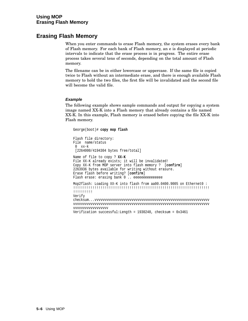# **Erasing Flash Memory**

When you enter commands to erase Flash memory, the system erases every bank of Flash memory. For each bank of Flash memory, an e is displayed at periodic intervals to indicate that the erase process is in progress. The entire erase process takes several tens of seconds, depending on the total amount of Flash memory.

The filename can be in either lowercase or uppercase. If the same file is copied twice to Flash without an intermediate erase, and there is enough available Flash memory to hold the two files, the first file will be invalidated and the second file will become the valid file.

## **Example**

The following example shows sample commands and output for copying a system image named XX-K into a Flash memory that already contains a file named XX-K. In this example, Flash memory is erased before copying the file XX-K into Flash memory.

```
George(boot)# copy mop flash
Flash file directory:
File name/status
0 xx-k[2264000/4194304 bytes free/total]
Name of file to copy ? XX-K
File XX-K already exists; it will be invalidated!
Copy XX-K from MOP server into flash memory ? [confirm]
2263936 bytes available for writing without erasure.
Erase flash before writing? [confirm]
Flash erase: erasing bank 0 .. eeeeeeeeeeeeeeee
Mop2flash: Loading XX-K into flash from aa00.0400.9005 on Ethernet0 :
!!!!!!!!!!!!!!!!!!!!!!!!!!!!!!!!!!!!!!!!!!!!!!!!!!!!!!!!!!!!!!!!!!!!!!
!!!!!!!!!!
Verify
checksum...vvvvvvvvvvvvvvvvvvvvvvvvvvvvvvvvvvvvvvvvvvvvvvvvvvvvvvvvvvv
vvvvvvvvvvvvvvvvvvvvvvvvvvvvvvvvvvvvvvvvvvvvvvvvvvvvvvvvvvvvvvvvvvvvvv
vvvvvvvvvvvvvvvvvv
Verification successful:Length = 1930240, checksum = 0x3461
```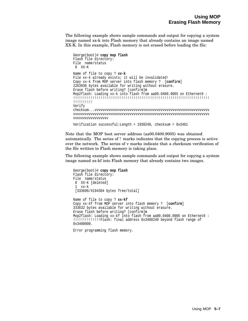The following example shows sample commands and output for copying a system image named xx-k into Flash memory that already contains an image named XX-K. In this example, Flash memory is not erased before loading the file:

```
George(boot)# copy mop flash
Flash file directory:
File name/status
0 XX-K
Name of file to copy ? xx-k
File xx-k already exists; it will be invalidated!
Copy xx-k from MOP server into flash memory ? [confirm]
2263936 bytes available for writing without erasure.
Erase flash before writing? [confirm]n
Mop2flash: Loading xx-k into flash from aa00.0400.9005 on Ethernet0 :
!!!!!!!!!!!!!!!!!!!!!!!!!!!!!!!!!!!!!!!!!!!!!!!!!!!!!!!!!!!!!!!!!!!!!!
!!!!!!!!!!
Verify
checksum...vvvvvvvvvvvvvvvvvvvvvvvvvvvvvvvvvvvvvvvvvvvvvvvvvvvvvvvvvvv
vvvvvvvvvvvvvvvvvvvvvvvvvvvvvvvvvvvvvvvvvvvvvvvvvvvvvvvvvvvvvvvvvvvvvv
vvvvvvvvvvvvvvvvvv
```
Verification successful:Length = 1930240, checksum = 0x3461

Note that the MOP boot server address (aa00.0400.9005) was obtained automatically. The series of ! marks indicates that the copying process is active over the network. The series of v marks indicate that a checksum verification of the file written to Flash memory is taking place.

The following example shows sample commands and output for copying a system image named xx-kf into Flash memory that already contains two images.

```
George(boot)# copy mop flash
Flash file directory:
File name/status
0 XX-K [deleted]
 1 xx-k
[333696/4194304 bytes free/total]
Name of file to copy ? xx-kf
Copy xx-kf from MOP server into flash memory ? [confirm]
333632 bytes available for writing without erasure.
Erase flash before writing? [confirm]n
Mop2flash: Loading xx-kf into flash from aa00.0400.9005 on Ethernet0 :
!!!!!!!!!!!!!!Flash: final address 0x3400240 beyond flash range of
0x3400000.
```
Error programming flash memory.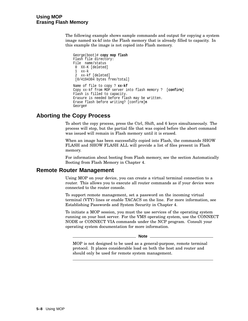The following example shows sample commands and output for copying a system image named xx-kf into the Flash memory that is already filled to capacity. In this example the image is not copied into Flash memory.

```
George(boot)# copy mop flash
Flash file directory:
File name/status
 0 XX-K [deleted]
 1 xx-k
 2 xx-kf [deleted]
[0/4194304 bytes free/total]
Name of file to copy ? xx-kf
Copy xx-kf from MOP server into flash memory ? [confirm]
Flash is filled to capacity.
Erasure is needed before flash may be written.
Erase flash before writing? [confirm]n
George#
```
## **Aborting the Copy Process**

To abort the copy process, press the Ctrl, Shift, and 6 keys simultaneously. The process will stop, but the partial file that was copied before the abort command was issued will remain in Flash memory until it is erased.

When an image has been successfully copied into Flash, the commands SHOW FLASH and SHOW FLASH ALL will provide a list of files present in Flash memory.

For information about booting from Flash memory, see the section Automatically Booting from Flash Memory in Chapter 4.

## **Remote Router Management**

Using MOP on your device, you can create a virtual terminal connection to a router. This allows you to execute all router commands as if your device were connected to the router console.

To support remote management, set a password on the incoming virtual terminal (VTY) lines or enable TACACS on the line. For more information, see Establishing Passwords and System Security in Chapter 4.

To initiate a MOP session, you must the use services of the operating system running on your boot server. For the VMS operating system, use the CONNECT NODE or CONNECT VIA commands under the NCP program. Consult your operating system documentation for more information.

\_\_ Note \_

MOP is not designed to be used as a general-purpose, remote terminal protocol. It places considerable load on both the host and router and should only be used for remote system management.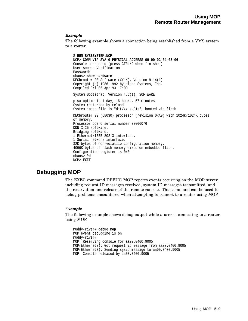#### **Example**

The following example shows a connection being established from a VMS system to a router.

\$ **RUN SYS\$SYSTEM:NCP** NCP> **CONN VIA SVA-0 PHYSICAL ADDRESS 00-00-0C-04-05-06** Console connected (press CTRL/D when finished) User Access Verification Password: chaos> **show hardware** DECbrouter 90 Software (XX-K), Version 9.14(1) Copyright (c) 1986-1992 by cisco Systems, Inc. Compiled Fri 06-Apr-93 17:09 System Bootstrap, Version 4.6(1), SOFTWARE pisa uptime is 1 day, 16 hours, 57 minutes System restarted by reload System image file is "dit/xx-k.91s", booted via flash DECbrouter 90 (68030) processor (revision 0xA0) with 1024K/1024K bytes of memory. Processor board serial number 00000076 DDN X.25 software. Bridging software. 1 Ethernet/IEEE 802.3 interface. 1 Serial network interface. 32K bytes of non-volatile configuration memory. 4096K bytes of flash memory sized on embedded flash. Configuration register is 0x0 chaos> **^d** NCP> **EXIT**

## **Debugging MOP**

The EXEC command DEBUG MOP reports events occurring on the MOP server, including request ID messages received, system ID messages transmitted, and the reservation and release of the remote console. This command can be used to debug problems encountered when attempting to connect to a router using MOP.

#### **Example**

The following example shows debug output while a user is connecting to a router using MOP.

muddy-river# **debug mop** MOP event debugging is on muddy-river# MOP: Reserving console for aa00.0400.9005 MOP(Ethernet0): Got request\_id message from aa00.0400.9005 MOP(Ethernet0): Sending sysid message to aa00.0400.9005 MOP: Console released by aa00.0400.9005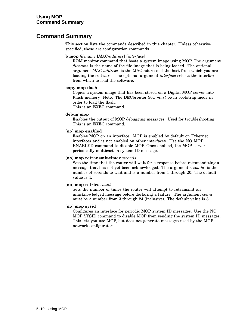## **Command Summary**

This section lists the commands described in this chapter. Unless otherwise specified, these are configuration commands.

#### **b mop** *filename* [*MAC-address*] [*interface*]

ROM monitor command that boots a system image using MOP. The argument *filename* is the name of the file image that is being loaded. The optional argument *MAC-address* is the MAC address of the host from which you are loading the software. The optional argument *interface* selects the interface from which to load the software.

#### **copy mop flash**

Copies a system image that has been stored on a Digital MOP server into Flash memory. Note: The DECbrouter 90T *must* be in bootstrap mode in order to load the flash.

This is an EXEC command.

#### **debug mop**

Enables the output of MOP debugging messages. Used for troubleshooting. This is an EXEC command.

#### [**no**] **mop enabled**

Enables MOP on an interface. MOP is enabled by default on Ethernet interfaces and is not enabled on other interfaces. Use the NO MOP ENABLED command to disable MOP. Once enabled, the MOP server periodically multicasts a system ID message.

#### [**no**] **mop retransmit-timer** *seconds*

Sets the time that the router will wait for a response before retransmitting a message that has not yet been acknowledged. The argument *seconds* is the number of seconds to wait and is a number from 1 through 20. The default value is 4.

#### [**no**] **mop retries** *count*

Sets the number of times the router will attempt to retransmit an unacknowledged message before declaring a failure. The argument *count* must be a number from 3 through 24 (inclusive). The default value is 8.

#### [**no**] **mop sysid**

Configures an interface for periodic MOP system ID messages. Use the NO MOP SYSID command to disable MOP from sending the system ID messages. This lets you use MOP, but does not generate messages used by the MOP network configurator.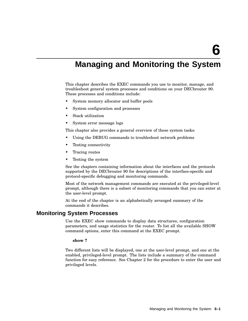**6**

## **Managing and Monitoring the System**

This chapter describes the EXEC commands you use to monitor, manage, and troubleshoot general system processes and conditions on your DECbrouter 90. These processes and conditions include:

- System memory allocator and buffer pools
- System configuration and processes
- Stack utilization
- System error message logs

This chapter also provides a general overview of these system tasks:

- Using the DEBUG commands to troubleshoot network problems
- Testing connectivity
- Tracing routes
- Testing the system

See the chapters containing information about the interfaces and the protocols supported by the DECbrouter 90 for descriptions of the interface-specific and protocol-specific debugging and monitoring commands.

Most of the network management commands are executed at the privileged-level prompt, although there is a subset of monitoring commands that you can enter at the user-level prompt.

At the end of the chapter is an alphabetically arranged summary of the commands it describes.

## **Monitoring System Processes**

Use the EXEC show commands to display data structures, configuration parameters, and usage statistics for the router. To list all the available SHOW command options, enter this command at the EXEC prompt.

#### **show ?**

Two different lists will be displayed, one at the user-level prompt, and one at the enabled, privileged-level prompt. The lists include a summary of the command function for easy reference. See Chapter 2 for the procedure to enter the user and privileged levels.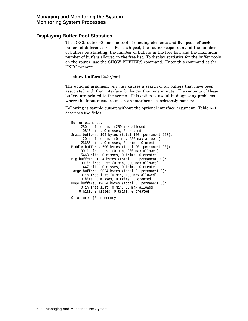## **Displaying Buffer Pool Statistics**

The DECbrouter 90 has one pool of queuing elements and five pools of packet buffers of different sizes. For each pool, the router keeps counts of the number of buffers outstanding, the number of buffers in the free list, and the maximum number of buffers allowed in the free list. To display statistics for the buffer pools on the router, use the SHOW BUFFERS command. Enter this command at the EXEC prompt:

**show buffers** [*interface*]

The optional argument *interface* causes a search of all buffers that have been associated with that interface for longer than one minute. The contents of these buffers are printed to the screen. This option is useful in diagnosing problems where the input queue count on an interface is consistently nonzero.

Following is sample output without the optional interface argument. Table 6–1 describes the fields.

Buffer elements: in free list (250 max allowed) hits, 0 misses, 0 created Small buffers, 104 bytes (total 120, permanent 120): in free list (0 min, 250 max allowed) hits, 0 misses, 0 trims, 0 created Middle buffers, 600 bytes (total 90, permanent 90): in free list (0 min, 200 max allowed) hits, 0 misses, 0 trims, 0 created Big buffers, 1524 bytes (total 90, permanent 90): in free list (0 min, 300 max allowed) hits, 0 misses, 0 trims, 0 created Large buffers, 5024 bytes (total 0, permanent 0): in free list (0 min, 100 max allowed) hits, 0 misses, 0 trims, 0 created Huge buffers, 12024 bytes (total 0, permanent 0): in free list (0 min, 30 max allowed) hits, 0 misses, 0 trims, 0 created failures (0 no memory)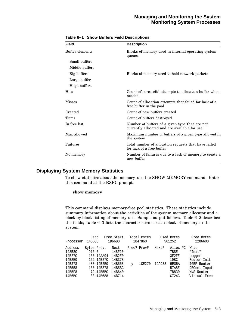| Field           | <b>Description</b>                                                                              |
|-----------------|-------------------------------------------------------------------------------------------------|
| Buffer elements | Blocks of memory used in internal operating system<br>queues                                    |
| Small buffers   |                                                                                                 |
| Middle buffers  |                                                                                                 |
| Big buffers     | Blocks of memory used to hold network packets                                                   |
| Large buffers   |                                                                                                 |
| Huge buffers    |                                                                                                 |
| <b>Hits</b>     | Count of successful attempts to allocate a buffer when<br>needed                                |
| <b>Misses</b>   | Count of allocation attempts that failed for lack of a<br>free buffer in the pool               |
| Created         | Count of new buffers created                                                                    |
| Trims           | Count of buffers destroyed                                                                      |
| In free list    | Number of buffers of a given type that are not<br>currently allocated and are available for use |
| Max allowed     | Maximum number of buffers of a given type allowed in<br>the system                              |
| Failures        | Total number of allocation requests that have failed<br>for lack of a free buffer               |
| No memory       | Number of failures due to a lack of memory to create a<br>new buffer                            |

**Table 6–1 Show Buffers Field Descriptions**

## **Displaying System Memory Statistics**

To show statistics about the memory, use the SHOW MEMORY command. Enter this command at the EXEC prompt:

#### **show memory**

This command displays memory-free pool statistics. These statistics include summary information about the activities of the system memory allocator and a block-by-block listing of memory use. Sample output follows. Table 6–2 describes the fields; Table 6–3 lists the characteristics of each block of memory in the system.

| Processor                             | Head<br>148B8C                                              |                        | Free Start<br>1D66B0                 |             | Total Bytes<br>2847860 |        | Used Bytes<br>561252              | Free Bytes<br>2286608                                     |
|---------------------------------------|-------------------------------------------------------------|------------------------|--------------------------------------|-------------|------------------------|--------|-----------------------------------|-----------------------------------------------------------|
| Address<br>148B8C<br>14B27C<br>14B2E0 | Bytes Prev.<br>916 <sub>0</sub><br>100 14AA94<br>152 14B27C |                        | Next<br>148F20<br>14B2E0<br>14B378   | Free? PrevF |                        | NextF  | Alloc PC<br>7B8E<br>3F2FE<br>1DBC | What<br>*Init*<br>Logger<br>Router Init                   |
| 14B378<br>14B558<br>14B5F8<br>14B6BC  | 480 14B2E0<br>100 14B378                                    | 72 14B5BC<br>88 14B688 | 14B558<br>14B5BC<br>14B640<br>14B714 | V           | 1CE270                 | 1CA938 | 5E85A<br>57A8E<br>7B830<br>C724C  | IGRP Router<br>DECnet Input<br>XNS Router<br>Virtual Exec |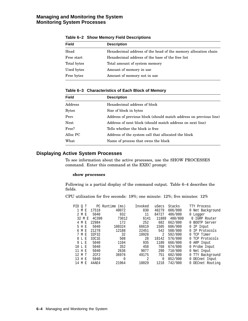| <b>Field</b> | <b>Description</b>                                             |
|--------------|----------------------------------------------------------------|
| Head         | Hexadecimal address of the head of the memory allocation chain |
| Free start   | Hexadecimal address of the base of the free list               |
| Total bytes  | Total amount of system memory                                  |
| Used bytes   | Amount of memory in use                                        |
| Free bytes   | Amount of memory not in use                                    |

**Table 6–2 Show Memory Field Descriptions**

|  | Table 6-3 Characteristics of Each Block of Memory |
|--|---------------------------------------------------|
|--|---------------------------------------------------|

| <b>Description</b>                                                |
|-------------------------------------------------------------------|
| Hexadecimal address of block                                      |
| Size of block in bytes                                            |
| Address of previous block (should match address on previous line) |
| Address of next block (should match address on next line)         |
| Tells whether the block is free                                   |
| Address of the system call that allocated the block               |
| Name of process that owns the block                               |
|                                                                   |

## **Displaying Active System Processes**

To see information about the active processes, use the SHOW PROCESSES command. Enter this command at the EXEC prompt:

#### **show processes**

Following is a partial display of the command output. Table 6–4 describes the fields.

CPU utilization for five seconds: 19%; one minute: 12%; five minutes: 12%

| PID 0 T  |       | PC Runtime<br>(ms) | Invoked | uSecs | Stacks  | TTY Process                      |
|----------|-------|--------------------|---------|-------|---------|----------------------------------|
| 1 M E    | 17518 | 40072              | 830     | 48279 | 606/800 | 0 Net Background                 |
| 2 M E    | 5040  | 932                | 11      | 84727 | 486/800 | Logger<br>$\Omega$               |
| 32 M E   | 4C390 | 73012              | 6141    | 11889 | 480/800 | 0 IGRP Router                    |
| 4 M E    | 22984 | 172                | 252     | 682   | 662/800 | BOOTP Server<br>$\left( \right)$ |
| 5 H E    | 5040  | 100324             | 66619   | 1505  | 606/900 | IP Input<br>$\Omega$             |
| МE<br>6. | 21278 | 12188              | 22451   | 542   | 508/800 | IP Protocols<br>0                |
| 7 M E    | 32F32 | 32                 | 10926   | 2     | 592/800 | TCP Timer<br>$\Omega$            |
| 8 L<br>E | 33C1E | 508                | 28      | 18142 | 576/800 | TCP Protocols<br>0               |
| 9 L E    | 5040  | 1104               | 935     | 1180  | 666/800 | 0 ARP Input                      |
| 10 L E   | 5040  | 352                | 458     | 768   | 674/800 | 0 Probe Input                    |
| 11 H E   | 5040  | 2636               | 9077    | 290   | 710/800 | 0 Net Input                      |
| 12 M T   | 2CF2  | 36976              | 49175   | 751   | 602/800 | TTY Background<br>$\Omega$       |
| 13 H E   | 5040  | $\Omega$           | 2       | 0     | 852/900 | DECnet Input<br>$\Omega$         |
| 14 M E   | 44AE4 | 21964              | 18029   | 1218  | 742/900 | DECnet Routing<br>0              |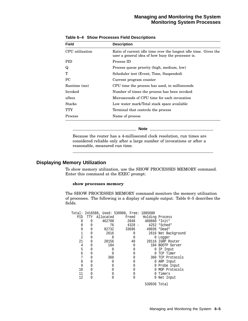| <b>Field</b>    | <b>Description</b>                                                                                                    |  |  |
|-----------------|-----------------------------------------------------------------------------------------------------------------------|--|--|
| CPU utilization | Ratio of current idle time over the longest idle time. Gives the<br>user a general idea of how busy the processor is. |  |  |
| <b>PID</b>      | Process ID                                                                                                            |  |  |
| Q               | Process queue priority (high, medium, low)                                                                            |  |  |
| T               | Scheduler test (Event, Time, Suspended)                                                                               |  |  |
| <b>PC</b>       | Current program counter                                                                                               |  |  |
| Runtime (ms)    | CPU time the process has used, in milliseconds                                                                        |  |  |
| Invoked         | Number of times the process has been invoked                                                                          |  |  |
| uSecs           | Microseconds of CPU time for each invocation                                                                          |  |  |
| <b>Stacks</b>   | Low water mark/Total stack space available                                                                            |  |  |
| TTY             | Terminal that controls the process                                                                                    |  |  |
| <b>Process</b>  | Name of process                                                                                                       |  |  |

#### **Table 6–4 Show Processes Field Descriptions**

**Note**

Because the router has a 4-millisecond clock resolution, run times are considered reliable only after a large number of invocations or after a reasonable, measured run time.

#### **Displaying Memory Utilization**

To show memory utilization, use the SHOW PROCESSES MEMORY command. Enter this command at the EXEC prompt:

#### **show processes memory**

The SHOW PROCESSES MEMORY command monitors the memory utilization of processes. The following is a display of sample output. Table 6–5 describes the fields.

|                |   |               | Total: 2416588, Used: 530908, Free: 1885680 |              |                        |
|----------------|---|---------------|---------------------------------------------|--------------|------------------------|
| PID            |   | TTY Allocated | Freed                                       |              | Holding Process        |
| 0              | 0 | 462708        | 2048                                        |              | 460660 *Init*          |
| 0              |   | 76            | $4328 -$                                    |              | $4252 * \text{Sched*}$ |
| 0              | 0 | 82732         | 33696                                       |              | 49036 *Dead*           |
| 1              |   | 2616          |                                             |              | 2616 Net Background    |
| $\overline{2}$ |   |               |                                             |              | Logger                 |
| 21             | 0 | 20156         | 40                                          |              | 20116 IGRP Router      |
| 4              | 0 | 104           |                                             |              | 104 BOOTP Server       |
| 5              | 0 |               |                                             | 0            | IP Input               |
| 6              |   |               |                                             |              | 0 TCP Timer            |
| 7              |   | 360           |                                             |              | 360 TCP Protocols      |
| 8              |   |               |                                             |              | 0 ARP Input            |
| 9              |   |               |                                             |              | 0 Probe Input          |
| 10             | 0 |               |                                             |              | 0 MOP Protocols        |
| 11             | 0 |               |                                             |              | 0 Timers               |
| 12             |   |               |                                             |              | 0 Net Input            |
|                |   |               |                                             | 530936 Total |                        |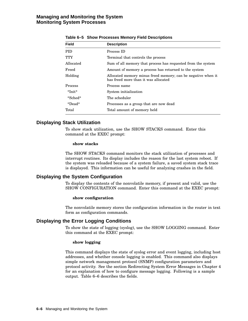| <b>Field</b> | <b>Description</b>                                                                                   |
|--------------|------------------------------------------------------------------------------------------------------|
| <b>PID</b>   | Process ID                                                                                           |
| TTY          | Terminal that controls the process                                                                   |
| Allocated    | Sum of all memory that process has requested from the system                                         |
| Freed        | Amount of memory a process has returned to the system                                                |
| Holding      | Allocated memory minus freed memory; can be negative when it<br>has freed more than it was allocated |
| Process      | Process name                                                                                         |
| $*Init*$     | System initialization                                                                                |
| $*Sched*$    | The scheduler                                                                                        |
| $*$ Dead $*$ | Processes as a group that are now dead                                                               |
| Total        | Total amount of memory held                                                                          |

#### **Table 6–5 Show Processes Memory Field Descriptions**

## **Displaying Stack Utilization**

To show stack utilization, use the SHOW STACKS command. Enter this command at the EXEC prompt:

#### **show stacks**

The SHOW STACKS command monitors the stack utilization of processes and interrupt routines. Its display includes the reason for the last system reboot. If the system was reloaded because of a system failure, a saved system stack trace is displayed. This information can be useful for analyzing crashes in the field.

#### **Displaying the System Configuration**

To display the contents of the nonvolatile memory, if present and valid, use the SHOW CONFIGURATION command. Enter this command at the EXEC prompt:

#### **show configuration**

The nonvolatile memory stores the configuration information in the router in text form as configuration commands.

## **Displaying the Error Logging Conditions**

To show the state of logging (syslog), use the SHOW LOGGING command. Enter this command at the EXEC prompt:

#### **show logging**

This command displays the state of syslog error and event logging, including host addresses, and whether console logging is enabled. This command also displays simple network management protocol (SNMP) configuration parameters and protocol activity. See the section Redirecting System Error Messages in Chapter 4 for an explanation of how to configure message logging. Following is a sample output. Table 6–6 describes the fields.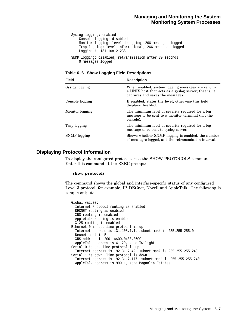```
Syslog logging: enabled
   Console logging: disabled
   Monitor logging: level debugging, 266 messages logged.
   Trap logging: level informational, 266 messages logged.
   Logging to 131.108.2.238
SNMP logging: disabled, retransmission after 30 seconds
   0 messages logged
```
**Table 6–6 Show Logging Field Descriptions**

| <b>Description</b>                                                                                                                             |
|------------------------------------------------------------------------------------------------------------------------------------------------|
| When enabled, system logging messages are sent to<br>a UNIX host that acts as a syslog server; that is, it<br>captures and saves the messages. |
| If enabled, states the level; otherwise this field<br>displays disabled.                                                                       |
| The minimum level of severity required for a log<br>message to be sent to a monitor terminal (not the<br>console).                             |
| The minimum level of severity required for a log<br>message to be sent to syslog server.                                                       |
| Shows whether SNMP logging is enabled, the number<br>of messages logged, and the retransmission interval.                                      |
|                                                                                                                                                |

## **Displaying Protocol Information**

To display the configured protocols, use the SHOW PROTOCOLS command. Enter this command at the EXEC prompt:

#### **show protocols**

The command shows the global and interface-specific status of any configured Level 3 protocol; for example, IP, DECnet, Novell and AppleTalk. The following is sample output:

```
Global values:
  Internet Protocol routing is enabled
 DECNET routing is enabled
 XNS routing is enabled
 Appletalk routing is enabled
 X.25 routing is enabled
Ethernet 0 is up, line protocol is up
  Internet address is 131.108.1.1, subnet mask is 255.255.255.0
 Decnet cost is 5
 XNS address is 2001.AA00.0400.06CC
 AppleTalk address is 4.129, zone Twilight
Serial 0 is up, line protocol is up
  Internet address is 192.31.7.49, subnet mask is 255.255.255.240
Serial 1 is down, line protocol is down
  Internet address is 192.31.7.177, subnet mask is 255.255.255.240
  AppleTalk address is 999.1, zone Magnolia Estates
```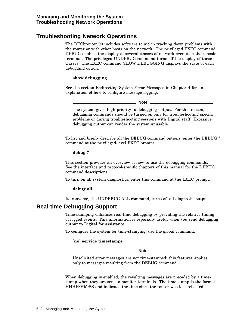## **Troubleshooting Network Operations**

The DECbrouter 90 includes software to aid in tracking down problems with the router or with other hosts on the network. The privileged EXEC command DEBUG enables the display of several classes of network events on the console terminal. The privileged UNDEBUG command turns off the display of these classes. The EXEC command SHOW DEBUGGING displays the state of each debugging option.

#### **show debugging**

See the section Redirecting System Error Messages in Chapter 4 for an explanation of how to configure message logging.

**Note** \_\_\_\_\_\_

The system gives high priority to debugging output. For this reason, debugging commands should be turned on only for troubleshooting specific problems or during troubleshooting sessions with Digital staff. Excessive debugging output can render the system unusable.

To list and briefly describe all the DEBUG command options, enter the DEBUG ? command at the privileged-level EXEC prompt.

#### **debug ?**

This section provides an overview of how to use the debugging commands. See the interface and protocol-specific chapters of this manual for the DEBUG command descriptions.

To turn on all system diagnostics, enter this command at the EXEC prompt:

#### **debug all**

Its converse, the UNDEBUG ALL command, turns off all diagnostic output.

## **Real-time Debugging Support**

Time-stamping enhances real-time debugging by providing the relative timing of logged events. This information is especially useful when you send debugging output to Digital for assistance.

To configure the system for time-stamping, use the global command:

#### [**no**] **service timestamps**

**Note**

Unsolicited error messages are not time-stamped; this features applies only to messages resulting from the DEBUG command.

When debugging is enabled, the resulting messages are preceded by a timestamp when they are sent to monitor terminals. The time-stamp is the format HHHH:MM:SS and indicates the time since the router was last rebooted.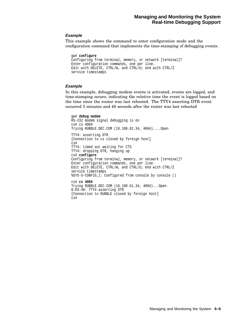## **Managing and Monitoring the System Real-time Debugging Support**

#### **Example**

This example shows the command to enter configuration mode and the configuration command that implements the time-stamping of debugging events.

```
gw# configure
Configuring from terminal, memory, or network [terminal]?
Enter configuration commands, one per line.
Edit with DELETE, CTRL/W, and CTRL/U; end with CTRL/Z
service timestamps
```
#### **Example**

cs#

In this example, debugging modem events is activated, events are logged, and time-stamping occurs, indicating the relative time the event is logged based on the time since the router was last rebooted. The TTY4 asserting DTR event occurred 3 minutes and 48 seconds after the router was last rebooted

```
gw# debug modem
RS-232 modem signal debugging is on
cs# cs 4004
Trying RUBBLE.DEC.COM (16.108.61.34, 4004)....Open
TTY4: asserting DTR
[Connection to cs closed by foreign host]
cs#
TTY4: timed out waiting for CTS
TTY4: dropping DTR, hanging up
cs# configure
Configuring from terminal, memory, or network [terminal]?
Enter configuration commands, one per line.
Edit with DELETE, CTRL/W, and CTRL/U; end with CTRL/Z
service timestamps
%SYS-5-CONFIG_I: Configured from console by console ()
cs# cs 4004
Trying RUBBLE.DEC.COM (16.108.61.34, 4004)...Open
0:03:48: TTY4 asserting DTR
[Connection to RUBBLE closed by foreign host]
```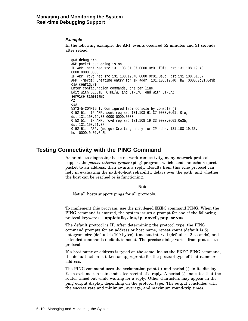#### **Example**

In the following example, the ARP events occurred 52 minutes and 51 seconds after reload.

```
gw# debug arp
ARP packet debugging is on
IP ARP: sent req src 131.108.61.37 0000.0c01.f0fe, dst 131.108.19.40
0000.0000.0000
IP ARP: rcvd rep src 131.108.19.40 0000.0c01.0e3b, dst 131.108.61.37
ARP: (merge) Creating entry for IP addr: 131.108.19.40, hw: 0000.0c01.0e3b
cs# configure
Enter configuration commands, one per line.
Edit with DELETE, CTRL/W, and CTRL/U; end with CTRL/Z
service timestamp
^Z
cs#
%SYS-5-CONFIG_I: Configured from console by console ()
0:52:51: IP ARP: sent req src 131.108.61.37 0000.0c01.f0fe,
dst 131.108.19.33 0000.0000.0000
0:52:51: IP ARP: rcvd rep src 131.108.19.33 0000.0c01.0e3b,
dst 131.108.61.37
0:52:51: ARP: (merge) Creating entry for IP addr: 131.108.19.33,
hw: 0000.0c01.0e3b
```
## **Testing Connectivity with the PING Command**

As an aid to diagnosing basic network connectivity, many network protocols support the *packet internet groper* (ping) program, which sends an echo request packet to an address, then awaits a reply. Results from this echo protocol can help in evaluating the path-to-host reliability, delays over the path, and whether the host can be reached or is functioning.

\_ Note \_

Not all hosts support pings for all protocols.

To implement this program, use the privileged EXEC command PING. When the PING command is entered, the system issues a prompt for one of the following protocol keywords— **appletalk, clns, ip, novell, pup,** or **xns**.

The default protocol is IP. After determining the protocol type, the PING command prompts for an address or host name, repeat count (default is 5), datagram size (default is 100 bytes), time-out interval (default is 2 seconds), and extended commands (default is none). The precise dialog varies from protocol to protocol.

If a host name or address is typed on the same line as the EXEC PING command, the default action is taken as appropriate for the protocol type of that name or address.

The PING command uses the exclamation point (!) and period (.) in its display. Each exclamation point indicates receipt of a reply. A period (.) indicates that the router timed out while waiting for a reply. Other characters may appear in the ping output display, depending on the protocol type. The output concludes with the success rate and minimum, average, and maximum round-trip times.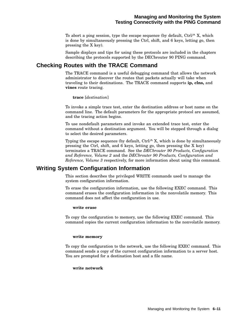To abort a ping session, type the escape sequence (by default,  $Ctrl<sup>\wedge</sup> X$ , which is done by simultaneously pressing the Ctrl, shift, and 6 keys, letting go, then pressing the X key).

Sample displays and tips for using these protocols are included in the chapters describing the protocols supported by the DECbrouter 90 PING command.

## **Checking Routes with the TRACE Command**

The TRACE command is a useful debugging command that allows the network administrator to discover the routes that packets actually will take when traveling to their destinations. The TRACE command supports **ip, clns,** and **vines** route tracing.

**trace** [*destination*]

To invoke a simple trace test, enter the destination address or host name on the command line. The default parameters for the appropriate protocol are assumed, and the tracing action begins.

To use nondefault parameters and invoke an extended trace test, enter the command without a destination argument. You will be stepped through a dialog to select the desired parameters.

Typing the escape sequence (by default,  $Ctrl/^{\wedge} X$ , which is done by simultaneously pressing the Ctrl, shift, and 6 keys, letting go, then pressing the X key) terminates a TRACE command. See the *DECbrouter 90 Products, Configuration and Reference, Volume 2* and the *DECbrouter 90 Products, Configuration and Reference, Volume 3* respectively, for more information about using this command.

## **Writing System Configuration Information**

This section describes the privileged WRITE commands used to manage the system configuration information.

To erase the configuration information, use the following EXEC command. This command erases the configuration information in the nonvolatile memory. This command does not affect the configuration in use.

#### **write erase**

To copy the configuration to memory, use the following EXEC command. This command copies the current configuration information to the nonvolatile memory.

#### **write memory**

To copy the configuration to the network, use the following EXEC command. This command sends a copy of the current configuration information to a server host. You are prompted for a destination host and a file name.

#### **write network**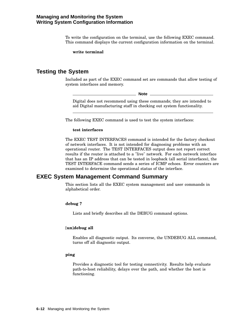To write the configuration on the terminal, use the following EXEC command. This command displays the current configuration information on the terminal.

**write terminal**

## **Testing the System**

Included as part of the EXEC command set are commands that allow testing of system interfaces and memory.

**Note**

Digital does not recommend using these commands; they are intended to aid Digital manufacturing staff in checking out system functionality.

The following EXEC command is used to test the system interfaces:

#### **test interfaces**

The EXEC TEST INTERFACES command is intended for the factory checkout of network interfaces. It is not intended for diagnosing problems with an operational router. The TEST INTERFACES output does not report correct results if the router is attached to a "live" network. For each network interface that has an IP address that can be tested in loopback (all serial interfaces), the TEST INTERFACE command sends a series of ICMP echoes. Error counters are examined to determine the operational status of the interface.

## **EXEC System Management Command Summary**

This section lists all the EXEC system management and user commands in alphabetical order.

#### **debug ?**

Lists and briefly describes all the DEBUG command options.

#### [**un**]**debug all**

Enables all diagnostic output. Its converse, the UNDEBUG ALL command, turns off all diagnostic output.

#### **ping**

Provides a diagnostic tool for testing connectivity. Results help evaluate path-to-host reliability, delays over the path, and whether the host is functioning.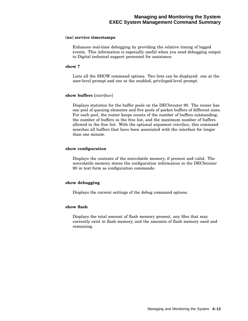#### [**no**] **service timestamps**

Enhances real-time debugging by providing the relative timing of logged events. This information is especially useful when you send debugging output to Digital technical support personnel for assistance.

#### **show ?**

Lists all the SHOW command options. Two lists can be displayed: one at the user-level prompt and one at the enabled, privileged-level prompt.

#### **show buffers** [*interface*]

Displays statistics for the buffer pools on the DECbrouter 90. The router has one pool of queuing elements and five pools of packet buffers of different sizes. For each pool, the router keeps counts of the number of buffers outstanding, the number of buffers in the free list, and the maximum number of buffers allowed in the free list. With the optional argument *interface*, this command searches all buffers that have been associated with the interface for longer than one minute.

#### **show configuration**

Displays the contents of the nonvolatile memory, if present and valid. The nonvolatile memory stores the configuration information in the DECbrouter 90 in text form as configuration commands.

#### **show debugging**

Displays the current settings of the debug command options.

#### **show flash**

Displays the total amount of flash memory present, any files that may currently exist in flash memory, and the amounts of flash memory used and remaining.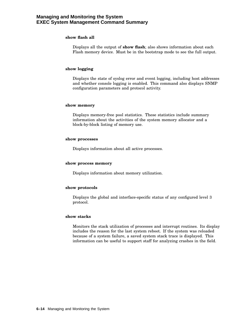## **Managing and Monitoring the System EXEC System Management Command Summary**

#### **show flash all**

Displays all the output of **show flash**; also shows information about each Flash memory device. Must be in the bootstrap mode to see the full output.

#### **show logging**

Displays the state of syslog error and event logging, including host addresses and whether console logging is enabled. This command also displays SNMP configuration parameters and protocol activity.

#### **show memory**

Displays memory-free pool statistics. These statistics include summary information about the activities of the system memory allocator and a block-by-block listing of memory use.

#### **show processes**

Displays information about all active processes.

#### **show process memory**

Displays information about memory utilization.

#### **show protocols**

Displays the global and interface-specific status of any configured level 3 protocol.

#### **show stacks**

Monitors the stack utilization of processes and interrupt routines. Its display includes the reason for the last system reboot. If the system was reloaded because of a system failure, a saved system stack trace is displayed. This information can be useful to support staff for analyzing crashes in the field.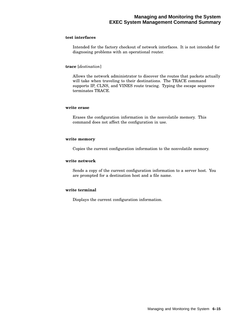#### **test interfaces**

Intended for the factory checkout of network interfaces. It is not intended for diagnosing problems with an operational router.

#### **trace** [*destination*]

Allows the network administrator to discover the routes that packets actually will take when traveling to their destinations. The TRACE command supports IP, CLNS, and VINES route tracing. Typing the escape sequence terminates TRACE.

#### **write erase**

Erases the configuration information in the nonvolatile memory. This command does not affect the configuration in use.

#### **write memory**

Copies the current configuration information to the nonvolatile memory.

#### **write network**

Sends a copy of the current configuration information to a server host. You are prompted for a destination host and a file name.

#### **write terminal**

Displays the current configuration information.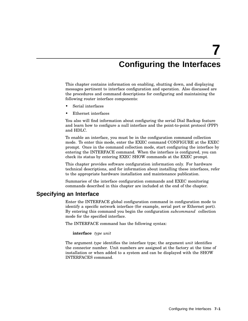# **7 Configuring the Interfaces**

This chapter contains information on enabling, shutting down, and displaying messages pertinent to interface configuration and operation. Also discussed are the procedures and command descriptions for configuring and maintaining the following router interface components:

- Serial interfaces
- Ethernet interfaces

You also will find information about configuring the serial Dial Backup feature and learn how to configure a null interface and the point-to-point protocol (PPP) and HDLC.

To enable an interface, you must be in the configuration command collection mode. To enter this mode, enter the EXEC command CONFIGURE at the EXEC prompt. Once in the command collection mode, start configuring the interface by entering the INTERFACE command. When the interface is configured, you can check its status by entering EXEC SHOW commands at the EXEC prompt.

This chapter provides software configuration information only. For hardware technical descriptions, and for information about installing these interfaces, refer to the appropriate hardware installation and maintenance publication.

Summaries of the interface configuration commands and EXEC monitoring commands described in this chapter are included at the end of the chapter.

## **Specifying an Interface**

Enter the INTERFACE global configuration command in configuration mode to identify a specific network interface (for example, serial port or Ethernet port). By entering this command you begin the configuration *subcommand* collection mode for the specified interface.

The INTERFACE command has the following syntax:

**interface** *type unit*

The argument *type* identifies the interface type; the argument *unit* identifies the connector number. Unit numbers are assigned at the factory at the time of installation or when added to a system and can be displayed with the SHOW INTERFACES command.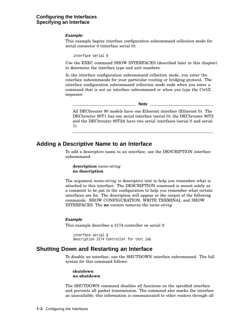## **Configuring the Interfaces Specifying an Interface**

#### **Example:**

This example begins interface configuration subcommand collection mode for serial connector 0 (interface serial 0):

interface serial 0

Use the EXEC command SHOW INTERFACES (described later in this chapter) to determine the interface type and unit numbers.

In the interface configuration subcommand collection mode, you enter the interface subcommands for your particular routing or bridging protocol. The interface configuration subcommand collection mode ends when you enter a command that is not an interface subcommand or when you type the Ctrl/Z sequence.

**Note**

All DECbrouter 90 models have one Ethernet interface (Ethernet 0). The DECbrouter 90T1 has one serial interface (serial 0); the DECbrouter 90T2 and the DECbrouter 90T2A have two serial interfaces (serial 0 and serial 1).

## **Adding a Descriptive Name to an Interface**

To add a descriptive name to an interface, use the DESCRIPTION interface subcommand.

**description** *name-string* **no description**

The argument *name-string* is descriptive text to help you remember what is attached to this interface. The DESCRIPTION command is meant solely as a comment to be put in the configuration to help you remember what certain interfaces are for. The description will appear in the output of the following commands: SHOW CONFIGURATION, WRITE TERMINAL and SHOW INTERFACES. The **no** version removes the *name-string*.

#### **Example**

This example describes a 3174 controller on serial 0:

```
interface serial 0
description 3174 Controller for test lab
```
## **Shutting Down and Restarting an Interface**

To disable an interface, use the SHUTDOWN interface subcommand. The full syntax for this command follows.

#### **shutdown no shutdown**

The SHUTDOWN command disables all functions on the specified interface and prevents all packet transmission. The command also marks the interface as unavailable; this information is communicated to other routers through all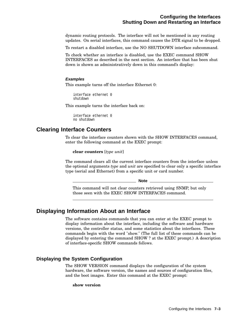## **Configuring the Interfaces Shutting Down and Restarting an Interface**

dynamic routing protocols. The interface will not be mentioned in any routing updates. On serial interfaces, this command causes the DTR signal to be dropped.

To restart a disabled interface, use the NO SHUTDOWN interface subcommand.

To check whether an interface is disabled, use the EXEC command SHOW INTERFACES as described in the next section. An interface that has been shut down is shown as administratively down in this command's display:

#### **Examples**

This example turns off the interface Ethernet 0:

```
interface ethernet 0
shutdown
```
This example turns the interface back on:

interface ethernet 0 no shutdown

## **Clearing Interface Counters**

To clear the interface counters shown with the SHOW INTERFACES command, enter the following command at the EXEC prompt:

**clear counters** [*type unit*]

The command clears all the current interface counters from the interface unless the optional arguments *type* and *unit* are specified to clear only a specific interface type (serial and Ethernet) from a specific unit or card number.

\_ Note \_

This command will not clear counters retrieved using SNMP, but only those seen with the EXEC SHOW INTERFACES command.

## **Displaying Information About an Interface**

The software contains commands that you can enter at the EXEC prompt to display information about the interface, including the software and hardware versions, the controller status, and some statistics about the interfaces. These commands begin with the word "show." (The full list of these commands can be displayed by entering the command SHOW ? at the EXEC prompt.) A description of interface-specific SHOW commands follows.

#### **Displaying the System Configuration**

The SHOW VERSION command displays the configuration of the system hardware, the software version, the names and sources of configuration files, and the boot images. Enter this command at the EXEC prompt:

#### **show version**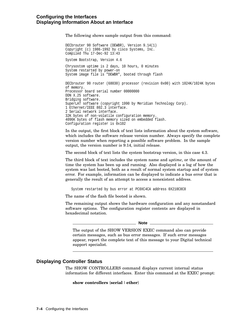The following shows sample output from this command:

DECbrouter 90 Software (DEWBR), Version 9.14(1) Copyright (c) 1986-1992 by cisco Systems, Inc. Compiled Thu 17-Dec-92 13:43 System Bootstrap, Version 4.6 Chrysostom uptime is 2 days, 10 hours, 0 minutes System restarted by power-on System image file is "DEWBR", booted through flash DECbrouter 90 router (68030) processor (revision 0x00) with 1024K/1024K bytes of memory. Processor board serial number 00000000 DDN X.25 software. Bridging software. SuperLAT software (copyright 1990 by Meridian Technology Corp). 1 Ethernet/IEEE 802.3 interface. 2 Serial network interface. 32K bytes of non-volatile configuration memory. 4096K bytes of flash memory sized on embedded flash. Configuration register is 0x102

In the output, the first block of text lists information about the system software, which includes the software release version number. Always specify the complete version number when reporting a possible software problem. In the sample output, the version number is 9.14, initial release.

The second block of text lists the system bootstrap version, in this case 4.3.

The third block of text includes the system name and *uptime*, or the amount of time the system has been up and running. Also displayed is a log of how the system was last booted, both as a result of normal system startup and of system error. For example, information can be displayed to indicate a bus error that is generally the result of an attempt to access a nonexistent address.

System restarted by bus error at PC0XC4CA address 0X210C0C0

The name of the flash file booted is shown.

The remaining output shows the hardware configuration and any nonstandard software options. The configuration register contents are displayed in hexadecimal notation.

**Note**

The output of the SHOW VERSION EXEC command also can provide certain messages, such as bus error messages. If such error messages appear, report the complete text of this message to your Digital technical support specialist.

#### **Displaying Controller Status**

The SHOW CONTROLLERS command displays current internal status information for different interfaces. Enter this command at the EXEC prompt:

#### **show controllers** {**serial** | **ether**}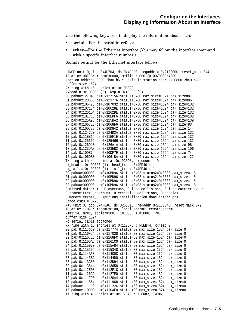Use the following keywords to display the information about each:

- serial—For the serial interfaces
- **ether**—For the Ethernet interface (You may follow the interface command with a specific interface number.)

Sample output for the Ethernet interface follows.

```
LANCE unit 0, idb 0x4D764, ds 0x4EDD0, regaddr = 0x2130000, reset mask 0x4IB at 0x10BFEC: mode=0x0000, mcfilter 0001/0100/0008/4000
station address 0800.2ba0.b51c default station address 0800.2ba0.b51c
buffer size 1524
RX ring with 16 entries at 0x10C028
Rxhead = 0x10C050 (5), Rxp = 0x4EDFC (5)
00 pak=0x12704C ds=0x127156 status=0x80 max_size=1524 pak_size=87
01 pak=0x12366C ds=0x123776 status=0x80 max_size=1524 pak_size=85
02 pak=0x106F28 ds=0x107032 status=0x80 max_size=1524 pak_size=132
03 pak=0x10C184 ds=0x10C28E status=0x80 max_size=1524 pak_size=132
04 pak=0x1261D4 ds=0x1262DE status=0x80 max_size=1524 pak_size=132
05 pak=0x10ECEC ds=0x10EDF6 status=0x80 max_size=1524 pak_size=132
06 pak=0x125A98 ds=0x125BA2 status=0x80 max_size=1524 pak_size=139
07 pak=0x1067EC ds=0x1068F6 status=0x80 max_size=1524 pak_size=83
08 pak=0x10D738 ds=0x10D842 status=0x80 max_size=1524 pak_size=144
09 pak=0x124C20 ds=0x124D2A status=0x80 max_size=1524 pak_size=132
10 pak=0x11EE14 ds=0x11EF1E status=0x80 max_size=1524 pak_size=132
11 pak=0x12535C ds=0x125466 status=0x80 max_size=1524 pak_size=132
12 pak=0x126910 ds=0x126A1A status=0x80 max_size=1524 pak_size=96
13 pak=0x123DA8 ds=0x123EB2 status=0x80 max_size=1524 pak_size=106
14 pak=0x10DE74 ds=0x10DF7E status=0x80 max_size=1524 pak_size=74
15 pak=0x1060B0 ds=0x1061BA status=0x80 max_size=1524 pak_size=122
TX ring with 4 entries at 0x10C0D8, tx_count = 0
tx\_head = 0x10C0E0 (1), head\_txp = 0x4EE40 (1)
tx\_tail = 0x10C0E0 (1), tail\_txp = 0x4EE40 (1)
00 pak=0x000000 ds=0x10BD96 status=0x03 status2=0x0000 pak_size=118
01 pak=0x000000 ds=0x10BD96 status=0x03 status2=0x0000 pak_size=118
02 pak=0x000000 ds=0x10BD96 status=0x03 status2=0x0000 pak_size=118
03 pak=0x000000 ds=0x10BD96 status=0x03 status2=0x0000 pak_size=118
0 missed datagrams, 0 overruns, 0 late collisions, 0 lost carrier events
0 transmitter underruns, 0 excessive collisions, 0 babbles
0 memory errors, 0 spurious initialization done interrupts
Lance \text{csr0} = 0 \times 73MK5 unit 0, idb 0x4F6AC, ds 0x50D18, regaddr 0x2130040, reset_mask 0x2
IB at 0x117D9C: mode=0x0108, local_addr=0, remote_addr=0
N1=1524, N2=1, scaler=100, T1=1000, T3=2000, TP=1
buffer size 1524
No serial cable attached
RX ring with 16 entries at 0x117DF8 : RLEN=4, Rxhead 0
00 pak=0x117660 ds=0x117774 status=80 max_size=1524 pak_size=0
01 pak=0x116F24 ds=0x117038 status=80 max_size=1524 pak_size=0
02 pak=0x1167E8 ds=0x1168FC status=80 max_size=1524 pak_size=0
03 pak=0x1160AC ds=0x1161C0 status=80 max_size=1524 pak_size=0
04 pak=0x115970 ds=0x115A84 status=80 max_size=1524 pak_size=0
05 pak=0x115234 ds=0x115348 status=80 max_size=1524 pak_size=0
06 pak=0x114AF8 ds=0x114C0C status=80 max_size=1524 pak_size=0
07 pak=0x1143BC ds=0x1144D0 status=80 max_size=1524 pak_size=0
08 pak=0x113C80 ds=0x113D94 status=80 max_size=1524 pak_size=0
09 pak=0x113544 ds=0x113658 status=80 max_size=1524 pak_size=0
10 pak=0x112E08 ds=0x112F1C status=80 max_size=1524 pak_size=0
11 pak=0x1126CC ds=0x1127E0 status=80 max_size=1524 pak_size=0
12 pak=0x111F90 ds=0x1120A4 status=80 max_size=1524 pak_size=0
13 pak=0x111854 ds=0x111968 status=80 max_size=1524 pak_size=0
14 pak=0x111118 ds=0x11122C status=80 max_size=1524 pak_size=0
15 pak=0x1109DC ds=0x110AF0 status=80 max_size=1524 pak_size=0
TX ring with 4 entries at 0x117EA8 : TLEN=2, TWD=7
```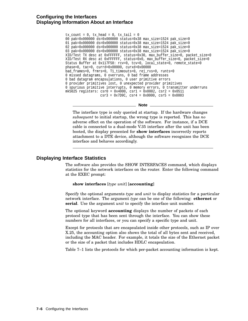## **Configuring the Interfaces Displaying Information About an Interface**

```
tx count = 0, tx head = 0, tx tail = 0
00 pak=0x000000 ds=0x000000 status=0x38 max_size=1524 pak_size=0
01 pak=0x000000 ds=0x000000 status=0x38 max_size=1524 pak_size=0
02 pak=0x000000 ds=0x000000 status=0x38 max_size=1524 pak_size=0
03 pak=0x000000 ds=0x000000 status=0x38 max_size=1524 pak_size=0
XID/Test TX desc at 0xFFFFFF, status=0x30, max_buffer_size=0, packet_size=0
XID/Test RX desc at 0xFFFFFF, status=0x0, max_buffer_size=0, packet_size=0
Status Buffer at 0x117F58: rcv=0, tcv=0, local state=0, remote state=0
phase=0, tac=0, currd=0x00000, curxd=0x00000
bad_frames=0, frmrs=0, T1_timeouts=0, rej_rxs=0, runts=0
0 missed datagrams, 0 overruns, 0 bad frame addresses
0 bad datagram encapsulations, 0 user primitive errors
0 provider primitives lost, 0 unexpected provider primitives
0 spurious primitive interrupts, 0 memory errors, 0 transmitter underruns
mk5025 registers: csr0 = 0x4000, csr1 = 0x0002, csr2 = 0x0511
                  csr3 = 0x7D9C, csr4 = 0x0000, csr5 = 0x0003
```
#### **Note**

The interface type is only queried at startup. If the hardware changes *subsequent* to initial startup, the wrong type is reported. This has *no* adverse effect on the operation of the software. For instance, if a DCE cable is connected to a dual-mode V.35 interface after the unit has been booted, the display presented for **show interfaces** incorrectly reports attachment to a DTE device, although the software recognizes the DCE interface and behaves accordingly.

#### **Displaying Interface Statistics**

The software also provides the SHOW INTERFACES command, which displays statistics for the network interfaces on the router. Enter the following command at the EXEC prompt:

#### **show interfaces** [*type unit*] [**accounting**]

Specify the optional arguments *type* and *unit* to display statistics for a particular network interface. The argument *type* can be one of the following: **ethernet** or **serial**. Use the argument *unit* to specify the interface unit number.

The optional keyword **accounting** displays the number of packets of each protocol type that has been sent through the interface. You can show these numbers for all interfaces, or you can specify a specific type and unit.

Except for protocols that are encapsulated inside other protocols, such as IP over X.25, the accounting option also shows the total of all bytes sent and received, including the MAC header. For example, it totals the size of the Ethernet packet or the size of a packet that includes HDLC encapsulation.

Table 7–1 lists the protocols for which per-packet accounting information is kept.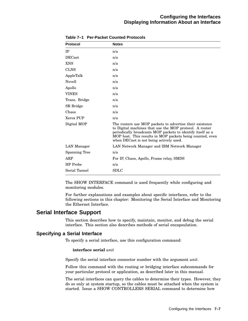## **Configuring the Interfaces Displaying Information About an Interface**

| Protocol           | <b>Notes</b>                                                                                                                                                                                                                                                                               |
|--------------------|--------------------------------------------------------------------------------------------------------------------------------------------------------------------------------------------------------------------------------------------------------------------------------------------|
| <b>IP</b>          | n/a                                                                                                                                                                                                                                                                                        |
| <b>DECnet</b>      | n/a                                                                                                                                                                                                                                                                                        |
| <b>XNS</b>         | n/a                                                                                                                                                                                                                                                                                        |
| <b>CLNS</b>        | n/a                                                                                                                                                                                                                                                                                        |
| AppleTalk          | n/a                                                                                                                                                                                                                                                                                        |
| <b>Novell</b>      | n/a                                                                                                                                                                                                                                                                                        |
| Apollo             | n/a                                                                                                                                                                                                                                                                                        |
| <b>VINES</b>       | n/a                                                                                                                                                                                                                                                                                        |
| Trans. Bridge      | n/a                                                                                                                                                                                                                                                                                        |
| SR Bridge          | n/a                                                                                                                                                                                                                                                                                        |
| Chaos              | n/a                                                                                                                                                                                                                                                                                        |
| Xerox PUP          | n/a                                                                                                                                                                                                                                                                                        |
| Digital MOP        | The routers use MOP packets to advertise their existence<br>to Digital machines that use the MOP protocol. A router<br>periodically broadcasts MOP packets to identify itself as a<br>MOP host. This results in MOP packets being counted, even<br>when DECnet is not being actively used. |
| <b>LAN</b> Manager | LAN Network Manager and IBM Network Manager                                                                                                                                                                                                                                                |
| Spanning Tree      | n/a                                                                                                                                                                                                                                                                                        |
| ARP                | For IP, Chaos, Apollo, Frame relay, SMDS                                                                                                                                                                                                                                                   |
| <b>HP</b> Probe    | n/a                                                                                                                                                                                                                                                                                        |
| Serial Tunnel      | <b>SDLC</b>                                                                                                                                                                                                                                                                                |
|                    |                                                                                                                                                                                                                                                                                            |

**Table 7–1 Per-Packet Counted Protocols**

The SHOW INTERFACE command is used frequently while configuring and monitoring modules.

For further explanations and examples about specific interfaces, refer to the following sections in this chapter: Monitoring the Serial Interface and Monitoring the Ethernet Interface.

## **Serial Interface Support**

This section describes how to specify, maintain, monitor, and debug the serial interface. This section also describes methods of serial encapsulation.

## **Specifying a Serial Interface**

To specify a serial interface, use this configuration command:

#### **interface serial** *unit*

Specify the serial interface connector number with the argument *unit*.

Follow this command with the routing or bridging interface subcommands for your particular protocol or application, as described later in this manual.

The serial interfaces can query the cables to determine their types. However, they do so only at system startup, so the cables must be attached when the system is started. Issue a SHOW CONTROLLERS SERIAL command to determine how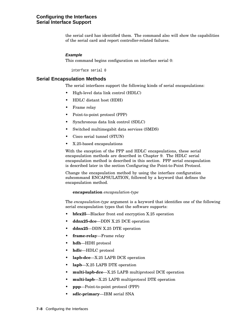## **Configuring the Interfaces Serial Interface Support**

the serial card has identified them. The command also will show the capabilities of the serial card and report controller-related failures.

#### **Example**

This command begins configuration on interface serial 0:

interface serial 0

#### **Serial Encapsulation Methods**

The serial interfaces support the following kinds of serial encapsulations:

- High-level data link control (HDLC)
- HDLC distant host (HDH)
- Frame relay
- Point-to-point protocol (PPP)
- Synchronous data link control (SDLC)
- Switched multimegabit data services (SMDS)
- Cisco serial tunnel (STUN)
- X.25-based encapsulations

With the exception of the PPP and HDLC encapsulations, these serial encapsulation methods are described in Chapter 9. The HDLC serial encapsulation method is described in this section. PPP serial encapsulation is described later in the section Configuring the Point-to-Point Protocol.

Change the encapsulation method by using the interface configuration subcommand ENCAPSULATION, followed by a keyword that defines the encapsulation method.

#### **encapsulation** *encapsulation-type*

The *encapsulation-type* argument is a keyword that identifies one of the following serial encapsulation types that the software supports:

- **bfex25**—Blacker front end encryption X.25 operation
- **ddnx25-dce**—DDN X.25 DCE operation
- **ddnx25**—DDN X.25 DTE operation
- **frame-relay**—Frame relay
- **hdh**—HDH protocol
- **hdlc**—HDLC protocol
- **lapb-dce**—X.25 LAPB DCE operation
- **lapb**—X.25 LAPB DTE operation
- **multi-lapb-dce**—X.25 LAPB multiprotocol DCE operation
- **multi-lapb**—X.25 LAPB multiprotocol DTE operation
- **ppp**—Point-to-point protocol (PPP)
- **sdlc-primary**—IBM serial SNA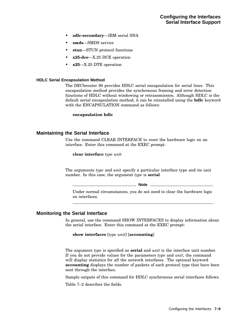- **sdlc-secondary**—IBM serial SNA
- **smds**—SMDS service
- **stun**—STUN protocol functions
- **x25-dce**—X.25 DCE operation
- **x25**—X.25 DTE operation

#### **HDLC Serial Encapsulation Method**

The DECbrouter 90 provides HDLC serial encapsulation for serial lines. This encapsulation method provides the synchronous framing and error detection functions of HDLC without windowing or retransmission. Although HDLC is the default serial encapsulation method, it can be reinstalled using the **hdlc** keyword with the ENCAPSULATION command as follows:

#### **encapsulation hdlc**

#### **Maintaining the Serial Interface**

Use the command CLEAR INTERFACE to reset the hardware logic on an interface. Enter this command at the EXEC prompt:

**clear interface** *type unit*

The arguments *type* and *unit* specify a particular interface type and its unit number. In this case, the argument *type* is **serial**.

**Note** \_\_\_\_\_

Under normal circumstances, you do not need to clear the hardware logic on interfaces.

#### **Monitoring the Serial Interface**

In general, use the command SHOW INTERFACES to display information about the serial interface. Enter this command at the EXEC prompt:

**show interfaces** [*type unit*] [**accounting**]

The argument *type* is specified as **serial** and *unit* is the interface unit number. If you do not provide values for the parameters *type* and *unit*, the command will display statistics for all the network interfaces. The optional keyword **accounting** displays the number of packets of each protocol type that have been sent through the interface.

Sample outputs of this command for HDLC synchronous serial interfaces follows.

Table 7–2 describes the fields.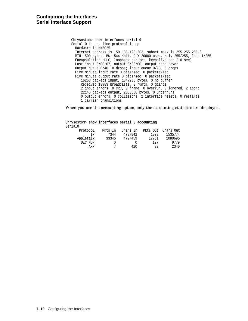Chrysostom> **show interfaces serial 0** Serial 0 is up, line protocol is up Hardware is MK5025 Internet address is 150.136.190.203, subnet mask is 255.255.255.0 MTU 1500 bytes, BW 1544 Kbit, DLY 20000 usec, rely 255/255, load 1/255 Encapsulation HDLC, loopback not set, keepalive set (10 sec) Last input 0:00:07, output 0:00:00, output hang never Output queue 0/40, 0 drops; input queue 0/75, 0 drops Five minute input rate 0 bits/sec, 0 packets/sec Five minute output rate 0 bits/sec, 0 packets/sec 16263 packets input, 1347238 bytes, 0 no buffer Received 13983 broadcasts, 0 runts, 0 giants 2 input errors, 0 CRC, 0 frame, 0 overrun, 0 ignored, 2 abort 22146 packets output, 2383680 bytes, 0 underruns 0 output errors, 0 collisions, 2 interface resets, 0 restarts 1 carrier transitions

When you use the accounting option, only the accounting statistics are displayed.

| Chrysostom> show interfaces serial 0 accounting<br>Serial0 |         |                  |       |                    |
|------------------------------------------------------------|---------|------------------|-------|--------------------|
| Protocol                                                   | Pkts In | Chars In         |       | Pkts Out Chars Out |
| ΤP                                                         | 7344    | 4787842          | 1803  | 1535774            |
| Appletalk                                                  | 33345   | 4797459          | 12781 | 1089695            |
| DEC MOP                                                    |         | $\left( \right)$ | 127   | 9779               |
| ARP                                                        |         | 420              | 39    | 2340               |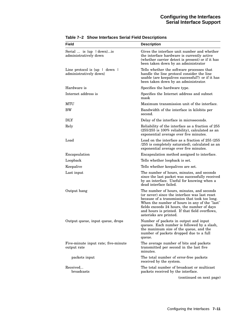| Field                                                                   | <b>Description</b>                                                                                                                                                                                                                                                                                                      |
|-------------------------------------------------------------------------|-------------------------------------------------------------------------------------------------------------------------------------------------------------------------------------------------------------------------------------------------------------------------------------------------------------------------|
| Serial  is {up   down}is<br>administratively down                       | Gives the interface unit number and whether<br>the interface hardware is currently active<br>(whether carrier detect is present) or if it has<br>been taken down by an administrator                                                                                                                                    |
| Line protocol is $\{up \mid \text{down} \mid$<br>administratively down} | Tells whether the software processes that<br>handle the line protocol consider the line<br>usable (are keepalives successful?) or if it has<br>been taken down by an administrator.                                                                                                                                     |
| Hardware is                                                             | Specifies the hardware type.                                                                                                                                                                                                                                                                                            |
| Internet address is                                                     | Specifies the Internet address and subnet<br>mask                                                                                                                                                                                                                                                                       |
| <b>MTU</b>                                                              | Maximum transmission unit of the interface.                                                                                                                                                                                                                                                                             |
| ВW                                                                      | Bandwidth of the interface in kilobits per<br>second.                                                                                                                                                                                                                                                                   |
| DLY                                                                     | Delay of the interface in microseconds.                                                                                                                                                                                                                                                                                 |
| Rely                                                                    | Reliability of the interface as a fraction of 255<br>$(255/255$ is $100\%$ reliability), calculated as an<br>exponential average over five minutes.                                                                                                                                                                     |
| Load                                                                    | Load on the interface as a fraction of 255 (255)<br>/255 is completely saturated), calculated as an<br>exponential average over five minutes.                                                                                                                                                                           |
| Encapsulation                                                           | Encapsulation method assigned to interface.                                                                                                                                                                                                                                                                             |
| Loopback                                                                | Tells whether loopback is set.                                                                                                                                                                                                                                                                                          |
| Keepalive                                                               | Tells whether keepalives are set.                                                                                                                                                                                                                                                                                       |
| Last input                                                              | The number of hours, minutes, and seconds<br>since the last packet was successfully received<br>by an interface. Useful for knowing when a<br>dead interface failed.                                                                                                                                                    |
| Output hang                                                             | The number of hours, minutes, and seconds<br>(or never) since the interface was last reset<br>because of a transmission that took too long.<br>When the number of hours in any of the "last"<br>fields exceeds 24 hours, the number of days<br>and hours is printed. If that field overflows,<br>asterisks are printed. |
| Output queue, input queue, drops                                        | Number of packets in output and input<br>queues. Each number is followed by a slash,<br>the maximum size of the queue, and the<br>number of packets dropped due to a full<br>queue.                                                                                                                                     |
| Five-minute input rate; five-minute<br>output rate                      | The average number of bits and packets<br>transmitted per second in the last five<br>minutes.                                                                                                                                                                                                                           |
| packets input                                                           | The total number of error-free packets<br>received by the system.                                                                                                                                                                                                                                                       |
| Received<br>broadcasts                                                  | The total number of broadcast or multicast<br>packets received by the interface.                                                                                                                                                                                                                                        |
|                                                                         | (continued on next page)                                                                                                                                                                                                                                                                                                |

## **Table 7–2 Show Interfaces Serial Field Descriptions**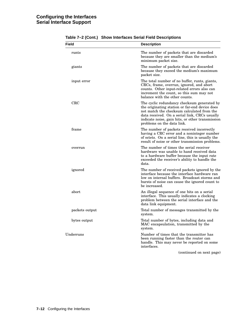| Field          | <b>Description</b>                                                                                                                                                                                                                                                             |
|----------------|--------------------------------------------------------------------------------------------------------------------------------------------------------------------------------------------------------------------------------------------------------------------------------|
| runts          | The number of packets that are discarded<br>because they are smaller than the medium's<br>minimum packet size.                                                                                                                                                                 |
| giants         | The number of packets that are discarded<br>because they exceed the medium's maximum<br>packet size.                                                                                                                                                                           |
| input error    | The total number of no buffer, runts, giants,<br>CRCs, frame, overrun, ignored, and abort<br>counts. Other input-related errors also can<br>increment the count, so this sum may not<br>balance with the other counts.                                                         |
| $_{\rm CRC}$   | The cyclic redundancy checksum generated by<br>the originating station or far-end device does<br>not match the checksum calculated from the<br>data received. On a serial link, CRCs usually<br>indicate noise, gain hits, or other transmission<br>problems on the data link. |
| frame          | The number of packets received incorrectly<br>having a CRC error and a noninteger number<br>of octets. On a serial line, this is usually the<br>result of noise or other transmission problems.                                                                                |
| overrun        | The number of times the serial receiver<br>hardware was unable to hand received data<br>to a hardware buffer because the input rate<br>exceeded the receiver's ability to handle the<br>data.                                                                                  |
| ignored        | The number of received packets ignored by the<br>interface because the interface hardware ran<br>low on internal buffers. Broadcast storms and<br>bursts of noise can cause the ignored count to<br>be increased.                                                              |
| abort          | An illegal sequence of one bits on a serial<br>interface. This usually indicates a clocking<br>problem between the serial interface and the<br>data link equipment.                                                                                                            |
| packets output | Total number of messages transmitted by the<br>system.                                                                                                                                                                                                                         |
| bytes output   | Total number of bytes, including data and<br>MAC encapsulation, transmitted by the<br>system.                                                                                                                                                                                  |
| Underruns      | Number of times that the transmitter has<br>been running faster than the router can<br>handle. This may never be reported on some<br>interfaces.                                                                                                                               |
|                | (continued on next page)                                                                                                                                                                                                                                                       |

**Table 7–2 (Cont.) Show Interfaces Serial Field Descriptions**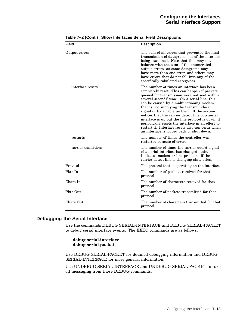| Field               | <b>Description</b>                                                                                                                                                                                                                                                                                                                                                                                                                                                                                                                                                                              |
|---------------------|-------------------------------------------------------------------------------------------------------------------------------------------------------------------------------------------------------------------------------------------------------------------------------------------------------------------------------------------------------------------------------------------------------------------------------------------------------------------------------------------------------------------------------------------------------------------------------------------------|
| Output errors       | The sum of all errors that prevented the final<br>transmission of datagrams out of the interface<br>being examined. Note that this may not<br>balance with the sum of the enumerated<br>output errors, as some datagrams may<br>have more than one error, and others may<br>have errors that do not fall into any of the<br>specifically tabulated categories.                                                                                                                                                                                                                                  |
| interface resets    | The number of times an interface has been<br>completely reset. This can happen if packets<br>queued for transmission were not sent within<br>several seconds' time. On a serial line, this<br>can be caused by a malfunctioning modem<br>that is not supplying the transmit clock<br>signal or by a cable problem. If the system<br>notices that the carrier detect line of a serial<br>interface is up but the line protocol is down, it<br>periodically resets the interface in an effort to<br>restart it. Interface resets also can occur when<br>an interface is looped back or shut down. |
| restarts            | The number of times the controller was<br>restarted because of errors.                                                                                                                                                                                                                                                                                                                                                                                                                                                                                                                          |
| carrier transitions | The number of times the carrier detect signal<br>of a serial interface has changed state.<br>Indicates modem or line problems if the<br>carrier detect line is changing state often.                                                                                                                                                                                                                                                                                                                                                                                                            |
| Protocol            | The protocol that is operating on the interface.                                                                                                                                                                                                                                                                                                                                                                                                                                                                                                                                                |
| Pkts In             | The number of packets received for that<br>protocol.                                                                                                                                                                                                                                                                                                                                                                                                                                                                                                                                            |
| Chars In            | The number of characters received for that<br>protocol.                                                                                                                                                                                                                                                                                                                                                                                                                                                                                                                                         |
| Pkts Out            | The number of packets transmitted for that<br>protocol.                                                                                                                                                                                                                                                                                                                                                                                                                                                                                                                                         |
| Chars Out           | The number of characters transmitted for that<br>protocol.                                                                                                                                                                                                                                                                                                                                                                                                                                                                                                                                      |

**Table 7–2 (Cont.) Show Interfaces Serial Field Descriptions**

## **Debugging the Serial Interface**

Use the commands DEBUG SERIAL-INTERFACE and DEBUG SERIAL-PACKET to debug serial interface events. The EXEC commands are as follows:

#### **debug serial-interface debug serial-packet**

Use DEBUG SERIAL-PACKET for detailed debugging information and DEBUG SERIAL-INTERFACE for more general information.

Use UNDEBUG SERIAL-INTERFACE and UNDEBUG SERIAL-PACKET to turn off messaging from these DEBUG commands.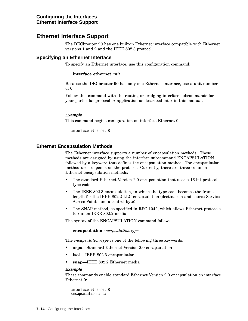## **Ethernet Interface Support**

The DECbrouter 90 has one built-in Ethernet interface compatible with Ethernet versions 1 and 2 and the IEEE 802.3 protocol.

## **Specifying an Ethernet Interface**

To specify an Ethernet interface, use this configuration command:

#### **interface ethernet** *unit*

Because the DECbrouter 90 has only one Ethernet interface, use a unit number of 0.

Follow this command with the routing or bridging interface subcommands for your particular protocol or application as described later in this manual.

#### **Example**

This command begins configuration on interface Ethernet 0.

```
interface ethernet 0
```
## **Ethernet Encapsulation Methods**

The Ethernet interface supports a number of encapsulation methods. These methods are assigned by using the interface subcommand ENCAPSULATION followed by a keyword that defines the encapsulation method. The encapsulation method used depends on the protocol. Currently, there are three common Ethernet encapsulation methods:

- The standard Ethernet Version 2.0 encapsulation that uses a 16-bit protocol type code
- The IEEE 802.3 encapsulation, in which the type code becomes the frame length for the IEEE 802.2 LLC encapsulation (destination and source Service Access Points and a control byte)
- The SNAP method, as specified in RFC 1042, which allows Ethernet protocols to run on IEEE 802.2 media

The syntax of the ENCAPSULATION command follows.

**encapsulation** *encapsulation-type*

The *encapsulation-type* is one of the following three keywords:

- **arpa**—Standard Ethernet Version 2.0 encapsulation
- **iso1**—IEEE 802.3 encapsulation
- **snap**—IEEE 802.2 Ethernet media

#### **Example**

These commands enable standard Ethernet Version 2.0 encapsulation on interface Ethernet 0:

interface ethernet 0 encapsulation arpa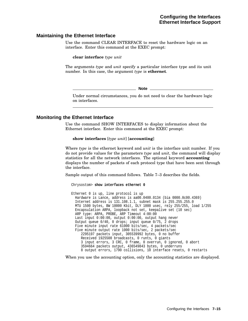#### **Maintaining the Ethernet Interface**

Use the command CLEAR INTERFACE to reset the hardware logic on an interface. Enter this command at the EXEC prompt:

**clear interface** *type unit*

The arguments *type* and *unit* specify a particular interface type and its unit number. In this case, the argument *type* is **ethernet**.

**Note** \_\_\_\_\_\_\_\_

Under normal circumstances, you do not need to clear the hardware logic on interfaces.

#### **Monitoring the Ethernet Interface**

Use the command SHOW INTERFACES to display information about the Ethernet interface. Enter this command at the EXEC prompt:

#### **show interfaces** [*type unit*] [**accounting**]

Where *type* is the ethernet keyword and *unit* is the interface unit number. If you do not provide values for the parameters *type* and *unit*, the command will display statistics for all the network interfaces. The optional keyword **accounting** displays the number of packets of each protocol type that have been sent through the interface.

Sample output of this command follows. Table 7–3 describes the fields.

Chrysostom> **show interfaces ethernet 0**

Ethernet 0 is up, line protocol is up Hardware is Lance, address is aa00.0400.0134 (bia 0000.0c00.4369) Internet address is 131.108.1.1, subnet mask is 255.255.255.0 MTU 1500 bytes, BW 10000 Kbit, DLY 1000 usec, rely 255/255, load 1/255 Encapsulation ARPA, loopback not set, keepalive set (10 sec) ARP type: ARPA, PROBE, ARP Timeout 4:00:00 Last input 0:00:00, output 0:00:00, output hang never Output queue 0/40, 0 drops; input queue 0/75, 2 drops Five minute input rate 61000 bits/sec, 4 packets/sec Five minute output rate 1000 bits/sec, 2 packets/sec 2295197 packets input, 305539992 bytes, 0 no buffer Received 1925500 broadcasts, 0 runts, 0 giants 3 input errors, 3 CRC, 0 frame, 0 overrun, 0 ignored, 0 abort 3594664 packets output, 436549843 bytes, 0 underruns 8 output errors, 1790 collisions, 10 interface resets, 0 restarts

When you use the accounting option, only the accounting statistics are displayed.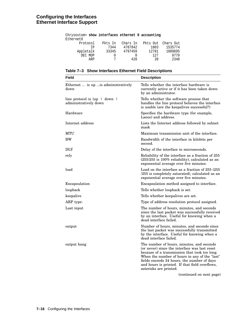## **Configuring the Interfaces Ethernet Interface Support**

Chrysostom> **show interfaces ethernet 0 accounting**

| Ethernet0 |         |          |          |           |
|-----------|---------|----------|----------|-----------|
| Protocol  | Pkts In | Chars In | Pkts Out | Chars Out |
| ТP        | 7344    | 4787842  | 1803     | 1535774   |
| Appletalk | 33345   | 4797459  | 12781    | 1089695   |
| DEC MOP   |         |          | 127      | 9779      |
| ARP       |         | 420      | 39       | 2340      |
|           |         |          |          |           |

| <b>Field</b>                                                           | <b>Description</b>                                                                                                                                                                                                                                                                                                      |
|------------------------------------------------------------------------|-------------------------------------------------------------------------------------------------------------------------------------------------------------------------------------------------------------------------------------------------------------------------------------------------------------------------|
| Ethernet  is up  is administratively<br>down                           | Tells whether the interface hardware is<br>currently active or if it has been taken down<br>by an administrator.                                                                                                                                                                                                        |
| line protocol is $\{up \mid \text{down} \mid$<br>administratively down | Tells whether the software process that<br>handles the line protocol believes the interface<br>is usable (are the keepalives successful?)                                                                                                                                                                               |
| Hardware                                                               | Specifies the hardware type (for example,<br>Lance) and address.                                                                                                                                                                                                                                                        |
| Internet address                                                       | Lists the Internet address followed by subnet<br>mask                                                                                                                                                                                                                                                                   |
| MTU                                                                    | Maximum transmission unit of the interface.                                                                                                                                                                                                                                                                             |
| <b>BW</b>                                                              | Bandwidth of the interface in kilobits per<br>second.                                                                                                                                                                                                                                                                   |
| <b>DLY</b>                                                             | Delay of the interface in microseconds.                                                                                                                                                                                                                                                                                 |
| rely                                                                   | Reliability of the interface as a fraction of 255<br>$(255/255$ is $100\%$ reliability), calculated as an<br>exponential average over five minutes.                                                                                                                                                                     |
| load                                                                   | Load on the interface as a fraction of 255 (255<br>/255 is completely saturated), calculated as an<br>exponential average over five minutes.                                                                                                                                                                            |
| Encapsulation                                                          | Encapsulation method assigned to interface.                                                                                                                                                                                                                                                                             |
| loopback                                                               | Tells whether loopback is set.                                                                                                                                                                                                                                                                                          |
| keepalive                                                              | Tells whether keepalives are set.                                                                                                                                                                                                                                                                                       |
| ARP type:                                                              | Type of address resolution protocol assigned.                                                                                                                                                                                                                                                                           |
| Last input                                                             | The number of hours, minutes, and seconds<br>since the last packet was successfully received<br>by an interface. Useful for knowing when a<br>dead interface failed.                                                                                                                                                    |
| output                                                                 | Number of hours, minutes, and seconds since<br>the last packet was successfully transmitted<br>by the interface. Useful for knowing when a<br>dead interface failed.                                                                                                                                                    |
| output hang                                                            | The number of hours, minutes, and seconds<br>(or never) since the interface was last reset<br>because of a transmission that took too long.<br>When the number of hours in any of the "last"<br>fields exceeds 24 hours, the number of days<br>and hours is printed. If that field overflows,<br>asterisks are printed. |

(continued on next page)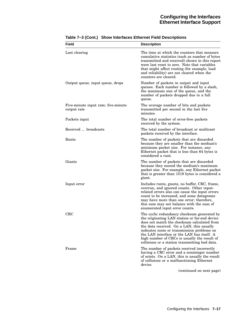| Field                                              | <b>Description</b>                                                                                                                                                                                                                                                                                                                                                                      |
|----------------------------------------------------|-----------------------------------------------------------------------------------------------------------------------------------------------------------------------------------------------------------------------------------------------------------------------------------------------------------------------------------------------------------------------------------------|
| Last clearing                                      | The time at which the counters that measure<br>cumulative statistics (such as number of bytes<br>transmitted and received) shown in this report<br>were last reset to zero. Note that variables<br>that might affect routing (for example, load<br>and reliability) are not cleared when the<br>counters are cleared.                                                                   |
| Output queue, input queue, drops                   | Number of packets in output and input<br>queues. Each number is followed by a slash,<br>the maximum size of the queue, and the<br>number of packets dropped due to a full<br>queue.                                                                                                                                                                                                     |
| Five-minute input rate; five-minute<br>output rate | The average number of bits and packets<br>transmitted per second in the last five<br>minutes.                                                                                                                                                                                                                                                                                           |
| Packets input                                      | The total number of error-free packets<br>received by the system.                                                                                                                                                                                                                                                                                                                       |
| Received  broadcasts                               | The total number of broadcast or multicast<br>packets received by the interface.                                                                                                                                                                                                                                                                                                        |
| Runts                                              | The number of packets that are discarded<br>because they are smaller than the medium's<br>minimum packet size. For instance, any<br>Ethernet packet that is less than 64 bytes is<br>considered a runt.                                                                                                                                                                                 |
| Giants                                             | The number of packets that are discarded<br>because they exceed the medium's maximum<br>packet size. For example, any Ethernet packet<br>that is greater than 1518 bytes is considered a<br>giant.                                                                                                                                                                                      |
| Input error                                        | Includes runts, giants, no buffer, CRC, frame,<br>overrun, and ignored counts. Other input-<br>related errors also can cause the input errors<br>count to be increased, and some datagrams<br>may have more than one error; therefore,<br>this sum may not balance with the sum of<br>enumerated input error counts.                                                                    |
| $_{\rm CRC}$                                       | The cyclic redundancy checksum generated by<br>the originating LAN station or far-end device<br>does not match the checksum calculated from<br>the data received. On a LAN, this usually<br>indicates noise or transmission problems on<br>the LAN interface or the LAN bus itself. A<br>high number of CRCs is usually the result of<br>collisions or a station transmitting bad data. |
| Frame                                              | The number of packets received incorrectly<br>having a CRC error and a noninteger number<br>of octets. On a LAN, this is usually the result<br>of collisions or a malfunctioning Ethernet<br>device.                                                                                                                                                                                    |

**Table 7–3 (Cont.) Show Interfaces Ethernet Field Descriptions**

(continued on next page)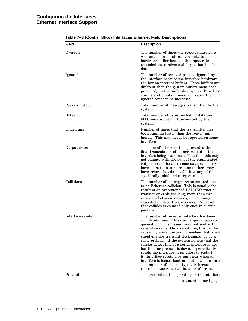## **Configuring the Interfaces Ethernet Interface Support**

| Field            | <b>Description</b>                                                                                                                                                                                                                                                                                                                                                                                                                                                                                                                                                                                                                                                                           |
|------------------|----------------------------------------------------------------------------------------------------------------------------------------------------------------------------------------------------------------------------------------------------------------------------------------------------------------------------------------------------------------------------------------------------------------------------------------------------------------------------------------------------------------------------------------------------------------------------------------------------------------------------------------------------------------------------------------------|
| Overrun          | The number of times the receiver hardware<br>was unable to hand received data to a<br>hardware buffer because the input rate<br>exceeded the receiver's ability to handle the<br>data.                                                                                                                                                                                                                                                                                                                                                                                                                                                                                                       |
| Ignored          | The number of received packets ignored by<br>the interface because the interface hardware<br>ran low on internal buffers. These buffers are<br>different than the system buffers mentioned<br>previously in the buffer description. Broadcast<br>storms and bursts of noise can cause the<br>ignored count to be increased.                                                                                                                                                                                                                                                                                                                                                                  |
| Packets output   | Total number of messages transmitted by the<br>system.                                                                                                                                                                                                                                                                                                                                                                                                                                                                                                                                                                                                                                       |
| <b>Bytes</b>     | Total number of bytes, including data and<br>MAC encapsulation, transmitted by the<br>system.                                                                                                                                                                                                                                                                                                                                                                                                                                                                                                                                                                                                |
| Underruns        | Number of times that the transmitter has<br>been running faster than the router can<br>handle. This may never be reported on some<br>interfaces.                                                                                                                                                                                                                                                                                                                                                                                                                                                                                                                                             |
| Output errors    | The sum of all errors that prevented the<br>final transmission of datagrams out of the<br>interface being examined. Note that this may<br>not balance with the sum of the enumerated<br>output errors, because some datagrams may<br>have more than one error, and others may<br>have errors that do not fall into any of the<br>specifically tabulated categories.                                                                                                                                                                                                                                                                                                                          |
| Collisions       | The number of messages retransmitted due<br>to an Ethernet collision. This is usually the<br>result of an overextended LAN (Ethernet or<br>transceiver cable too long, more than two<br>repeaters between stations, or too many<br>cascaded multiport transceivers). A packet<br>that collides is counted only once in output<br>packets.                                                                                                                                                                                                                                                                                                                                                    |
| Interface resets | The number of times an interface has been<br>completely reset. This can happen if packets<br>queued for transmission were not sent within<br>several seconds. On a serial line, this can be<br>caused by a malfunctioning modem that is not<br>supplying the transmit clock signal, or by a<br>cable problem. If the system notices that the<br>carrier detect line of a serial interface is up,<br>but the line protocol is down, it periodically<br>resets the interface in an effort to restart<br>it. Interface resets also can occur when an<br>interface is looped back or shut down. restarts<br>The number of times a type 2 Ethernet<br>controller was restarted because of errors. |
| Protocol         | The protocol that is operating on the interface.<br>(continued on next page)                                                                                                                                                                                                                                                                                                                                                                                                                                                                                                                                                                                                                 |

**Table 7–3 (Cont.) Show Interfaces Ethernet Field Descriptions**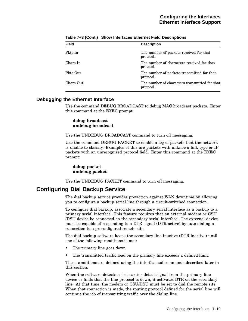| <b>Field</b> | <b>Description</b>                                         |  |  |
|--------------|------------------------------------------------------------|--|--|
| Pkts In      | The number of packets received for that<br>protocol.       |  |  |
| Chars In     | The number of characters received for that<br>protocol.    |  |  |
| Pkts Out     | The number of packets transmitted for that<br>protocol.    |  |  |
| Chars Out    | The number of characters transmitted for that<br>protocol. |  |  |

**Table 7–3 (Cont.) Show Interfaces Ethernet Field Descriptions**

## **Debugging the Ethernet Interface**

Use the command DEBUG BROADCAST to debug MAC broadcast packets. Enter this command at the EXEC prompt:

**debug broadcast undebug broadcast**

Use the UNDEBUG BROADCAST command to turn off messaging.

Use the command DEBUG PACKET to enable a log of packets that the network is unable to classify. Examples of this are packets with unknown link type or IP packets with an unrecognized protocol field. Enter this command at the EXEC prompt:

**debug packet undebug packet**

Use the UNDEBUG PACKET command to turn off messaging.

## **Configuring Dial Backup Service**

The dial backup service provides protection against WAN downtime by allowing you to configure a backup serial line through a circuit-switched connection.

To configure dial backup, associate a secondary serial interface as a backup to a primary serial interface. This feature requires that an external modem or CSU /DSU device be connected on the secondary serial interface. The external device must be capable of responding to a DTR signal (DTR active) by auto-dialing a connection to a preconfigured remote site.

The dial backup software keeps the secondary line inactive (DTR inactive) until one of the following conditions is met:

- The primary line goes down.
- The transmitted traffic load on the primary line exceeds a defined limit.

These conditions are defined using the interface subcommands described later in this section.

When the software detects a lost carrier detect signal from the primary line device or finds that the line protocol is down, it activates DTR on the secondary line. At that time, the modem or CSU/DSU must be set to dial the remote site. When that connection is made, the routing protocol defined for the serial line will continue the job of transmitting traffic over the dialup line.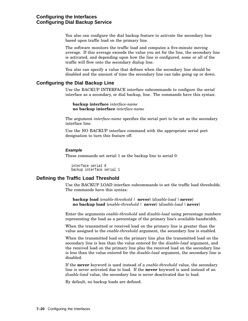You also can configure the dial backup feature to activate the secondary line based upon traffic load on the primary line.

The software monitors the traffic load and computes a five-minute moving average. If this average exceeds the value you set for the line, the secondary line is activated, and depending upon how the line is configured, some or all of the traffic will flow onto the secondary dialup line.

You also can specify a value that defines when the secondary line should be disabled and the amount of time the secondary line can take going up or down.

## **Configuring the Dial Backup Line**

Use the BACKUP INTERFACE interface subcommands to configure the serial interface as a secondary, or dial backup, line. The commands have this syntax:

**backup interface** *interface-name* **no backup interface** *interface-name*

The argument *interface-name* specifies the serial port to be set as the secondary interface line.

Use the NO BACKUP interface command with the appropriate serial port designation to turn this feature off.

### **Example**

These commands set serial 1 as the backup line to serial 0:

```
interface serial 0
backup interface serial 1
```
## **Defining the Traffic Load Threshold**

Use the BACKUP LOAD interface subcommands to set the traffic load thresholds. The commands have this syntax:

**backup load** {*enable-threshold* | **never**} {*disable-load* |**never**} **no backup load** {*enable-threshold* | **never**} {*disable-load* |**never**}

Enter the arguments *enable-threshold* and *disable-load* using percentage numbers representing the load as a percentage of the primary line's available bandwidth.

When the transmitted or received load on the primary line is greater than the value assigned to the *enable-threshold* argument, the secondary line is enabled.

When the transmitted load on the primary line plus the transmitted load on the secondary line is less than the value entered for the *disable-load* argument, and the received load on the primary line plus the received load on the secondary line is less than the value entered for the *disable-load* argument, the secondary line is disabled.

If the **never** keyword is used instead of a *enable-threshold* value, the secondary line is never activated due to load. If the **never** keyword is used instead of an *disable-load* value, the secondary line is never deactivated due to load.

By default, no backup loads are defined.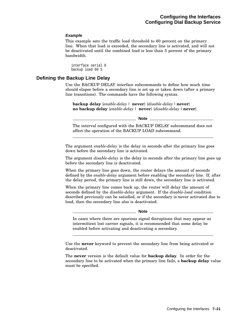This example sets the traffic load threshold to 60 percent on the primary line. When that load is exceeded, the secondary line is activated, and will not be deactivated until the combined load is less than 5 percent of the primary bandwidth.

interface serial 0 backup load 60 5

## **Defining the Backup Line Delay**

Use the BACKUP DELAY interface subcommands to define how much time should elapse before a secondary line is set up or taken down (after a primary line transitions). The commands have the following syntax:

**backup delay** {*enable-delay* | **never**} {*disable-delay* |**never**} **no backup delay** {*enable-delay* | **never**} {*disable-delay* |**never**}

**Note**

The interval configured with the BACKUP DELAY subcommand does not affect the operation of the BACKUP LOAD subcommand.

The argument *enable-delay* is the delay in seconds after the primary line goes down before the secondary line is activated.

The argument *disable-delay* is the delay in seconds after the primary line goes up before the secondary line is deactivated.

When the primary line goes down, the router delays the amount of seconds defined by the *enable-delay* argument before enabling the secondary line. If, after the delay period, the primary line is still down, the secondary line is activated.

When the primary line comes back up, the router will delay the amount of seconds defined by the *disable-delay* argument. If the *disable-load* condition described previously can be satisfied, or if the secondary is never activated due to load, then the secondary line also is deactivated.

#### **Note** \_\_

In cases where there are spurious signal disruptions that may appear as intermittent lost carrier signals, it is recommended that some delay be enabled before activating and deactivating a secondary.

Use the **never** keyword to prevent the secondary line from being activated or deactivated.

The **never** version is the default value for **backup delay**. In order for the secondary line to be activated when the primary line fails, a **backup delay** value must be specified.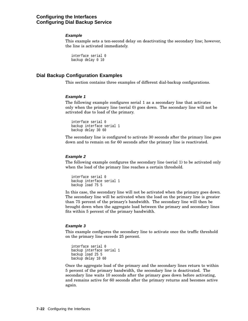This example sets a ten-second delay on deactivating the secondary line; however, the line is activated immediately.

```
interface serial 0
backup delay 0 10
```
## **Dial Backup Configuration Examples**

This section contains three examples of different dial-backup configurations.

### **Example 1**

The following example configures serial 1 as a secondary line that activates only when the primary line (serial 0) goes down. The secondary line will not be activated due to load of the primary.

```
interface serial 0
backup interface serial 1
backup delay 30 60
```
The secondary line is configured to activate 30 seconds after the primary line goes down and to remain on for 60 seconds after the primary line is reactivated.

### **Example 2**

The following example configures the secondary line (serial 1) to be activated only when the load of the primary line reaches a certain threshold.

interface serial 0 backup interface serial 1 backup load 75 5

In this case, the secondary line will not be activated when the primary goes down. The secondary line will be activated when the load on the primary line is greater than 75 percent of the primary's bandwidth. The secondary line will then be brought down when the aggregate load between the primary and secondary lines fits within 5 percent of the primary bandwidth.

### **Example 3**

This example configures the secondary line to activate once the traffic threshold on the primary line exceeds 25 percent.

```
interface serial 0
backup interface serial 1
backup load 25 5
backup delay 10 60
```
Once the aggregate load of the primary and the secondary lines return to within 5 percent of the primary bandwidth, the secondary line is deactivated. The secondary line waits 10 seconds after the primary goes down before activating, and remains active for 60 seconds after the primary returns and becomes active again.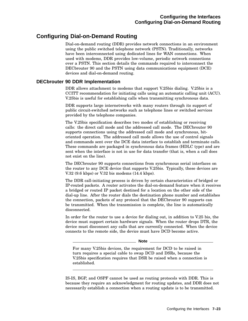## **Configuring Dial-on-Demand Routing**

Dial-on-demand routing (DDR) provides network connections in an environment using the public switched telephone network (PSTN). Traditionally, networks have been interconnected using dedicated lines for WAN connections. When used with modems, DDR provides low-volume, periodic network connections over a PSTN. This section details the commands required to interconnect the DECbrouter 90 and the PSTN using data communications equipment (DCE) devices and dial-on-demand routing.

## **DECbrouter 90 DDR Implementation**

DDR allows attachment to modems that support V.25bis dialing. V.25bis is a CCITT recommendation for initiating calls using an automatic calling unit (ACU). V.25bis is useful for establishing calls when transmitting synchronous data.

DDR supports large internetworks with many routers through its support of public circuit-switched networks such as telephone lines or switched services provided by the telephone companies.

The V.25bis specification describes two modes of establishing or receiving calls: the direct call mode and the addressed call mode. The DECbrouter 90 supports connections using the addressed call mode and synchronous, bitoriented operation. The addressed call mode allows the use of control signals and commands sent over the DCE data interface to establish and terminate calls. These commands are packaged in synchronous data frames (HDLC type) and are sent when the interface is not in use for data transfer (that is, when a call does not exist on the line).

The DECbrouter 90 supports connections from synchronous serial interfaces on the router to any DCE device that supports V.25bis. Typically, these devices are V.32 (9.6 kbps) or V.32 bis modems (14.4 kbps).

The DDR call-initiating process is driven by certain characteristics of bridged or IP-routed packets. A router activates the dial-on-demand feature when it receives a bridged or routed IP packet destined for a location on the other side of the dial-up line. After the router dials the destination phone number and establishes the connection, packets of any protocol that the DECbrouter 90 supports can be transmitted. When the transmission is complete, the line is automatically disconnected.

In order for the router to use a device for dialing out, in addition to V.25 bis, the device must support certain hardware signals. When the router drops DTR, the device must disconnect any calls that are currently connected. When the device connects to the remote side, the device must have DCD become active.

**Note**

For many V.25bis devices, the requirement for DCD to be raised in turn requires a special cable to swap DCD and DSRs, because the V.25bis specification requires that DSR be raised when a connection is established.

IS-IS, BGP, and OSPF cannot be used as routing protocols with DDR. This is because they require an acknowledgment for routing updates, and DDR does not necessarily establish a connection when a routing update is to be transmitted.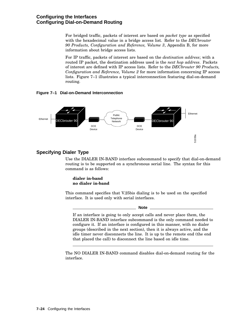## **Configuring the Interfaces Configuring Dial-on-Demand Routing**

For bridged traffic, packets of interest are based on *packet type* as specified with the hexadecimal value in a bridge access list. Refer to the *DECbrouter 90 Products, Configuration and Reference, Volume 3*, Appendix B, for more information about bridge access lists.

For IP traffic, packets of interest are based on the *destination address*; with a routed IP packet, the destination address used is the *next hop address*. Packets of interest are defined with IP access lists. Refer to the *DECbrouter 90 Products, Configuration and Reference, Volume 2* for more information concerning IP access lists. Figure 7–1 illustrates a typical interconnection featuring dial-on-demand routing.

### **Figure 7–1 Dial-on-Demand Interconnection**



## **Specifying Dialer Type**

Use the DIALER IN-BAND interface subcommand to specify that dial-on-demand routing is to be supported on a synchronous serial line. The syntax for this command is as follows:

## **dialer in-band no dialer in-band**

This command specifies that V.25bis dialing is to be used on the specified interface. It is used only with serial interfaces.

#### **Note**

If an interface is going to only accept calls and never place them, the DIALER IN-BAND interface subcommand is the only command needed to configure it. If an interface is configured in this manner, with no dialer groups (described in the next section), then it is always active, and the idle timer never disconnects the line. It is up to the remote end (the end that placed the call) to disconnect the line based on idle time.

The NO DIALER IN-BAND command disables dial-on-demand routing for the interface.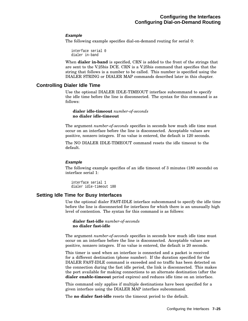The following example specifies dial-on-demand routing for serial 0:

```
interface serial 0
dialer in-band
```
When **dialer in-band** is specified, CRN is added to the front of the strings that are sent to the V.25bis DCE. CRN is a V.25bis command that specifies that the string that follows is a number to be called. This number is specified using the DIALER STRING or DIALER MAP commands described later in this chapter.

## **Controlling Dialer Idle Time**

Use the optional DIALER IDLE-TIMEOUT interface subcommand to specify the idle time before the line is disconnected. The syntax for this command is as follows:

**dialer idle-timeout** *number-of-seconds* **no dialer idle-timeout**

The argument *number-of-seconds* specifies in seconds how much idle time must occur on an interface before the line is disconnected. Acceptable values are positive, nonzero integers. If no value is entered, the default is 120 seconds.

The NO DIALER IDLE-TIMEOUT command resets the idle timeout to the default.

### **Example**

The following example specifies of an idle timeout of 3 minutes (180 seconds) on interface serial 1:

interface serial 1 dialer idle-timeout 180

## **Setting Idle Time for Busy Interfaces**

Use the optional dialer FAST-IDLE interface subcommand to specify the idle time before the line is disconnected for interfaces for which there is an unusually high level of contention. The syntax for this command is as follows:

### **dialer fast-idle** *number-of-seconds* **no dialer fast-idle**

The argument *number-of-seconds* specifies in seconds how much idle time must occur on an interface before the line is disconnected. Acceptable values are positive, nonzero integers. If no value is entered, the default is 20 seconds.

This timer is used when an interface is connected and a packet is received for a different destination (phone number). If the duration specified for the DIALER FAST-IDLE command is exceeded and no traffic has been detected on the connection during the fast idle period, the link is disconnected. This makes the port available for making connections to an alternate destination (after the **dialer enable-timeout** period expires) and reduces idle time on an interface.

This command only applies if multiple destinations have been specified for a given interface using the DIALER MAP interface subcommand.

The **no dialer fast-idle** resets the timeout period to the default.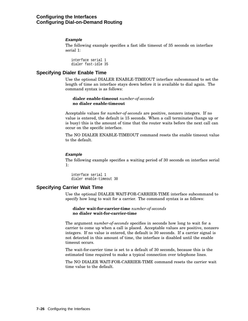The following example specifies a fast idle timeout of 35 seconds on interface serial 1:

interface serial 1 dialer fast-idle 35

## **Specifying Dialer Enable Time**

Use the optional DIALER ENABLE-TIMEOUT interface subcommand to set the length of time an interface stays down before it is available to dial again. The command syntax is as follows:

### **dialer enable-timeout** *number-of-seconds* **no dialer enable-timeout**

Acceptable values for *number-of-seconds* are positive, nonzero integers. If no value is entered, the default is 15 seconds. When a call terminates (hangs up or is busy) this is the amount of time that the router waits before the next call can occur on the specific interface.

The NO DIALER ENABLE-TIMEOUT command resets the enable timeout value to the default.

### **Example**

The following example specifies a waiting period of 30 seconds on interface serial 1:

interface serial 1 dialer enable-timeout 30

## **Specifying Carrier Wait Time**

Use the optional DIALER WAIT-FOR-CARRIER-TIME interface subcommand to specify how long to wait for a carrier. The command syntax is as follows:

**dialer wait-for-carrier-time** *number-of-seconds* **no dialer wait-for-carrier-time**

The argument *number-of-seconds* specifies in seconds how long to wait for a carrier to come up when a call is placed. Acceptable values are positive, nonzero integers. If no value is entered, the default is 30 seconds. If a carrier signal is not detected in this amount of time, the interface is disabled until the enable timeout occurs.

The wait-for-carrier time is set to a default of 30 seconds, because this is the estimated time required to make a typical connection over telephone lines.

The NO DIALER WAIT-FOR-CARRIER-TIME command resets the carrier wait time value to the default.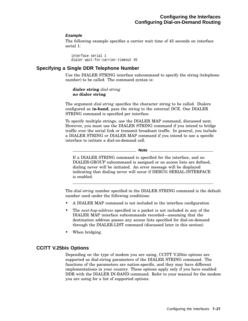The following example specifies a carrier wait time of 45 seconds on interface serial 1:

interface serial 1 dialer wait-for-carrier-timeout 45

## **Specifying a Single DDR Telephone Number**

Use the DIALER STRING interface subcommand to specify the string (telephone number) to be called. The command syntax is:

**dialer string** *dial-string* **no dialer string**

The argument *dial-string* specifies the character string to be called. Dialers configured as **in-band**, pass the string to the external DCE. One DIALER STRING command is specified per interface.

To specify multiple strings, use the DIALER MAP command, discussed next. However, you must use the DIALER STRING command if you intend to bridge traffic over the serial link or transmit broadcast traffic. In general, you include a DIALER STRING or DIALER MAP command if you intend to use a specific interface to initiate a dial-on-demand call.

**Note**

If a DIALER STRING command is specified for the interface, and no DIALER-GROUP subcommand is assigned or no access lists are defined, dialing never will be initiated. An error message will be displayed indicating that dialing never will occur if DEBUG SERIAL-INTERFACE is enabled.

The *dial-string* number specified in the DIALER STRING command is the default number used under the following conditions:

- A DIALER MAP command is not included in the interface configuration
- The *next-hop-address* specified in a packet is not included in any of the DIALER MAP interface subcommands recorded—assuming that the destination address passes any access lists specified for dial-on-demand through the DIALER-LIST command (discussed later in this section)
- When bridging.

## **CCITT V.25bis Options**

Depending on the type of modem you are using, CCITT V.25bis options are supported as dial-string parameters of the DIALER STRING command. The functions of the parameters are nation-specific, and they may have different implementations in your country. These options apply only if you have enabled DDR with the DIALER IN-BAND command. Refer to your manual for the modem you are using for a list of supported options.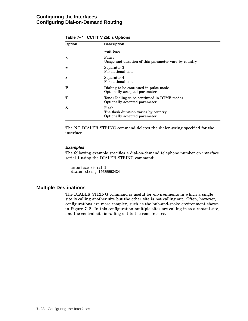## **Configuring the Interfaces Configuring Dial-on-Demand Routing**

| Option | <b>Description</b>                                                               |
|--------|----------------------------------------------------------------------------------|
|        | wait tone                                                                        |
| ⋖      | Pause<br>Usage and duration of this parameter vary by country.                   |
|        | Separator 3<br>For national use.                                                 |
|        | Separator 4<br>For national use.                                                 |
| P      | Dialing to be continued in pulse mode.<br>Optionally accepted parameter.         |
| т      | Tone (Dialing to be continued in DTMF mode)<br>Optionally accepted parameter.    |
| &      | Flash<br>The flash duration varies by country.<br>Optionally accepted parameter. |

### **Table 7–4 CCITT V.25bis Options**

The NO DIALER STRING command deletes the dialer string specified for the interface.

### **Examples**

The following example specifies a dial-on-demand telephone number on interface serial 1 using the DIALER STRING command:

interface serial 1 dialer string 14085553434

## **Multiple Destinations**

The DIALER STRING command is useful for environments in which a single site is calling another site but the other site is not calling out. Often, however, configurations are more complex, such as the hub-and-spoke environment shown in Figure 7–2. In this configuration multiple sites are calling in to a central site, and the central site is calling out to the remote sites.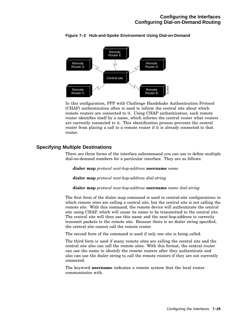

## **Figure 7–2 Hub-and-Spoke Environment Using Dial-on-Demand**

In this configuration, PPP with Challenge Handshake Authentication Protocol (CHAP) authentication often is used to inform the central site about which remote routers are connected to it. Using CHAP authentication, each remote router identifies itself by a name, which informs the central router what routers are currently connected to it. This identification process prevents the central router from placing a call to a remote router if it is already connected to that router.

## **Specifying Multiple Destinations**

There are three forms of the interface subcommand you can use to define multiple dial-on-demand numbers for a particular interface. They are as follows:

**dialer map** *protocol next-hop-address* **username** *name*

**dialer map** *protocol next-hop-address dial-string*

**dialer map** *protocol next-hop-address* **username** *name dial-string*

The first form of the dialer map command is used in central-site configurations in which remote sites are calling a central site, but the central site is not calling the remote site. With this command, the remote device will authenticate the central site using CHAP, which will cause its name to be transmitted to the central site. The central site will then use this name and the next-hop-address to correctly transmit packets to the remote site. Because there is no dialer string specified, the central site cannot call the remote router.

The second form of the command is used if only one site is being called.

The third form is used if many remote sites are calling the central site and the central site also can call the remote sites. With this format, the central router can use the name to identify the remote routers after they authenticate and also can use the dialer string to call the remote routers if they are not currently connected.

The keyword **username** indicates a remote system that the local router communicates with.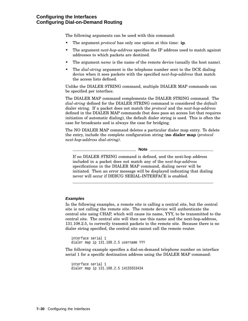## **Configuring the Interfaces Configuring Dial-on-Demand Routing**

The following arguments can be used with this command:

- The argument *protocol* has only one option at this time: **ip**.
- The argument *next-hop-address* specifies the IP address used to match against addresses to which packets are destined.
- The argument *name* is the name of the remote device (usually the host name).
- The *dial-string* argument is the telephone number sent to the DCE dialing device when it sees packets with the specified *next-hop-address* that match the access lists defined.

Unlike the DIALER STRING command, multiple DIALER MAP commands can be specified per interface.

The DIALER MAP command complements the DIALER STRING command. The *dial-string* defined for the DIALER STRING command is considered the *default* dialer string. If a packet does not match the *protocol* and the *next-hop-address* defined in the DIALER MAP commands (but does pass an access list that requires initiation of automatic dialing), the default dialer string is used. This is often the case for broadcasts and is always the case for bridging.

The NO DIALER MAP command deletes a particular dialer map entry. To delete the entry, include the complete configuration string (**no dialer map** *(protocol next-hop-address dial-string)*.

**Note**

If no DIALER STRING command is defined, and the next-hop address included in a packet does not match any of the *next-hop-address* specifications in the DIALER MAP command, dialing never will be initiated. Then an error message will be displayed indicating that dialing never will occur if DEBUG SERIAL-INTERFACE is enabled.

### **Examples**

In the following examples, a remote site is calling a central site, but the central site is not calling the remote site. The remote device will authenticate the central site using CHAP, which will cause its name, YYY, to be transmitted to the central site. The central site will then use this name and the next-hop-address, 131.108.2.5, to correctly transmit packets to the remote site. Because there is no dialer string specified, the central site cannot call the remote router.

```
interface serial 1
dialer map ip 131.108.2.5 username YYY
```
The following example specifies a dial-on-demand telephone number on interface serial 1 for a specific destination address using the DIALER MAP command:

```
interface serial 1
dialer map ip 131.108.2.5 14155553434
```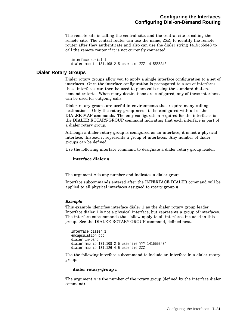The remote site is calling the central site, and the central site is calling the remote site. The central router can use the name, ZZZ, to identify the remote router after they authenticate and also can use the dialer string 1415555343 to call the remote router if it is not currently connected.

interface serial 1 dialer map ip 131.108.2.5 username ZZZ 1415555343

## **Dialer Rotary Groups**

Dialer rotary groups allow you to apply a single interface configuration to a set of interfaces. Once the interface configuration is propagated to a set of interfaces, those interfaces can then be used to place calls using the standard dial-ondemand criteria. When many destinations are configured, any of these interfaces can be used for outgoing calls.

Dialer rotary groups are useful in environments that require many calling destinations. Only the rotary group needs to be configured with all of the DIALER MAP commands. The only configuration required for the interfaces is the DIALER ROTARY-GROUP command indicating that each interface is part of a dialer rotary group.

Although a dialer rotary group is configured as an interface, it is not a physical interface. Instead it represents a group of interfaces. Any number of dialer groups can be defined.

Use the following interface command to designate a dialer rotary group leader:

```
interface dialer n
```
The argument *n* is any number and indicates a dialer group.

Interface subcommands entered after the INTERFACE DIALER command will be applied to all physical interfaces assigned to rotary group *n*.

### **Example**

This example identifies interface dialer 1 as the dialer rotary group leader. Interface dialer 1 is not a physical interface, but represents a group of interfaces. The interface subcommands that follow apply to all interfaces included in this group. See the DIALER ROTARY-GROUP command, defined next.

```
interface dialer 1
encapsulation ppp
dialer in-band
dialer map ip 131.108.2.5 username YYY 1415553434
dialer map ip 131.126.4.5 username ZZZ
```
Use the following interface subcommand to include an interface in a dialer rotary group:

### **dialer rotary-group** *n*

The argument  $n$  is the number of the rotary group (defined by the interface dialer command).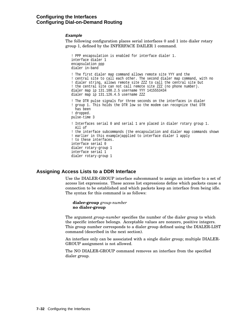## **Configuring the Interfaces Configuring Dial-on-Demand Routing**

### **Example**

The following configuration places serial interfaces 0 and 1 into dialer rotary group 1, defined by the INFERFACE DAILER 1 command.

```
! PPP encapsulation is enabled for interface dialer 1.
interface dialer 1
encapsulation ppp
dialer in-band
! The first dialer map command allows remote site YYY and the
! central site to call each other. The second dialer map command, with no
! dialer string, allows remote site ZZZ to call the central site but
! the central site can not call remote site ZZZ (no phone number).
dialer map ip 131.108.2.5 username YYY 1415553434
dialer map ip 131.126.4.5 username ZZZ
! The DTR pulse signals for three seconds on the interfaces in dialer
! group 1. This holds the DTR low so the modem can recognize that DTR
  has been
! dropped.
pulse-time 3
! Interfaces serial 0 and serial 1 are placed in dialer rotary group 1.
 All of
! the interface subcommands (the encapsulation and dialer map commands shown
! earlier in this example)applied to interface dialer 1 apply
! to these interfaces.
interface serial 0
dialer rotary-group 1
interface serial 1
dialer rotary-group 1
```
## **Assigning Access Lists to a DDR Interface**

Use the DIALER-GROUP interface subcommand to assign an interface to a set of access list expressions. These access list expressions define which packets cause a connection to be established and which packets keep an interface from being idle. The syntax for this command is as follows:

**dialer-group** *group-number* **no dialer-group**

The argument *group-number* specifies the number of the dialer group to which the specific interface belongs. Acceptable values are nonzero, positive integers. This group number corresponds to a dialer group defined using the DIALER-LIST command (described in the next section).

An interface only can be associated with a single dialer group; multiple DIALER-GROUP assignment is not allowed.

The NO DIALER-GROUP command removes an interface from the specified dialer group.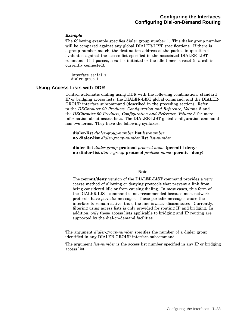The following example specifies dialer group number 1. This dialer group number will be compared against any global DIALER-LIST specifications. If there is a group number match, the destination address of the packet in question is evaluated against the access list specified in the associated DIALER-LIST command. If it passes, a call is initiated or the idle timer is reset (if a call is currently connected).

```
interface serial 1
dialer-group 1
```
## **Using Access Lists with DDR**

Control automatic dialing using DDR with the following combination: standard IP or bridging access lists; the DIALER-LIST global command; and the DIALER-GROUP interface subcommand (described in the preceding section). Refer to the *DECbrouter 90 Products, Configuration and Reference, Volume 2* and the *DECbrouter 90 Products, Configuration and Reference, Volume 3* for more information about access lists. The DIALER-LIST global configuration command has two forms. They have the following syntaxes:

**dialer-list** *dialer-group-number* **list** *list-number* **no dialer-list** *dialer-group-number* **list** *list-number*

**dialer-list** *dialer-group* **protocol** *protocol-name* {**permit** |**deny**} **no dialer-list** *dialer-group* **protocol** *protocol-name* {**permit** |**deny**}

#### **Note**

The **permit/deny** version of the DIALER-LIST command provides a very coarse method of allowing or denying protocols that prevent a link from being considered idle or from causing dialing. In most cases, this form of the DIALER-LIST command is not recommended because most network protocols have *periodic* messages. These periodic messages cause the interface to remain active; thus, the line is *never* disconnected. Currently, filtering using access lists is only provided for routing IP and bridging. In addition, *only* those access lists applicable to bridging and IP routing are supported by the dial-on-demand facilities.

The argument *dialer-group-number* specifies the number of a dialer group identified in any DIALER GROUP interface subcommand.

The argument *list-number* is the access list number specified in any IP or bridging access list.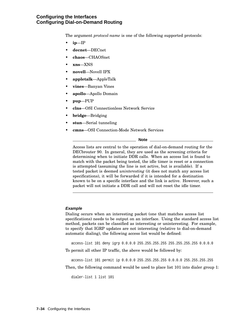## **Configuring the Interfaces Configuring Dial-on-Demand Routing**

The argument *protocol-name* is one of the following supported protocols:

- **ip**—IP
- **decnet**—DECnet
- **chaos**—CHAOSnet
- **xns**—XNS
- **novell**—Novell IPX
- **appletalk**—AppleTalk
- **vines**—Banyan Vines
- **apollo**—Apollo Domain
- **pup**—PUP
- **clns**—OSI Connectionless Network Service
- **bridge**—Bridging
- **stun**—Serial tunneling
- **cmns**—OSI Connection-Mode Network Services

**Note**

Access lists are central to the operation of dial-on-demand routing for the DECbrouter 90. In general, they are used as the screening criteria for determining when to initiate DDR calls. When an access list is found to match with the packet being tested, the idle timer is reset or a connection is attempted (assuming the line is not active, but is available). If a tested packet is deemed *uninteresting* (it does not match any access list specifications), it will be forwarded if it is intended for a destination known to be on a specific interface and the link is active. However, such a packet will not initiate a DDR call and will not reset the idle timer.

### **Example**

Dialing occurs when an interesting packet (one that matches access list specifications) needs to be output on an interface. Using the standard access list method, packets can be classified as interesting or uninteresting. For example, to specify that IGRP updates are not interesting (relative to dial-on-demand automatic dialing), the following access list would be defined:

access-list 101 deny igrp 0.0.0.0 255.255.255.255 255.255.255.255 0.0.0.0

To permit all other IP traffic, the above would be followed by:

access-list 101 permit ip 0.0.0.0 255.255.255.255 0.0.0.0 255.255.255.255

Then, the following command would be used to place list 101 into dialer group 1:

dialer-list 1 list 101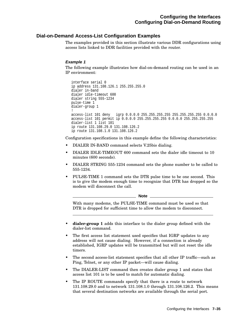## **Dial-on-Demand Access-List Configuration Examples**

The examples provided in this section illustrate various DDR configurations using access lists linked to DDR facilities provided with the router.

### **Example 1**

The following example illustrates how dial-on-demand routing can be used in an IP environment:

```
interface serial 0
ip address 131.108.126.1 255.255.255.0
dialer in-band
dialer idle-timeout 600
dialer string 555-1234
pulse-time 1
dialer-group 1
!
access-list 101 deny igrp 0.0.0.0 255.255.255.255 255.255.255.255 0.0.0.0
access-list 101 permit ip 0.0.0.0 255.255.255.255 0.0.0.0 255.255.255.255
dialer-list 1 list 101
ip route 131.108.29.0 131.108.126.2
ip route 131.108.1.0 131.108.126.2
```
Configuration specifications in this example define the following characteristics:

- DIALER IN-BAND command selects V.25bis dialing.
- DIALER IDLE-TIMEOUT 600 command sets the dialer idle timeout to 10 minutes (600 seconds).
- DIALER STRING 555-1234 command sets the phone number to be called to 555-1234.
- PULSE-TIME 1 command sets the DTR pulse time to be one second. This is to give the modem enough time to recognize that DTR has dropped so the modem will disconnect the call.

**Note**

With many modems, the PULSE-TIME command must be used so that DTR is dropped for sufficient time to allow the modem to disconnect.

- **dialer-group 1** adds this interface to the dialer group defined with the dialer-list command.
- The first access list statement used specifies that IGRP updates to any address will not cause dialing. However, if a connection is already established, IGRP updates will be transmitted but will not reset the idle timers.
- The second access-list statement specifies that all other IP traffic—such as Ping, Telnet, or any other IP packet—will cause dialing.
- The DIALER-LIST command then creates dialer group 1 and states that access list 101 is to be used to match for automatic dialing.
- The IP ROUTE commands specify that there is a route to network 131.108.29.0 and to network 131.108.1.0 through 131.108.126.2. This means that several destination networks are available through the serial port.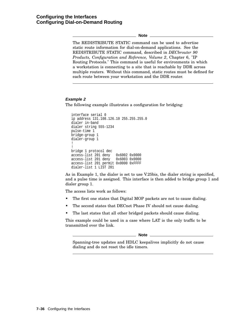**Note**

The REDISTRIBUTE STATIC command can be used to advertise static route information for dial-on-demand applications. See the REDISTRIBUTE STATIC command, described in *DECbrouter 90 Products, Configuration and Reference, Volume 2*, Chapter 6, "IP Routing Protocols." This command is useful for environments in which a workstation is connecting to a site that is reachable by DDR across multiple routers. Without this command, static routes must be defined for each route between your workstation and the DDR router.

## **Example 2**

The following example illustrates a configuration for bridging:

```
interface serial 0
ip address 131.108.126.10 255.255.255.0
dialer in-band
dialer string 555-1234
pulse-time 1
bridge-group 1
dialer-group 1
!
!
bridge 1 protocol dec
access-list 201 deny 0x6002 0x0000
access-list 201 deny 0x6003 0x0000
access-list 201 permit 0x0000 0xFFFF
dialer-list 1 LIST 201
```
As in Example 1, the dialer is set to use V.25bis, the dialer string is specified, and a pulse time is assigned. This interface is then added to bridge group 1 and dialer group 1.

The access lists work as follows:

- The first one states that Digital MOP packets are not to cause dialing.
- The second states that DECnet Phase IV should not cause dialing.
- The last states that all other bridged packets should cause dialing.

This example could be used in a case where LAT is the only traffic to be transmitted over the link.

**Note**

Spanning-tree updates and HDLC keepalives implicitly do not cause dialing and do not reset the idle timers.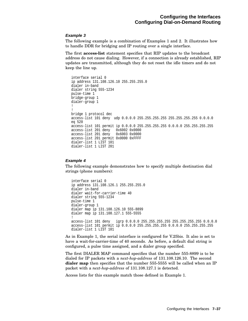The following example is a combination of Examples 1 and 2. It illustrates how to handle DDR for bridging and IP routing over a single interface.

The first **access-list** statement specifies that RIP updates to the broadcast address do not cause dialing. However, if a connection is already established, RIP updates are transmitted, although they do not reset the idle timers and do not keep the line up.

```
interface serial 0
ip address 131.108.126.10 255.255.255.0
dialer in-band
dialer string 555-1234
pulse-time 1
bridge-group 1
dialer-group 1
!
!
bridge 1 protocol dec
access-list 101 deny udp 0.0.0.0 255.255.255.255 255.255.255.255 0.0.0.0
eq 520
access-list 101 permit ip 0.0.0.0 255.255.255.255 0.0.0.0 255.255.255.255
access-list 201 deny 0x6002 0x0000
access-list 201 deny 0x6003 0x0000
access-list 201 permit 0x0000 0xFFFF
dialer-list 1 LIST 101
dialer-list 1 LIST 201
```
### **Example 4**

The following example demonstrates how to specify multiple destination dial strings (phone numbers):

```
interface serial 0
ip address 131.108.126.1 255.255.255.0
dialer in-band
dialer wait-for-carrier-time 40
dialer string 555-1234
pulse-time 1
dialer-group 1
dialer map ip 131.108.126.10 555-8899
dialer map ip 131.108.127.1 555-5555
!
access-list 101 deny igrp 0.0.0.0 255.255.255.255 255.255.255.255 0.0.0.0
access-list 101 permit ip 0.0.0.0 255.255.255.255 0.0.0.0 255.255.255.255
dialer-list 1 LIST 101
```
As in Example 1, the serial interface is configured for V.25bis. It also is set to have a wait-for-carrier-time of 40 seconds. As before, a default dial string is configured, a pulse time assigned, and a dialer group specified.

The first DIALER MAP command specifies that the number 555-8899 is to be dialed for IP packets with a *next-hop-address* of 131.108.126.10. The second **dialer map** then specifies that the number 555-5555 will be called when an IP packet with a *next-hop-address* of 131.108.127.1 is detected.

Access lists for this example match those defined in Example 1.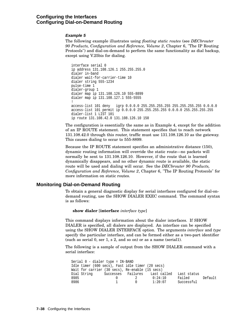## **Configuring the Interfaces Configuring Dial-on-Demand Routing**

### **Example 5**

The following example illustrates using *floating static routes* (see *DECbrouter 90 Products, Configuration and Reference, Volume 2*, Chapter 6, "The IP Routing Protocols") and dial-on-demand to perform the same functionality as dial backup, except using V.25bis for dialing.

```
interface serial 0
ip address 131.108.126.1 255.255.255.0
dialer in-band
dialer wait-for-carrier-time 10
dialer string 555-1234
pulse-time 1
dialer-group 1
dialer map ip 131.108.126.10 555-8899
dialer map ip 131.108.127.1 555-5555
!
access-list 101 deny igrp 0.0.0.0 255.255.255.255 255.255.255.255 0.0.0.0
access-list 101 permit ip 0.0.0.0 255.255.255.255 0.0.0.0 255.255.255.255
dialer-list 1 LIST 101
ip route 131.108.42.0 131.108.126.10 150
```
The configuration is essentially the same as in Example 4, except for the addition of an IP ROUTE statement. This statement specifies that to reach network 131.108.42.0 through this router, traffic must use 131.108.126.10 as the gateway. This causes dialing to occur to 555-8899.

Because the IP ROUTE statement specifies an administrative distance (150), dynamic routing information will override the static route—no packets will normally be sent to 131.108.126.10. However, if the route that is learned dynamically disappears, and no other dynamic route is available, the static route will be used and dialing will occur. See the *DECbrouter 90 Products, Configuration and Reference, Volume 2*, Chapter 6, "The IP Routing Protocols" for more information on static routes.

## **Monitoring Dial-on-Demand Routing**

To obtain a general diagnostic display for serial interfaces configured for dial-ondemand routing, use the SHOW DIALER EXEC command. The command syntax is as follows:

**show dialer** [**interface** *interface type*]

This command displays information about the dialer interfaces. If SHOW DIALER is specified, all dialers are displayed. An interface can be specified using the SHOW DIALER INTERFACE option. The arguments *interface* and *type* specify the particular interface, and can be formed either as a two-part identifier (such as serial 0, ser 1, s 2, and so on) or as a name (serial1).

The following is a sample of output from the SHOW DIALER command with a serial interface:

|      | Serial 0 - dialer type = IN-BAND                 |                                            |             |         |
|------|--------------------------------------------------|--------------------------------------------|-------------|---------|
|      | Idle timer (600 secs), Fast idle timer (20 secs) |                                            |             |         |
|      | Wait for carrier (30 secs), Re-enable (15 secs)  |                                            |             |         |
|      |                                                  | Dial String Successes Failures Last called | Last status |         |
| 8985 |                                                  | 0:24:10                                    | Failed      | Default |
| 8986 |                                                  | 1:20:07                                    | Successful  |         |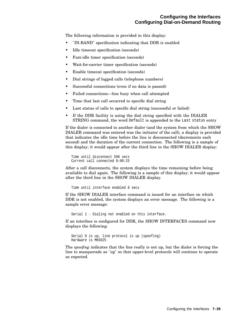## **Configuring the Interfaces Configuring Dial-on-Demand Routing**

The following information is provided in this display:

- "IN-BAND" specification indicating that DDR is enabled
- Idle timeout specification (seconds)
- Fast-idle timer specification (seconds)
- Wait-for-carrier timer specification (seconds)
- Enable timeout specification (seconds)
- Dial strings of logged calls (telephone numbers)
- Successful connections (even if no data is passed)
- Failed connections—line busy when call attempted
- Time that last call occurred to specific dial string
- Last status of calls to specific dial string (successful or failed)
- If the DDR facility is using the dial string specified with the DIALER STRING command, the word Default is appended to the Last status entry

If the dialer is connected to another dialer (and the system from which the SHOW DIALER command was entered was the initiator of the call), a display is provided that indicates the idle time before the line is disconnected (decrements each second) and the duration of the current connection. The following is a sample of this display; it would appear after the third line in the SHOW DIALER display:

```
Time until disconnect 596 secs
Current call connected 0:00:25
```
After a call disconnects, the system displays the time remaining before being available to dial again. The following is a sample of this display; it would appear after the third line in the SHOW DIALER display.

Time until interface enabled 8 secs

If the SHOW DIALER interface command is issued for an interface on which DDR is not enabled, the system displays an error message. The following is a sample error message:

Serial 1 - Dialing not enabled on this interface.

If an interface is configured for DDR, the SHOW INTERFACES command now displays the following:

Serial 0 is up, line protocol is up (spoofing) Hardware is MK5025

The *spoofing* indicates that the line really is not up, but the dialer is forcing the line to masquerade as "up" so that upper-level protocols will continue to operate as expected.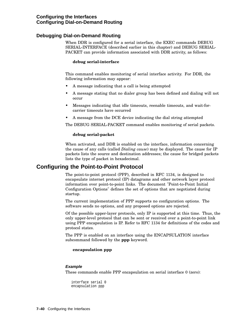## **Debugging Dial-on-Demand Routing**

When DDR is configured for a serial interface, the EXEC commands DEBUG SERIAL-INTERFACE (described earlier in this chapter) and DEBUG SERIAL-PACKET can provide information associated with DDR activity, as follows:

### **debug serial-interface**

This command enables monitoring of serial interface activity. For DDR, the following information may appear:

- A message indicating that a call is being attempted
- A message stating that no dialer group has been defined and dialing will not occur
- Messages indicating that idle timeouts, reenable timeouts, and wait-forcarrier timeouts have occurred
- A message from the DCE device indicating the dial string attempted

The DEBUG SERIAL-PACKET command enables monitoring of serial packets.

### **debug serial-packet**

When activated, and DDR is enabled on the interface, information concerning the cause of any calls (called *Dialing cause*) may be displayed. The cause for IP packets lists the source and destination addresses; the cause for bridged packets lists the type of packet in hexadecimal.

## **Configuring the Point-to-Point Protocol**

The point-to-point protocol (PPP), described in RFC 1134, is designed to encapsulate internet protocol (IP) datagrams and other network layer protocol information over point-to-point links. The document "Point-to-Point Initial Configuration Options" defines the set of options that are negotiated during startup.

The current implementation of PPP supports no configuration options. The software sends no options, and any proposed options are rejected.

Of the possible upper-layer protocols, only IP is supported at this time. Thus, the only upper-level protocol that can be sent or received over a point-to-point link using PPP encapsulation is IP. Refer to RFC 1134 for definitions of the codes and protocol states.

The PPP is enabled on an interface using the ENCAPSULATION interface subcommand followed by the **ppp** keyword.

### **encapsulation ppp**

### **Example**

These commands enable PPP encapsulation on serial interface 0 (zero):

```
interface serial 0
encapsulation ppp
```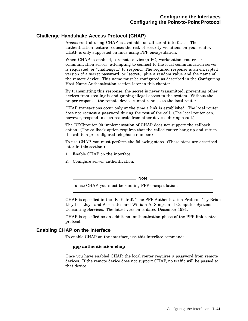## **Challenge Handshake Access Protocol (CHAP)**

Access control using CHAP is available on all serial interfaces. The authentication feature reduces the risk of security violations on your router. CHAP is only supported on lines using PPP encapsulation.

When CHAP is enabled, a remote device (a PC, workstation, router, or communication server) attempting to connect to the local communication server is requested, or "challenged," to respond. The required response is an encrypted version of a secret password, or "secret," plus a random value and the name of the remote device. This name must be configured as described in the Configuring Host Name Authentication section later in this chapter.

By transmitting this response, the secret is never transmitted, preventing other devices from stealing it and gaining illegal access to the system. Without the proper response, the remote device cannot connect to the local router.

CHAP transactions occur only at the time a link is established. The local router does not request a password during the rest of the call. (The local router can, however, respond to such requests from other devices during a call.)

The DECbrouter 90 implementation of CHAP does not support the callback option. (The callback option requires that the called router hang up and return the call to a preconfigured telephone number.)

To use CHAP, you must perform the following steps. (These steps are described later in this section.)

- 1. Enable CHAP on the interface.
- 2. Configure server authentication.

**Note** \_\_\_

To use CHAP, you must be running PPP encapsulation.

CHAP is specified in the IETF draft "The PPP Authentication Protocols" by Brian Lloyd of Lloyd and Associates and William A. Simpson of Computer Systems Consulting Services. The latest version is dated December 1991.

CHAP is specified as an additional authentication phase of the PPP link control protocol.

## **Enabling CHAP on the Interface**

To enable CHAP on the interface, use this interface command:

### **ppp authentication chap**

Once you have enabled CHAP, the local router requires a password from remote devices. If the remote device does not support CHAP, no traffic will be passed to that device.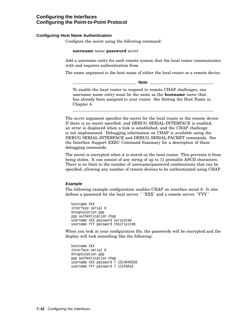## **Configuring the Interfaces Configuring the Point-to-Point Protocol**

### **Configuring Host Name Authentication**

Configure the secret using the following command:

#### **username** *name* **password** *secret*

Add a username entry for each remote system that the local router communicates with and requires authentication from.

The name argument is the host name of either the local router or a remote device.

**Note**

To enable the local router to respond to remote CHAP challenges, one username name entry must be the same as the **hostname** *name* that has already been assigned to your router. See Setting the Host Name in Chapter 4.

The *secret* argument specifies the secret for the local router or the remote device. If there is no secret specified, and DEBUG SERIAL-INTERFACE is enabled, an error is displayed when a link is established, and the CHAP challenge is not implemented. Debugging information on CHAP is available using the DEBUG SERIAL-INTERFACE and DEBUG SERIAL-PACKET commands. See the Interface Support EXEC Command Summary for a description of these debugging commands.

The secret is encrypted when it is stored on the local router. This prevents it from being stolen. It can consist of any string of up to 11 printable ASCII characters. There is no limit to the number of username/password combinations that can be specified, allowing any number of remote devices to be authenticated using CHAP.

### **Example**

The following example configuration enables CHAP on interface serial 0. It also defines a password for the local server, " "XXX" and a remote server, "YYY."

```
hostname XXX
interface serial 0
encapsulation ppp
ppp authentication chap
username XXX password oursystem
username YYY password theirsystem
```
When you look at your configuration file, the passwords will be encrypted and the display will look something like the following:

```
hostname XXX
interface serial 0
encapsulation ppp
ppp authentication chap
username XXX password 7 1514040356
username YYY password 7 121F0A18
```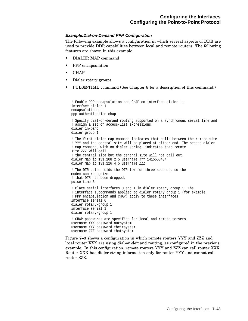## **Example:Dial-on-Demand PPP Configuration**

The following example shows a configuration in which several aspects of DDR are used to provide DDR capabilities between local and remote routers. The following features are shown in this example.

- DIALER MAP command
- PPP encapsulation
- CHAP
- Dialer rotary groups
- PULSE-TIME command (See Chapter 8 for a description of this command.)

```
! Enable PPP encapsulation and CHAP on interface dialer 1.
interface dialer 1
encapsulation ppp
ppp authentication chap
! Specify dial-on-demand routing supported on a synchronous serial line and
! assign a set of access-list expressions.
dialer in-band
dialer group 1
! The first dialer map command indicates that calls between the remote site
! YYY and the central site will be placed at either end. The second dialer
! map command, with no dialer string, indicates that remote
site ZZZ will call
! the central site but the central site will not call out.
dialer map ip 131.108.2.5 username YYY 1415553434
dialer map ip 131.126.4.5 username ZZZ
! The DTR pulse holds the DTR low for three seconds, so the
modem can recognize
! that DTR has been dropped.
pulse-time 3
! Place serial interfaces 0 and 1 in dialer rotary group 1. The
! interface subcommands applied to dialer rotary group 1 (for example,
! PPP encapsulation and CHAP) apply to these interfaces.
interface serial 0
dialer rotary-group 1
interface serial 1
dialer rotary-group 1
! CHAP passwords are specified for local and remote servers.
username XXX password oursystem
username YYY password theirsystem
username ZZZ password thatsystem
```
Figure 7–3 shows a configuration in which remote routers YYY and ZZZ and local router XXX are using dial-on-demand routing, as configured in the previous example. In this configuration, remote routers YYY and ZZZ can call router XXX. Router XXX has dialer string information only for router YYY and cannot call router ZZZ.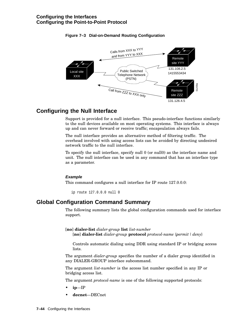

## **Figure 7–3 Dial-on-Demand Routing Configuration**

## **Configuring the Null Interface**

Support is provided for a null interface. This pseudo-interface functions similarly to the null devices available on most operating systems. This interface is always up and can never forward or receive traffic; encapsulation always fails.

The null interface provides an alternative method of filtering traffic. The overhead involved with using access lists can be avoided by directing undesired network traffic to the null interface.

To specify the null interface, specify null 0 (or null0) as the interface name and unit. The null interface can be used in any command that has an interface type as a parameter.

## **Example**

This command configures a null interface for IP route 127.0.0.0:

ip route 127.0.0.0 null 0

## **Global Configuration Command Summary**

The following summary lists the global configuration commands used for interface support.

## [**no**] **dialer-list** *dialer-group* **list** *list-number*

[**no**] **dialer-list** *dialer-group* **protocol** *protocol-name* {*permit | deny*}

Controls automatic dialing using DDR using standard IP or bridging access lists.

The argument *dialer-group* specifies the number of a dialer group identified in any DIALER-GROUP interface subcommand.

The argument *list-number* is the access list number specified in any IP or bridging access list.

The argument *protocol-name* is one of the following supported protocols:

- **ip**—IP
- **decnet**—DECnet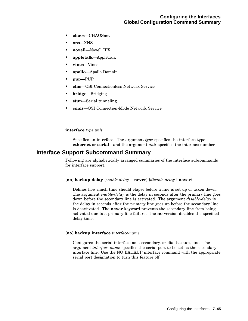- **chaos**—CHAOSnet
- **xns**—XNS
- **novell**—Novell IPX
- **appletalk**—AppleTalk
- **vines**—Vines
- **apollo**—Apollo Domain
- **pup**—PUP
- **clns**—OSI Connectionless Network Service
- **bridge**—Bridging
- **stun**—Serial tunneling
- **cmns**—OSI Connection-Mode Network Service

### **interface** *type unit*

Specifies an interface. The argument *type* specifies the interface type **ethernet** or **serial**—and the argument *unit* specifies the interface number.

## **Interface Support Subcommand Summary**

Following are alphabetically arranged summaries of the interface subcommands for interface support.

### [**no**] **backup delay** {*enable-delay* | **never**} {*disable-delay* |**never**}

Defines how much time should elapse before a line is set up or taken down. The argument *enable-delay* is the delay in seconds after the primary line goes down before the secondary line is activated. The argument *disable-delay* is the delay in seconds after the primary line goes up before the secondary line is deactivated. The **never** keyword prevents the secondary line from being activated due to a primary line failure. The **no** version disables the specified delay time.

### [**no**] **backup interface** *interface-name*

Configures the serial interface as a secondary, or dial backup, line. The argument *interface-name* specifies the serial port to be set as the secondary interface line. Use the NO BACKUP interface command with the appropriate serial port designation to turn this feature off.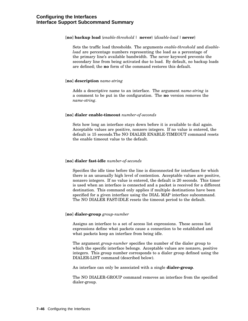### [**no**] **backup load** {*enable-threshold* | **never**} {*disable-load* |**never**}

Sets the traffic load thresholds. The arguments *enable-threshold* and *disableload* are percentage numbers representing the load as a percentage of the primary line's available bandwidth. The never keyword prevents the secondary line from being activated due to load. By default, no backup loads are defined; the **no** form of the command restores this default.

### [**no**] **description** *name-string*

Adds a descriptive name to an interface. The argument *name-string* is a comment to be put in the configuration. The **no** version removes the *name-string*.

### [**no**] **dialer enable-timeout** *number-of-seconds*

Sets how long an interface stays down before it is available to dial again. Acceptable values are positive, nonzero integers. If no value is entered, the default is 15 seconds.The NO DIALER ENABLE-TIMEOUT command resets the enable timeout value to the default.

### [**no**] **dialer fast-idle** *number-of-seconds*

Specifies the idle time before the line is disconnected for interfaces for which there is an unusually high level of contention. Acceptable values are positive, nonzero integers. If no value is entered, the default is 20 seconds. This timer is used when an interface is connected and a packet is received for a different destination. This command only applies if multiple destinations have been specified for a given interface using the DIAL MAP interface subcommand. The NO DIALER FAST-IDLE resets the timeout period to the default.

### [**no**] **dialer-group** *group-number*

Assigns an interface to a set of access list expressions. These access list expressions define what packets cause a connection to be established and what packets keep an interface from being idle.

The argument *group-number* specifies the number of the dialer group to which the specific interface belongs. Acceptable values are nonzero, positive integers. This group number corresponds to a dialer group defined using the DIALER-LIST command (described below).

An interface can only be associated with a single **dialer-group**.

The NO DIALER-GROUP command removes an interface from the specified dialer-group.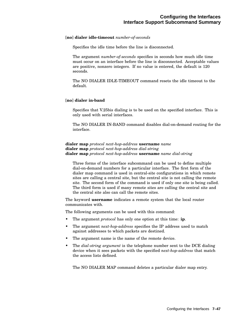### [**no**] **dialer idle-timeout** *number-of-seconds*

Specifies the idle time before the line is disconnected.

The argument *number-of-seconds* specifies in seconds how much idle time must occur on an interface before the line is disconnected. Acceptable values are positive, nonzero integers. If no value is entered, the default is 120 seconds.

The NO DIALER IDLE-TIMEOUT command resets the idle timeout to the default.

### [**no**] **dialer in-band**

Specifies that V.25bis dialing is to be used on the specified interface. This is only used with serial interfaces.

The NO DIALER IN-BAND command disables dial-on-demand routing for the interface.

**dialer map** *protocol next-hop-address* **username** *name* **dialer map** *protocol next-hop-address dial-string* **dialer map** *protocol next-hop-address* **username** *name dial-string*

Three forms of the interface subcommand can be used to define multiple dial-on-demand numbers for a particular interface. The first form of the dialer map command is used in central-site configurations in which remote sites are calling a central site, but the central site is not calling the remote site. The second form of the command is used if only one site is being called. The third form is used if many remote sites are calling the central site and the central site also can call the remote sites.

The keyword **username** indicates a remote system that the local router communicates with.

The following arguments can be used with this command:

- The argument *protocol* has only one option at this time: **ip**.
- The argument *next-hop-address* specifies the IP address used to match against addresses to which packets are destined.
- The argument name is the name of the remote device.
- The *dial-string argument* is the telephone number sent to the DCE dialing device when it sees packets with the specified *next-hop-address* that match the access lists defined.

The NO DIALER MAP command deletes a particular dialer map entry.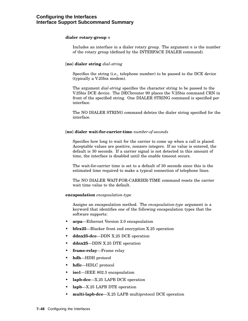### **dialer rotary-group** *n*

Includes an interface in a dialer rotary group. The argument *n* is the number of the rotary group (defined by the INTERFACE DIALER command).

### [**no**] **dialer string** *dial-string*

Specifies the string (i.e., telephone number) to be passed to the DCE device (typically a V.25bis modem).

The argument *dial-string* specifies the character string to be passed to the V.25bis DCE device. The DECbrouter 90 places the V.25bis command CRN in front of the specified string. One DIALER STRING command is specified per interface.

The NO DIALER STRING command deletes the dialer string specified for the interface.

### [**no**] **dialer wait-for-carrier-time** *number-of-seconds*

Specifies how long to wait for the carrier to come up when a call is placed. Acceptable values are positive, nonzero integers. If no value is entered, the default is 30 seconds. If a carrier signal is not detected in this amount of time, the interface is disabled until the enable timeout occurs.

The wait-for-carrier time is set to a default of 30 seconds since this is the estimated time required to make a typical connection of telephone lines.

The NO DIALER WAIT-FOR-CARRIER-TIME command resets the carrier wait time value to the default.

### **encapsulation** *encapsulation-type*

Assigns an encapsulation method. The *encapsulation-type* argument is a keyword that identifies one of the following encapsulation types that the software supports:

- **arpa**—Ethernet Version 2.0 encapsulation
- **bfex25**—Blacker front end encryption X.25 operation
- **ddnx25-dce**—DDN X.25 DCE operation
- **ddnx25**—DDN X.25 DTE operation
- **frame-relay**—Frame relay
- **hdh**—HDH protocol
- **hdlc**—HDLC protocol
- **iso1**—IEEE 802.3 encapsulation
- **lapb-dce**—X.25 LAPB DCE operation
- **lapb**—X.25 LAPB DTE operation
- **multi-lapb-dce**—X.25 LAPB multiprotocol DCE operation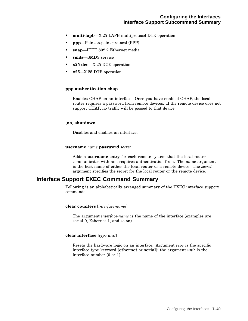- **multi-lapb**—X.25 LAPB multiprotocol DTE operation
- **ppp**—Point-to-point protocol (PPP)
- **snap**—IEEE 802.2 Ethernet media
- **smds**—SMDS service
- **x25-dce**—X.25 DCE operation
- **x25**—X.25 DTE operation

### **ppp authentication chap**

Enables CHAP on an interface. Once you have enabled CHAP, the local router requires a password from remote devices. If the remote device does not support CHAP, no traffic will be passed to that device.

### [**no**] **shutdown**

Disables and enables an interface.

### **username** *name* **password** *secret*

Adds a **username** entry for each remote system that the local router communicates with and requires authentication from. The name argument is the host name of either the local router or a remote device. The *secret* argument specifies the secret for the local router or the remote device.

## **Interface Support EXEC Command Summary**

Following is an alphabetically arranged summary of the EXEC interface support commands.

### **clear counters** [*interface-name*]

The argument *interface-name* is the name of the interface (examples are serial 0, Ethernet 1, and so on).

### **clear interface** [*type unit*]

Resets the hardware logic on an interface. Argument *type* is the specific interface type keyword (**ethernet** or **serial**); the argument *unit* is the interface number (0 or 1).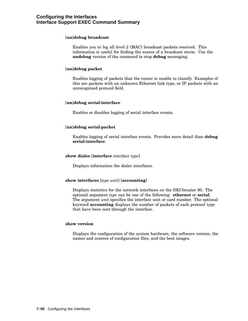## **Configuring the Interfaces Interface Support EXEC Command Summary**

### [**un**]**debug broadcast**

Enables you to log all level 2 (MAC) broadcast packets received. This information is useful for finding the source of a broadcast storm. Use the **undebug** version of the command to stop **debug** messaging.

### [**un**]**debug packet**

Enables logging of packets that the router is unable to classify. Examples of this are packets with an unknown Ethernet link type, or IP packets with an unrecognized protocol field.

### [**un**]**debug serial-interface**

Enables or disables logging of serial interface events.

## [**un**]**debug serial-packet**

Enables logging of serial interface events. Provides more detail than **debug serial-interface**.

### **show dialer** [**interface** *interface type*]

Displays information the dialer interfaces.

### **show interfaces** [*type unit*] [**accounting**]

Displays statistics for the network interfaces on the DECbrouter 90. The optional argument *type* can be one of the following: **ethernet** or **serial**. The argument *unit* specifies the interface unit or card number. The optional keyword **accounting** displays the number of packets of each protocol type that have been sent through the interface.

### **show version**

Displays the configuration of the system hardware, the software version, the names and sources of configuration files, and the boot images.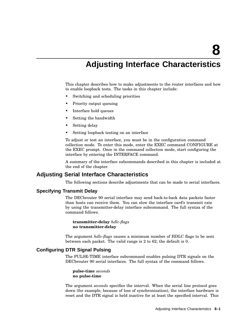**8**

# **Adjusting Interface Characteristics**

This chapter describes how to make adjustments to the router interfaces and how to enable loopback tests. The tasks in this chapter include:

- Switching and scheduling priorities
- Priority output queuing
- Interface hold queues
- Setting the bandwidth
- Setting delay
- Setting loopback testing on an interface

To adjust or test an interface, you must be in the configuration command collection mode. To enter this mode, enter the EXEC command CONFIGURE at the EXEC prompt. Once in the command collection mode, start configuring the interface by entering the INTERFACE command.

A summary of the interface subcommands described in this chapter is included at the end of the chapter.

## **Adjusting Serial Interface Characteristics**

The following sections describe adjustments that can be made to serial interfaces.

### **Specifying Transmit Delay**

The DECbrouter 90 serial interface may send back-to-back data packets faster than hosts can receive them. You can slow the interface card's transmit rate by using the transmitter-delay interface subcommand. The full syntax of the command follows.

**transmitter-delay** *hdlc-flags* **no transmitter-delay**

The argument *hdlc-flags* causes a minimum number of HDLC flags to be sent between each packet. The valid range is 2 to 62; the default is 0.

## **Configuring DTR Signal Pulsing**

The PULSE-TIME interface subcommand enables pulsing DTR signals on the DECbrouter 90 serial interfaces. The full syntax of the command follows.

**pulse-time** *seconds* **no pulse-time**

The argument *seconds* specifies the interval. When the serial line protocol goes down (for example, because of loss of synchronization), the interface hardware is reset and the DTR signal is held inactive for at least the specified interval. This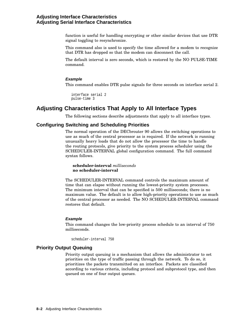## **Adjusting Interface Characteristics Adjusting Serial Interface Characteristics**

function is useful for handling encrypting or other similar devices that use DTR signal toggling to resynchronize.

This command also is used to specify the time allowed for a modem to recognize that DTR has dropped so that the modem can disconnect the call.

The default interval is zero seconds, which is restored by the NO PULSE-TIME command.

### **Example**

This command enables DTR pulse signals for three seconds on interface serial 2.

```
interface serial 2
pulse-time 3
```
## **Adjusting Characteristics That Apply to All Interface Types**

The following sections describe adjustments that apply to all interface types.

## **Configuring Switching and Scheduling Priorities**

The normal operation of the DECbrouter 90 allows the switching operations to use as much of the central processor as is required. If the network is running unusually heavy loads that do not allow the processor the time to handle the routing protocols, give priority to the system process scheduler using the SCHEDULER-INTERVAL global configuration command. The full command syntax follows.

**scheduler-interval** *milliseconds* **no scheduler-interval**

The SCHEDULER-INTERVAL command controls the maximum amount of time that can elapse without running the lowest-priority system processes. The minimum interval that can be specified is 500 milliseconds; there is no maximum value. The default is to allow high-priority operations to use as much of the central processor as needed. The NO SCHEDULER-INTERVAL command restores that default.

#### **Example**

This command changes the low-priority process schedule to an interval of 750 milliseconds.

scheduler-interval 750

## **Priority Output Queuing**

Priority output queuing is a mechanism that allows the administrator to set priorities on the type of traffic passing through the network. To do so, it prioritizes the packets transmitted on an interface. Packets are classified according to various criteria, including protocol and subprotocol type, and then queued on one of four output queues.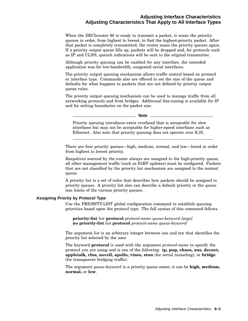When the DECbrouter 90 is ready to transmit a packet, it scans the priority queues in order, from highest to lowest, to find the highest-priority packet. After that packet is completely transmitted, the router scans the priority queues again. If a priority output queue fills up, packets will be dropped and, for protocols such as IP and CLNS, quench indications will be sent to the original transmitter.

Although priority queuing can be enabled for any interface, the intended application was for low-bandwidth, congested serial interfaces.

The priority output queuing mechanism allows traffic control based on protocol or interface type. Commands also are offered to set the size of the queue and defaults for what happens to packets that are not defined by priority output queue rules.

The priority output queuing mechanism can be used to manage traffic from all networking protocols and from bridges. Additional fine-tuning is available for IP and for setting boundaries on the packet size.

**Note** 

Priority queuing introduces extra overhead that is acceptable for slow interfaces but may not be acceptable for higher-speed interfaces such as Ethernet. Also note that priority queuing does not operate over X.25.

There are four priority queues—high, medium, normal, and low—listed in order from highest to lowest priority.

Keepalives sourced by the router always are assigned to the high-priority queue; all other management traffic (such as IGRP updates) must be configured. Packets that are not classified by the priority list mechanism are assigned to the normal queue.

A priority list is a set of rules that describes how packets should be assigned to priority queues. A priority list also can describe a default priority or the queue size limits of the various priority queues.

### **Assigning Priority by Protocol Type**

Use the PRIORITY-LIST global configuration command to establish queuing priorities based upon the protocol type. The full syntax of this command follows.

**priority-list** *list* **protocol** *protocol-name queue-keyword [args]* **no priority-list** *list* **protocol** *protocol-name queue-keyword*

The argument *list* is an arbitrary integer between one and ten that identifies the priority list selected by the user.

The keyword **protocol** is used with the argument *protocol-name* to specify the protocol you are using and is one of the following: **ip, pup, chaos, xns, decnet, appletalk, clns, novell, apollo, vines, stun** (for serial tunneling), or **bridge** (for transparent bridging traffic).

The argument *queue-keyword* is a priority queue name; it can be **high, medium, normal,** or **low**.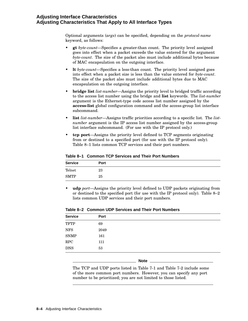Optional arguments (*args*) can be specified, depending on the *protocol-name* keyword, as follows:

- **gt** *byte-count*—Specifies a greater-than count. The priority level assigned goes into effect when a packet exceeds the value entered for the argument *byte-count*. The size of the packet also must include additional bytes because of MAC encapsulation on the outgoing interface.
- **lt** *byte-count*—Specifies a less-than count. The priority level assigned goes into effect when a packet size is less than the value entered for *byte-count*. The size of the packet also must include additional bytes due to MAC encapsulation on the outgoing interface.
- **bridge list** *list-number*—Assigns the priority level to bridged traffic according to the access list number using the bridge and **list** keywords. The *list-number* argument is the Ethernet-type code access list number assigned by the **access-list** global configuration command and the access-group list interface subcommand.
- **list** *list-number*—Assigns traffic priorities according to a specific list. The *listnumber* argument is the IP access list number assigned by the access-group list interface subcommand. (For use with the IP protocol only.)
- **tcp port**—Assigns the priority level defined to TCP segments originating from or destined to a specified port (for use with the IP protocol only). Table 8–1 lists common TCP services and their port numbers.

| <b>Service</b> | Port |
|----------------|------|
| Telnet         | 23   |
| <b>SMTP</b>    | 25   |

**Table 8–1 Common TCP Services and Their Port Numbers**

• **udp** *port*—Assigns the priority level defined to UDP packets originating from or destined to the specified port (for use with the IP protocol only). Table 8–2 lists common UDP services and their port numbers.

| <b>Service</b>              | Port |  |
|-----------------------------|------|--|
| <b>TFTP</b>                 | 69   |  |
| <b>NFS</b>                  | 2049 |  |
| <b>SNMP</b>                 | 161  |  |
| $\ensuremath{\mathsf{RPC}}$ | 111  |  |
| ${\rm DNS}$                 | 53   |  |

**Table 8–2 Common UDP Services and Their Port Numbers**

\_ Note \_

The TCP and UDP ports listed in Table 7-1 and Table 7-2 include some of the more common port numbers. However, you can specify any port number to be prioritized; you are not limited to those listed.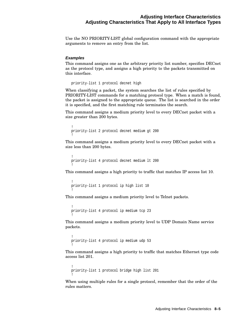Use the NO PRIORITY-LIST global configuration command with the appropriate arguments to remove an entry from the list.

#### **Examples**

This command assigns one as the arbitrary priority list number, specifies DECnet as the protocol type, and assigns a high priority to the packets transmitted on this interface.

```
priority-list 1 protocol decnet high
```
When classifying a packet, the system searches the list of rules specified by PRIORITY-LIST commands for a matching protocol type. When a match is found, the packet is assigned to the appropriate queue. The list is searched in the order it is specified, and the first matching rule terminates the search.

This command assigns a medium priority level to every DECnet packet with a size greater than 200 bytes.

```
!
priority-list 2 protocol decnet medium gt 200
!
```
This command assigns a medium priority level to every DECnet packet with a size less than 200 bytes.

```
!
priority-list 4 protocol decnet medium lt 200
!
```
This command assigns a high priority to traffic that matches IP access list 10.

```
!
priority-list 1 protocol ip high list 10
!
```
This command assigns a medium priority level to Telnet packets.

```
!
priority-list 4 protocol ip medium tcp 23
!
```
This command assigns a medium priority level to UDP Domain Name service packets.

```
!
priority-list 4 protocol ip medium udp 53
!
```
This command assigns a high priority to traffic that matches Ethernet type code access list 201.

```
!
priority-list 1 protocol bridge high list 201
!
```
When using multiple rules for a single protocol, remember that the order of the rules matters.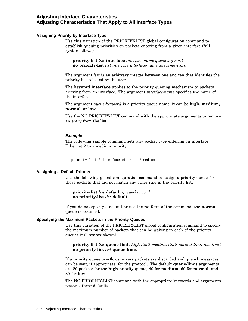### **Assigning Priority by Interface Type**

Use this variation of the PRIORITY-LIST global configuration command to establish queuing priorities on packets entering from a given interface (full syntax follows):

**priority-list** *list* **interface** *interface-name queue-keyword* **no priority-list** *list interface interface-name queue-keyword*

The argument *list* is an arbitrary integer between one and ten that identifies the priority list selected by the user.

The keyword **interface** applies to the priority queuing mechanism to packets arriving from an interface. The argument *interface-name* specifies the name of the interface.

The argument *queue-keyword* is a priority queue name; it can be **high, medium, normal,** or **low**.

Use the NO PRIORITY-LIST command with the appropriate arguments to remove an entry from the list.

### **Example**

The following sample command sets any packet type entering on interface Ethernet 2 to a medium priority:

```
!
priority-list 3 interface ethernet 2 medium
!
```
### **Assigning a Default Priority**

Use the following global configuration command to assign a priority queue for those packets that did not match any other rule in the priority list:

**priority-list** *list* **default** *queue-keyword* **no priority-list** *list* **default**

If you do not specify a default or use the **no** form of the command, the **normal** queue is assumed.

### **Specifying the Maximum Packets in the Priority Queues**

Use this variation of the PRIORITY-LIST global configuration command to specify the maximum number of packets that can be waiting in each of the priority queues (full syntax shown):

**priority-list** *list* **queue-limit** *high-limit medium-limit normal-limit low-limit* **no priority-list** *list* **queue-limit**

If a priority queue overflows, excess packets are discarded and quench messages can be sent, if appropriate, for the protocol. The default **queue-limit** arguments are 20 packets for the **high** priority queue, 40 for **medium**, 60 for **normal**, and 80 for **low**.

The NO PRIORITY-LIST command with the appropriate keywords and arguments restores these defaults.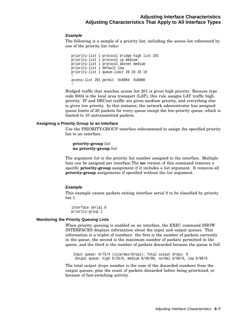### **Example**

The following is a sample of a priority list, including the access list referenced by one of the priority list rules:

priority-list 1 protocol bridge high list 201 priority-list 1 protocol ip medium priority-list 1 protocol decnet medium priority-list 1 default low priority-list 1 queue-limit 20 20 20 10 ! access-list 201 permit 0x6004 0x0000 !

Bridged traffic that matches access list 201 is given high priority. Because type code 6004 is the local area transport (LAT), this rule assigns LAT traffic high priority. IP and DECnet traffic are given medium priority, and everything else is given low priority. In this instance, the network administrator has assigned queue limits of 20 packets for every queue except the low-priority queue, which is limited to 10 untransmitted packets.

#### **Assigning a Priority Group to an Interface**

Use the PRIORITY-GROUP interface subcommand to assign the specified priority list to an interface.

#### **priority-group** *list* **no priority-group** *list*

The argument *list* is the priority list number assigned to the interface. Multiple lists can be assigned per interface.The **no** version of this command removes a specific **priority-group** assignment if it includes a list argument. It removes all **priority-group** assignments if specified without the *list* argument.

#### **Example**

This example causes packets exiting interface serial 0 to be classified by priority list 1.

interface serial 0 priority-group 1

#### **Monitoring the Priority Queuing Lists**

When priority queuing is enabled on an interface, the EXEC command SHOW INTERFACES displays information about the input and output queues. This information is a triplet of numbers: the first is the number of packets currently in the queue, the second is the maximum number of packets permitted in the queue, and the third is the number of packets discarded because the queue is full.

Input queue: 0/75/4 (size/max/drops); Total output drops: 0 Output queue: high 0/20/0, medium 0/40/00, normal 0/60/0, low 0/80/0

The total *output drops* number is the sum of the discarded numbers from the output queues, plus the count of packets discarded before being prioritized, or because of fast-switching activity.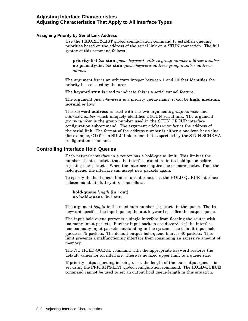### **Assigning Priority by Serial Link Address**

Use the PRIORITY-LIST global configuration command to establish queuing priorities based on the address of the serial link on a STUN connection. The full syntax of this command follows.

**priority-list** *list* **stun** *queue-keyword address group-number address-number* **no priority-list** *list* **stun** *queue-keyword address group-number addressnumber*

The argument *list* is an arbitrary integer between 1 and 10 that identifies the priority list selected by the user.

The keyword **stun** is used to indicate this is a serial tunnel feature.

The argument *queue-keyword* is a priority queue name; it can be **high, medium, normal** or **low**.

The keyword **address** is used with the two arguments *group-number* and *address-number* which uniquely identifies a STUN serial link. The argument *group-number* is the group number used in the STUN GROUP interface configuration subcommand. The argument *address-number* is the address of the serial link. The format of the address number is either a one-byte hex value (for example, C1) for an SDLC link or one that is specified by the STUN SCHEMA configuration command.

### **Controlling Interface Hold Queues**

Each network interface in a router has a hold-queue limit. This limit is the number of data packets that the interface can store in its hold queue before rejecting new packets. When the interface empties one or more packets from the hold queue, the interface can accept new packets again.

To specify the hold-queue limit of an interface, use the HOLD-QUEUE interface subcommand. Its full syntax is as follows:

**hold-queue** *length* {**in**| **out**} **no hold-queue** {**in**| **out**}

The argument *length* is the maximum number of packets in the queue. The **in** keyword specifies the input queue; the **out** keyword specifies the output queue.

The input hold queue prevents a single interface from flooding the router with too many input packets. Further input packets are discarded if the interface has too many input packets outstanding in the system. The default input hold queue is 75 packets. The default output hold-queue limit is 40 packets. This limit prevents a malfunctioning interface from consuming an excessive amount of memory.

The NO HOLD-QUEUE command with the appropriate keyword restores the default values for an interface. There is no fixed upper limit to a queue size.

If priority output queuing is being used, the length of the four output queues is set using the PRIORITY-LIST global configuration command. The HOLD-QUEUE command cannot be used to set an output hold queue length in this situation.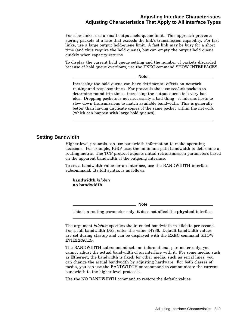For slow links, use a small output hold-queue limit. This approach prevents storing packets at a rate that exceeds the link's transmission capability. For fast links, use a large output hold-queue limit. A fast link may be busy for a short time (and thus require the hold queue), but can empty the output hold queue quickly when capacity returns.

To display the current hold queue setting and the number of packets discarded because of hold queue overflows, use the EXEC command SHOW INTERFACES.

**Note**

Increasing the hold queue can have detrimental effects on network routing and response times. For protocols that use seq/ack packets to determine round-trip times, increasing the output queue is a very bad idea. Dropping packets is not necessarily a bad thing—it informs hosts to slow down transmissions to match available bandwidth. This is generally better than having duplicate copies of the same packet within the network (which can happen with large hold queues).

### **Setting Bandwidth**

Higher-level protocols can use bandwidth information to make operating decisions. For example, IGRP uses the minimum path bandwidth to determine a routing metric. The TCP protocol adjusts initial retransmission parameters based on the apparent bandwidth of the outgoing interface.

To set a bandwidth value for an interface, use the BANDWIDTH interface subcommand. Its full syntax is as follows:

**bandwidth** *kilobits* **no bandwidth**

**Note**

This is a routing parameter only; it does not affect the **physical** interface.

The argument *kilobits* specifies the intended bandwidth in kilobits per second. For a full bandwidth DS3, enter the value 44736. Default bandwidth values are set during startup and can be displayed with the EXEC command SHOW INTERFACES.

The BANDWIDTH subcommand sets an informational parameter only; you cannot adjust the actual bandwidth of an interface with it. For some media, such as Ethernet, the bandwidth is fixed; for other media, such as serial lines, you can change the actual bandwidth by adjusting hardware. For both classes of media, you can use the BANDWIDTH subcommand to communicate the current bandwidth to the higher-level protocols.

Use the NO BANDWIDTH command to restore the default values.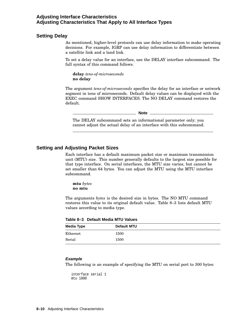### **Setting Delay**

As mentioned, higher-level protocols can use delay information to make operating decisions. For example, IGRP can use delay information to differentiate between a satellite link and a land link.

To set a delay value for an interface, use the DELAY interface subcommand. The full syntax of this command follows.

**delay** *tens-of-microseconds* **no delay**

The argument *tens-of-microseconds* specifies the delay for an interface or network segment in tens of microseconds. Default delay values can be displayed with the EXEC command SHOW INTERFACES. The NO DELAY command restores the default.

**Note**

The DELAY subcommand sets an informational parameter only; you cannot adjust the actual delay of an interface with this subcommand.

### **Setting and Adjusting Packet Sizes**

Each interface has a default maximum packet size or maximum transmission unit (MTU) size. This number generally defaults to the largest size possible for that type interface. On serial interfaces, the MTU size varies, but cannot be set smaller than 64 bytes. You can adjust the MTU using the MTU interface subcommand.

**mtu** *bytes* **no mtu**

The arguments *bytes* is the desired size in bytes. The NO MTU command restores this value to its original default value. Table 8–3 lists default MTU values according to media type.

| Media Type | <b>Default MTU</b> |  |
|------------|--------------------|--|
| Ethernet   | 1500               |  |
| Serial     | 1500               |  |

**Table 8–3 Default Media MTU Values**

### **Example**

The following is an example of specifying the MTU on serial port to 300 bytes:

```
interface serial 1
mtu 1000
```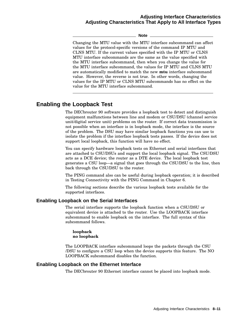**Note**

Changing the MTU value with the MTU interface subcommand can affect values for the protocol-specific versions of the command IP MTU and CLNS MTU. If the current values specified with the IP MTU or CLNS MTU interface subcommands are the same as the value specified with the MTU interface subcommand, then when you change the value for the MTU interface subcommand, the values for IP MTU and CLNS MTU are automatically modified to match the new **mtu** interface subcommand value. However, the reverse is not true. In other words, changing the values for the IP MTU or CLNS MTU subcommands has no effect on the value for the MTU interface subcommand.

# **Enabling the Loopback Test**

The DECbrouter 90 software provides a loopback test to detect and distinguish equipment malfunctions between line and modem or CSU/DSU (channel service unit/digital service unit) problems on the router. If correct data transmission is not possible when an interface is in loopback mode, the interface is the source of the problem. The DSU may have similar loopback functions you can use to isolate the problem if the interface loopback tests passes. If the device does not support local loopback, this function will have no effect.

You can specify hardware loopback tests on Ethernet and serial interfaces that are attached to CSU/DSUs and support the local loopback signal. The CSU/DSU acts as a DCE device; the router as a DTE device. The local loopback test generates a CSU loop—a signal that goes through the CSU/DSU to the line, then back through the CSU/DSU to the router.

The PING command also can be useful during loopback operation; it is described in Testing Connectivity with the PING Command in Chapter 6.

The following sections describe the various loopback tests available for the supported interfaces.

### **Enabling Loopback on the Serial Interfaces**

The serial interface supports the loopback function when a CSU/DSU or equivalent device is attached to the router. Use the LOOPBACK interface subcommand to enable loopback on the interface. The full syntax of this subcommand follows.

**loopback no loopback**

The LOOPBACK interface subcommand loops the packets through the CSU /DSU to configure a CSU loop when the device supports this feature. The NO LOOPBACK subcommand disables the function.

### **Enabling Loopback on the Ethernet Interface**

The DECbrouter 90 Ethernet interface cannot be placed into loopback mode.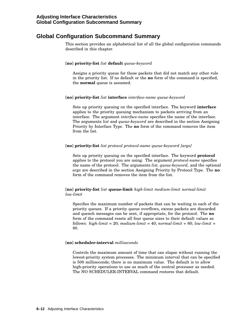# **Global Configuration Subcommand Summary**

This section provides an alphabetical list of all the global configuration commands described in this chapter.

### [**no**] **priority-list** *list* **default** *queue-keyword*

Assigns a priority queue for those packets that did not match any other rule in the priority list. If no default or the **no** form of the command is specified, the **normal** queue is assumed.

#### [**no**] **priority-list** *list* **interface** *interface-name queue-keyword*

Sets up priority queuing on the specified interface. The keyword **interface** applies to the priority queuing mechanism to packets arriving from an interface. The argument *interface-name* specifies the name of the interface. The arguments *list* and *queue-keyword* are described in the section Assigning Priority by Interface Type. The **no** form of the command removes the item from the list.

#### [**no**] **priority-list** *list protocol protocol-name queue-keyword [args]*

Sets up priority queuing on the specified interface. The keyword **protocol** applies to the protocol you are using. The argument *protocol-name* specifies the name of the protocol. The arguments *list, queue-keyword,* and the optional *args* are described in the section Assigning Priority by Protocol Type. The **no** form of the command removes the item from the list.

[**no**] **priority-list** *list* **queue-limit** *high-limit medium-limit normal-limit low-limit*

Specifies the maximum number of packets that can be waiting in each of the priority queues. If a priority queue overflows, excess packets are discarded and quench messages can be sent, if appropriate, for the protocol. The **no** form of the command resets all four queue sizes to their default values as follows: *high-limit* = 20; *medium-limit* = 40; *normal-limit* = 60; *low-limit* = 80.

#### [**no**] **scheduler-interval** *milliseconds*

Controls the maximum amount of time that can elapse without running the lowest-priority system processes. The minimum interval that can be specified is 500 milliseconds; there is no maximum value. The default is to allow high-priority operations to use as much of the central processor as needed. The NO SCHEDULER-INTERVAL command restores that default.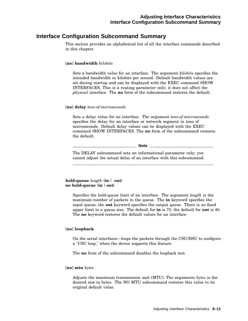# **Interface Configuration Subcommand Summary**

This section provides an alphabetical list of all the interface commands described in this chapter.

### [**no**] **bandwidth** *kilobits*

Sets a bandwidth value for an interface. The argument *kilobits* specifies the intended bandwidth in kilobits per second. Default bandwidth values are set during startup and can be displayed with the EXEC command SHOW INTERFACES. This is a routing parameter only; it does not affect the *physical* interface. The **no** form of the subcommand restores the default.

### [**no**] **delay** *tens-of-microseconds*

Sets a delay value for an interface. The argument *tens-of-microseconds* specifies the delay for an interface or network segment in tens of microseconds. Default delay values can be displayed with the EXEC command SHOW INTERFACES. The **no** form of the subcommand restores the default.

**Note**

The DELAY subcommand sets an informational parameter only; you cannot adjust the actual delay of an interface with this subcommand.

### **hold-queue** *length* {**in**| **out**} **no hold-queue** {**in**| **out**}

Specifies the hold-queue limit of an interface. The argument *length* is the maximum number of packets in the queue. The **in** keyword specifies the input queue; the **out** keyword specifies the output queue. There is no fixed upper limit to a queue size. The default for **in** is 75; the default for **out** is 40. The **no** keyword restores the default values for an interface.

### [**no**] **loopback**

On the serial interfaces—loops the packets through the CSU/DSU to configure a "CSU loop," when the device supports this feature.

The **no** form of the subcommand disables the loopback test.

### [**no**] **mtu** *bytes*

Adjusts the maximum transmission unit (MTU). The arguments *bytes* is the desired size in bytes. The NO MTU subcommand restores this value to its original default value.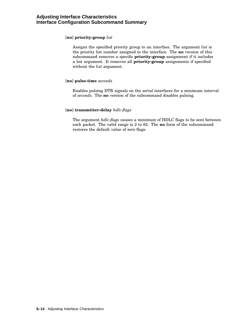### [**no**] **priority-group** *list*

Assigns the specified priority group to an interface. The argument *list* is the priority list number assigned to the interface. The **no** version of this subcommand removes a specific **priority-group** assignment if it includes a list argument. It removes all **priority-group** assignments if specified without the *list* argument.

### [**no**] **pulse-time** *seconds*

Enables pulsing DTR signals on the serial interfaces for a minimum interval of *seconds*. The **no** version of the subcommand disables pulsing.

### [**no**] **transmitter-delay** *hdlc-flags*

The argument *hdlc-flags* causes a minimum of HDLC flags to be sent between each packet. The valid range is 2 to 62. The **no** form of the subcommand restores the default value of zero flags.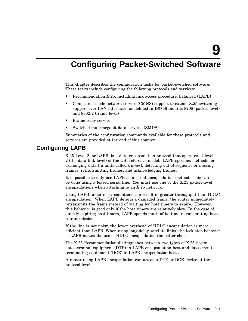# **Configuring Packet-Switched Software**

This chapter describes the configuration tasks for packet-switched software. These tasks include configuring the following protocols and services:

- Recommendation X.25, including link access procedure, balanced (LAPB)
- Connection-mode network service (CMNS) support to extend X.25 switching support over LAN interfaces, as defined in ISO Standards 8208 (packet level) and 8802-2 (frame level)
- Frame relay service
- Switched multimegabit data services (SMDS)

Summaries of the configuration commands available for these protocols and services are provided at the end of this chapter.

### **Configuring LAPB**

X.25 Level 2, or LAPB, is a data encapsulation protocol that operates at level 2 (the data link level) of the OSI reference model. LAPB specifies methods for exchanging data (in units called *frames*), detecting out-of-sequence or missing frames, retransmitting frames, and acknowledging frames.

It is possible to only use LAPB as a serial encapsulation method. This can be done using a leased serial line. You must use one of the X.25 packet-level encapsulations when attaching to an X.25 network.

Using LAPB under noisy conditions can result in greater throughput than HDLC encapsulation. When LAPB detects a damaged frame, the router immediately retransmits the frame instead of waiting for host timers to expire. However, this behavior is good only if the host timers are relatively slow. In the case of quickly expiring host timers, LAPB spends much of its time retransmitting host retransmissions.

If the line is not noisy, the lower overhead of HDLC encapsulation is more efficient than LAPB. When using long-delay satellite links, the lock step behavior of LAPB makes the use of HDLC encapsulation the better choice.

The X.25 Recommendation distinguishes between two types of X.25 hosts: data terminal equipment (DTE) in LAPB encapsulation host and data circuitterminating equipment (DCE) in LAPB encapsulation hosts.

A router using LAPB encapsulation can act as a DTE or DCE device at the protocol level.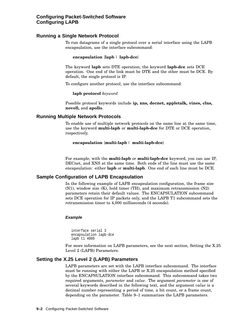### **Running a Single Network Protocol**

To run datagrams of a single protocol over a serial interface using the LAPB encapsulation, use the interface subcommand:

### **encapsulation** {**lapb** | **lapb-dce**}

The keyword **lapb** sets DTE operation; the keyword **lapb-dce** sets DCE operation. One end of the link must be DTE and the other must be DCE. By default, the single protocol is IP.

To configure another protocol, use the interface subcommand:

### **lapb protocol** *keyword*

Possible protocol keywords include **ip, xns, decnet, appletalk, vines, clns, novell,** and **apollo**.

### **Running Multiple Network Protocols**

To enable use of multiple network protocols on the same line at the same time, use the keyword **multi-lapb** or **multi-lapb-dce** for DTE or DCE operation, respectively.

### **encapsulation** {**multi-lapb** | **multi-lapb-dce**}

For example, with the **multi-lapb** or **multi-lapb-dce** keyword, you can use IP, DECnet, and XNS at the same time. Both ends of the line must use the same encapsulation: either **lapb** or **multi-lapb**. One end of each line must be DCE.

### **Sample Configuration of LAPB Encapsulation**

In the following example of LAPB encapsulation configuration, the frame size (N1), window size (K), hold timer (TH), and maximum retransmission (N2) parameters retain their default values. The ENCAPSULATION subcommand sets DCE operation for IP packets only, and the LAPB T1 subcommand sets the retransmission timer to 4,000 milliseconds (4 seconds).

### **Example**

```
interface serial 3
encapsulation lapb-dce
lapb t1 4000
```
For more information on LAPB parameters, see the next section, Setting the X.25 Level 2 (LAPB) Parameters.

### **Setting the X.25 Level 2 (LAPB) Parameters**

LAPB parameters are set with the LAPB interface subcommand. The interface must be running with either the LAPB or X.25 encapsulation method specified by the ENCAPSULATION interface subcommand. This subcommand takes two required arguments, *parameter* and *value*. The argument *parameter* is one of several keywords described in the following text, and the argument *value* is a decimal number representing a period of time, a bit count, or a frame count, depending on the parameter. Table 9–1 summarizes the LAPB parameters.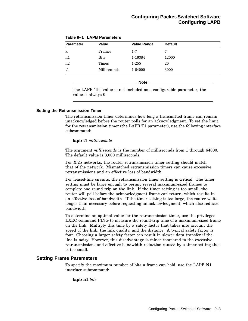| <b>Parameter</b> | <b>Value</b> | <b>Value Range</b> | <b>Default</b> |  |
|------------------|--------------|--------------------|----------------|--|
| k                | Frames       | $1 - 7$            | 7              |  |
| n1               | <b>Bits</b>  | 1-16384            | 12000          |  |
| n2               | Times        | $1-255$            | 20             |  |
| t1               | Milliseconds | 1-64000            | 3000           |  |

**Table 9–1 LAPB Parameters**

The LAPB "th" value is not included as a configurable parameter; the value is always 0.

#### **Setting the Retransmission Timer**

The retransmission timer determines how long a transmitted frame can remain unacknowledged before the router polls for an acknowledgment. To set the limit for the retransmission timer (the LAPB T1 parameter), use the following interface subcommand:

#### **lapb t1** *milliseconds*

The argument *milliseconds* is the number of milliseconds from 1 through 64000. The default value is 3,000 milliseconds.

For X.25 networks, the router retransmission timer setting should match that of the network. Mismatched retransmission timers can cause excessive retransmissions and an effective loss of bandwidth.

For leased-line circuits, the retransmission timer setting is critical. The timer setting must be large enough to permit several maximum-sized frames to complete one round trip on the link. If the timer setting is too small, the router will poll before the acknowledgment frame can return, which results in an effective loss of bandwidth. If the timer setting is too large, the router waits longer than necessary before requesting an acknowledgment, which also reduces bandwidth.

To determine an optimal value for the retransmission timer, use the privileged EXEC command PING to measure the round-trip time of a maximum-sized frame on the link. Multiply this time by a safety factor that takes into account the speed of the link, the link quality, and the distance. A typical safety factor is four. Choosing a larger safety factor can result in slower data transfer if the line is noisy. However, this disadvantage is minor compared to the excessive retransmissions and effective bandwidth reduction caused by a timer setting that is too small.

### **Setting Frame Parameters**

To specify the maximum number of bits a frame can hold, use the LAPB N1 interface subcommand:

**lapb n1** *bits*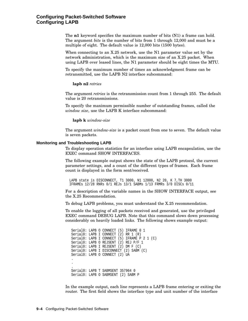The **n1** keyword specifies the maximum number of bits (N1) a frame can hold. The argument *bits* is the number of bits from 1 through 12,000 and must be a multiple of eight. The default value is 12,000 bits (1500 bytes).

When connecting to an X.25 network, use the N1 parameter value set by the network administration, which is the maximum size of an X.25 packet. When using LAPB over leased lines, the N1 parameter should be eight times the MTU.

To specify the maximum number of times an acknowledgment frame can be retransmitted, use the LAPB N2 interface subcommand:

**lapb n2** *retries*

The argument *retries* is the retransmission count from 1 through 255. The default value is 20 retransmissions.

To specify the maximum permissible number of outstanding frames, called the *window size*, use the LAPB K interface subcommand:

**lapb k** *window-size*

The argument *window-size* is a packet count from one to seven. The default value is seven packets.

#### **Monitoring and Troubleshooting LAPB**

To display operation statistics for an interface using LAPB encapsulation, use the EXEC command SHOW INTERFACES.

The following example output shows the state of the LAPB protocol, the current parameter settings, and a count of the different types of frames. Each frame count is displayed in the form sent/received.

LAPB state is DISCONNECT, T1 3000, N1 12000, N2 20, K 7,TH 3000 IFRAMEs 12/28 RNRs 0/1 REJs 13/1 SABMs 1/13 FRMRs 3/0 DISCs 0/11

For a description of the variable names in the SHOW INTERFACE output, see the X.25 Recommendation.

To debug LAPB problems, you must understand the X.25 recommendation.

To enable the logging of all packets received and generated, use the privileged EXEC command DEBUG LAPB. Note that this command slows down processing considerably on heavily loaded links. The following shows example output:

```
Serial0: LAPB O CONNECT (5) IFRAME 0 1
Serial0: LAPB I CONNECT (2) RR 1 (R)
Serial0: LAPB I CONNECT (5) IFRAME P 2 1 (C)
Serial0: LAPB O REJSENT (2) REJ P/F 1
Serial0: LAPB I REJSENT (2) DM F (C)
Serial0: LAPB I DISCONNECT (2) SABM (C)
Serial0: LAPB O CONNECT (2) UA
.
.
.
Serial0: LAPB T SABMSENT 357964 0
Serial0: LAPB O SABMSENT (2) SABM P
```
In the example output, each line represents a LAPB frame entering or exiting the router. The first field shows the interface type and unit number of the interface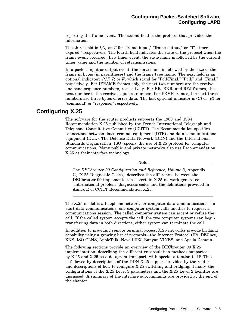reporting the frame event. The second field is the protocol that provided the information.

The third field is *I,O,* or *T* for "frame input," "frame output," or "T1 timer expired," respectively. The fourth field indicates the state of the protocol when the frame event occurred. In a timer event, the state name is followed by the current timer value and the number of retransmissions.

In a packet input or output event, the state name is followed by the size of the frame in bytes (in parentheses) and the frame type name. The next field is an optional indicator: *P/F, P,* or *F*, which stand for "Poll/Final," "Poll," and "Final," respectively. For IFRAME frames only, the next two numbers are the receive and send sequence numbers, respectively. For RR, RNR, and REJ frames, the next number is the receive sequence number. For FRMR frames, the next three numbers are three bytes of error data. The last optional indicator is (*C*) or (*R*) for "command" or "response," respectively.

## **Configuring X.25**

The software for the router products supports the 1980 and 1984 Recommendation X.25 published by the French International Telegraph and Telephone Consultative Committee (CCITT). The Recommendation specifies connections between data terminal equipment (DTE) and data communications equipment (DCE). The Defense Data Network (DDN) and the International Standards Organization (ISO) specify the use of X.25 protocol for computer communications. Many public and private networks also use Recommendation X.25 as their interface technology.

**Note** \_\_

The *DECbrouter 90 Configuration and Reference, Volume 3*, Appendix G, "X.25 Diagnostic Codes," describes the differences between the DECbrouter 90 implementation of certain X.25 network-generated, "international problem" diagnostic codes and the definitions provided in Annex E of CCITT Recommendation X.25.

The X.25 model is a telephone network for computer data communications. To start data communications, one computer system calls another to request a communications session. The called computer system can accept or refuse the call. If the called system accepts the call, the two computer systems can begin transferring data in both directions; either system can terminate the call.

In addition to providing remote terminal access, X.25 networks provide bridging capability using a growing list of protocols—the Internet Protocol (IP), DECnet, XNS, ISO CLNS, AppleTalk, Novell IPX, Banyan VINES, and Apollo Domain.

The following sections provide an overview of the DECbrouter 90 X.25 implementation, describing the different encapsulation methods supported by X.25 and X.25 as a datagram transport, with special attention to IP. This is followed by descriptions of the DDN X.25 support provided by the router and descriptions of how to configure X.25 switching and bridging. Finally, the configurations of the X.25 Level 3 parameters and the X.25 Level 2 facilities are discussed. A summary of the interface subcommands are provided at the end of the chapter.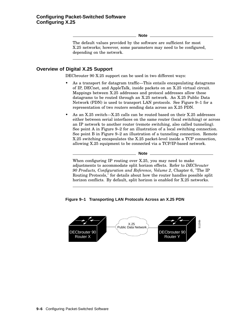**Note**

The default values provided by the software are sufficient for most X.25 networks; however, some parameters may need to be configured, depending on the network.

### **Overview of Digital X.25 Support**

DECbrouter 90 X.25 support can be used in two different ways:

- As a transport for datagram traffic—This entails encapsulating datagrams of IP, DECnet, and AppleTalk, inside packets on an X.25 virtual circuit. Mappings between X.25 addresses and protocol addresses allow these datagrams to be routed through an X.25 network. An X.25 Public Data Network (PDN) is used to transport LAN protocols. See Figure 9–1 for a representation of two routers sending data across an X.25 PDN.
- As an X.25 switch—X.25 calls can be routed based on their X.25 addresses either between serial interfaces on the same router (local switching) or across an IP network to another router (remote switching, also called tunneling). See point A in Figure 9–2 for an illustration of a local switching connection. See point B in Figure 9–2 an illustration of a tunneling connection. Remote X.25 switching encapsulates the X.25 packet-level inside a TCP connection, allowing X.25 equipment to be connected via a TCP/IP-based network.

**Note**

When configuring IP routing over X.25, you may need to make adjustments to accommodate split horizon effects. Refer to *DECbrouter 90 Products, Configuration and Reference, Volume 2*, Chapter 6, "The IP Routing Protocols," for details about how the router handles possible split horizon conflicts. By default, split horizon is enabled for X.25 networks.

### **Figure 9–1 Transporting LAN Protocols Across an X.25 PDN**

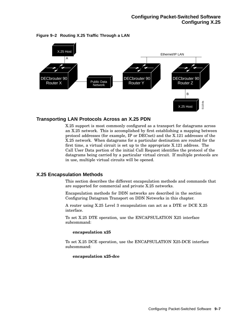

### **Figure 9–2 Routing X.25 Traffic Through a LAN**

### **Transporting LAN Protocols Across an X.25 PDN**

X.25 support is most commonly configured as a transport for datagrams across an X.25 network. This is accomplished by first establishing a mapping between protocol addresses (for example, IP or DECnet) and the X.121 addresses of the X.25 network. When datagrams for a particular destination are routed for the first time, a virtual circuit is set up to the appropriate X.121 address. The Call User Data portion of the initial Call Request identifies the protocol of the datagrams being carried by a particular virtual circuit. If multiple protocols are in use, multiple virtual circuits will be opened.

### **X.25 Encapsulation Methods**

This section describes the different encapsulation methods and commands that are supported for commercial and private X.25 networks.

Encapsulation methods for DDN networks are described in the section Configuring Datagram Transport on DDN Networks in this chapter.

A router using X.25 Level 3 encapsulation can act as a DTE or DCE X.25 interface.

To set X.25 DTE operation, use the ENCAPSULATION X25 interface subcommand:

### **encapsulation x25**

To set X.25 DCE operation, use the ENCAPSULATION X25-DCE interface subcommand:

### **encapsulation x25-dce**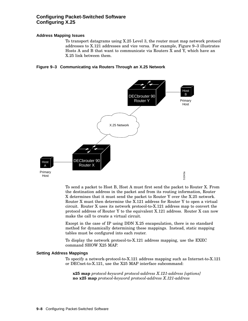### **Address Mapping Issues**

To transport datagrams using X.25 Level 3, the router must map network protocol addresses to X.121 addresses and vice versa. For example, Figure 9–3 illustrates Hosts A and B that want to communicate via Routers X and Y, which have an X.25 link between them.

**Figure 9–3 Communicating via Routers Through an X.25 Network**



To send a packet to Host B, Host A must first send the packet to Router X. From the destination address in the packet and from its routing information, Router X determines that it must send the packet to Router Y over the X.25 network. Router X must then determine the X.121 address for Router Y to open a virtual circuit. Router X uses its network protocol-to-X.121 address map to convert the protocol address of Router Y to the equivalent X.121 address. Router X can now make the call to create a virtual circuit.

Except in the case of IP using DDN X.25 encapsulation, there is no standard method for dynamically determining these mappings. Instead, static mapping tables must be configured into each router.

To display the network protocol-to-X.121 address mapping, use the EXEC command SHOW X25 MAP.

### **Setting Address Mappings**

To specify a network-protocol-to-X.121 address mapping such as Internet-to-X.121 or DECnet-to-X.121, use the X25 MAP interface subcommand:

**x25 map** *protocol-keyword protocol-address X.121-address [options]* **no x25 map** *protocol-keyword protocol-address X.121-address*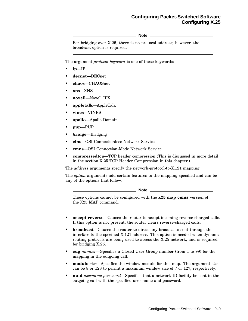**Note**

For bridging over X.25, there is no protocol address; however, the broadcast option is required.

The argument *protocol-keyword* is one of these keywords:

- **ip**—IP
- **decnet**—DECnet
- **chaos**—CHAOSnet
- **xns**—XNS
- **novell**—Novell IPX
- **appletalk**—AppleTalk
- **vines**—VINES
- **apollo**—Apollo Domain
- **pup**—PUP
- **bridge**—Bridging
- **clns**—OSI Connectionless Network Service
- **cmns**—OSI Connection-Mode Network Service
- **compressedtcp**—TCP header compression (This is discussed in more detail in the section X.25 TCP Header Compression in this chapter.)

The *address* arguments specify the network-protocol-to-X.121 mapping.

The *option* arguments add certain features to the mapping specified and can be any of the options that follow.

**Note**

These options cannot be configured with the **x25 map cmns** version of the X25 MAP command.

- **accept-reverse**—Causes the router to accept incoming reverse-charged calls. If this option is not present, the router clears reverse-charged calls.
- **broadcast**—Causes the router to direct any broadcasts sent through this interface to the specified X.121 address. This option is needed when dynamic routing protocols are being used to access the X.25 network, and is required for bridging X.25.
- **cug** *number*—Specifies a Closed User Group number (from 1 to 99) for the mapping in the outgoing call.
- **modulo** *size*—Specifies the window modulo for this map. The argument *size* can be 8 or 128 to permit a maximum window size of 7 or 127, respectively.
- **nuid** *username password*—Specifies that a network ID facility be sent in the outgoing call with the specified user name and password.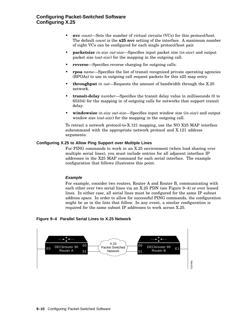- **nvc** *count*—Sets the number of virtual circuits (VCs) for this protocol/host. The default *count* is the **x25 nvc** setting of the interface. A maximum number of eight VCs can be configured for each single protocol/host pair.
- **packetsize** *in-size out-size*—Specifies input packet size (*in-size*) and output packet size (*out-size*) for the mapping in the outgoing call.
- **reverse**—Specifies reverse charging for outgoing calls.
- **rpoa** *name*—Specifies the list of transit recognized private operating agencies (RPOAs) to use in outgoing call request packets for this x25 map entry.
- **throughput** *in out*—Requests the amount of bandwidth through the X.25 network.
- **transit-delay** *number*—Specifies the transit delay value in milliseconds (0 to 65334) for the mapping in of outgoing calls for networks that support transit delay.
- **windowsize** *in-size out-size*—Specifies input window size (*in-size*) and output window size (*out-size*) for the mapping in the outgoing call.

To retract a network protocol-to-X.121 mapping, use the NO X25 MAP interface subcommand with the appropriate network protocol and X.121 address arguments.

#### **Configuring X.25 to Allow Ping Support over Multiple Lines**

For PING commands to work in an X.25 environment (when load sharing over multiple serial lines), you must include entries for all adjacent interface IP addresses in the X25 MAP command for each serial interface. The example configuration that follows illustrates this point.

#### **Example**

For example, consider two routers, Router A and Router B, communicating with each other over two serial lines via an X.25 PDN (see Figure 9–4) or over leased lines. In either case, all serial lines must be configured for the same IP subnet address space. In order to allow for successful PING commands, the configuration might be as in the lists that follow. In any event, a similar configuration is required for the same subnet IP addresses to work across X.25.

#### **Figure 9–4 Parallel Serial Lines to X.25 Network**

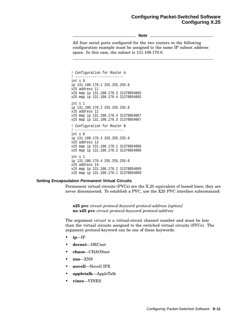**Note**

All four serial ports configured for the two routers in the following configuration example must be assigned to the same IP subnet address space. In this case, the subnet is 131.108.170.0.

```
! Configuration for Router A
! -------------------------
int s 0
ip 131.108.170.1 255.255.255.0
x25 address 11
x25 map ip 131.108.170.3 31370054065
x25 map ip 131.108.170.4 31370054065
int s 1
ip 131.108.170.2 255.255.255.0
x25 address 12
x25 map ip 131.108.170.4 31370054067
x25 map ip 131.108.170.3 31370054067
! Configuration for Router B
! -------------------------
int s 0
ip 131.108.170.3 255.255.255.0
x25 address 13
x25 map ip 131.108.170.1 31370054068
x25 map ip 131.108.170.2 31370054068
int s 1
ip 131.108.170.4 255.255.255.0
x25 address 14
x25 map ip 131.108.170.2 31370054069
x25 map ip 131.108.170.1 31370054069
```
### **Setting Encapsulation Permanent Virtual Circuits**

Permanent virtual circuits (PVCs) are the X.25 equivalent of leased lines; they are never disconnected. To establish a PVC, use the X25 PVC interface subcommand:

**x25 pvc** *circuit protocol-keyword protocol-address [option]* **no x25 pvc** *circuit protocol-keyword protocol-address*

The argument *circuit* is a virtual-circuit channel number and must be less than the virtual circuits assigned to the switched virtual circuits (SVCs). The argument protocol-keyword can be one of these keywords:

- **ip**—IP
- **decnet**—DECnet
- **chaos**—CHAOSnet
- **xns**—XNS
- **novell**—Novell IPX
- **appletalk**—AppleTalk
- **vines**—VINES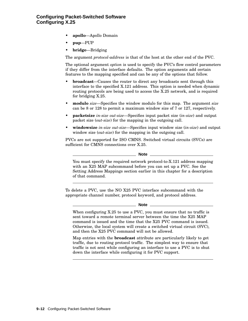- **apollo**—Apollo Domain
- **pup**—PUP
- **bridge**—Bridging

The argument *protocol-address* is that of the host at the other end of the PVC.

The optional argument *option* is used to specify the PVC's flow control parameters if they differ from the interface defaults. The option arguments add certain features to the mapping specified and can be any of the options that follow.

- **broadcast**—Causes the router to direct any broadcasts sent through this interface to the specified X.121 address. This option is needed when dynamic routing protocols are being used to access the X.25 network, and is required for bridging X.25.
- **modulo** *size*—Specifies the window modulo for this map. The argument *size* can be 8 or 128 to permit a maximum window size of 7 or 127, respectively.
- **packetsize** *in-size out-size*—Specifies input packet size (*in-size*) and output packet size (*out-size*) for the mapping in the outgoing call.
- **windowsize** *in-size out-size*—Specifies input window size (*in-size*) and output window size (*out-size*) for the mapping in the outgoing call.

PVCs are not supported for ISO CMNS. Switched virtual circuits (SVCs) are sufficient for CMNS connections over X.25.

```
Note
```
You must specify the required network protocol-to-X.121 address mapping with an X25 MAP subcommand before you can set up a PVC. See the Setting Address Mappings section earlier in this chapter for a description of that command.

To delete a PVC, use the NO X25 PVC interface subcommand with the appropriate channel number, protocol keyword, and protocol address.

#### **Note**

When configuring X.25 to use a PVC, you must ensure that no traffic is sent toward a remote terminal server between the time the X25 MAP command is issued and the time that the X25 PVC command is issued. Otherwise, the local system will create a switched virtual circuit (SVC), and then the X25 PVC command will not be allowed.

Map entries with the **broadcast** attribute are particularly likely to get traffic, due to routing protocol traffic. The simplest way to ensure that traffic is not sent while configuring an interface to use a PVC is to shut down the interface while configuring it for PVC support.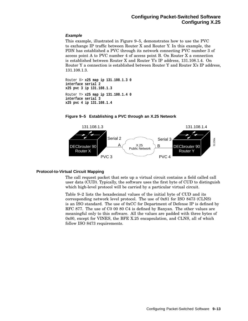### **Example**

This example, illustrated in Figure 9–5, demonstrates how to use the PVC to exchange IP traffic between Router X and Router Y. In this example, the PDN has established a PVC through its network connecting PVC number 3 of access point A to PVC number 4 of access point B. On Router X a connection is established between Router X and Router Y's IP address, 131.108.1.4. On Router Y a connection is established between Router Y and Router X's IP address, 131.108.1.3.

Router X> **x25 map ip 131.108.1.3 0 interface serial 2 x25 pvc 3 ip 131.108.1.3** Router Y> **x25 map ip 131.108.1.4 0 interface serial 3 x25 pvc 4 ip 131.108.1.4**

### **Figure 9–5 Establishing a PVC through an X.25 Network**



#### **Protocol-to-Virtual Circuit Mapping**

The call request packet that sets up a virtual circuit contains a field called call user data (CUD). Typically, the software uses the first byte of CUD to distinguish which high-level protocol will be carried by a particular virtual circuit.

Table 9–2 lists the hexadecimal values of the initial byte of CUD and its corresponding network level protocol. The use of 0x81 for ISO 8473 (CLNS) is an ISO standard. The use of 0xCC for Department of Defense IP is defined by RFC 877. The use of C0 00 80 C4 is defined by Banyan. The other values are meaningful only to this software. All the values are padded with three bytes of 0x00, except for VINES, the BFE X.25 encapsulation, and CLNS, all of which follow ISO 8473 requirements.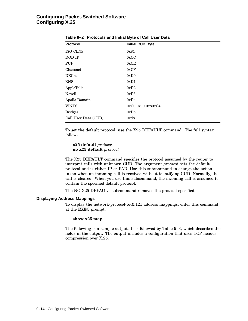| Protocol             | <b>Initial CUD Byte</b> |
|----------------------|-------------------------|
| ISO CLNS             | 0x81                    |
| DOD IP               | $0 \times CC$           |
| <b>PUP</b>           | 0xCE                    |
| Chaosnet             | 0xCF                    |
| <b>DECnet</b>        | 0xD0                    |
| <b>XNS</b>           | 0xD1                    |
| AppleTalk            | 0xD2                    |
| Novell               | 0xD3                    |
| Apollo Domain        | 0xD4                    |
| <b>VINES</b>         | $0xC0$ $0x00$ $0x80xC4$ |
| <b>Bridges</b>       | 0xD5                    |
| Call User Data (CUD) | 0xd8                    |
|                      |                         |

|  | Table 9-2 Protocols and Initial Byte of Call User Data |  |  |  |  |  |
|--|--------------------------------------------------------|--|--|--|--|--|
|--|--------------------------------------------------------|--|--|--|--|--|

To set the default protocol, use the X25 DEFAULT command. The full syntax follows:

### **x25 default** *protocol* **no x25 default** *protocol*

The X25 DEFAULT command specifies the protocol assumed by the router to interpret calls with unknown CUD. The argument *protocol* sets the default protocol and is either IP or PAD. Use this subcommand to change the action taken when an incoming call is received without identifying CUD. Normally, the call is cleared. When you use this subcommand, the incoming call is assumed to contain the specified default protocol.

The NO X25 DEFAULT subcommand removes the protocol specified.

### **Displaying Address Mappings**

To display the network-protocol-to-X.121 address mappings, enter this command at the EXEC prompt:

#### **show x25 map**

The following is a sample output. It is followed by Table 9–3, which describes the fields in the output. The output includes a configuration that uses TCP header compression over X.25.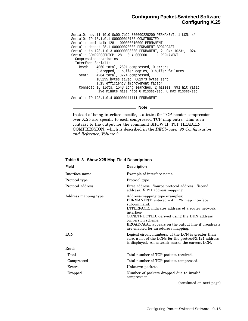```
Serial0: novell 10.0.0c00.7b22 000000220200 PERMANENT, 1 LCN: 4*
Serial0: IP 10.1.0.1 000000010100 CONSTRUCTED
Serial1: appletalk 128.1 000000010000 PERMANENT
Serial1: decnet 28.1 000000020000 PERMANENT BROADCAST
Serial1: ip 128.1.0.3 000000030000 PERMANENT, 2 LCN: 1023*, 1024
Serial1: COMPRESSEDTCP 128.1.0.4 000000111111 PERMANENT
 Compression statistics
  Interface Serial1:
   Rcvd: 4060 total, 2891 compressed, 0 errors
            0 dropped, 1 buffer copies, 0 buffer failures
   Sent: 4284 total, 3224 compressed,
            105295 bytes saved, 661973 bytes sent
             1.15 efficiency improvement factor
   Connect: 16 slots, 1543 long searches, 2 misses, 99% hit ratio
            Five minute miss rate 0 misses/sec, 0 max misses/sec
Serial1: IP 128.1.0.4 000000111111 PERMANENT
```
**Note**

Instead of being interface-specific, statistics for TCP header compression over X.25 are specific to each compressed TCP map entry. This is in contrast to the output for the command SHOW IP TCP HEADER-COMPRESSION, which is described in the *DECbrouter 90 Configuration and Reference, Volume 2*.

| Field                | <b>Description</b>                                                                                                                                                                                                                                                                                                                    |
|----------------------|---------------------------------------------------------------------------------------------------------------------------------------------------------------------------------------------------------------------------------------------------------------------------------------------------------------------------------------|
| Interface name       | Example of interface name.                                                                                                                                                                                                                                                                                                            |
| Protocol type        | Protocol type.                                                                                                                                                                                                                                                                                                                        |
| Protocol address     | First address: Source protocol address. Second<br>address: X.121 address mapping.                                                                                                                                                                                                                                                     |
| Address mapping type | Address-mapping type examples:<br>PERMANENT: entered with x25 map interface<br>subcommand.<br><b>INTERFACE:</b> indicates address of a router network<br>interface.<br>CONSTRUCTED: derived using the DDN address<br>conversion scheme.<br>BROADCAST: appears on the output line if broadcasts<br>are enabled for an address mapping. |
| LCN                  | Logical circuit numbers. If the LCN is greater than<br>zero, a list of the LCNs for the protocol/X.121 address<br>is displayed. An asterisk marks the current LCN.                                                                                                                                                                    |
| Revd:                |                                                                                                                                                                                                                                                                                                                                       |
| Total                | Total number of TCP packets received.                                                                                                                                                                                                                                                                                                 |
| Compressed           | Total number of TCP packets compressed.                                                                                                                                                                                                                                                                                               |
| <b>Errors</b>        | Unknown packets.                                                                                                                                                                                                                                                                                                                      |
| Dropped              | Number of packets dropped due to invalid<br>compression.                                                                                                                                                                                                                                                                              |
|                      | (continued on next page)                                                                                                                                                                                                                                                                                                              |

**Table 9–3 Show X25 Map Field Descriptions**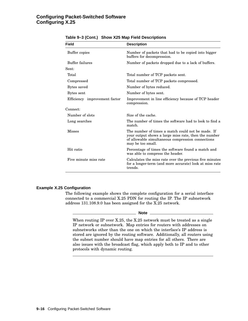| Field                         | <b>Description</b>                                                                                                                                                                  |  |  |
|-------------------------------|-------------------------------------------------------------------------------------------------------------------------------------------------------------------------------------|--|--|
| Buffer copies                 | Number of packets that had to be copied into bigger<br>buffers for decompression.                                                                                                   |  |  |
| Buffer failures               | Number of packets dropped due to a lack of buffers.                                                                                                                                 |  |  |
| Sent:                         |                                                                                                                                                                                     |  |  |
| Total                         | Total number of TCP packets sent.                                                                                                                                                   |  |  |
| Compressed                    | Total number of TCP packets compressed.                                                                                                                                             |  |  |
| Bytes saved                   | Number of bytes reduced.                                                                                                                                                            |  |  |
| Bytes sent                    | Number of bytes sent.                                                                                                                                                               |  |  |
| Efficiency improvement factor | Improvement in line efficiency because of TCP header<br>compression.                                                                                                                |  |  |
| Connect:                      |                                                                                                                                                                                     |  |  |
| Number of slots               | Size of the cache.                                                                                                                                                                  |  |  |
| Long searches                 | The number of times the software had to look to find a<br>match.                                                                                                                    |  |  |
| <b>Misses</b>                 | The number of times a match could not be made. If<br>your output shows a large miss rate, then the number<br>of allowable simultaneous compression connections<br>may be too small. |  |  |
| Hit ratio                     | Percentage of times the software found a match and<br>was able to compress the header.                                                                                              |  |  |
| Five minute miss rate         | Calculates the miss rate over the previous five minutes<br>for a longer-term (and more accurate) look at miss rate<br>trends.                                                       |  |  |

**Table 9–3 (Cont.) Show X25 Map Field Descriptions**

### **Example X.25 Configuration**

The following example shows the complete configuration for a serial interface connected to a commercial X.25 PDN for routing the IP. The IP subnetwork address 131.108.9.0 has been assigned for the X.25 network.

#### \_ Note \_

When routing IP over X.25, the X.25 network must be treated as a single IP network or subnetwork. Map entries for routers with addresses on subnetworks other than the one on which the interface's IP address is stored are ignored by the routing software. Additionally, all routers using the subnet number should have map entries for all others. There are also issues with the broadcast flag, which apply both to IP and to other protocols with dynamic routing.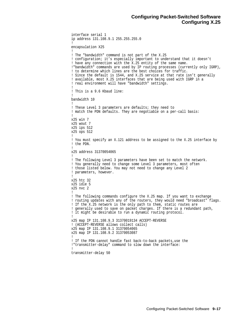```
interface serial 1
ip address 131.108.9.1 255.255.255.0
!
encapsulation X25
!
! The "bandwidth" command is not part of the X.25
! configuration; it's especially important to understand that it doesn't
! have any connection with the X.25 entity of the same name.
!"bandwidth" commands are used by IP routing processes (currently only IGRP),
! to determine which lines are the best choices for traffic.
! Since the default is 1544, and X.25 service at that rate isn't generally
! available, most X.25 interfaces that are being used with IGRP in a
! real environment will have "bandwidth" settings.
!
! This is a 9.6 Kbaud line:
!
bandwidth 10
!
! These Level 3 parameters are defaults; they need to
! match the PDN defaults. They are negotiable on a per-call basis:
!
x25 win 7
x25 wout 7
x25 ips 512
x25 ops 512
!
! You must specify an X.121 address to be assigned to the X.25 interface by
! the PDN.
!
x25 address 31370054065
!
! The following Level 3 parameters have been set to match the network.
! You generally need to change some Level 3 parameters, most often
! those listed below. You may not need to change any Level 2
! parameters, however.
!
x25 htc 32
x25 idle 5
x25 nvc 2
!
! The following commands configure the X.25 map. If you want to exchange
! routing updates with any of the routers, they would need "broadcast" flags.
! If the X.25 network is the only path to them, static routes are
! generally used to save on packet charges. If there is a redundant path,
! it might be desirable to run a dynamic routing protocol.
!
x25 map IP 131.108.9.3 31370019134 ACCEPT-REVERSE
! (ACCEPT-REVERSE allows collect calls)
x25 map IP 131.108.9.1 31370054065
x25 map IP 131.108.9.2 31370053087
!
! If the PDN cannot handle fast back-to-back packets,use the
!"transmitter-delay" command to slow down the interface:
!
transmitter-delay 50
```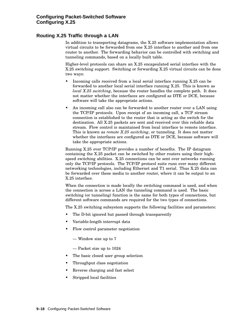### **Routing X.25 Traffic through a LAN**

In addition to transporting datagrams, the X.25 software implementation allows virtual circuits to be forwarded from one X.25 interface to another and from one router to another. The forwarding behavior can be controlled with switching and tunneling commands, based on a locally built table.

Higher-level protocols can share an X.25 encapsulated serial interface with the X.25 switching support. Switching or forwarding X.25 virtual circuits can be done two ways:

- Incoming calls received from a local serial interface running X.25 can be forwarded to another local serial interface running X.25. This is known as *local X.25 switching*, because the router handles the complete path. It does not matter whether the interfaces are configured as DTE or DCE, because software will take the appropriate actions.
- An incoming call also can be forwarded to another router over a LAN using the TCP/IP protocols. Upon receipt of an incoming call, a TCP stream connection is established to the router that is acting as the switch for the destination. All X.25 packets are sent and received over this reliable data stream. Flow control is maintained from local interface to remote interface. This is known as *remote X.25 switching*, or tunneling. It does not matter whether the interfaces are configured as DTE or DCE, because software will take the appropriate actions.

Running X.25 over TCP/IP provides a number of benefits. The IP datagram containing the X.25 packet can be switched by other routers using their highspeed switching abilities. X.25 connections can be sent over networks running only the TCP/IP protocols. The TCP/IP protocol suite runs over many different networking technologies, including Ethernet and T1 serial. Thus X.25 data can be forwarded over these media to another router, where it can be output to an X.25 interface.

When the connection is made locally the switching command is used, and when the connection is across a LAN the tunneling command is used. The basic switching (or tunneling) function is the same for both types of connections, but different software commands are required for the two types of connections.

The X.25 switching subsystem supports the following facilities and parameters:

- The D-bit ignored but passed through transparently
- Variable-length interrupt data
- Flow control parameter negotiation
	- Window size up to 7
	- Packet size up to 1024
- The basic closed user group selection
- Throughput class negotiation
- Reverse charging and fast select
- Stripped local facilities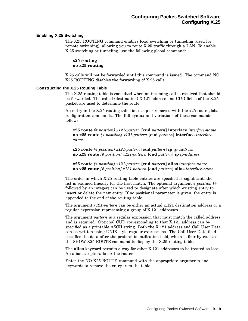#### **Enabling X.25 Switching**

The X25 ROUTING command enables local switching or tunneling (used for remote switching), allowing you to route X.25 traffic through a LAN. To enable X.25 switching or tunneling, use the following global command:

**x25 routing no x25 routing**

X.25 calls will not be forwarded until this command is issued. The command NO X25 ROUTING disables the forwarding of X.25 calls.

#### **Constructing the X.25 Routing Table**

The X.25 routing table is consulted when an incoming call is received that should be forwarded. The called (destination) X.121 address and CUD fields of the X.25 packet are used to determine the route.

An entry in the X.25 routing table is set up or removed with the x25 route global configuration commands. The full syntax and variations of these commands follows:

**x25 route** *[# position] x121-pattern* [**cud** *pattern*] **interface** *interface-name* **no x25 route** *[# position] x121-pattern* [**cud** *pattern*] **interface** *interfacename*

**x25 route** *[# position] x121-pattern* [**cud** *pattern*] **ip** *ip-address* **no x25 route** *[# position] x121-pattern* [**cud** *pattern*] **ip** *ip-address*

**x25 route** *[# position] x121-pattern* [**cud** *pattern*] **alias** *interface-name* **no x25 route** *[# position] x121-pattern* [**cud** *pattern*] **alias** *interface-name*

The order in which X.25 routing table entries are specified is significant; the list is scanned linearly for the first match. The optional argument *# position* (# followed by an integer) can be used to designate after which existing entry to insert or delete the new entry. If no positional parameter is given, the entry is appended to the end of the routing table.

The argument *x121-pattern* can be either an actual x.121 destination address or a regular expression representing a group of X.121 addresses.

The argument *pattern* is a regular expression that must match the called address and is required. Optional CUD corresponding to that X.121 address can be specified as a printable ASCII string. Both the X.121 address and Call User Data can be written using UNIX-style regular expressions. The Call User Data field specifies the data after the protocol identification field, which is four bytes. Use the SHOW X25 ROUTE command to display the X.25 routing table.

The **alias** keyword permits a way for other X.121 addresses to be treated as local. An alias accepts calls for the router.

Enter the NO X25 ROUTE command with the appropriate arguments and keywords to remove the entry from the table.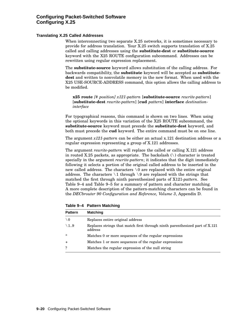### **Translating X.25 Called Addresses**

When interconnecting two separate X.25 networks, it is sometimes necessary to provide for address translation. Your X.25 switch supports translation of X.25 called and calling addresses using the **substitute-dest** or **substitute-source** keyword with the X25 ROUTE configuration subcommand. Addresses can be rewritten using regular expression replacement.

The **substitute-source** keyword allows substitution of the calling address. For backwards compatibility, the **substitute** keyword will be accepted as **substitutedest** and written to nonvolatile memory in the new format. When used with the X25 USE-SOURCE-ADDRESS command, this option allows the calling address to be modified.

**x25 route** *[# position] x121-pattern* [**substitute-source** *rewrite-pattern*] [**substitute-dest** *rewrite-pattern*] [**cud** *pattern*] **interface** *destinationinterface*

For typographical reasons, this command is shown on two lines. When using the optional keywords in this variation of the X25 ROUTE subcommand, the **substitute-source** keyword must precede the **substitute-dest** keyword, and both must precede the **cud** keyword. The entire command must be on one line.

The argument *x121-pattern* can be either an actual x.121 destination address or a regular expression representing a group of X.121 addresses.

The argument *rewrite-pattern* will replace the called or calling X.121 address in routed X.25 packets, as appropriate. The backslash  $(\cdot)$  character is treated specially in the argument *rewrite-pattern*; it indicates that the digit immediately following it selects a portion of the original called address to be inserted in the new called address. The characters  $\setminus 0$  are replaced with the entire original address. The characters  $\setminus 1$  through  $\setminus 9$  are replaced with the strings that matched the first through ninth parenthesized parts of X121-*pattern*. See Table 9–4 and Table 9–5 for a summary of pattern and character matching. A more complete description of the pattern-matching characters can be found in the *DECbrouter 90 Configuration and Reference, Volume 3*, Appendix D.

**Table 9–4 Pattern Matching**

| <b>Pattern</b> | <b>Matching</b>                                                                        |
|----------------|----------------------------------------------------------------------------------------|
| $\setminus 0$  | Replaces entire original address                                                       |
| $\setminus$ 19 | Replaces strings that match first through ninth parenthesized part of X.121<br>address |
| *              | Matches 0 or more sequences of the regular expressions                                 |
|                | Matches 1 or more sequences of the regular expressions                                 |
| ?              | Matches the regular expression of the null string                                      |
|                |                                                                                        |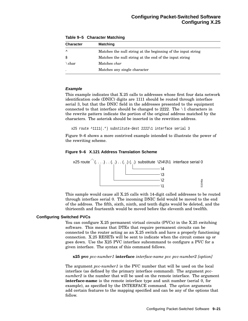| <b>Character</b>  | <b>Matching</b>                                              |  |
|-------------------|--------------------------------------------------------------|--|
| $\lambda$         | Matches the null string at the beginning of the input string |  |
| \$                | Matches the null string at the end of the input string       |  |
| $\backslash$ char | Matches <i>char</i>                                          |  |
|                   | Matches any single character                                 |  |

**Table 9–5 Character Matching**

### **Example**

This example indicates that X.25 calls to addresses whose first four data network identification code (DNIC) digits are 1111 should be routed through interface serial 3, but that the DNIC field in the addresses presented to the equipment connected to that interface should be changed to 2222. The  $\setminus$ 1 characters in the rewrite pattern indicate the portion of the original address matched by the characters. The asterisk should be inserted in the rewritten address.

x25 route ^1111(.\*) substitute-dest 2222\1 interface serial 3

Figure 9–6 shows a more contrived example intended to illustrate the power of the rewriting scheme.

### **Figure 9–6 X.121 Address Translation Scheme**



This sample would cause all X.25 calls with 14-digit called addresses to be routed through interface serial 0. The incoming DNIC field would be moved to the end of the address. The fifth, sixth, ninth, and tenth digits would be deleted, and the thirteenth and fourteenth would be moved before the eleventh and twelfth.

### **Configuring Switched PVCs**

You can configure X.25 permanent virtual circuits (PVCs) in the X.25 switching software. This means that DTEs that require permanent circuits can be connected to the router acting as an X.25 switch and have a properly functioning connection. X.25 RESETs will be sent to indicate when the circuit comes up or goes down. Use the X25 PVC interface subcommand to configure a PVC for a given interface. The syntax of this command follows.

**x25 pvc** *pvc-number1* **interface** *interface-name pvc pvc-number2 [option]*

The argument *pvc-number1* is the PVC number that will be used on the local interface (as defined by the primary interface command). The argument *pvcnumber2* is the number that will be used on the remote interface. The argument **interface-name** is the remote interface type and unit number (serial 0, for example), as specified by the INTERFACE command. The *option* arguments add certain features to the mapping specified and can be any of the options that follow.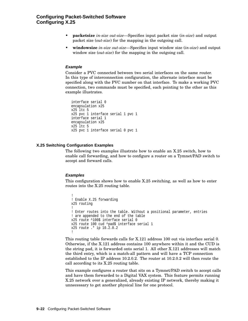- **packetsize** *in-size out-size*—Specifies input packet size (*in-size*) and output packet size (*out-size*) for the mapping in the outgoing call.
- **windowsize** *in-size out-size*—Specifies input window size (*in-size*) and output window size (*out-size*) for the mapping in the outgoing call.

### **Example**

Consider a PVC connected between two serial interfaces on the same router. In this type of interconnection configuration, the alternate interface must be specified along with the PVC number on that interface. To make a working PVC connection, two commands must be specified, each pointing to the other as this example illustrates.

```
interface serial 0
encapsulation x25
x25 ltc 5
x25 pvc 1 interface serial 1 pvc 1
interface serial 1
encapsulation x25
x25 ltc 5
x25 pvc 1 interface serial 0 pvc 1
```
#### **X.25 Switching Configuration Examples**

The following two examples illustrate how to enable an X.25 switch, how to enable call forwarding, and how to configure a router on a Tymnet/PAD switch to accept and forward calls.

#### **Examples**

This configuration shows how to enable X.25 switching, as well as how to enter routes into the X.25 routing table.

```
!
! Enable X.25 forwarding
x25 routing
!
! Enter routes into the table. Without a positional parameter, entries
! are appended to the end of the table
x25 route ^100$ interface serial 0
x25 route 100 cud ^pad$ interface serial 1
x25 route .* ip 10.2.0.2
!
```
This routing table forwards calls for X.121 address 100 out via interface serial 0. Otherwise, if the X.121 address contains 100 anywhere within it and the CUD is the string pad, it is forwarded onto serial 1. All other X.121 addresses will match the third entry, which is a match-all pattern and will have a TCP connection established to the IP address 10.2.0.2. The router at 10.2.0.2 will then route the call according to its X.25 routing table.

This example configures a router that sits on a Tymnet/PAD switch to accept calls and have them forwarded to a Digital VAX system. This feature permits running X.25 network over a generalized, already existing IP network, thereby making it unnecessary to get another physical line for one protocol.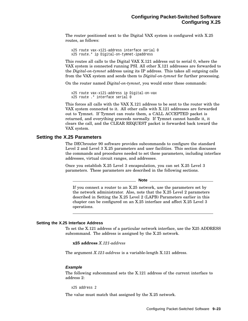The router positioned next to the Digital VAX system is configured with X.25 routes, as follows:

```
x25 route vax-x121-address interface serial 0
x25 route.* ip Digital-on-tymnet-ipaddress
```
This routes all calls to the Digital VAX X.121 address out to serial 0, where the VAX system is connected running PSI. All other X.121 addresses are forwarded to the *Digital-on-tymnet* address using its IP address. This takes all outgoing calls from the VAX system and sends them to *Digital-on-tymnet* for further processing.

On the router named *Digital-on-tymnet*, you would enter these commands:

x25 route vax-x121-address ip Digital-on-vax x25 route .\* interface serial 0

This forces all calls with the VAX X.121 address to be sent to the router with the VAX system connected to it. All other calls with X.121 addresses are forwarded out to Tymnet. If Tymnet can route them, a CALL ACCEPTED packet is returned, and everything proceeds normally. If Tymnet cannot handle it, it clears the call, and the CLEAR REQUEST packet is forwarded back toward the VAX system.

### **Setting the X.25 Parameters**

The DECbrouter 90 software provides subcommands to configure the standard Level 2 and Level 3 X.25 parameters and user facilities. This section discusses the commands and procedures needed to set these parameters, including interface addresses, virtual circuit ranges, and addresses.

Once you establish X.25 Level 3 encapsulation, you can set X.25 Level 3 parameters. These parameters are described in the following sections.

**Note**

If you connect a router to an X.25 network, use the parameters set by the network administrator. Also, note that the X.25 Level 2 parameters described in Setting the X.25 Level 2 (LAPB) Parameters earlier in this chapter can be configured on an X.25 interface and affect X.25 Level 3 operations.

### **Setting the X.25 Interface Address**

To set the X.121 address of a particular network interface, use the X25 ADDRESS subcommand. The address is assigned by the X.25 network.

**x25 address** *X.121-address*

The argument *X.121-address* is a variable-length X.121 address.

#### **Example**

The following subcommand sets the X.121 address of the current interface to address 2:

x25 address 2

The value must match that assigned by the X.25 network.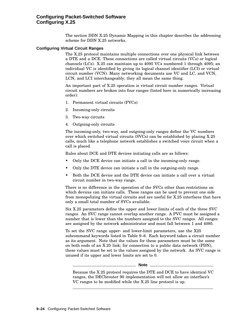The section DDN X.25 Dynamic Mapping in this chapter describes the addressing scheme for DDN X.25 networks.

#### **Configuring Virtual Circuit Ranges**

The X.25 protocol maintains multiple connections over one physical link between a DTE and a DCE. These connections are called virtual circuits (VCs) or logical channels (LCs). X.25 can maintain up to 4095 VCs numbered 1 through 4095; an individual VC is identified by giving its logical channel identifier (LCI) or virtual circuit number (VCN). Many networking documents use VC and LC, and VCN, LCN, and LCI interchangeably; they all mean the same thing.

An important part of X.25 operation is virtual circuit number ranges. Virtual circuit numbers are broken into four ranges (listed here in numerically increasing order):

- 1. Permanent virtual circuits (PVCs)
- 2. Incoming-only circuits
- 3. Two-way circuits
- 4. Outgoing-only circuits

The incoming-only, two-way, and outgoing-only ranges define the VC numbers over which switched virtual circuits (SVCs) can be established by placing X.25 calls, much like a telephone network establishes a switched voice circuit when a call is placed.

Rules about DCE and DTE devices initiating calls are as follows:

- Only the DCE device can initiate a call in the incoming-only range.
- Only the DTE device can initiate a call in the outgoing-only range.
- Both the DCE device and the DTE device can initiate a call over a virtual circuit number in two-way range.

There is no difference in the operation of the SVCs other than restrictions on which devices can initiate calls. These ranges can be used to prevent one side from monopolizing the virtual circuits and are useful for X.25 interfaces that have only a small total number of SVCs available.

Six X.25 parameters define the upper and lower limits of each of the three SVC ranges. An SVC range cannot overlap another range. A PVC must be assigned a number that is lower than the numbers assigned to the SVC ranges. All ranges are assigned by the network administrator and must fall between 1 and 4095.

To set the SVC range upper- and lower-limit parameters, use the X25 subcommand keywords listed in Table 9–6. Each keyword takes a circuit number as its argument. Note that the values for these parameters must be the same on both ends of an X.25 link; for connection to a public data network (PDN), these values must be set to the values assigned by the network. An SVC range is unused if its upper and lower limits are set to 0.

#### **Note** \_\_\_

Because the X.25 protocol requires the DTE and DCE to have identical VC ranges, the DECbrouter 90 implementation will not allow an interface's VC ranges to be modified while the X.25 line protocol is up.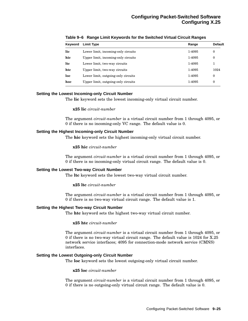| Keyword | <b>Limit Type</b>                   | Range  | <b>Default</b> |
|---------|-------------------------------------|--------|----------------|
| lic     | Lower limit, incoming-only circuits | 1-4095 | $\bf{0}$       |
| hic     | Upper limit, incoming-only circuits | 1-4095 | $\bf{0}$       |
| ltc     | Lower limit, two-way circuits       | 1-4095 |                |
| htc     | Upper limit, two-way circuits       | 1-4095 | 1024           |
| loc     | Lower limit, outgoing-only circuits | 1-4095 | $\Omega$       |
| hoc     | Upper limit, outgoing-only circuits | 1-4095 | $\Omega$       |

**Table 9–6 Range Limit Keywords for the Switched Virtual Circuit Ranges**

### **Setting the Lowest Incoming-only Circuit Number**

The **lic** keyword sets the lowest incoming-only virtual circuit number.

### **x25 lic** *circuit-number*

The argument *circuit-number* is a virtual circuit number from 1 through 4095, or 0 if there is no incoming-only VC range. The default value is 0.

#### **Setting the Highest Incoming-only Circuit Number**

The **hic** keyword sets the highest incoming-only virtual circuit number.

#### **x25 hic** *circuit-number*

The argument *circuit-number* is a virtual circuit number from 1 through 4095, or 0 if there is no incoming-only virtual circuit range. The default value is 0.

#### **Setting the Lowest Two-way Circuit Number**

The **ltc** keyword sets the lowest two-way virtual circuit number.

#### **x25 ltc** *circuit-number*

The argument *circuit-number* is a virtual circuit number from 1 through 4095, or 0 if there is no two-way virtual circuit range. The default value is 1.

### **Setting the Highest Two-way Circuit Number**

The **htc** keyword sets the highest two-way virtual circuit number.

# **x25 htc** *circuit-number*

The argument *circuit-number* is a virtual circuit number from 1 through 4095, or 0 if there is no two-way virtual circuit range. The default value is 1024 for X.25 network service interfaces; 4095 for connection-mode network service (CMNS) interfaces.

### **Setting the Lowest Outgoing-only Circuit Number**

The **loc** keyword sets the lowest outgoing-only virtual circuit number.

#### **x25 loc** *circuit-number*

The argument *circuit-number* is a virtual circuit number from 1 through 4095, or 0 if there is no outgoing-only virtual circuit range. The default value is 0.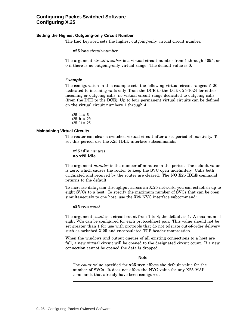# **Configuring Packet-Switched Software Configuring X.25**

# **Setting the Highest Outgoing-only Circuit Number**

The **hoc** keyword sets the highest outgoing-only virtual circuit number.

**x25 hoc** *circuit-number*

The argument *circuit-number* is a virtual circuit number from 1 through 4095, or 0 if there is no outgoing-only virtual range. The default value is 0.

### **Example**

The configuration in this example sets the following virtual circuit ranges: 5-20 dedicated to incoming calls only (from the DCE to the DTE), 25-1024 for either incoming or outgoing calls, no virtual circuit range dedicated to outgoing calls (from the DTE to the DCE). Up to four permanent virtual circuits can be defined on the virtual circuit numbers 1 through 4.

```
x25 lic 5
x25 hic 20
x25 ltc 25
```
### **Maintaining Virtual Circuits**

The router can clear a switched virtual circuit after a set period of inactivity. To set this period, use the X25 IDLE interface subcommands:

**x25 idle** *minutes* **no x25 idle**

The argument *minutes* is the number of minutes in the period. The default value is zero, which causes the router to keep the SVC open indefinitely. Calls both originated and received by the router are cleared. The NO X25 IDLE command returns to the default.

To increase datagram throughput across an X.25 network, you can establish up to eight SVCs to a host. To specify the maximum number of SVCs that can be open simultaneously to one host, use the X25 NVC interface subcommand:

**x25 nvc** *count*

The argument *count* is a circuit count from 1 to 8; the default is 1. A maximum of eight VCs can be configured for each protocol/host pair. This value should not be set greater than 1 for use with protocols that do not tolerate out-of-order delivery such as switched X.25 and encapsulated TCP header compression.

When the windows and output queues of all existing connections to a host are full, a new virtual circuit will be opened to the designated circuit count. If a new connection cannot be opened the data is dropped.

**Note**

The *count* value specified for **x25 nvc** affects the default value for the number of SVCs. It does not affect the NVC value for any X25 MAP commands that already have been configured.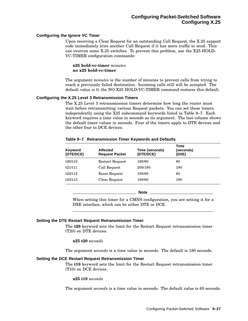### **Configuring the Ignore VC Timer**

Upon receiving a Clear Request for an outstanding Call Request, the X.25 support code immediately tries another Call Request if it has more traffic to send. This can overrun some X.25 switches. To prevent this problem, use the X25 HOLD-VC-TIMER configuration commands:

### **x25 hold-vc-timer** *minutes* **no x25 hold-vc-timer**

The argument *minutes* is the number of minutes to prevent calls from trying to reach a previously failed destination. Incoming calls still will be accepted. The default value is 0; the NO X25 HOLD-VC-TIMER command restores this default.

#### **Configuring the X.25 Level 3 Retransmission Timers**

The X.25 Level 3 retransmission timers determine how long the router must wait before retransmitting various Request packets. You can set these timers independently using the X25 subcommand keywords listed in Table 9–7. Each keyword requires a time value in seconds as its argument. The last column shows the default timer values in seconds. Four of the timers apply to DTE devices and the other four to DCE devices.

| Keyword<br>(DTE/DCE) | <b>Affected</b><br><b>Request Packet</b> | Time (seconds)<br>(DTE/DCE) | Time<br>(seconds)<br>(DXE) |  |
|----------------------|------------------------------------------|-----------------------------|----------------------------|--|
| t20/t10              | Restart Request                          | 180/60                      | 60                         |  |
| t21/t11              | Call Request                             | 200/180                     | 180                        |  |
| t22/t12              | Reset Request                            | 180/60                      | 60                         |  |
| t23/t13              | Clear Request                            | 180/60                      | 180                        |  |
|                      |                                          |                             |                            |  |

#### **Table 9–7 Retransmission Timer Keywords and Defaults**

**Note**

When setting this timer for a CMNS configuration, you are setting it for a DXE interface, which can be either DTE or DCE.

# **Setting the DTE Restart Request Retransmission Timer**

The **t20** keyword sets the limit for the Restart Request retransmission timer (T20) on DTE devices.

**x25 t20** *seconds*

The argument *seconds* is a time value in seconds. The default is 180 seconds.

#### **Setting the DCE Restart Request Retransmission Timer**

The **t10** keyword sets the limit for the Restart Request retransmission timer (T10) on DCE devices.

**x25 t10** *seconds*

The argument *seconds* is a time value in seconds. The default value is 60 seconds.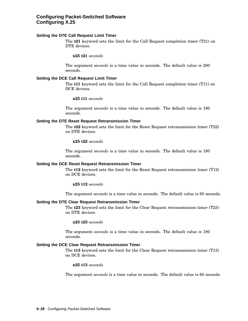# **Configuring Packet-Switched Software Configuring X.25**

# **Setting the DTE Call Request Limit Timer**

The **t21** keyword sets the limit for the Call Request completion timer (T21) on DTE devices.

**x25 t21** *seconds*

The argument *seconds* is a time value in seconds. The default value is 200 seconds.

# **Setting the DCE Call Request Limit Timer**

The **t11** keyword sets the limit for the Call Request completion timer (T11) on DCE devices.

**x25 t11** *seconds*

The argument *seconds* is a time value in seconds. The default value is 180 seconds.

# **Setting the DTE Reset Request Retransmission Timer**

The **t22** keyword sets the limit for the Reset Request retransmission timer (T22) on DTE devices.

**x25 t22** *seconds*

The argument *seconds* is a time value in seconds. The default value is 180 seconds.

# **Setting the DCE Reset Request Retransmission Timer**

The **t12** keyword sets the limit for the Reset Request retransmission timer (T12) on DCE devices.

**x25 t12** *seconds*

The argument *seconds* is a time value in seconds. The default value is 60 seconds.

# **Setting the DTE Clear Request Retransmission Timer**

The **t23** keyword sets the limit for the Clear Request retransmission timer (T23) on DTE devices.

**x25 t23** *seconds*

The argument *seconds* is a time value in seconds. The default value is 180 seconds.

# **Setting the DCE Clear Request Retransmission Timer**

The **t13** keyword sets the limit for the Clear Request retransmission timer (T13) on DCE devices.

**x25 t13** *seconds*

The argument *seconds* is a time value in seconds. The default value is 60 seconds.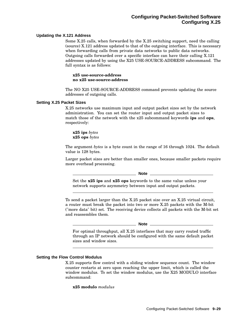### **Updating the X.121 Address**

Some X.25 calls, when forwarded by the X.25 switching support, need the calling (source) X.121 address updated to that of the outgoing interface. This is necessary when forwarding calls from private data networks to public data networks. Outgoing calls forwarded over a specific interface can have their calling X.121 addresses updated by using the X25 USE-SOURCE-ADDRESS subcommand. The full syntax is as follows:

### **x25 use-source-address no x25 use-source-address**

The NO X25 USE-SOURCE-ADDRESS command prevents updating the source addresses of outgoing calls.

### **Setting X.25 Packet Sizes**

X.25 networks use maximum input and output packet sizes set by the network administration. You can set the router input and output packet sizes to match those of the network with the x25 subcommand keywords **ips** and **ops**, respectively:

**x25 ips** *bytes* **x25 ops** *bytes*

The argument *bytes* is a byte count in the range of 16 through 1024. The default value is 128 bytes.

Larger packet sizes are better than smaller ones, because smaller packets require more overhead processing.

**Note**

Set the **x25 ips** and **x25 ops** keywords to the same value unless your network supports asymmetry between input and output packets.

To send a packet larger than the X.25 packet size over an X.25 virtual circuit, a router must break the packet into two or more X.25 packets with the M-bit ("more data" bit) set. The receiving device collects all packets with the M-bit set and reassembles them.

**Note**

For optimal throughput, all X.25 interfaces that may carry routed traffic through an IP network should be configured with the same default packet sizes and window sizes.

# **Setting the Flow Control Modulus**

X.25 supports flow control with a sliding window sequence count. The window counter restarts at zero upon reaching the upper limit, which is called the window modulus. To set the window modulus, use the X25 MODULO interface subcommand:

**x25 modulo** *modulus*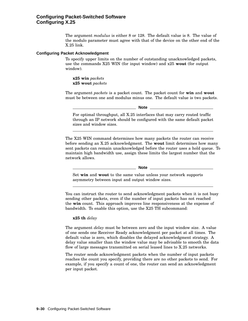The argument *modulus* is either 8 or 128. The default value is 8. The value of the modulo parameter must agree with that of the device on the other end of the X.25 link.

# **Configuring Packet Acknowledgment**

To specify upper limits on the number of outstanding unacknowledged packets, use the commands X25 WIN (for input window) and x25 **wout** (for output window).

**x25 win** *packets* **x25 wout** *packets*

The argument *packets* is a packet count. The packet count for **win** and **wout** must be between one and modulus minus one. The default value is two packets.

**Note**

For optimal throughput, all X.25 interfaces that may carry routed traffic through an IP network should be configured with the same default packet sizes and window sizes.

The X25 WIN command determines how many packets the router can receive before sending an X.25 acknowledgment. The **wout** limit determines how many sent packets can remain unacknowledged before the router uses a hold queue. To maintain high bandwidth use, assign these limits the largest number that the network allows.

**Note**

Set **win** and **wout** to the same value unless your network supports asymmetry between input and output window sizes.

You can instruct the router to send acknowledgment packets when it is not busy sending other packets, even if the number of input packets has not reached the **win** count. This approach improves line responsiveness at the expense of bandwidth. To enable this option, use the X25 TH subcommand:

**x25 th** *delay*

The argument *delay* must be between zero and the input window size. A value of one sends one Receiver Ready acknowledgment per packet at all times. The default value is zero, which disables the delayed acknowledgment strategy. A delay value smaller than the window value may be advisable to smooth the data flow of large messages transmitted on serial leased lines to X.25 networks.

The router sends acknowledgment packets when the number of input packets reaches the count you specify, providing there are no other packets to send. For example, if you specify a count of one, the router can send an acknowledgment per input packet.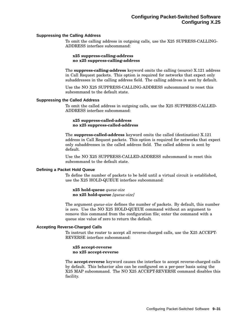### **Suppressing the Calling Address**

To omit the calling address in outgoing calls, use the X25 SUPRESS-CALLING-ADDRESS interface subcommand:

**x25 suppress-calling-address no x25 suppress-calling-address**

The **suppress-calling-address** keyword omits the calling (source) X.121 address in Call Request packets. This option is required for networks that expect only subaddresses in the calling address field. The calling address is sent by default.

Use the NO X25 SUPPRESS-CALLING-ADDRESS subcommand to reset this subcommand to the default state.

# **Suppressing the Called Address**

To omit the called address in outgoing calls, use the X25 SUPPRESS-CALLED-ADDRESS interface subcommand:

### **x25 suppress-called-address no x25 suppress-called-address**

The **suppress-called-address** keyword omits the called (destination) X.121 address in Call Request packets. This option is required for networks that expect only subaddresses in the called address field. The called address is sent by default.

Use the NO X25 SUPPRESS-CALLED-ADDRESS subcommand to reset this subcommand to the default state.

#### **Defining a Packet Hold Queue**

To define the number of packets to be held until a virtual circuit is established, use the X25 HOLD-QUEUE interface subcommand:

**x25 hold-queue** *queue-size* **no x25 hold-queue** *[queue-size]*

The argument *queue-size* defines the number of packets. By default, this number is zero. Use the NO X25 HOLD-QUEUE command without an argument to remove this command from the configuration file; enter the command with a queue size value of zero to return the default.

### **Accepting Reverse-Charged Calls**

To instruct the router to accept all reverse-charged calls, use the X25 ACCEPT-REVERSE interface subcommand:

### **x25 accept-reverse no x25 accept-reverse**

The **accept-reverse** keyword causes the interface to accept reverse-charged calls by default. This behavior also can be configured on a per-peer basis using the X25 MAP subcommand. The NO X25 ACCEPT-REVERSE command disables this facility.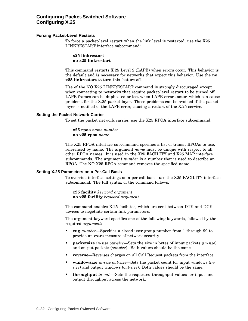# **Configuring Packet-Switched Software Configuring X.25**

# **Forcing Packet-Level Restarts**

To force a packet-level restart when the link level is restarted, use the X25 LINKRESTART interface subcommand:

**x25 linkrestart no x25 linkrestart**

This command restarts X.25 Level 2 (LAPB) when errors occur. This behavior is the default and is necessary for networks that expect this behavior. Use the **no x25 linkrestart** to turn this feature off.

Use of the NO X25 LINKRESTART command is strongly discouraged except when connecting to networks that require packet-level restart to be turned off. LAPB frames can be duplicated or lost when LAPB errors occur, which can cause problems for the X.25 packet layer. These problems can be avoided if the packet layer is notified of the LAPB error, causing a restart of the X.25 service.

# **Setting the Packet Network Carrier**

To set the packet network carrier, use the X25 RPOA interface subcommand:

**x25 rpoa** *name number* **no x25 rpoa** *name*

The X25 RPOA interface subcommand specifies a list of transit RPOAs to use, referenced by name. The argument *name* must be unique with respect to all other RPOA names. It is used in the X25 FACILITY and X25 MAP interface subcommands. The argument *number* is a number that is used to describe an RPOA. The NO X25 RPOA command removes the specified name.

# **Setting X.25 Parameters on a Per-Call Basis**

To override interface settings on a per-call basis, use the X25 FACILITY interface subcommand. The full syntax of the command follows.

**x25 facility** *keyword argument* **no x25 facility** *keyword argument*

The command enables X.25 facilities, which are sent between DTE and DCE devices to negotiate certain link parameters.

The argument keyword specifies one of the following keywords, followed by the required *argument*:

- **cug** *number*—Specifies a closed user group number from 1 through 99 to provide an extra measure of network security.
- **packetsize** *in-size out-size*—Sets the size in bytes of input packets (*in-size*) and output packets (*out-size*). Both values should be the same.
- **reverse**—Reverses charges on all Call Request packets from the interface.
- **windowsize** *in-size out-size*—Sets the packet count for input windows (*insize*) and output windows (*out-size*). Both values should be the same.
- **throughput** *in out*—-Sets the requested throughput values for input and output throughput across the network.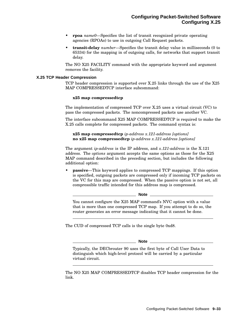- **rpoa** *name0*—Specifies the list of transit recognized private operating agencies (RPOAs) to use in outgoing Call Request packets.
- **transit-delay** *number*—Specifies the transit delay value in milliseconds (0 to 65334) for the mapping in of outgoing calls, for networks that support transit delay.

The NO X25 FACILITY command with the appropriate keyword and argument removes the facility.

#### **X.25 TCP Header Compression**

TCP header compression is supported over X.25 links through the use of the X25 MAP COMPRESSEDTCP interface subcommand:

### **x25 map compressedtcp**

The implementation of compressed TCP over X.25 uses a virtual circuit (VC) to pass the compressed packets. The noncompressed packets use another VC.

The interface subcommand X25 MAP COMPRESSEDTCP is required to make the X.25 calls complete for compressed packets. The command syntax is:

**x25 map compressedtcp** *ip-address x.121-address [options]* **no x25 map compressedtcp** *ip-address x.121-address [options]*

The argument *ip-address* is the IP address, and *x.121-address* is the X.121 address. The *options* argument accepts the same options as those for the X25 MAP command described in the preceding section, but includes the following additional option:

• **passive**—This keyword applies to compressed TCP mappings. If this option is specified, outgoing packets are compressed only if incoming TCP packets on the VC for this map are compressed. When the passive option is not set, all compressible traffic intended for this address map is compressed.

**Note**

You cannot configure the X25 MAP command's NVC option with a value that is more than one compressed TCP map. If you attempt to do so, the router generates an error message indicating that it cannot be done.

The CUD of compressed TCP calls is the single byte 0xd8.

**Note**

Typically, the DECbrouter 90 uses the first byte of Call User Data to distinguish which high-level protocol will be carried by a particular virtual circuit.

The NO X25 MAP COMPRESSEDTCP disables TCP header compression for the link.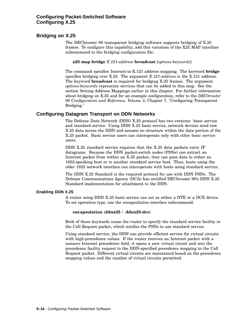# **Configuring Packet-Switched Software Configuring X.25**

# **Bridging on X.25**

The DECbrouter 90 transparent bridging software supports bridging of X.25 frames. To configure this capability, add this variation of the X25 MAP interface subcommand to the bridging configuration file:

**x25 map bridge** *X.121-address* **broadcast** [*options-keywords*]

The command specifies Internet-to-X.121 address mapping. The keyword **bridge** specifies bridging over X.25. The argument *X.121-address* is the X.121 address. The keyword **broadcast** is required for bridging X.25 frames. The argument *options-keywords* represents services that can be added to this map. See the section Setting Address Mappings earlier in this chapter. For further information about bridging on X.25 and for an example configuration, refer to the *DECbrouter 90 Configuration and Reference, Volume 3*, Chapter 7, "Configuring Transparent Bridging."

# **Configuring Datagram Transport on DDN Networks**

The Defense Data Network (DDN) X.25 protocol has two versions: basic service and standard service. Using DDN X.25 basic service, network devices send raw X.25 data across the DDN and assume no structure within the data portion of the X.25 packet. Basic service users can interoperate only with other basic service users.

DDN X.25 standard service requires that the X.25 data packets carry IP datagrams. Because the DDN packet-switch nodes (PSNs) can extract an Internet packet from within an X.25 packet, they can pass data to either an 1822-speaking host or to another standard service host. Thus, hosts using the older 1822 network interface can interoperate with hosts using standard service.

The DDN X.25 Standard is the required protocol for use with DDN PSNs. The Defense Communications Agency (DCA) has certified DECbrouter 90's DDN X.25 Standard implementation for attachment to the DDN.

# **Enabling DDN X.25**

A router using DDN X.25 basic service can act as either a DTE or a DCE device. To set operation type, use the encapsulation interface subcommand:

# **encapsulation** {**ddnx25** | **ddnx25-dce**}

Both of these keywords cause the router to specify the standard service facility in the Call Request packet, which notifies the PSNs to use standard service.

Using standard service, the DDN can provide efficient service for virtual circuits with high-precedence values. If the router receives an Internet packet with a nonzero Internet precedence field, it opens a new virtual circuit and sets the precedence facility request to the DDN-specified precedence mapping in the Call Request packet. Different virtual circuits are maintained based on the precedence mapping values and the number of virtual circuits permitted.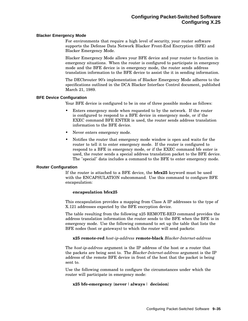### **Blacker Emergency Mode**

For environments that require a high level of security, your router software supports the Defense Data Network Blacker Front-End Encryption (BFE) and Blacker Emergency Mode.

Blacker Emergency Mode allows your BFE device and your router to function in emergency situations. When the router is configured to participate in emergency mode and the BFE device is in emergency mode, the router sends address translation information to the BFE device to assist the it in sending information.

The DECbrouter 90's implementation of Blacker Emergency Mode adheres to the specifications outlined in the DCA Blacker Interface Control document, published March 21, 1989.

### **BFE Device Configuration**

Your BFE device is configured to be in one of three possible modes as follows:

- Enters emergency mode when requested to by the network. If the router is configured to respond to a BFE device in emergency mode, or if the EXEC command BFE ENTER is used, the router sends address translation information to the BFE device.
- Never enters emergency mode.
- Notifies the router that emergency mode window is open and waits for the router to tell it to enter emergency mode. If the router is configured to respond to a BFE in emergency mode, or if the EXEC command bfe enter is used, the router sends a special address translation packet to the BFE device. The "special" data includes a command to the BFE to enter emergency mode.

### **Router Configuration**

If the router is attached to a BFE device, the **bfex25** keyword must be used with the ENCAPSULATION subcommand. Use this command to configure BFE encapsulation:

#### **encapsulation bfex25**

This encapsulation provides a mapping from Class A IP addresses to the type of X.121 addresses expected by the BFE encryption device.

The table resulting from the following x25 REMOTE-RED command provides the address translation information the router sends to the BFE when the BFE is in emergency mode. Use the following command to set up the table that lists the BFE nodes (host or gateways) to which the router will send packets:

# **x25 remote-red** *host-ip-address* **remote-black** *Blacker-Internet-address*

The *host-ip-address* argument is the IP address of the host or a router that the packets are being sent to. The *Blacker-Internet-address* argument is the IP address of the remote BFE device in front of the host that the packet is being sent to.

Use the following command to configure the circumstances under which the router will participate in emergency mode:

# **x25 bfe-emergency** {**never** | **always** | **decision**}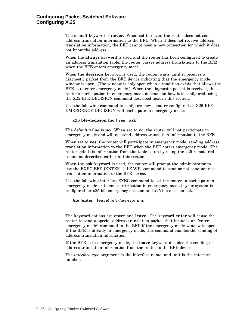# **Configuring Packet-Switched Software Configuring X.25**

The default keyword is **never**. When set to never, the router does not send address translation information to the BFE. When it does not receive address translation information, the BFE cannot open a new connection for which it does not know the address.

When the **always** keyword is used and the router has been configured to create an address translation table, the router passes address translations to the BFE when the BFE enters emergency mode.

When the **decision** keyword is used, the router waits until it receives a diagnostic packet from the BFE device indicating that the emergency mode window is open. (The window is only open when a condition exists that allows the BFE is to enter emergency mode.) When the diagnostic packet is received, the router's participation in emergency mode depends on how it is configured using the X25 BFE-DECISION command described next in this section.

Use the following command to configure how a router configured as X25 BFE-EMERGENCY DECISION will participate in emergency mode:

### **x25 bfe-decision** {**no** | **yes** | **ask**}

The default value is **no**. When set to no, the router will not participate in emergency mode and will not send address translation information to the BFE.

When set to **yes**, the router will participate in emergency mode, sending address translation information to the BFE when the BFE enters emergency mode. The router gets this information from the table setup by using the x25 remote-red command described earlier in this section.

When the **ask** keyword is used, the router will prompt the administrator to use the EXEC BFE {ENTER | LEAVE} command to send or not send address translation information to the BFE device.

Use the following interface EXEC command to set the router to participate in emergency mode or to end participation in emergency mode if your system is configured for x25 bfe-emergency decision and x25 bfe-decision ask.

**bfe** {**enter** | **leave**} *interface-type unit*

The keyword options are **enter** and **leave**. The keyword **enter** will cause the router to send a special address translation packet that includes an "enter emergency mode" command to the BFE if the emergency mode window is open. If the BFE is already in emergency mode, this command enables the sending of address translation information.

If the BFE is in emergency mode, the **leave** keyword disables the sending of address translation information from the router to the BFE device.

The *interface-type* argument is the interface name, and unit is the interface number.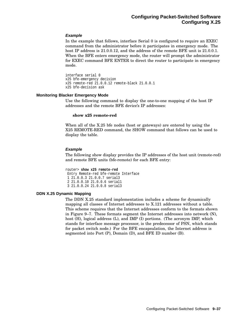### **Example**

In the example that follows, interface Serial 0 is configured to require an EXEC command from the administrator before it participates in emergency mode. The host IP address is 21.0.0.12, and the address of the remote BFE unit is 21.0.0.1. When the BFE enters emergency mode, the router will prompt the administrator for EXEC command BFE ENTER to direct the router to participate in emergency mode.

interface serial 0 x25 bfe-emergency decision x25 remote-red 21.0.0.12 remote-black 21.0.0.1 x25 bfe-decision ask

#### **Monitoring Blacker Emergency Mode**

Use the following command to display the one-to-one mapping of the host IP addresses and the remote BFE device's IP addresses:

#### **show x25 remote-red**

When all of the X.25 bfe nodes (host or gateways) are entered by using the X25 REMOTE-RED command, the SHOW command that follows can be used to display the table.

### **Example**

The following show display provides the IP addresses of the host unit (remote-red) and remote BFE units (bfe-remote) for each BFE entry:

router> **show x25 remote-red** Entry Remote-red bfe-remote Interface 1 21.0.0.3 21.0.0.7 serial3 2 21.0.0.10 21.0.0.6 serial1 3 21.0.0.24 21.0.0.8 serial3

# **DDN X.25 Dynamic Mapping**

The DDN X.25 standard implementation includes a scheme for dynamically mapping all classes of Internet addresses to X.121 addresses without a table. This scheme requires that the Internet addresses conform to the formats shown in Figure 9–7. These formats segment the Internet addresses into network (N), host (H), logical address (L), and IMP (I) portions. (The acronym IMP, which stands for interface message processor, is the predecessor of PSN, which stands for packet switch node.) For the BFE encapsulation, the Internet address is segmented into Port (P), Domain (D), and BFE ID number (B).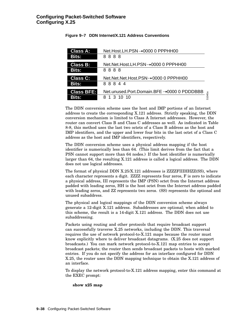| <b>Class A:</b>   | Net.Host.LH.PSN→0000 0 PPPHH00             |
|-------------------|--------------------------------------------|
| <b>Bits:</b>      | 8888                                       |
| Class B:          | Net.Net.Host.LH.PSN→0000 0 PPPHH00         |
| <b>Bits:</b>      | 8888                                       |
| <b>Class C:</b>   | Net.Net.Net.Host.PSN→0000 0 PPPHH00        |
| <b>Bits:</b>      | 88844                                      |
|                   |                                            |
| <b>Class BFE:</b> | Net.unused.Port.Domain.BFE →0000 0 PDDDBBB |

# **Figure 9–7 DDN Internet/X.121 Address Conventions**

The DDN conversion scheme uses the host and IMP portions of an Internet address to create the corresponding X.121 address. Strictly speaking, the DDN conversion mechanism is limited to Class A Internet addresses. However, the router can convert Class B and Class C addresses as well. As indicated in Table 8-8, this method uses the last two octets of a Class B address as the host and IMP identifiers, and the upper and lower four bits in the last octet of a Class C address as the host and IMP identifiers, respectively.

The DDN conversion scheme uses a physical address mapping if the host identifier is numerically less than 64. (This limit derives from the fact that a PSN cannot support more than 64 nodes.) If the host identifier is numerically larger than 64, the resulting X.121 address is called a logical address. The DDN does not use logical addresses.

The format of physical DDN X.25/X.121 addresses is ZZZZFIIIHHZZ(SS), where each character represents a digit. ZZZZ represents four zeros, F is zero to indicate a physical address, III represents the IMP (PSN) octet from the Internet address padded with leading zeros, HH is the host octet from the Internet address padded with leading zeros, and ZZ represents two zeros. (SS) represents the optional and unused subaddress.

The physical and logical mappings of the DDN conversion scheme always generate a 12-digit X.121 address. Subaddresses are optional; when added to this scheme, the result is a 14-digit X.121 address. The DDN does not use subaddressing.

Packets using routing and other protocols that require broadcast support can successfully traverse X.25 networks, including the DDN. This traversal requires the use of network protocol-to-X.121 maps because the router must know explicitly where to deliver broadcast datagrams. (X.25 does not support broadcasts.) You can mark network protocol-to-X.121 map entries to accept broadcast packets; the router then sends broadcast packets to hosts with marked entries. If you do not specify the address for an interface configured for DDN X.25, the router uses the DDN mapping technique to obtain the X.121 address of an interface.

To display the network protocol-to-X.121 address mapping, enter this command at the EXEC prompt:

# **show x25 map**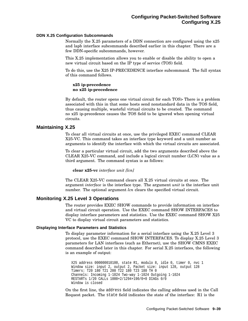### **DDN X.25 Configuration Subcommands**

Normally the X.25 parameters of a DDN connection are configured using the x25 and lapb interface subcommands described earlier in this chapter. There are a few DDN-specific subcommands, however.

This X.25 implementation allows you to enable or disable the ability to open a new virtual circuit based on the IP type of service (TOS) field.

To do this, use the X25 IP-PRECEDENCE interface subcommand. The full syntax of this command follows.

# **x25 ip-precedence no x25 ip-precedence**

By default, the router opens one virtual circuit for each TOS> There is a problem associated with this in that some hosts send nonstandard data in the TOS field, thus causing multiple, wasteful virtual circuits to be created. The command no x25 ip-precedence causes the TOS field to be ignored when opening virtual circuits.

# **Maintaining X.25**

To clear all virtual circuits at once, use the privileged EXEC command CLEAR X25-VC. This command takes an interface type keyword and a unit number as arguments to identify the interface with which the virtual circuits are associated.

To clear a particular virtual circuit, add the two arguments described above the CLEAR X25-VC command, and include a logical circuit number (LCN) value as a third argument. The command syntax is as follows:

**clear x25-vc** *interface unit [lcn]*

The CLEAR X25-VC command clears all X.25 virtual circuits at once. The argument *interface* is the interface type. The argument *unit* is the interface unit number. The optional argument *lcn* clears the specified virtual circuit.

# **Monitoring X.25 Level 3 Operations**

The router provides EXEC SHOW commands to provide information on interface and virtual circuit operation. Use the EXEC command SHOW INTERFACES to display interface parameters and statistics. Use the EXEC command SHOW X25 VC to display virtual circuit parameters and statistics.

#### **Displaying Interface Parameters and Statistics**

To display parameter information for a serial interface using the X.25 Level 3 protocol, use the EXEC command SHOW INTERFACES. To display X.25 Level 3 parameters for LAN interfaces (such as Ethernet), use the SHOW CMNS EXEC command described later in this chapter. For serial X.25 interfaces, the following is an example of output:

X25 address 000000010100, state R1, modulo 8, idle 0, timer 0, nvc 1 Window size: input 2, output 2, Packet size: input 128, output 128 Timers: T20 180 T21 200 T22 180 T23 180 TH 0 Channels: Incoming 1-1024 Two-way 1-1024 Outgoing 1-1024 RESTARTs 1/20 CALLs 1000+2/1294+190/0+0 DIAGs 0/0 Window is closed

On the first line, the address field indicates the calling address used in the Call Request packet. The state field indicates the state of the interface: R1 is the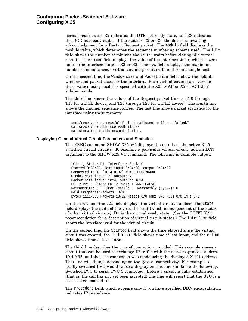normal-ready state, R2 indicates the DTE not-ready state, and R3 indicates the DCE not-ready state. If the state is  $R2$  or  $R3$ , the device is awaiting acknowledgment for a Restart Request packet. The modulo field displays the modulo value, which determines the sequence numbering scheme used. The idle field shows the number of minutes the router waits before closing idle virtual circuits. The timer field displays the value of the interface timer, which is zero unless the interface state is R2 or R3. The nvc field displays the maximum number of simultaneous virtual circuits permitted to and from a single host.

On the second line, the Window size and Packet size fields show the default window and packet sizes for the interface. Each virtual circuit can override these values using facilities specified with the X25 MAP or X25 FACILITY subcommands.

The third line shows the values of the Request packet timers (T10 through T13 for a DCE device, and T20 through T23 for a DTE device). The fourth line shows the channel sequence ranges. The last line shows packet statistics for the interface using these formats:

```
sent/received\ successful+failed\ callssent+callssentfailed/\
callsreceived+callsreceivedfailed/\
callsforwarded+callsforwardedfailed\
```
# **Displaying General Virtual Circuit Parameters and Statistics**

The EXEC command SHOW X25 VC displays the details of the active X.25 switched virtual circuits. To examine a particular virtual circuit, add an LCN argument to the SHOW X25 VC command. The following is example output:

LC1: 1, State: D1, Interface: Serial0 Started 0:55:03, last input 0:54:56, output 0:54:56 Connected to IP [10.4.0.32] <Ð>000000320400 Window size input: 7, output: 7 Packet size input: 1024, output: 1024 PS: 2 PR: 6 Remote PR: 2 RCNT: 1 RNR: FALSE Retransmits: 0 Timer (secs): 0 Reassembly (bytes): 0 Held Fragments/Packets: 0/0 Bytes 1111/588 Packets 18/22 Resets 0/0 RNRs 0/0 REJs 0/0 INTs 0/0

On the first line, the LCI field displays the virtual circuit number. The State field displays the state of the virtual circuit (which is independent of the states of other virtual circuits); D1 is the normal ready state. (See the CCITT X.25 recommendation for a description of virtual circuit states.) The Interface field shows the interface used for the virtual circuit.

On the second line, the Started field shows the time elapsed since the virtual circuit was created, the last input field shows time of last input, and the output field shows time of last output.

The third line describes the type of connection provided. This example shows a circuit that can be used to exchange IP traffic with the network-protocol address 10.4.0.32, and that the connection was made using the displayed X.121 address. This line will change depending on the type of connectivity. For example, a locally switched PVC would cause a display on this line similar to the following: Switched PVC to serial PVC 3 connected. Before a circuit is fully established (that is, the call has not yet been accepted) this line will report that the SVC is a half-baked connection.

The Precedent field, which appears only if you have specified DDN encapsulation, indicates IP precedence.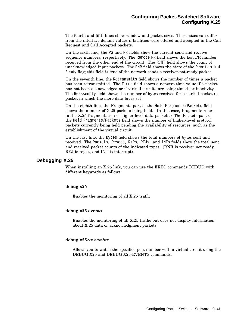The fourth and fifth lines show window and packet sizes. These sizes can differ from the interface default values if facilities were offered and accepted in the Call Request and Call Accepted packets.

On the sixth line, the PS and PR fields show the current send and receive sequence numbers, respectively. The Remote PR field shows the last PR number received from the other end of the circuit. The RCNT field shows the count of unacknowledged input packets. The RNR field shows the state of the Receiver Not Ready flag; this field is true of the network sends a receiver-not-ready packet.

On the seventh line, the Retransmits field shows the number of times a packet has been retransmitted. The Timer field shows a nonzero time value if a packet has not been acknowledged or if virtual circuits are being timed for inactivity. The Reassembly field shows the number of bytes received for a partial packet (a packet in which the more data bit is set).

On the eighth line, the Fragments part of the Held Fragments/Packets field shows the number of X.25 packets being held. (In this case, Fragments refers to the X.25 fragmentation of higher-level data packets.) The Packets part of the Held Fragments/Packets field shows the number of higher-level protocol packets currently being held pending the availability of resources, such as the establishment of the virtual circuit.

On the last line, the Bytes field shows the total numbers of bytes sent and received. The Packets, Resets, RNRs, REJs, and INTs fields show the total sent and received packet counts of the indicated types. (RNR is receiver not ready, REJ is reject, and INT is interrupt).

# **Debugging X.25**

When installing an X.25 link, you can use the EXEC commands DEBUG with different keywords as follows:

# **debug x25**

Enables the monitoring of all X.25 traffic.

# **debug x25-events**

Enables the monitoring of all X.25 traffic but does not display information about X.25 data or acknowledgment packets.

# **debug x25-vc** *number*

Allows you to watch the specified port number with a virtual circuit using the DEBUG X25 and DEBUG X25-EVENTS commands.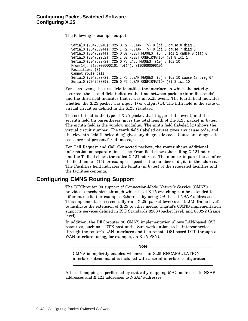# **Configuring Packet-Switched Software Configuring X.25**

The following is example output:

```
Serial0 (704760940): X25 O R2 RESTART (5) 8 lci 0 cause 0 diag 0
Serial0 (704760944): X25 I R2 RESTART (5) 8 lci 0 cause 7 diag 0
Serial0 (704762944): X25 O D2 RESET REQUEST (5) 8 lci 1 cause 0 diag 0
Serial0 (704762952): X25 I D2 RESET CONFIRMATION (3) 8 lci 1
Serial0 (704763372): X25 O P2 CALL REQUEST (19) 8 lci 10
From(14): 31250000000101 To(14): 31109090096101
Facilities: (0)
Cannot route call
Serial0 (704763372): X25 I P6 CLEAR REQUEST (5) 8 lci 10 cause 19 diag 67
Serial0 (704763839): X25 O P6 CLEAR CONFIRMATION (3) 8 lci 10
```
For each event, the first field identifies the interface on which the activity occurred, the second field indicates the time between packets (in milliseconds), and the third field indicates that it was an X.25 event. The fourth field indicates whether the X.25 packet was input (I) or output (O). The fifth field is the state of virtual circuit as defined in the X.25 standard.

The sixth field is the type of X.25 packet that triggered the event, and the seventh field (in parentheses) gives the total length of the X.25 packet in bytes. The eighth field is the window modulus. The ninth field (labeled lci) shows the virtual circuit number. The tenth field (labeled cause) gives any cause code, and the eleventh field (labeled diag) gives any diagnostic code. Cause and diagnostic codes are not present for all messages.

For Call Request and Call Connected packets, the router shows additional information on separate lines. The From field shows the calling X.121 address and the To field shows the called X.121 address. The number in parentheses after the field name—(14) for example—specifies the number of digits in the address. The Facilities field indicates the length (in bytes) of the requested facilities and the facilities contents.

# **Configuring CMNS Routing Support**

The DECbrouter 90 support of Connection-Mode Network Service (CMNS) provides a mechanism through which local X.25 switching can be extended to different media (for example, Ethernet) by using OSI-based NSAP addresses. This implementation essentially runs X.25 (packet level) over LLC2 (frame level) to facilitate the extension of X.25 to other media. Digital's CMNS implementation supports services defined in ISO Standards 8208 (packet level) and 8802-2 (frame level).

In addition, the DECbrouter 90 CMNS implementation allows LAN-based OSI resources, such as a DTE host and a Sun workstation, to be interconnected through the router's LAN interfaces and to a remote OSI-based DTE through a WAN interface (using, for example, an X.25 PSN).

**Note**

CMNS is implicitly enabled whenever an X.25 ENCAPSULATION interface subcommand is included with a serial-interface configuration.

All local mapping is performed by statically mapping MAC addresses to NSAP addresses and X.121 addresses to NSAP addresses.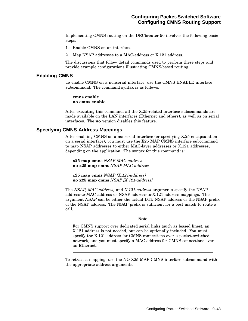# **Configuring Packet-Switched Software Configuring CMNS Routing Support**

Implementing CMNS routing on the DECbrouter 90 involves the following basic steps:

- 1. Enable CMNS on an interface.
- 2. Map NSAP addresses to a MAC-address or X.121 address.

The discussions that follow detail commands used to perform these steps and provide example configurations illustrating CMNS-based routing.

# **Enabling CMNS**

To enable CMNS on a nonserial interface, use the CMNS ENABLE interface subcommand. The command syntax is as follows:

**cmns enable no cmns enable**

After executing this command, all the X.25-related interface subcommands are made available on the LAN interfaces (Ethernet and others), as well as on serial interfaces. The **no** version disables this feature.

# **Specifying CMNS Address Mappings**

After enabling CMNS on a nonserial interface (or specifying X.25 encapsulation on a serial interface), you must use the X25 MAP CMNS interface subcommand to map NSAP addresses to either MAC-layer addresses or X.121 addresses, depending on the application. The syntax for this command is:

**x25 map cmns** *NSAP MAC-address* **no x25 map cmns** *NSAP MAC-address*

**x25 map cmns** *NSAP [X.121-address]* **no x25 map cmns** *NSAP [X.121-address]*

The *NSAP, MAC-address,* and *X.121-address* arguments specify the NSAP address-to-MAC address or NSAP address-to-X.121 address mappings. The argument *NSAP* can be either the actual DTE NSAP address or the NSAP prefix of the NSAP address. The NSAP prefix is sufficient for a best match to route a call.

#### **Note**

For CMNS support over dedicated serial links (such as leased lines), an X.121 address is not needed, but can be optionally included. You must specify the X.121 address for CMNS connections over a packet-switched network, and you must specify a MAC address for CMNS connections over an Ethernet.

To retract a mapping, use the NO X25 MAP CMNS interface subcommand with the appropriate address arguments.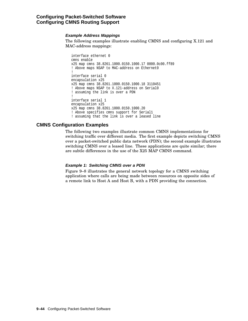# **Configuring Packet-Switched Software Configuring CMNS Routing Support**

# **Example Address Mappings**

The following examples illustrate enabling CMNS and configuring X.121 and MAC-address mappings:

```
interface ethernet 0
cmns enable
x25 map cmns 38.8261.1000.0150.1000.17 0000.0c00.ff89
! Above maps NSAP to MAC-address on Ethernet0
!
interface serial 0
encapsulation x25
x25 map cmns 38.8261.1000.0150.1000.18 3110451
! Above maps NSAP to X.121-address on Serial0
! assuming the link is over a PDN
!
interface serial 1
encapsulation x25
x25 map cmns 38.8261.1000.0150.1000.20
! Above specifies cmns support for Serial1
! assuming that the link is over a leased line
```
# **CMNS Configuration Examples**

The following two examples illustrate common CMNS implementations for switching traffic over different media. The first example depicts switching CMNS over a packet-switched public data network (PDN); the second example illustrates switching CMNS over a leased line. These applications are quite similar; there are subtle differences in the use of the X25 MAP CMNS command.

# **Example 1: Switching CMNS over a PDN**

Figure 9–8 illustrates the general network topology for a CMNS switching application where calls are being made between resources on opposite sides of a remote link to Host A and Host B, with a PDN providing the connection.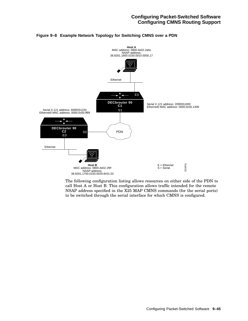

# **Figure 9–8 Example Network Topology for Switching CMNS over a PDN**

The following configuration listing allows resources on either side of the PDN to call Host A or Host B. This configuration allows traffic intended for the remote NSAP address specified in the X25 MAP CMNS commands (for the serial ports) to be switched through the serial interface for which CMNS is configured.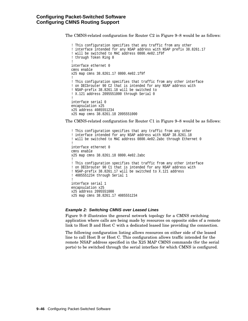The CMNS-related configuration for Router C2 in Figure 9–8 would be as follows:

```
! This configuration specifies that any traffic from any other
! interface intended for any NSAP address with NSAP prefix 38.8261.17
! will be switched to MAC address 0800.4e02.1f9f
! through Token Ring 0
!
interface ethernet 0
cmns enable
x25 map cmns 38.8261.17 0800.4e02.1f9f
!
! This configuration specifies that traffic from any other interface
! on DECbrouter 90 C2 that is intended for any NSAP address with
! NSAP-prefix 38.8261.18 will be switched to
! X.121 address 2095551000 through Serial 0
!
interface serial 0
encapsulation x25
x25 address 4085551234
x25 map cmns 38.8261.18 2095551000
```
The CMNS-related configuration for Router C1 in Figure 9–8 would be as follows:

```
! This configuration specifies that any traffic from any other
! interface intended for any NSAP address with NSAP 38.8261.18
! will be switched to MAC address 0800.4e02.2abc through Ethernet 0
!
interface ethernet 0
cmns enable
x25 map cmns 38.8261.18 0800.4e02.2abc
!
! This configuration specifies that traffic from any other interface
! on DECbrouter 90 C1 that is intended for any NSAP address with
! NSAP-prefix 38.8261.17 will be switched to X.121 address
! 4085551234 through Serial 1
!
interface serial 1
encapsulation x25
x25 address 2095551000
x25 map cmns 38.8261.17 4085551234
```
# **Example 2: Switching CMNS over Leased Lines**

Figure 9–9 illustrates the general network topology for a CMNS switching application where calls are being made by resources on opposite sides of a remote link to Host B and Host C with a dedicated leased line providing the connection.

The following configuration listing allows resources on either side of the leased line to call Host B or Host C. This configuration allows traffic intended for the remote NSAP address specified in the X25 MAP CMNS commands (for the serial ports) to be switched through the serial interface for which CMNS is configured.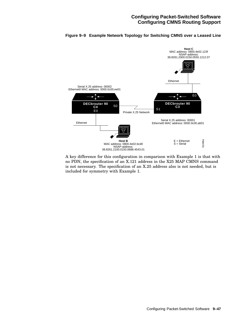

# **Figure 9–9 Example Network Topology for Switching CMNS over a Leased Line**

A key difference for this configuration in comparison with Example 1 is that with no PDN, the specification of an X.121 address in the X25 MAP CMNS command is not necessary. The specification of an X.25 address also is not needed, but is included for symmetry with Example 1.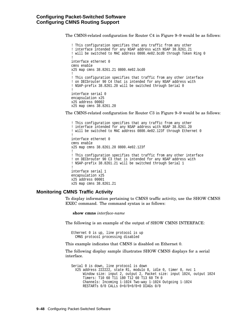The CMNS-related configuration for Router C4 in Figure 9–9 would be as follows:

```
! This configuration specifies that any traffic from any other
! interface intended for any NSAP address with NSAP 38.8261.21
! will be switched to MAC address 0800.4e02.bcd0 through Token Ring 0
!
interface ethernet 0
cmns enable
x25 map cmns 38.8261.21 0800.4e02.bcd0
!
! This configuration specifies that traffic from any other interface
! on DECbrouter 90 C4 that is intended for any NSAP address with
! NSAP-prefix 38.8261.20 will be switched through Serial 0
!
interface serial 0
encapsulation x25
x25 address 00002
x25 map cmns 38.8261.20
```
The CMNS-related configuration for Router C3 in Figure 9–9 would be as follows:

```
! This configuration specifies that any traffic from any other
! interface intended for any NSAP address with NSAP 38.8261.20
! will be switched to MAC address 0800.4e02.123f through Ethernet 0
!
interface ethernet 0
cmns enable
x25 map cmns 38.8261.20 0800.4e02.123f
!
! This configuration specifies that traffic from any other interface
! on DECbrouter 90 C3 that is intended for any NSAP address with
! NSAP-prefix 38.8261.21 will be switched through Serial 1
!
interface serial 1
encapsulation x25
x25 address 00001
x25 map cmns 38.8261.21
```
# **Monitoring CMNS Traffic Activity**

To display information pertaining to CMNS traffic activity, use the SHOW CMNS EXEC command. The command syntax is as follows:

**show cmns** *interface-name*

The following is an example of the output of SHOW CMNS INTERFACE:

Ethernet 0 is up, line protocol is up CMNS protocol processing disabled

This example indicates that CMNS is disabled on Ethernet 0.

The following display sample illustrates SHOW CMNS displays for a serial interface.

```
Serial 0 is down, line protocol is down
 X25 address 222222, state R1, modulo 8, idle 0, timer 0, nvc 1
     Window size: input 2, output 2, Packet size: input 1024, output 1024
     Timers: T10 60 T11 180 T12 60 T13 60 TH 0
     Channels: Incoming 1-1024 Two-way 1-1024 Outgoing 1-1024
     RESTARTs 0/0 CALLs 0+0/0+0/0+0 DIAGs 0/0
```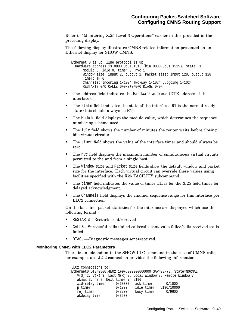Refer to "Monitoring X.25 Level 3 Operations" earlier in this provided in the preceding display.

The following display illustrates CMNS-related information presented on an Ethernet display for SHOW CMNS:

Ethernet 0 is up, line protocol is up Hardware address is 0000.0c01.1515 (bia 0000.0c01.1515), state R1 Modulo 8, idle 0, timer 0, nvc 1 Window size: input 2, output 2, Packet size: input 128, output 128 Timer: TH 0 Channels: Incoming 1-1024 Two-way 1-1024 Outgoing 1-1024 RESTARTs 0/0 CALLs 0+0/0+0/0+0 DIAGs 0/0\

- The address field indicates the Hardware address (DTE address of the interface).
- The state field indicates the state of the interface. R1 is the normal ready state (this should always be R1).
- The Modulo field displays the modulo value, which determines the sequence numbering scheme used.
- The idle field shows the number of minutes the router waits before closing idle virtual circuits.
- The timer field shows the value of the interface timer and should always be zero.
- The nvc field displays the maximum number of simultaneous virtual circuits permitted to the and from a single host.
- The Window size and Packet size fields show the default window and packet size for the interface. Each virtual circuit can override these values using facilities specified with the X25 FACILITY subcommand.
- The timer field indicates the value of timer TH is for the X.25 hold timer for delayed acknowledgment.
- The Channels field displays the channel sequence range for this interface per LLC2 connection.

On the last line, packet statistics for the interface are displayed which use the following format:

- RESTARTs—Restarts sent/received
- CALLS—Successful calls+failed calls/calls sent+calls failed/calls received+calls failed
- DIAGs—-Diagnostic messages sent+received.

### **Monitoring CMNS with LLC2 Parameters**

There is an addendum to the SHOW LLC command in the case of CMNS calls; for example, an LLC2 connection provides the following information:

LLC2 Connections to: Ethernet0 DTE=0800.4E02.1F9F,000000000000 SAP=7E/7E, State=NORMAL  $V(S)=2$ ,  $V(R)=3$ , Last  $N(R)=2$ , Local window=7, Remote Window=7 akmax=3, n2=8, Next timer in 5196 xid-retry timer 0/60000 ack timer 0/1000 p timer 0/1000 idle timer 5196/10000 rej timer 0/3200 busy timer 0/9600 akdelay timer 0/3200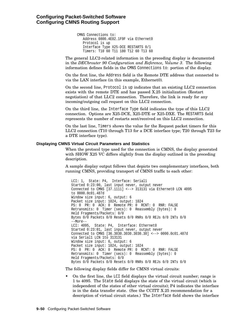CMNS Connections to: Address 0800.4E02.1F9F via Ethernet0 Protocol is up Interface Type X25-DCE RESTARTS 0/1 Timers: T10 60 T11 180 T12 60 T13 60

The general LLC2-related information in the preceding display is documented in the *DECbrouter 90 Configuration and Reference, Volume 3*. The following information defines fields in the CMNS Connections to: portion of the display.

On the first line, the Address field is the Remote DTE address that connected to via the LAN interface (in this example, Ethernet0).

On the second line, Protocol is up indicates that an existing LLC2 connection exists with the remote DTE and has passed X.25 initialization (Restart negotiation) of that LLC2 connection. Therefore, the link is ready for any incoming/outgoing call request on this LLC2 connection.

On the third line, the Interface Type field indicates the type of this LLC2 connection. Options are X25-DCE, X25-DTE or X25-DXE. The RESTARTS field represents the number of restarts sent/received on this LLC2 connection.

On the last line, Timers shows the value for the Request packet timers for this LLC2 connection (T10 through T13 for a DCE interface type; T20 through T23 for a DTE interface type).

# **Displaying CMNS Virtual Circuit Parameters and Statistics**

When the protocol type used for the connection is CMNS, the display generated with SHOW X25 VC differs slightly from the display outlined in the preceding description.

A sample display output follows that depicts two complementary interfaces, both running CMNS, providing transport of CMNS traffic to each other:

LCI: 1, State: P4, Interface: Serial1 Started 0:23:00, last input never, output never Connected to CMNS [37.1111] <--> 313131 via Ethernet0 LCN 4095 to 0000.0c01.487d Window size input: 6, output: 6 Packet size input: 1024, output: 1024 PS: 0 PR: 0 ACK: 0 Remote PR: 0 RCNT: 0 RNR: FALSE Retransmits: 0 Timer (secs): 0 Reassembly (bytes): 0 Held Fragments/Packets: 0/0 Bytes 0/0 Packets 0/0 Resets 0/0 RNRs 0/0 REJs 0/0 INTs 0/0 --More-- LCI: 4095, State: P4, Interface: Ethernet0 Started 0:23:01, last input never, output never Connected to CMNS [36.3030.3030.3030.30] <--> 0000.0c01.487d via Serial1 LCN 1to 313131 Window size input: 6, output: 6 Packet size input: 1024, output: 1024 PS: 0 PR: 0 ACK: 0 Remote PR: 0 RCNT: 0 RNR: FALSE Retransmits: 0 Timer (secs): 0 Reassembly (bytes): 0 Held Fragments/Packets: 0/0 Bytes 0/0 Packets 0/0 Resets 0/0 RNRs 0/0 REJs 0/0 INTs 0/0

The following display fields differ for CMNS virtual circuits:

• On the first line, the LCI field displays the virtual circuit number; range is 1 to 4095. The State field displays the state of the virtual circuit (which is independent of the states of other virtual circuits); P4 indicates the interface is in the data transfer state. (See the CCITT X.25 recommendation for a description of virtual circuit states.) The Interface field shows the interface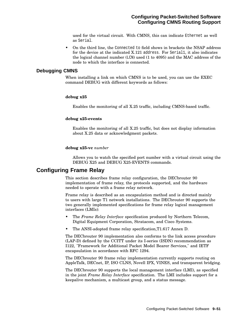used for the virtual circuit. With CMNS, this can indicate Ethernet as well as Serial.

• On the third line, the Connected to field shows in brackets the NSAP address for the device at the indicated X.121 address. For Serial1, it also indicates the logical channel number (LCN) used (1 to 4095) and the MAC address of the node to which the interface is connected.

# **Debugging CMNS**

When installing a link on which CMNS is to be used, you can use the EXEC command DEBUG with different keywords as follows:

### **debug x25**

Enables the monitoring of all X.25 traffic, including CMNS-based traffic.

#### **debug x25-events**

Enables the monitoring of all X.25 traffic, but does not display information about X.25 data or acknowledgment packets.

#### **debug x25-vc** *number*

Allows you to watch the specified port number with a virtual circuit using the DEBUG X25 and DEBUG X25-EVENTS commands.

# **Configuring Frame Relay**

This section describes frame relay configuration, the DECbrouter 90 implementation of frame relay, the protocols supported, and the hardware needed to operate with a frame relay network.

Frame relay is described as an encapsulation method and is directed mainly to users with large T1 network installations. The DECbrouter 90 supports the two generally implemented specifications for frame relay logical management interfaces (LMIs):

- The *Frame Relay Interface* specification produced by Northern Telecom, Digital Equipment Corporation, Stratacom, and Cisco Systems.
- The ANSI-adopted frame relay specification,T1.617 Annex D.

The DECbrouter 90 implementation also conforms to the link access procedure (LAP-D) defined by the CCITT under its I-series (ISDN) recommendation as I122, "Framework for Additional Packet Model Bearer Services," and IETF encapsulation in accordance with RFC 1294.

The DECbrouter 90 frame relay implementation currently supports routing on AppleTalk, DECnet, IP, ISO CLNS, Novell IPX, VINES, and transparent bridging.

The DECbrouter 90 supports the local management interface (LMI), as specified in the joint *Frame Relay Interface* specification. The LMI includes support for a keepalive mechanism, a multicast group, and a status message.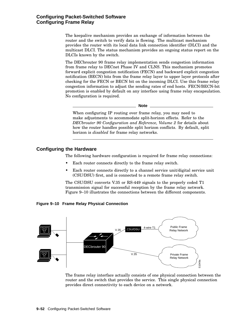# **Configuring Packet-Switched Software Configuring Frame Relay**

The keepalive mechanism provides an exchange of information between the router and the switch to verify data is flowing. The multicast mechanism provides the router with its local data link connection identifier (DLCI) and the multicast DLCI. The status mechanism provides an ongoing status report on the DLCIs known by the switch.

The DECbrouter 90 frame relay implementation sends congestion information from frame relay to DECnet Phase IV and CLNS. This mechanism promotes forward explicit congestion notification (FECN) and backward explicit congestion notification (BECN) bits from the frame relay layer to upper layer protocols after checking for the FECN or BECN bit on the incoming DLCI. Use this frame relay congestion information to adjust the sending rates of end hosts. FECN/BECN-bit promotion is enabled by default on any interface using frame relay encapsulation. No configuration is required.

#### **Note**

When configuring IP routing over frame relay, you may need to make adjustments to accommodate split-horizon effects. Refer to the *DECbrouter 90 Configuration and Reference, Volume 2* for details about how the router handles possible split horizon conflicts. By default, split horizon is *disabled* for frame relay networks.

# **Configuring the Hardware**

The following hardware configuration is required for frame relay connections:

- Each router connects directly to the frame relay switch.
- Each router connects directly to a channel service unit/digital service unit (CSU/DSU) first, and is connected to a remote frame relay switch.

The CSU/DSU converts V.35 or RS-449 signals to the properly coded T1 transmission signal for successful reception by the frame relay network. Figure 9–10 illustrates the connections between the different components.

**Figure 9–10 Frame Relay Physical Connection**



The frame relay interface actually consists of one physical connection between the router and the switch that provides the service. This single physical connection provides direct connectivity to each device on a network.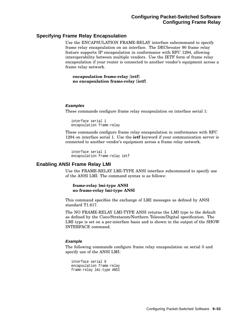# **Configuring Packet-Switched Software Configuring Frame Relay**

# **Specifying Frame Relay Encapsulation**

Use the ENCAPSULATION FRAME-RELAY interface subcommand to specify frame relay encapsulation on an interface. The DECbrouter 90 frame relay feature supports IP encapsulation in conformance with RFC 1294, allowing interoperability between multiple vendors. Use the IETF form of frame relay encapsulation if your router is connected to another vendor's equipment across a frame relay network.

**encapsulation frame-relay** [**ietf**] **no encapsulation frame-relay** [**ietf**]

# **Examples**

These commands configure frame relay encapsulation on interface serial 1:

interface serial 1 encapsulation frame-relay

These commands configure frame relay encapsulation in conformance with RFC 1294 on interface serial 1. Use the **ietf** keyword if your communication server is connected to another vendor's equipment across a frame relay network.

interface serial 1 encapsulation frame-relay ietf

# **Enabling ANSI Frame Relay LMI**

Use the FRAME-RELAY LMI-TYPE ANSI interface subcommand to specify use of the ANSI LMI. The command syntax is as follows:

**frame-relay lmi-type ANSI no frame-relay lmi-type ANSI**

This command specifies the exchange of LMI messages as defined by ANSI standard T1.617.

The NO FRAME-RELAY LMI-TYPE ANSI returns the LMI type to the default as defined by the Cisco/Stratacom/Northern Telecom/Digital specification. The LMI type is set on a per-interface basis and is shown in the output of the SHOW INTERFACE command.

# **Example**

The following commands configure frame relay encapsulation on serial 0 and specify use of the ANSI LMI:

interface serial 0 encapsulation frame-relay frame-relay lmi-type ANSI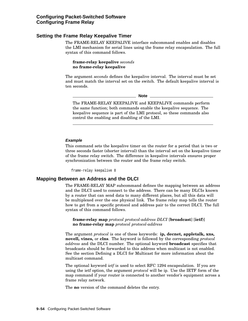# **Setting the Frame Relay Keepalive Timer**

The FRAME-RELAY KEEPALIVE interface subcommand enables and disables the LMI mechanism for serial lines using the frame relay encapsulation. The full syntax of this command follows.

# **frame-relay keepalive** *seconds* **no frame-relay keepalive**

The argument *seconds* defines the keepalive interval. The interval must be set and must match the interval set on the switch. The default keepalive interval is ten seconds.

**Note**

The FRAME-RELAY KEEPALIVE and KEEPALIVE commands perform the same function; both commands enable the keepalive sequence. The keepalive sequence is part of the LMI protocol, so these commands also control the enabling and disabling of the LMI.

# **Example**

This command sets the keepalive timer on the router for a period that is two or three seconds faster (shorter interval) than the interval set on the keepalive timer of the frame relay switch. The difference in keepalive intervals ensures proper synchronization between the router and the frame relay switch.

frame-relay keepalive 8

# **Mapping Between an Address and the DLCI**

The FRAME-RELAY MAP subcommand defines the mapping between an address and the DLCI used to connect to the address. There can be many DLCIs known by a router that can send data to many different places, but all this data will be multiplexed over the one physical link. The frame relay map tells the router how to get from a specific protocol and address pair to the correct DLCI. The full syntax of this command follows.

**frame-relay map** *protocol protocol-address DLCI* [**broadcast**] [**ietf**)] **no frame-relay map** *protocol protocol-address*

The argument *protocol* is one of these keywords: **ip, decnet, appletalk, xns, novell, vines,** or **clns**. The keyword is followed by the corresponding *protocol address* and the DLCI number. The optional keyword **broadcast** specifies that broadcasts should be forwarded to this address when multicast is not enabled. See the section Defining a DLCI for Multicast for more information about the multicast command.

The optional keyword *ietf* is used to select RFC 1294 encapsulation. If you are using the ietf option, the argument *protocol* will be ip. Use the IETF form of the map command if your router is connected to another vendor's equipment across a frame relay network.

The **no** version of the command deletes the entry.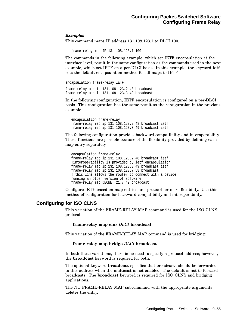# **Examples**

This command maps IP address 131.108.123.1 to DLCI 100.

frame-relay map IP 131.108.123.1 100

The commands in the following example, which set IETF encapsulation at the interface level, result in the same configuration as the commands used in the next example, which set IETF on a per-DLCI basis. In this example, the keyword **ietf** sets the default encapsulation method for all maps to IETF.

encapsulation frame-relay IETF

frame-relay map ip 131.108.123.2 48 broadcast frame-relay map ip 131.108.123.3 49 broadcast

In the following configuration, IETF encapsulation is configured on a per-DLCI basis. This configuration has the same result as the configuration in the previous example.

```
encapsulation frame-relay
frame-relay map ip 131.108.123.2 48 broadcast ietf
frame-relay map ip 131.108.123.3 49 broadcast ietf
```
The following configuration provides backward compatibility and interoperability. These functions are possible because of the flexibility provided by defining each map entry separately.

```
encapsulation frame-relay
frame-relay map ip 131.108.123.2 48 broadcast ietf
!interoperability is provided by ietf encapsulation
frame-relay map ip 131.108.123.3 49 broadcast ietf
frame-relay map ip 131.108.123.7 58 broadcast
! this line allows the router to connect with a device
running an older version of software
frame-relay map DECNET 21.7 49 broadcast
```
Configure IETF based on map entries and protocol for more flexibility. Use this method of configuration for backward compatibility and interoperability.

# **Configuring for ISO CLNS**

This variation of the FRAME-RELAY MAP command is used for the ISO CLNS protocol:

#### **frame-relay map clns** *DLCI* **broadcast**

This variation of the FRAME-RELAY MAP command is used for bridging:

# **frame-relay map bridge** *DLCI* **broadcast**

In both these variations, there is no need to specify a protocol address; however, the **broadcast** keyword is required for both.

The optional keyword **broadcast** specifies that broadcasts should be forwarded to this address when the multicast is not enabled. The default is not to forward broadcasts. The **broadcast** keyword is required for ISO CLNS and bridging applications.

The NO FRAME-RELAY MAP subcommand with the appropriate arguments deletes the entry.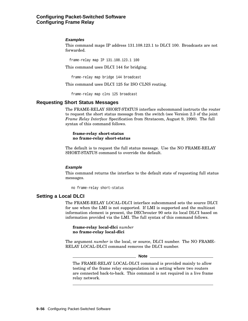# **Configuring Packet-Switched Software Configuring Frame Relay**

# **Examples**

This command maps IP address 131.108.123.1 to DLCI 100. Broadcasts are not forwarded.

frame-relay map IP 131.108.123.1 100

This command uses DLCI 144 for bridging.

frame-relay map bridge 144 broadcast

This command uses DLCI 125 for ISO CLNS routing.

frame-relay map clns 125 broadcast

# **Requesting Short Status Messages**

The FRAME-RELAY SHORT-STATUS interface subcommand instructs the router to request the short status message from the switch (see Version 2.3 of the joint *Frame Relay Interface* Specification from Stratacom, August 9, 1990). The full syntax of this command follows.

### **frame-relay short-status no frame-relay short-status**

The default is to request the full status message. Use the NO FRAME-RELAY SHORT-STATUS command to override the default.

# **Example**

This command returns the interface to the default state of requesting full status messages.

no frame-relay short-status

# **Setting a Local DLCI**

The FRAME-RELAY LOCAL-DLCI interface subcommand sets the source DLCI for use when the LMI is not supported. If LMI is supported and the multicast information element is present, the DECbrouter 90 sets its local DLCI based on information provided via the LMI. The full syntax of this command follows.

# **frame-relay local-dlci** *number* **no frame-relay local-dlci**

The argument *number* is the local, or source, DLCI number. The NO FRAME-RELAY LOCAL-DLCI command removes the DLCI number.

#### **Note**

The FRAME-RELAY LOCAL-DLCI command is provided mainly to allow testing of the frame relay encapsulation in a setting where two routers are connected back-to-back. This command is not required in a live frame relay network.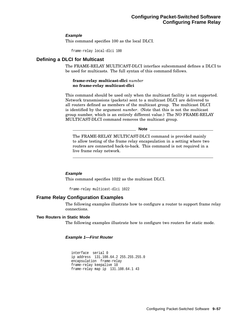# **Example**

This command specifies 100 as the local DLCI.

frame-relay local-dlci 100

# **Defining a DLCI for Multicast**

The FRAME-RELAY MULTICAST-DLCI interface subcommand defines a DLCI to be used for multicasts. The full syntax of this command follows.

### **frame-relay multicast-dlci** *number* **no frame-relay multicast-dlci**

This command should be used only when the multicast facility is not supported. Network transmissions (packets) sent to a multicast DLCI are delivered to all routers defined as members of the multicast group. The multicast DLCI is identified by the argument *number*. (Note that this is not the multicast group number, which is an entirely different value.) The NO FRAME-RELAY MULTICAST-DLCI command removes the multicast group.

**Note**

The FRAME-RELAY MULTICAST-DLCI command is provided mainly to allow testing of the frame relay encapsulation in a setting where two routers are connected back-to-back. This command is not required in a live frame relay network.

# **Example**

This command specifies 1022 as the multicast DLCI.

frame-relay multicast-dlci 1022

# **Frame Relay Configuration Examples**

The following examples illustrate how to configure a router to support frame relay connections.

# **Two Routers in Static Mode**

The following examples illustrate how to configure two routers for static mode.

### **Example 1—First Router**

```
interface serial 0
ip address 131.108.64.2 255.255.255.0
encapsulation frame-relay
frame-relay keepalive 10
frame-relay map ip 131.108.64.1 43
```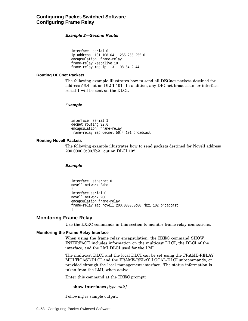# **Example 2—Second Router**

```
interface serial 0
ip address 131.108.64.1 255.255.255.0
encapsulation frame-relay
frame-relay keepalive 10
frame-relay map ip 131.108.64.2 44
```
# **Routing DECnet Packets**

The following example illustrates how to send all DECnet packets destined for address 56.4 out on DLCI 101. In addition, any DECnet broadcasts for interface serial 1 will be sent on the DLCI.

# **Example**

interface serial 1 decnet routing 32.6 encapsulation frame-relay frame-relay map decnet 56.4 101 broadcast

# **Routing Novell Packets**

The following example illustrates how to send packets destined for Novell address 200.0000.0c00.7b21 out on DLCI 102.

# **Example**

```
interface ethernet 0
novell network 2abc
!
interface serial 0
novell network 200
encapsulation frame-relay
frame-relay map novell 200.0000.0c00.7b21 102 broadcast
!
```
# **Monitoring Frame Relay**

Use the EXEC commands in this section to monitor frame relay connections.

# **Monitoring the Frame Relay Interface**

When using the frame relay encapsulation, the EXEC command SHOW INTERFACE includes information on the multicast DLCI, the DLCI of the interface, and the LMI DLCI used for the LMI.

The multicast DLCI and the local DLCI can be set using the FRAME-RELAY MULTICAST-DLCI and the FRAME-RELAY LOCAL-DLCI subcommands, or provided through the local management interface. The status information is taken from the LMI, when active.

Enter this command at the EXEC prompt:

**show interfaces** *[type unit]*

Following is sample output.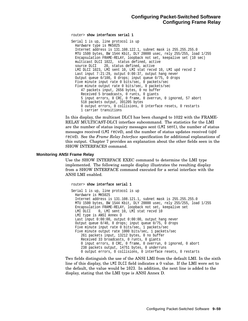router> **show interfaces serial 1**

Serial 1 is up, line protocol is up Hardware type is MK5025 Internet address is 131.108.122.1, subnet mask is 255.255.255.0 MTU 1500 bytes, BW 1544 Kbit, DLY 20000 usec, rely 255/255, load 1/255 Encapsulation FRAME-RELAY, loopback not set, keepalive set (10 sec) multicast DLCI 1022, status defined, active source DLCI 20, status defined, active LMI DLCI 1023, LMI sent 10, LMI stat recvd 10, LMI upd recvd 2 Last input 7:21:29, output 0:00:37, output hang never Output queue 0/100, 0 drops; input queue 0/75, 0 drops Five minute input rate 0 bits/sec, 0 packets/sec Five minute output rate 0 bits/sec, 0 packets/sec 47 packets input, 2656 bytes, 0 no buffer Received 5 broadcasts, 0 runts, 0 giants 5 input errors, 0 CRC, 0 frame, 0 overrun, 0 ignored, 57 abort 518 packets output, 391205 bytes 0 output errors, 0 collisions, 0 interface resets, 0 restarts 1 carrier transitions

In this display, the multicast DLCI has been changed to 1022 with the FRAME-RELAY MULTICAST-DLCI interface subcommand. The statistics for the LMI are the number of status inquiry messages sent (LMI sent), the number of status messages received (LMI recvd), and the number of status updates received (upd recvd). See the *Frame Relay Interface* specification for additional explanations of this output. Chapter 7 provides an explanation about the other fields seen in the SHOW INTERFACES command.

### **Monitoring ANSI Frame Relay**

Use the SHOW INTERFACE EXEC command to determine the LMI type implemented. The following sample display illustrates the resulting display from a SHOW INTERFACE command executed for a serial interface with the ANSI LMI enabled.

router> **show interface serial 1** Serial 1 is up, line protocol is up Hardware is MK5025 Internet address is 131.108.121.1, subnet mask is 255.255.255.0 MTU 1500 bytes, BW 1544 Kbit, DLY 20000 usec, rely 255/255, load 1/255 Encapsulation FRAME-RELAY, loopback not set, keepalive set LMI DLCI 0, LMI sent 10, LMI stat recvd 10 LMI type is ANSI Annex D Last input 0:00:00, output 0:00:00, output hang never Output queue 0/40, 0 drops; input queue 0/75, 0 drops Five minute input rate 0 bits/sec, 1 packets/sec Five minute output rate 1000 bits/sec, 1 packets/sec 261 packets input, 13212 bytes, 0 no buffer Received 33 broadcasts, 0 runts, 0 giants 0 input errors, 0 CRC, 0 frame, 0 overrun, 0 ignored, 0 abort 238 packets output, 14751 bytes, 0 underruns 0 output errors, 0 collisions, 0 interface resets, 0 restarts

Two fields distinguish the use of the ANSI LMI from the default LMI. In the sixth line of this display, the LMI DLCI field indicates a 0 value. If the LMI were set to the default, the value would be 1023. In addition, the next line is added to the display, stating that the LMI type is ANSI Annex D.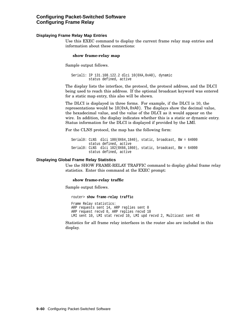# **Configuring Packet-Switched Software Configuring Frame Relay**

# **Displaying Frame Relay Map Entries**

Use this EXEC command to display the current frame relay map entries and information about these connections:

#### **show frame-relay map**

Sample output follows.

Serial1: IP 131.108.122.2 dlci 10(0XA,0xA0), dynamic status defined, active

The display lists the interface, the protocol, the protocol address, and the DLCI being used to reach this address. If the optional broadcast keyword was entered for a static map entry, this also will be shown.

The DLCI is displayed in three forms. For example, if the DLCI is 10, the representations would be  $10(0xA,0xA0)$ . The displays show the decimal value, the hexadecimal value, and the value of the DLCI as it would appear on the wire. In addition, the display indicates whether this is a static or dynamic entry. Status information for the DLCI is displayed if provided by the LMI.

For the CLNS protocol, the map has the following form:

```
Serial0: CLNS dlci 100(0X64,1840), static, broadcast, BW = 64000
        status defined, active
Serial0: CLNS dlci 102(0X66,1860), static, broadcast, BW = 64000
        status defined, active
```
### **Displaying Global Frame Relay Statistics**

Use the SHOW FRAME-RELAY TRAFFIC command to display global frame relay statistics. Enter this command at the EXEC prompt:

#### **show frame-relay traffic**

Sample output follows.

router> **show frame-relay traffic** Frame Relay statistics: ARP requests sent 14, ARP replies sent 0 ARP request recvd 0, ARP replies recvd 10 LMI sent 10, LMI stat recvd 10, LMI upd recvd 2, Multicast sent 48

Statistics for all frame relay interfaces in the router also are included in this display.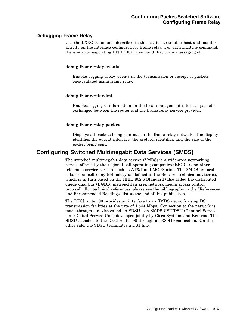# **Debugging Frame Relay**

Use the EXEC commands described in this section to troubleshoot and monitor activity on the interface configured for frame relay. For each DEBUG command, there is a corresponding UNDEBUG command that turns messaging off.

## **debug frame-relay-events**

Enables logging of key events in the transmission or receipt of packets encapsulated using frame relay.

## **debug frame-relay-lmi**

Enables logging of information on the local management interface packets exchanged between the router and the frame relay service provider.

## **debug frame-relay-packet**

Displays all packets being sent out on the frame relay network. The display identifies the output interface, the protocol identifier, and the size of the packet being sent.

# **Configuring Switched Multimegabit Data Services (SMDS)**

The switched multimegabit data service (SMDS) is a wide-area networking service offered by the regional bell operating companies (RBOCs) and other telephone service carriers such as AT&T and MCI/Sprint. The SMDS protocol is based on cell relay technology as defined in the Bellcore Technical advisories, which is in turn based on the IEEE 802.6 Standard (also called the distributed queue dual bus (DQDB) metropolitan area network media access control protocol). For technical references, please see the bibliography in the "References and Recommended Readings" list at the end of this publication.

The DECbrouter 90 provides an interface to an SMDS network using DS1 transmission facilities at the rate of 1.544 Mbps. Connection to the network is made through a device called an SDSU—an SMDS CSU/DSU (Channel Service Unit/Digital Service Unit) developed jointly by Cisco Systems and Kentrox. The SDSU attaches to the DECbrouter 90 through an RS-449 connection. On the other side, the SDSU terminates a DS1 line.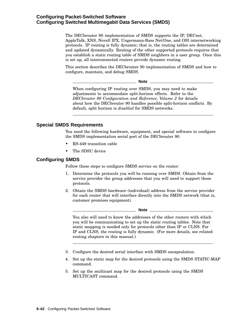# **Configuring Packet-Switched Software Configuring Switched Multimegabit Data Services (SMDS)**

The DECbrouter 90 implementation of SMDS supports the IP, DECnet, AppleTalk, XNS, Novell IPX, Ungermann-Bass Net/One, and OSI internetworking protocols. IP routing is fully dynamic; that is, the routing tables are determined and updated dynamically. Routing of the other supported protocols requires that you establish a static routing table of SMDS neighbors in a user group. Once this is set up, all interconnected routers provide dynamic routing.

This section describes the DECbrouter 90 implementation of SMDS and how to configure, maintain, and debug SMDS.

**Note**

When configuring IP routing over SMDS, you may need to make adjustments to accommodate split-horizon effects. Refer to the *DECbrouter 90 Configuration and Reference, Volume 2* for details about how the DECbrouter 90 handles possible split-horizon conflicts. By default, split horizon is *disabled* for SMDS networks.

## **Special SMDS Requirements**

You need the following hardware, equipment, and special software to configure the SMDS implementation serial port of the DECbrouter 90.

- RS-449 transition cable
- The SDSU device

## **Configuring SMDS**

Follow these steps to configure SMDS service on the router:

- 1. Determine the protocols you will be running over SMDS. Obtain from the service provider the group addresses that you will need to support those protocols.
- 2. Obtain the SMDS hardware (individual) address from the service provider for each router that will interface directly into the SMDS network (that is, customer premises equipment).



You also will need to know the addresses of the other routers with which you will be communicating to set up the static routing tables. Note that static mapping is needed only for protocols other than IP or CLNS. For IP and CLNS, the routing is fully dynamic. (For more details, see related routing chapters in this manual.)

- 3. Configure the desired serial interface with SMDS encapsulation.
- 4. Set up the static map for the desired protocols using the SMDS STATIC-MAP command.
- 5. Set up the multicast map for the desired protocols using the SMDS MULTICAST command.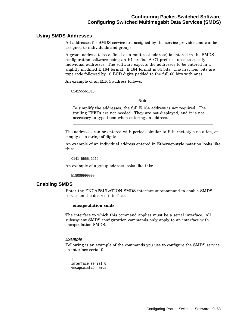## **Configuring Packet-Switched Software Configuring Switched Multimegabit Data Services (SMDS)**

## **Using SMDS Addresses**

All addresses for SMDS service are assigned by the service provider and can be assigned to individuals and groups.

A group address (also defined as a multicast address) is entered in the SMDS configuration software using an E1 prefix. A C1 prefix is used to specify individual addresses. The software expects the addresses to be entered in a slightly modified E.164 format. E.164 format is 64 bits. The first four bits are type code followed by 10 BCD digits padded to the full 60 bits with ones.

An example of an E.164 address follows.

C14155561313FFFF

**Note**

To simplify the addresses, the full E.164 address is not required. The trailing FFFFs are not needed. They are not displayed, and it is not necessary to type them when entering an address.

The addresses can be entered with periods similar to Ethernet-style notation, or simply as a string of digits.

An example of an individual address entered in Ethernet-style notation looks like this:

C141.5555.1212

An example of a group address looks like this:

E18009999999

#### **Enabling SMDS**

Enter the ENCAPSULATION SMDS interface subcommand to enable SMDS service on the desired interface:

#### **encapsulation smds**

The interface to which this command applies must be a serial interface. All subsequent SMDS configuration commands only apply to an interface with encapsulation SMDS.

#### **Example**

Following is an example of the commands you use to configure the SMDS service on interface serial 0:

```
!
interface serial 0
encapsulation smds
```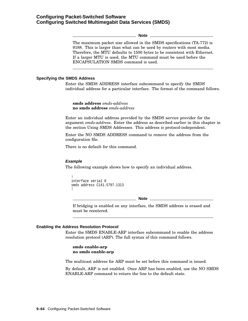**Note**

The maximum packet size allowed in the SMDS specifications (TA-772) is 9188. This is larger than what can be used by routers with most media. Therefore, the MTU defaults to 1500 bytes to be consistent with Ethernet. If a larger MTU is used, the MTU command must be used before the ENCAPSULATION SMDS command is used.

## **Specifying the SMDS Address**

Enter the SMDS ADDRESS interface subcommand to specify the SMDS individual address for a particular interface. The format of the command follows.

**smds address** *smds-address* **no smds address** *smds-address*

Enter an individual address provided by the SMDS service provider for the argument *smds-address*. Enter the address as described earlier in this chapter in the section Using SMDS Addresses. This address is protocol-independent.

Enter the NO SMDS ADDRESS command to remove the address from the configuration file.

There is no default for this command.

## **Example**

The following example shows how to specify an individual address.

```
!
interface serial 0
smds address C141.5797.1313
!
```
**Note**

If bridging is enabled on any interface, the SMDS address is erased and must be reentered.

## **Enabling the Address Resolution Protocol**

Enter the SMDS ENABLE-ARP interface subcommand to enable the address resolution protocol (ARP). The full syntax of this command follows.

**smds enable-arp no smds enable-arp**

The multicast address for ARP must be set before this command is issued.

By default, ARP is not enabled. Once ARP has been enabled, use the NO SMDS ENABLE-ARP command to return the line to the default state.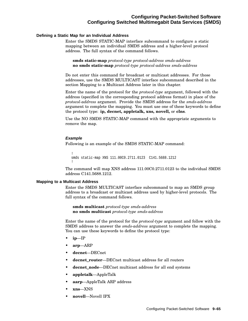# **Configuring Packet-Switched Software Configuring Switched Multimegabit Data Services (SMDS)**

## **Defining a Static Map for an Individual Address**

Enter the SMDS STATIC-MAP interface subcommand to configure a static mapping between an individual SMDS address and a higher-level protocol address. The full syntax of the command follows.

**smds static-map** *protocol-type protocol-address smds-address* **no smds static-map** *protocol-type protocol-address smds-address*

Do not enter this command for broadcast or multicast addresses. For those addresses, use the SMDS MULTICAST interface subcommand described in the section Mapping to a Multicast Address later in this chapter.

Enter the name of the protocol for the *protocol-type* argument, followed with the address (specified in the corresponding protocol address format) in place of the *protocol-address* argument. Provide the SMDS address for the *smds-address* argument to complete the mapping. You must use one of these keywords to define the protocol type: **ip, decnet, appletalk, xns, novell,** or **clns**.

Use the NO SMDS STATIC-MAP command with the appropriate arguments to remove the map.

## **Example**

Following is an example of the SMDS STATIC-MAP command:

```
!
smds static-map XNS 111.00C0.2711.0123 C141.5688.1212
!
```
The command will map XNS address 111.00C0.2711.0123 to the individual SMDS address C141.5688.1212.

## **Mapping to a Multicast Address**

Enter the SMDS MULTICAST interface subcommand to map an SMDS group address to a broadcast or multicast address used by higher-level protocols. The full syntax of the command follows.

**smds multicast** *protocol-type smds-address* **no smds multicast** *protocol-type smds-address*

Enter the name of the protocol for the *protocol-type* argument and follow with the SMDS address to answer the *smds-address* argument to complete the mapping. You can use these keywords to define the protocol type:

- **ip**—IP
- **arp**—ARP
- **decnet**—DECnet
- **decnet router**—DECnet multicast address for all routers
- **decnet\_node**—DECnet multicast address for all end systems
- **appletalk**—AppleTalk
- **aarp**—AppleTalk ARP address
- **xns**—XNS
- **novell**—Novell IPX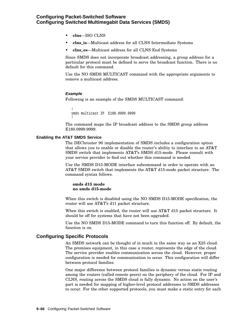- **clns**—ISO CLNS
- **clns\_is**—Multicast address for all CLNS Intermediate Systems
- **clns\_es**—Multicast address for all CLNS End Systems

Since SMDS does not incorporate broadcast addressing, a group address for a particular protocol must be defined to serve the broadcast function. There is no default for this command.

Use the NO SMDS MULTICAST command with the appropriate arguments to remove a multicast address.

## **Example**

Following is an example of the SMDS MULTICAST command:

```
!
smds multicast IP E180.0999.9999
!
```
The command maps the IP broadcast address to the SMDS group address E180.0999.9999.

#### **Enabling the AT&T SMDS Service**

The DECbrouter 90 implementation of SMDS includes a configuration option that allows you to enable or disable the router's ability to interface to an AT&T SMDS switch that implements AT&T's SMDS d15-mode. Please consult with your service provider to find out whether this command is needed.

Use the SMDS D15-MODE interface subcommand in order to operate with an AT&T SMDS switch that implements the AT&T d15-mode packet structure. The command syntax follows.

## **smds d15 mode no smds d15-mode**

When this switch is disabled using the NO SMDS D15-MODE specification, the router will use AT&T's d11 packet structure.

When this switch is enabled, the router will use AT&T d15 packet structure. It should be off for systems that have not been upgraded.

Use the NO SMDS D15-MODE command to turn this function off. By default, the function is on.

## **Configuring Specific Protocols**

An SMDS network can be thought of in much in the same way as an X25 cloud. The premises equipment, in this case a router, represents the edge of the cloud. The service provider enables communication across the cloud. However, proper configuration is needed for communication to occur. This configuration will differ between protocol families.

One major difference between protocol families is dynamic versus static routing among the routers (called remote peers) on the periphery of the cloud. For IP and CLNS, routing across the SMDS cloud is fully dynamic. No action on the user's part is needed for mapping of higher-level protocol addresses to SMDS addresses to occur. For the other supported protocols, you must make a static entry for each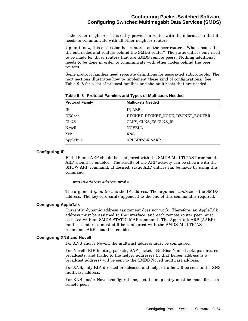of the other neighbors. This entry provides a router with the information that it needs to communicate with all other neighbor routers.

Up until now, this discussion has centered on the peer routers. What about all of the end nodes and routers behind the SMDS router? The static entries only need to be made for those routers that are SMDS remote peers. Nothing additional needs to be done in order to communicate with other nodes behind the peer routers.

Some protocol families need separate definitions for associated subprotocols. The next sections illustrates how to implement these kind of configurations. See Table 9–8 for a list of protocol families and the multicasts that are needed.

| <b>Protocol Family</b> | <b>Multicasts Needed</b>           |
|------------------------|------------------------------------|
| <b>TP</b>              | IP, ARP                            |
| <b>DEC</b> net         | DECNET, DECNET NODE, DECNET ROUTER |
| <b>CLNS</b>            | CLNS, CLNS ES, CLNS IS             |
| <b>Novell</b>          | <b>NOVELL</b>                      |
| <b>XNS</b>             | <b>XNS</b>                         |
| AppleTalk              | APPLETALK, AARP                    |

**Table 9–8 Protocol Families and Types of Multicasts Needed**

## **Configuring IP**

Both IP and ARP should be configured with the SMDS MULTICAST command. ARP should be enabled. The results of the ARP activity can be shown with the SHOW ARP command. If desired, static ARP entries can be made by using this command:

## **arp** *ip-address address* **smds**

The argument *ip-address* is the IP address. The argument *address* is the SMDS address. The keyword **smds** appended to the end of this command is required.

## **Configuring AppleTalk**

Currently, dynamic address assignment does not work. Therefore, an AppleTalk address must be assigned to the interface, and each remote router peer must be listed with an SMDS STATIC-MAP command. The AppleTalk ARP (AARP) multicast address must still be configured with the SMDS MULTICAST command. ARP should be enabled.

## **Configuring XNS and Novell**

For XNS and/or Novell, the multicast address must be configured.

For Novell, RIP Routing packets, SAP packets, NetBios Name Lookups, directed broadcasts, and traffic to the helper addresses (if that helper address is a broadcast address) will be sent to the SMDS Novell multicast address.

For XNS, only RIP, directed broadcasts, and helper traffic will be sent to the XNS multicast address.

For XNS and/or Novell configurations, a static map entry must be made for each remote peer.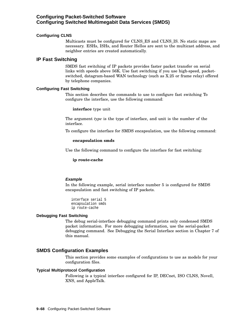## **Configuring Packet-Switched Software Configuring Switched Multimegabit Data Services (SMDS)**

## **Configuring CLNS**

Multicasts must be configured for CLNS\_ES and CLNS\_IS. No static maps are necessary. ESHs, ISHs, and Router Hellos are sent to the multicast address, and neighbor entries are created automatically.

## **IP Fast Switching**

SMDS fast switching of IP packets provides faster packet transfer on serial links with speeds above 56K. Use fast switching if you use high-speed, packetswitched, datagram-based WAN technology (such as X.25 or frame relay) offered by telephone companies.

#### **Configuring Fast Switching**

This section describes the commands to use to configure fast switching To configure the interface, use the following command:

#### **interface** type unit

The argument *type* is the type of interface, and unit is the number of the interface.

To configure the interface for SMDS encapsulation, use the following command:

#### **encapsulation smds**

Use the following command to configure the interface for fast switching:

**ip route-cache**

## **Example**

In the following example, serial interface number 5 is configured for SMDS encapsulation and fast switching of IP packets.

interface serial 5 encapsulation smds ip route-cache

#### **Debugging Fast Switching**

The debug serial-interface debugging command prints only condensed SMDS packet information. For more debugging information, use the serial-packet debugging command. See Debugging the Serial Interface section in Chapter 7 of this manual.

## **SMDS Configuration Examples**

This section provides some examples of configurations to use as models for your configuration files.

### **Typical Multiprotocol Configuration**

Following is a typical interface configured for IP, DECnet, ISO CLNS, Novell, XNS, and AppleTalk.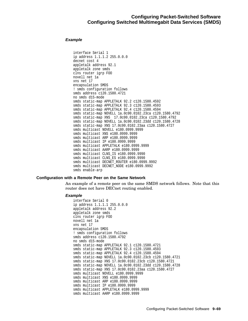#### **Example**

```
interface Serial 1
ip address 1.1.1.2 255.0.0.0
decnet cost 4
appletalk address 92.1
appletalk zone smds
clns router igrp FOO
novell net 1a
xns net 17
encapsulation SMDS
! smds configuration follows
smds address c120.1580.4721
no smds d15-mode
smds static-map APPLETALK 92.2 c120.1580.4592
smds static-map APPLETALK 92.3 c120.1580.4593
smds static-map APPLETALK 92.4 c120.1580.4594
smds static-map NOVELL 1a.0c00.0102.23ca c120.1580.4792
smds static-map XNS 17.0c00.0102.23ca c120.1580.4792
smds static-map NOVELL 1a.0c00.0102.23dd c120.1580.4728
smds static-map XNS 17.0c00.0102.23aa c120.1580.4727
smds multicast NOVELL e180.0999.9999
smds multicast XNS e180.0999.9999
smds multicast ARP e180.0999.9999
smds multicast IP e180.0999.9999
smds multicast APPLETALK e180.0999.9999
smds multicast AARP e180.0999.9999
smds multicast CLNS_IS e180.0999.9990
smds multicast CLNS_ES e180.0999.9990
smds multicast DECNET_ROUTER e180.0999.9992
smds multicast DECNET_NODE e180.0999.9992
smds enable-arp
```
#### **Configuration with a Remote Peer on the Same Network**

An example of a remote peer on the same SMDS network follows. Note that this router does not have DECnet routing enabled.

#### **Example**

```
interface Serial 0
ip address 1.1.1.1 255.0.0.0
appletalk address 92.2
appletalk zone smds
clns router igrp FOO
novell net 1a
xns net 17
encapsulation SMDS
! smds configuration follows
smds address c120.1580.4792
no smds d15-mode
smds static-map APPLETALK 92.1 c120.1580.4721
smds static-map APPLETALK 92.3 c120.1580.4593
smds static-map APPLETALK 92.4 c120.1580.4594
smds static-map NOVELL 1a.0c00.0102.23cb c120.1580.4721
smds static-map XNS 17.0c00.0102.23cb c120.1580.4721
smds static-map NOVELL 1a.0c00.0102.23dd c120.1580.4728
smds static-map XNS 17.0c00.0102.23aa c120.1580.4727
smds multicast NOVELL e180.0999.9999
smds multicast XNS e180.0999.9999
smds multicast ARP e180.0999.9999
smds multicast IP e180.0999.9999
smds multicast APPLETALK e180.0999.9999
smds multicast AARP e180.0999.9999
```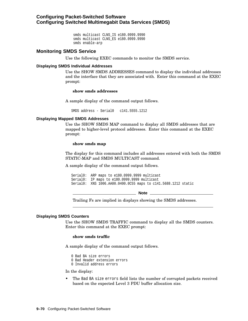smds multicast CLNS\_IS e180.0999.9990 smds multicast CLNS\_ES e180.0999.9990 smds enable-arp

## **Monitoring SMDS Service**

Use the following EXEC commands to monitor the SMDS service.

#### **Displaying SMDS Individual Addresses**

Use the SHOW SMDS ADDRESSES command to display the individual addresses and the interface that they are associated with. Enter this command at the EXEC prompt:

#### **show smds addresses**

A sample display of the command output follows.

SMDS address - Serial0 c141.5555.1212

## **Displaying Mapped SMDS Addresses**

Use the SHOW SMDS MAP command to display all SMDS addresses that are mapped to higher-level protocol addresses. Enter this command at the EXEC prompt:

#### **show smds map**

The display for this command includes all addresses entered with both the SMDS STATIC-MAP and SMDS MULTICAST command.

A sample display of the command output follows.

Serial0: ARP maps to e180.0999.9999 multicast Serial0: IP maps to e180.0999.9999 multicast Serial0: XNS 1006.AA00.0400.0C55 maps to c141.5688.1212 static

**Note**

Trailing Fs are implied in displays showing the SMDS addresses.

#### **Displaying SMDS Counters**

Use the SHOW SMDS TRAFFIC command to display all the SMDS counters. Enter this command at the EXEC prompt:

## **show smds traffic**

A sample display of the command output follows.

0 Bad BA size errors 0 Bad Header extension errors

- 0 Invalid address errors
- 

In the display:

The Bad BA size errors field lists the number of corrupted packets received based on the expected Level 3 PDU buffer allocation size.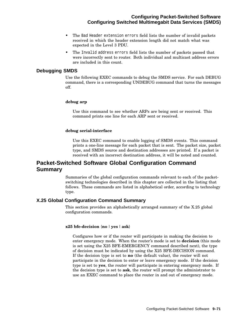## **Configuring Packet-Switched Software Configuring Switched Multimegabit Data Services (SMDS)**

- The Bad Header extension errors field lists the number of invalid packets received in which the header extension length did not match what was expected in the Level 3 PDU.
- The Invalid address errors field lists the number of packets passed that were incorrectly sent to router. Both individual and multicast address errors are included in this count.

## **Debugging SMDS**

Use the following EXEC commands to debug the SMDS service. For each DEBUG command, there is a corresponding UNDEBUG command that turns the messages off.

#### **debug arp**

Use this command to see whether ARPs are being sent or received. This command prints one line for each ARP sent or received.

#### **debug serial-interface**

Use this EXEC command to enable logging of SMDS events. This command prints a one-line message for each packet that is sent. The packet size, packet type, and SMDS source and destination addresses are printed. If a packet is received with an incorrect destination address, it will be noted and counted.

# **Packet-Switched Software Global Configuration Command Summary**

Summaries of the global configuration commands relevant to each of the packetswitching technologies described in this chapter are collected in the listing that follows. These commands are listed in alphabetical order, according to technology type.

## **X.25 Global Configuration Command Summary**

This section provides an alphabetically arranged summary of the X.25 global configuration commands.

#### **x25 bfe-decision** {**no** | **yes** | **ask**}

Configures how or if the router will participate in making the decision to enter emergency mode. When the router's mode is set to **decision** (this mode is set using the X25 BFE-EMERGENCY command described next), the type of decision must be indicated by using the X25 BFE-DECISION command. If the decision type is set to **no** (the default value), the router will not participate in the decision to enter or leave emergency mode. If the decision type is set to **yes**, the router will participate in entering emergency mode. If the decision type is set to **ask**, the router will prompt the administrator to use an EXEC command to place the router in and out of emergency mode.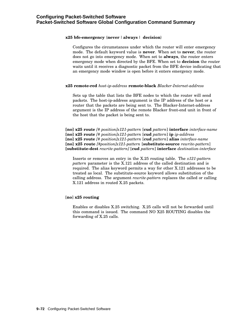## **x25 bfe-emergency** {**never** | **always** | **decision**}

Configures the circumstances under which the router will enter emergency mode. The default keyword value is **never**. When set to **never**, the router does not go into emergency mode. When set to **always**, the router enters emergency mode when directed by the BFE. When set to **decision** the router waits until it receives a diagnostic packet from the BFE device indicating that an emergency mode window is open before it enters emergency mode.

## **x25 remote-red** *host-ip-address* **remote-black** *Blacker-Internet-address*

Sets up the table that lists the BFE nodes to which the router will send packets. The host-ip-address argument is the IP address of the host or a router that the packets are being sent to. The Blacker-Internet-address argument is the IP address of the remote Blacker front-end unit in front of the host that the packet is being sent to.

**[no] x25 route** *[# position]x121-pattern* [**cud** *pattern*] **interface** *interface-name* **[no] x25 route** *[# position]x121-pattern* [**cud** *pattern*] **ip** *ip-address* **[no] x25 route** *[# position]x121-pattern* [**cud** *pattern*] **alias** *interface-name* **[no] x25 route** *[#position]x121-pattern* [**substitute-source** *rewrite-pattern*] **[substitute-dest** *rewrite-pattern]* [**cud** *pattern*] **interface** *destination-interface*

Inserts or removes an entry in the X.25 routing table. The *x121-pattern pattern* parameter is the X.121 address of the called destination and is required. The alias keyword permits a way for other X.121 addresses to be treated as local. The substitute-source keyword allows substitution of the calling address. The argument *rewrite-pattern* replaces the called or calling X.121 address in routed X.25 packets.

## [**no**] **x25 routing**

Enables or disables X.25 switching. X.25 calls will not be forwarded until this command is issued. The command NO X25 ROUTING disables the forwarding of X.25 calls.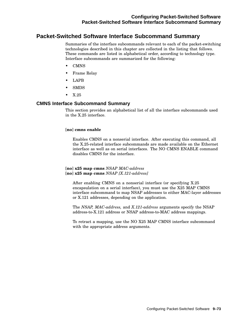# **Packet-Switched Software Interface Subcommand Summary**

Summaries of the interface subcommands relevant to each of the packet-switching technologies described in this chapter are collected in the listing that follows. These commands are listed in alphabetical order, according to technology type. Interface subcommands are summarized for the following:

- CMNS
- Frame Relay
- LAPB
- SMDS
- X.25

## **CMNS Interface Subcommand Summary**

This section provides an alphabetical list of all the interface subcommands used in the X.25 interface.

## [**no**] **cmns enable**

Enables CMNS on a nonserial interface. After executing this command, all the X.25-related interface subcommands are made available on the Ethernet interface as well as on serial interfaces. The NO CMNS ENABLE command disables CMNS for the interface.

## [**no**] **x25 map cmns** *NSAP MAC-address* [**no**] **x25 map cmns** *NSAP [X.121-address]*

After enabling CMNS on a nonserial interface (or specifying X.25 encapsulation on a serial interface), you must use the X25 MAP CMNS interface subcommand to map NSAP addresses to either MAC-layer addresses or X.121 addresses, depending on the application.

The *NSAP, MAC-address,* and *X.121-address* arguments specify the NSAP address-to-X.121 address or NSAP address-to-MAC address mappings.

To retract a mapping, use the NO X25 MAP CMNS interface subcommand with the appropriate address arguments.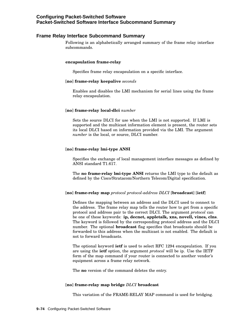# **Configuring Packet-Switched Software Packet-Switched Software Interface Subcommand Summary**

# **Frame Relay Interface Subcommand Summary**

Following is an alphabetically arranged summary of the frame relay interface subcommands.

## **encapsulation frame-relay**

Specifies frame relay encapsulation on a specific interface.

## [**no**] **frame-relay keepalive** *seconds*

Enables and disables the LMI mechanism for serial lines using the frame relay encapsulation.

## [**no**] **frame-relay local-dlci** *number*

Sets the source DLCI for use when the LMI is not supported. If LMI is supported and the multicast information element is present, the router sets its local DLCI based on information provided via the LMI. The argument *number* is the local, or source, DLCI number.

## [**no**] **frame-relay lmi-type ANSI**

Specifies the exchange of local management interface messages as defined by ANSI standard T1.617.

The **no frame-relay lmi-type ANSI** returns the LMI type to the default as defined by the Cisco/Stratacom/Northern Telecom/Digital specification.

## [**no**] **frame-relay map** *protocol protocol-address DLCI* [**broadcast**] [**ietf**]

Defines the mapping between an address and the DLCI used to connect to the address. The frame relay map tells the router how to get from a specific protocol and address pair to the correct DLCI. The argument *protocol* can be one of these keywords: **ip, decnet, appletalk, xns, novell, vines, clns**. The keyword is followed by the corresponding protocol address and the DLCI number. The optional **broadcast** flag specifies that broadcasts should be forwarded to this address when the multicast is not enabled. The default is not to forward broadcasts.

The optional keyword **ietf** is used to select RFC 1294 encapsulation. If you are using the **ietf** option, the argument *protocol* will be ip. Use the IETF form of the map command if your router is connected to another vendor's equipment across a frame relay network.

The **no** version of the command deletes the entry.

## [**no**] **frame-relay map bridge** *DLCI* **broadcast**

This variation of the FRAME-RELAY MAP command is used for bridging.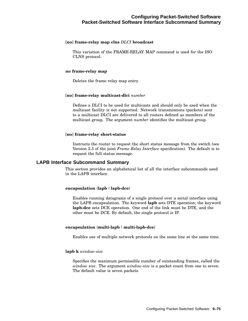## [**no**] **frame-relay map clns** *DLCI* **broadcast**

This variation of the FRAME-RELAY MAP command is used for the ISO CLNS protocol.

#### **no frame-relay map**

Deletes the frame relay map entry.

#### [**no**] **frame-relay multicast-dlci** *number*

Defines a DLCI to be used for multicasts and should only be used when the multicast facility is not supported. Network transmissions (packets) sent to a multicast DLCI are delivered to all routers defined as members of the multicast group. The argument *number* identifies the multicast group.

### [**no**] **frame-relay short-status**

Instructs the router to request the short status message from the switch (see Version 2.3 of the joint *Frame Relay Interface* specification). The default is to request the full status message.

## **LAPB Interface Subcommand Summary**

This section provides an alphabetical list of all the interface subcommands used in the LAPB interface.

## **encapsulation** {**lapb** | **lapb-dce**}

Enables running datagrams of a single protocol over a serial interface using the LAPB encapsulation. The keyword **lapb** sets DTE operation; the keyword **lapb-dce** sets DCE operation. One end of the link must be DTE, and the other must be DCE. By default, the single protocol is IP.

#### **encapsulation** {**multi-lapb** | **multi-lapb-dce**}

Enables use of multiple network protocols on the same line at the same time.

#### **lapb k** *window-size*

Specifies the maximum permissible number of outstanding frames, called the *window size*. The argument *window-size* is a packet count from one to seven. The default value is seven packets.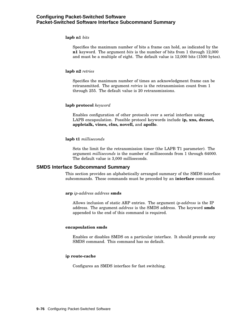### **lapb n1** *bits*

Specifies the maximum number of bits a frame can hold, as indicated by the **n1** keyword. The argument *bits* is the number of bits from 1 through 12,000 and must be a multiple of eight. The default value is 12,000 bits (1500 bytes).

#### **lapb n2** *retries*

Specifies the maximum number of times an acknowledgment frame can be retransmitted. The argument *retries* is the retransmission count from 1 through 255. The default value is 20 retransmissions.

#### **lapb protocol** *keyword*

Enables configuration of other protocols over a serial interface using LAPB encapsulation. Possible protocol keywords include **ip, xns, decnet, appletalk, vines, clns, novell,** and **apollo**.

#### **lapb t1** *milliseconds*

Sets the limit for the retransmission timer (the LAPB T1 parameter). The argument *milliseconds* is the number of milliseconds from 1 through 64000. The default value is 3,000 milliseconds.

## **SMDS Interface Subcommand Summary**

This section provides an alphabetically arranged summary of the SMDS interface subcommands. These commands must be preceded by an **interface** command.

#### **arp** *ip-address address* **smds**

Allows inclusion of static ARP entries. The argument *ip-address* is the IP address. The argument *address* is the SMDS address. The keyword **smds** appended to the end of this command is required.

#### **encapsulation smds**

Enables or disables SMDS on a particular interface. It should precede any SMDS command. This command has no default.

#### **ip route-cache**

Configures an SMDS interface for fast switching.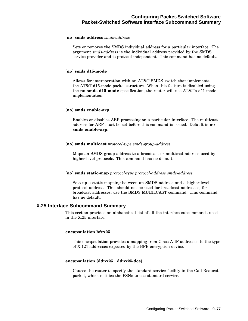## **Configuring Packet-Switched Software Packet-Switched Software Interface Subcommand Summary**

#### [**no**] **smds address** *smds-address*

Sets or removes the SMDS individual address for a particular interface. The argument *smds-address* is the individual address provided by the SMDS service provider and is protocol independent. This command has no default.

### [**no**] **smds d15-mode**

Allows for interoperation with an AT&T SMDS switch that implements the AT&T d15-mode packet structure. When this feature is disabled using the **no smds d15-mode** specification, the router will use AT&T's d11-mode implementation.

#### [**no**] **smds enable-arp**

Enables or disables ARP processing on a particular interface. The multicast address for ARP must be set before this command is issued. Default is **no smds enable-arp**.

#### [**no**] **smds multicast** *protocol-type smds-group-address*

Maps an SMDS group address to a broadcast or multicast address used by higher-level protocols. This command has no default.

#### [**no**] **smds static-map** *protocol-type protocol-address smds-address*

Sets up a static mapping between an SMDS address and a higher-level protocol address. This should not be used for broadcast addresses; for broadcast addresses, use the SMDS MULTICAST command. This command has no default.

## **X.25 Interface Subcommand Summary**

This section provides an alphabetical list of all the interface subcommands used in the X.25 interface.

#### **encapsulation bfex25**

This encapsulation provides a mapping from Class A IP addresses to the type of X.121 addresses expected by the BFE encryption device.

#### **encapsulation** {**ddnx25** |**ddnx25-dce**}

Causes the router to specify the standard service facility in the Call Request packet, which notifies the PSNs to use standard service.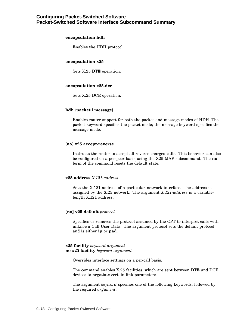# **Configuring Packet-Switched Software Packet-Switched Software Interface Subcommand Summary**

## **encapsulation hdh**

Enables the HDH protocol.

## **encapsulation x25**

Sets X.25 DTE operation.

## **encapsulation x25-dce**

Sets X.25 DCE operation.

## **hdh** {**packet** | **message**}

Enables router support for both the packet and message modes of HDH. The packet keyword specifies the packet mode; the message keyword specifies the message mode.

## [**no**] **x25 accept-reverse**

Instructs the router to accept all reverse-charged calls. This behavior can also be configured on a per-peer basis using the X25 MAP subcommand. The **no** form of the command resets the default state.

## **x25 address** *X.121-address*

Sets the X.121 address of a particular network interface. The address is assigned by the X.25 network. The argument *X.121-address* is a variablelength X.121 address.

## **[no] x25 default** *protocol*

Specifies or removes the protocol assumed by the CPT to interpret calls with unknown Call User Data. The argument protocol sets the default protocol and is either **ip** or **pad**.

## **x25 facility** *keyword argument* **no x25 facility** *keyword argument*

Overrides interface settings on a per-call basis.

The command enables X.25 facilities, which are sent between DTE and DCE devices to negotiate certain link parameters.

The argument *keyword* specifies one of the following keywords, followed by the required *argument*: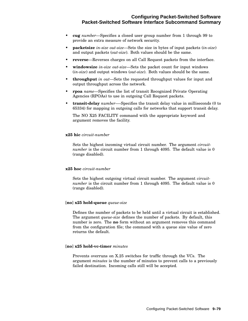- **cug** *number*—Specifies a closed user group number from 1 through 99 to provide an extra measure of network security.
- **packetsize** *in-size out-size*—Sets the size in bytes of input packets (*in-size*) and output packets (*out-size*). Both values should be the same.
- **reverse**—Reverses charges on all Call Request packets from the interface.
- **windowsize** *in-size out-size*—Sets the packet count for input windows (*in-size*) and output windows (*out-size*). Both values should be the same.
- **throughput** *in out*—Sets the requested throughput values for input and output throughput across the network.
- **rpoa** *name*—Specifies the list of transit Recognized Private Operating Agencies (RPOAs) to use in outgoing Call Request packets.
- **transit-delay** *number*—-Specifies the transit delay value in milliseconds (0 to 65334) for mapping in outgoing calls for networks that support transit delay.

The NO X25 FACILITY command with the appropriate keyword and argument removes the facility.

#### **x25 hic** *circuit-number*

Sets the highest incoming virtual circuit number. The argument *circuitnumber* is the circuit number from 1 through 4095. The default value is 0 (range disabled).

#### **x25 hoc** *circuit-number*

Sets the highest outgoing virtual circuit number. The argument *circuitnumber* is the circuit number from 1 through 4095. The default value is 0 (range disabled).

#### [**no**] **x25 hold-queue** *queue-size*

Defines the number of packets to be held until a virtual circuit is established. The argument *queue-size* defines the number of packets. By default, this number is zero. The **no** form without an argument removes this command from the configuration file; the command with a queue size value of zero returns the default.

#### [**no**] **x25 hold-vc-timer** *minutes*

Prevents overruns on X.25 switches for traffic through the VCs. The argument *minutes* is the number of minutes to prevent calls to a previously failed destination. Incoming calls still will be accepted.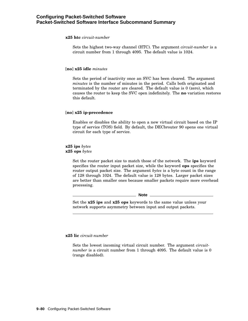### **x25 htc** *circuit-number*

Sets the highest two-way channel (HTC). The argument *circuit-number* is a circuit number from 1 through 4095. The default value is 1024.

### [**no**] **x25 idle** *minutes*

Sets the period of inactivity once an SVC has been cleared. The argument *minutes* is the number of minutes in the period. Calls both originated and terminated by the router are cleared. The default value is 0 (zero), which causes the router to keep the SVC open indefinitely. The **no** variation restores this default.

## [**no**] **x25 ip-precedence**

Enables or disables the ability to open a new virtual circuit based on the IP type of service (TOS) field. By default, the DECbrouter 90 opens one virtual circuit for each type of service.

**x25 ips** *bytes* **x25 ops** *bytes*

> Set the router packet size to match those of the network. The **ips** keyword specifies the router input packet size, while the keyword **ops** specifies the router output packet size. The argument *bytes* is a byte count in the range of 128 through 1024. The default value is 128 bytes. Larger packet sizes are better than smaller ones because smaller packets require more overhead processing.

> > **Note**

Set the **x25 ips** and **x25 ops** keywords to the same value unless your network supports asymmetry between input and output packets.

**x25 lic** *circuit-number*

Sets the lowest incoming virtual circuit number. The argument *circuitnumber* is a circuit number from 1 through 4095. The default value is 0 (range disabled).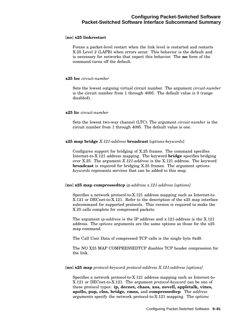## [**no**] **x25 linkrestart**

Forces a packet-level restart when the link level is restarted and restarts X.25 Level 2 (LAPB) when errors occur. This behavior is the default and is necessary for networks that expect this behavior. The **no** form of the command turns off the default.

### **x25 loc** *circuit-number*

Sets the lowest outgoing virtual circuit number. The argument *circuit-number* is the circuit number from 1 through 4095. The default value is 0 (range disabled).

## **x25 ltc** *circuit-number*

Sets the lowest two-way channel (LTC). The argument *circuit-number* is the circuit number from 1 through 4095. The default value is one.

#### **x25 map bridge** *X.121-address* **broadcast** [*options-keywords*]

Configures support for bridging of X.25 frames. The command specifies Internet-to-X.121 address mapping. The keyword **bridge** specifies bridging over X.25. The argument *X.121-address* is the X.121 address. The keyword **broadcast** is required for bridging X.25 frames. The argument *optionskeywords* represents services that can be added to this map.

## [**no**] **x25 map compressedtcp** *ip-address x.121-address [options]*

Specifies a network protocol-to-X.121 address mapping such as Internet-to-X.121 or DECnet-to-X.121. Refer to the description of the x25 map interface subcommand for supported protocols. This version is required to make the X.25 calls complete for compressed packets.

The argument *ip-address* is the IP address and x.121-address is the X.121 address. The *options* arguments are the same options as those for the x25 map command.

The Call User Data of compressed TCP calls is the single byte 0xd8.

The NO X25 MAP COMPRESSEDTCP disables TCP header compression for the link.

#### [**no**] **x25 map** *protocol-keyword protocol-address X.121-address [options]*

Specifies a network protocol-to-X.121 address mapping such as Internet-to-X.121 or DECnet-to-X.121. The argument *protocol-keyword* can be one of these protocol types: **ip, decnet, chaos, xns, novell, appletalk, vines, apollo, pup, clns, bridge, cmns,** and **compressedtcp**. The *address* arguments specify the network protocol-to-X.121 mapping. The *options*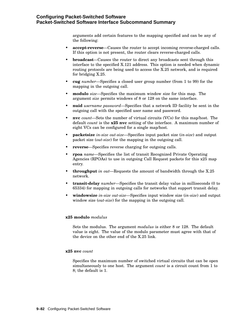arguments add certain features to the mapping specified and can be any of the following:

- **accept-reverse**—Causes the router to accept incoming reverse-charged calls. If this option is not present, the router clears reverse-charged calls.
- **broadcast**—Causes the router to direct any broadcasts sent through this interface to the specified X.121 address. This option is needed when dynamic routing protocols are being used to access the X.25 network, and is required for bridging X.25.
- **cug** *number*—Specifies a closed user group number (from 1 to 99) for the mapping in the outgoing call.
- **modulo** *size*—Specifies the maximum window size for this map. The argument *size* permits windows of 8 or 128 on the same interface.
- **nuid** *username password*—Specifies that a network ID facility be sent in the outgoing call with the specified user name and password.
- **nvc** *count*—Sets the number of virtual circuits (VCs) for this map/host. The default *count* is the **x25 nvc** setting of the interface. A maximum number of eight VCs can be configured for a single map/host.
- **packetsize** *in-size out-size*—Specifies input packet size (*in-size*) and output packet size (*out-size*) for the mapping in the outgoing call.
- **reverse**—Specifies reverse charging for outgoing calls.
- **rpoa** *name*—Specifies the list of transit Recognized Private Operating Agencies (RPOAs) to use in outgoing Call Request packets for this x25 map entry.
- **throughput** *in out*—Requests the amount of bandwidth through the X.25 network.
- **transit-delay** *number*—Specifies the transit delay value in milliseconds (0 to 65334) for mapping in outgoing calls for networks that support transit delay.
- **windowsize** *in-size out-size*—Specifies input window size (*in-size*) and output window size (*out-size*) for the mapping in the outgoing call.

## **x25 modulo** *modulus*

Sets the modulus. The argument *modulus* is either 8 or 128. The default value is eight. The value of the modulo parameter must agree with that of the device on the other end of the X.25 link.

#### **x25 nvc** *count*

Specifies the maximum number of switched virtual circuits that can be open simultaneously to one host. The argument *count* is a circuit count from 1 to 8; the default is 1.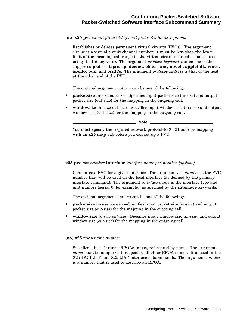# **Configuring Packet-Switched Software Packet-Switched Software Interface Subcommand Summary**

[**no**] **x25 pvc** *circuit protocol-keyword protocol-address [options]*

Establishes or deletes permanent virtual circuits (PVCs). The argument *circuit* is a virtual circuit channel number; it must be less than the lower limit of the incoming call range in the virtual circuit channel sequence (set using the **lic** keyword). The argument *protocol-keyword* can be one of the supported protocol types: **ip, decnet, chaos, xns, novell, appletalk, vines, apollo, pup,** and **bridge**. The argument *protocol-address* is that of the host at the other end of the PVC.

The optional argument *options* can be one of the following:

- **packetsize** in-size out-size—Specifies input packet size (in-size) and output packet size (out-size) for the mapping in the outgoing call.
- **windowsize** in-size out-size—Specifies input window size (in-size) and output window size (out-size) for the mapping in the outgoing call.

**Note**

You must specify the required network protocol-to-X.121 address mapping with an **x25 map** sub before you can set up a PVC.

**x25 pvc** *pvc-number* **interface** *interface-name pvc-number [options]*

Configures a PVC for a given interface. The argument *pvc-number* is the PVC number that will be used on the local interface (as defined by the primary interface command). The argument *interface-name* is the interface type and unit number (serial 0, for example), as specified by the **interface** keywords.

The optional argument *options* can be one of the following:

- **packetsize** *in-size out-size*—Specifies input packet size (*in-size*) and output packet size (*out-size*) for the mapping in the outgoing call.
- **windowsize** *in-size out-size*—Specifies input window size (*in-size*) and output window size (*out-size*) for the mapping in the outgoing call.

[**no**] **x25 rpoa** *name number*

Specifies a list of transit RPOAs to use, referenced by name. The argument *name* must be unique with respect to all other RPOA names. It is used in the X25 FACILITY and X25 MAP interface subcommands. The argument *number* is a number that is used to describe an RPOA.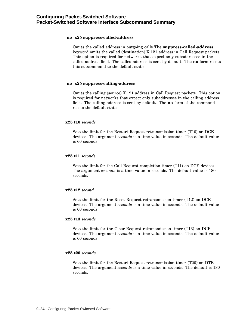### [**no**] **x25 suppress-called-address**

Omits the called address in outgoing calls The **suppress-called-address** keyword omits the called (destination) X.121 address in Call Request packets. This option is required for networks that expect only subaddresses in the called address field. The called address is sent by default. The **no** form resets this subcommand to the default state.

#### [**no**] **x25 suppress-calling-address**

Omits the calling (source) X.121 address in Call Request packets. This option is required for networks that expect only subaddresses in the calling address field. The calling address is sent by default. The **no** form of the command resets the default state.

#### **x25 t10** *seconds*

Sets the limit for the Restart Request retransmission timer (T10) on DCE devices. The argument *seconds* is a time value in seconds. The default value is 60 seconds.

#### **x25 t11** *seconds*

Sets the limit for the Call Request completion timer (T11) on DCE devices. The argument *seconds* is a time value in seconds. The default value is 180 seconds.

#### **x25 t12** *second*

Sets the limit for the Reset Request retransmission timer (T12) on DCE devices. The argument *seconds* is a time value in seconds. The default value is 60 seconds.

#### **x25 t13** *seconds*

Sets the limit for the Clear Request retransmission timer (T13) on DCE devices. The argument *seconds* is a time value in seconds. The default value is 60 seconds.

#### **x25 t20** *seconds*

Sets the limit for the Restart Request retransmission timer (T20) on DTE devices. The argument *seconds* is a time value in seconds. The default is 180 seconds.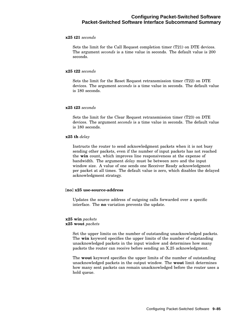#### **x25 t21** *seconds*

Sets the limit for the Call Request completion timer (T21) on DTE devices. The argument *seconds* is a time value in seconds. The default value is 200 seconds.

## **x25 t22** *seconds*

Sets the limit for the Reset Request retransmission timer (T22) on DTE devices. The argument *seconds* is a time value in seconds. The default value is 180 seconds.

#### **x25 t23** *seconds*

Sets the limit for the Clear Request retransmission timer (T23) on DTE devices. The argument *seconds* is a time value in seconds. The default value is 180 seconds.

#### **x25 th** *delay*

Instructs the router to send acknowledgment packets when it is not busy sending other packets, even if the number of input packets has not reached the **win** count, which improves line responsiveness at the expense of bandwidth. The argument *delay* must be between zero and the input window size. A value of one sends one Receiver Ready acknowledgment per packet at all times. The default value is zero, which disables the delayed acknowledgment strategy.

#### [**no**] **x25 use-source-address**

Updates the source address of outgoing calls forwarded over a specific interface. The **no** variation prevents the update.

#### **x25 win** *packets* **x25 wout** *packets*

Set the upper limits on the number of outstanding unacknowledged packets. The **win** keyword specifies the upper limits of the number of outstanding unacknowledged packets in the input window and determines how many packets the router can receive before sending an X.25 acknowledgment.

The **wout** keyword specifies the upper limits of the number of outstanding unacknowledged packets in the output window. The **wout** limit determines how many sent packets can remain unacknowledged before the router uses a hold queue.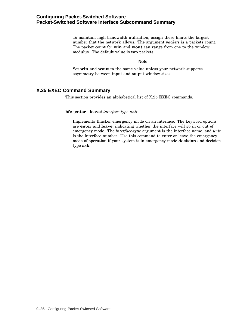To maintain high bandwidth utilization, assign these limits the largest number that the network allows. The argument *packets* is a packets count. The packet count for **win** and **wout** can range from one to the window modulus. The default value is two packets.

**Note** \_\_\_\_\_\_

Set **win** and **wout** to the same value unless your network supports asymmetry between input and output window sizes.

# **X.25 EXEC Command Summary**

This section provides an alphabetical list of X.25 EXEC commands.

**bfe** {**enter** | **leave**} *interface-type unit*

Implements Blacker emergency mode on an interface. The keyword options are **enter** and **leave**, indicating whether the interface will go in or out of emergency mode. The *interface-type* argument is the interface name, and *unit* is the interface number. Use this command to enter or leave the emergency mode of operation if your system is in emergency mode **decision** and decision type **ask**.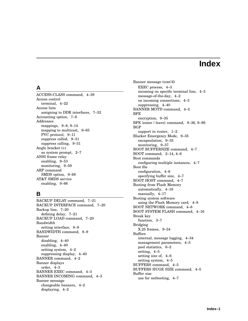# **Index**

# **A**

ACCESS-CLASS command, 4–39 Access control terminal, 4–22 Access lists assigning to DDR interfaces, 7–32 Accounting option, 7–6 Addresses mappings, 9–8, 9–14 mapping to multicast, 9–65 PVC protocol, 9–11 suppress called, 9–31 suppress calling, 9–31 Angle bracket (>) as system prompt, 2–7 ANSI frame relay enabling, 9–53 monitoring, 9–59 ARP command SMDS option, 9–68 AT&T SMDS service enabling, 9–66

# **B**

BACKUP DELAY command, 7–21 BACKUP INTERFACE command, 7–20 Backup line, 7–20 defining delay, 7–21 BACKUP LOAD command, 7–20 Bandwidth setting interface, 8–9 BANDWIDTH command, 8–9 Banner disabling, 4–40 enabling, 4–40 setting system, 4–2 suppressing display, 4–40 BANNER command, 4–2 Banner displays order, 4–3 BANNER EXEC command, 4–3 BANNER INCOMING command, 4–3 Banner message changeable banners, 4–2 displaying, 4–2

Banner message (cont'd) EXEC process, 4–3 incoming on specific terminal line, 4–3 message-of-the-day, 4–2 on incoming connections, 4–3 suppressing, 4–40 BANNER MOTD command, 4–2 BFE encryption, 9–35 BFE {enter | leave} command, 9–36, 9–86 BGP support in router, 1–2 Blacker Emergency Mode, 9–35 encapsulation, 9–35 monitoring, 9–37 BOOT BUFFERSIZE command, 4–7 BOOT command, 2–14, 4–6 Boot commands configuring multiple instances, 4–7 Boot file configuration, 4–6 specifying buffer size, 4–7 BOOT HOST command, 4–7 Booting from Flash Memory automatically, 4–16 manually, 4–17 Booting system software using the Flash Memory card, 4–8 BOOT NETWORK command, 4–6 BOOT SYSTEM FLASH command, 4–16 Break key function, 3–7 Bridging X.25 frames, 9–34 Buffers internal, message logging, 4–34 management parameters, 4–5 pool statistics, 6–2 setting, 4–5 setting size of, 4–6 setting system, 4–5 BUFFERS command, 4–5 BUFFERS HUGE SIZE command, 4–5 Buffer size use for netbooting, 4–7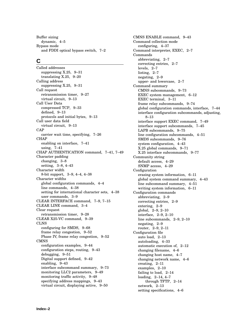Buffer sizing dynamic, 4–5 Bypass mode and FDDI optical bypass switch, 7–2

# **C**

Called addresses suppressing X.25, 9–31 translating X.25, 9–20 Calling address suppressing X.25, 9–31 Call request retransmission timer, 9–27 virtual circuit, 9–13 Call User Data compressed TCP, 9–33 defined, 9–13 protocols and initial bytes, 9–13 Call user data field virtual circuit, 9–13 CAP carrier wait time, specifying, 7–26 CHAP enabling on interface, 7–41 using, 7–41 CHAP AUTHENTICATION command, 7–41, 7–49 Character padding changing, 3–8 setting, 3–8, 4–43 Character width 8-bit support, 3–9, 4–4, 4–38 Character widths global configuration commands, 4–4 line commands, 4–38 setting for international character sets, 4–38 user commands, 3–9 CLEAR INTERFACE command, 7–9, 7–15 CLEAR LINE command, 3–4 Clear request retransmission timer, 9–28 CLEAR X25-VC command, 9–39 CLNS configuring for SMDS, 9–68 frame relay congestion, 9–52 Phase IV, frame relay congestion, 9–52 CMNS configuration examples, 9–44 configuration steps, routing, 9–43 debugging, 9–51 Digital support defined, 9–42 enabling, 9–43 interface subcommand summary, 9–73 monitoring LLC2 parameters, 9–49 monitoring traffic activity, 9–48 specifying address mappings, 9–43 virtual circuit, displaying active, 9–50

CMNS ENABLE command, 9–43 Command collection mode configuring, 4–37 Command interpreter, EXEC, 2–7 Commands abbreviating, 2–7 correcting entries, 2–7 levels, 2–7 listing, 2–7 negating, 2–9 upper- and lowercase, 2–7 Command summary CMNS subcommands, 9–73 EXEC system management, 6–12 EXEC terminal, 3–11 frame relay subcommands, 9–74 global configuration commands, interface, 7–44 interface configuration subcommands, adjusting, 8–13 interface support EXEC command, 7–49 interface support subcommands, 7–45 LAPB subcommands, 9–75 line configuration subcommands, 4–51 SMDS subcommands, 9–76 system configuration, 4–43 X.25 global commands, 9–71 X.25 interface subcommands, 9–77 Community string default access, 4–29 SNMP access, 4–29 Configuration erasing system information, 6–11 global system command summary, 4–43 line subcommand summary, 4–51 writing system information, 6–11 Configuration commands abbreviating, 2–9 correcting entries, 2–9 entering, 2–9 global, 2–9, 2–10 interface, 2–9, 2–10 line subcommands, 2–9, 2–10 negating, 2–9 router, 2–9, 2–11 Configuration file auto load, 2–13 autoloading, 4–33 automatic execution of, 2–12 changing filename, 4–6 changing host name, 4–7 changing network name, 4–6 creating, 2–11 examples, 2–10 failing to load, 2–14 loading, 2–14, 4–7 through TFTP, 2–14 network, 2–13 setting specifications, 4–6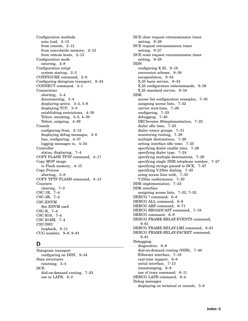Configuration methods auto load, 2–13 from console, 2–12 from nonvolatile memory, 2–12 from remote hosts, 2–13 Configuration mode entering, 2–8 Configuration script system startup, 2–3 CONFIGURE command, 2–9 Configuring datagram transport, 9–34 CONNECT command, 3–1 Connections aborting, 3–4 disconnecting, 3–4 displaying active, 3–2, 3–6 displaying TCP, 3–5 establishing restrictions, 4–39 Telnet, incoming, 3–5, 4–39 Telnet, outgoing, 4–39 Console configuring from, 2–12 displaying debug messages, 3–8 line, configuring, 4–37 logging messages to, 4–34 Controller status, displaying, 7–4 COPY FLASH TFTP command, 4–17 Copy MOP image to Flash memory, 4–15 Copy Process aborting, 5–8 COPY TFTP FLASH command, 4–13 Counters clearing, 7–3 CSC-1R, 7–4 CSC-2R, 7–4 CSC-ENVM See ENVM card CSC-R, 7–4 CSC-R16, 7–4 CSC-R16M, 7–4 CSU/DSU loopback, 8–11 CUG number, 9–9, 9–81

# **D**

Datagram transport configuring on DDN, 9–34 Data structures resetting, 3–4 DCE dial-on-demand routing, 7–23 use in LAPB, 9–2

DCE clear request retransmission timer setting, 9–28 DCE request retransmission timer setting, 9–27 DCE reset request retransmission timer setting, 9–28 DDN configuring  $X.25$ ,  $9-18$ conversion scheme, 9–38 encapsulation, 9–34 X.25 basic service, 9–34 X.25 configuration subcommands, 9–39 X.25 standard service, 9–34 DDR access list configuration examples, 7–35 assigning access lists, 7–32 carrier wait-time, 7–26 configuring, 7–23 debugging, 7–40 DECbrouter 90implementation, 7–23 dialer idle time, 7–25 dialer rotary groups, 7–31 monitoring routing, 7–38 multiple destinations, 7–28 setting interface idle time, 7–25 specifying dialer enable time, 7–26 specifying dialer type, 7–24 specifying multiple destinations, 7–29 specifying single DDR telephone number, 7–27 specifying strings passed to DCE, 7–27 specifying V.25bis dialing, 7–25 using access lists with, 7–33 V.25bis conformance, 7–23 DDR implementation, 7–23 DDR interface assigning access lists, 7–32, 7–33 DEBUG ? command, 6–8 DEBUG ALL command, 6–8 DEBUG ARP command, 9–71 DEBUG BROADCAST command, 7–19 DEBUG command, 6–8 DEBUG FRAME-RELAY-EVENTS command, 9–61 DEBUG FRAME-RELAY-LMI command, 9–61 DEBUG FRAME-RELAY-PACKET command, 9–61 Debugging diagnostics, 6–8 dial-on-demand routing (DDR), 7–40 Ethernet interface, 7–19 real-time support, 6–8 serial interface, 7–13 timestamping, 6–8 use of trace command, 6–11 DEBUG LAPB command, 9–4 Debug messages displaying on terminal or console, 3–8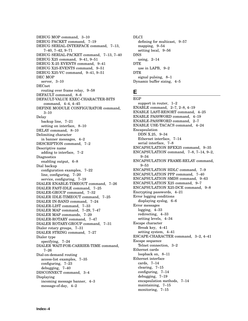DEBUG MOP command, 3–10 DEBUG PACKET command, 7–19 DEBUG SERIAL-INTERFACE command, 7–13, 7–40, 7–42, 9–71 DEBUG SERIAL-PACKET command, 7–13, 7–40 DEBUG X25 command, 9–41, 9–51 DEBUG X-25 EVENTS command, 9–41 DEBUG X25-EVENTS command, 9–51 DEBUG X25-VC command, 9–41, 9–51 DEC MOP server, 3–10 DECnet routing over frame relay, 9–58 DEFAULT command, 8–6 DEFAULT-VALUE EXEC-CHARACTER-BITS command, 4–4, 4–45 DEFINE MODULE CONFIGURATOR command, 3–10 Delay backup line, 7–21 setting on interface, 8–10 DELAY command, 8–10 Delimiting character in banner messages, 4–2 DESCRIPTION command, 7–2 Descriptive name adding to interface, 7–2 Diagnostics enabling output, 6–8 Dial backup configuration examples, 7–22 line, configuring, 7–20 service, configuring, 7–19 DIALER ENABLE-TIMEOUT command, 7–26 DIALER FAST-IDLE command, 7–25 DIALER-GROUP command, 7–32 DIALER IDLE-TIMEOUT command, 7–25 DIALER IN-BAND command, 7–24 DIALER-LIST command, 7–33 DIALER MAP command, 7–29, 7–47 DIALER MAP commands, 7–29 DIALER-ROTARY command, 7–47 DIALER ROTARY-GROUP command, 7–31 Dialer rotary groups, 7–31 DIALER STRING command, 7–27 Dialer type specifying, 7–24 DIALER WAIT-FOR-CARRIER-TIME command, 7–26 Dial-on-demand routing access-list examples, 7–35 configuring, 7–23 debugging, 7–40 DISCONNECT command, 3–4 Displaying incoming message banner, 4–3 message-of-day, 4–2

DLCI defining for multicast, 9–57 mapping, 9–54 setting local, 9–56 DNS using, 2–14 **DTE** use in LAPB, 9–2 DTR signal pulsing, 8–1 Dynamic buffer sizing, 4–5

# **E**

EGP support in router, 1–2 ENABLE command, 2–7, 2–8, 4–19 ENABLE LAST-RESORT command, 4–25 ENABLE PASSWORD command, 4–19 ENABLE-PASSWORD command, 2–7 ENABLE USE-TACACS command, 4–24 Encapsulation DDN X.25, 9–34 Ethernet interface, 7–14 serial interface, 7–8 ENCAPSULATION BFEX25 command, 9–35 ENCAPSULATION command, 7–8, 7–14, 9–2, 9–34 ENCAPSULATION FRAME-RELAY command, 9–53 ENCAPSULATION HDLC command, 7–9 ENCAPSULATION PPP command, 7–40 ENCAPSULATION SMDS command, 9–63 ENCAPSULATION X25 command, 9–7 ENCAPSULATION X25-DCE command, 9–8 Encrypting passwords, 4–21 Error logging conditions displaying syslog, 6–6 Error messages logging, 4–33 redirecting, 4–33 setting levels, 4–34 Escape character Break key, 4–41 setting system, 4–41 ESCAPE-CHARACTER command, 3–2, 4–41 Escape sequence Telnet connection, 3–2 Ethernet cards loopback on, 8–11 Ethernet interface cards, 7–14 clearing, 7–15 configuring, 7–14 debugging, 7–19 encapsulation methods, 7–14 maintaining, 7–15 monitoring, 7–15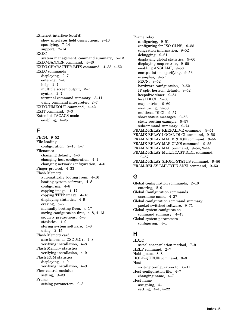Ethernet interface (cont'd) show interfaces field descriptions, 7–16 specifying, 7–14 support, 7–14 EXEC system management, command summary, 6–12 EXEC-BANNER command, 4–40 EXEC-CHARACTER-BITS command, 4–38, 4–52 EXEC commands displaying, 2–7 entering, 2–8 help, 2–7 multiple screen output, 2–7 syntax, 2–7 terminal command summary, 3–11 using command interpreter, 2–7 EXEC-TIMEOUT command, 4–42 EXIT command, 3–3 Extended TACACS mode enabling, 4–25

# **F**

FECN, 9–52 File loading configuration, 2–13, 4–7 Filenames changing default, 4–6 changing host configuration, 4–7 changing network configuration, 4–6 Finger protocol, 4–33 Flash Memory automatically booting from, 4–16 booting system software, 4–8 configuring, 4–8 copying image, 4–17 copying TFTP image, 4–13 displaying statistics, 4–9 erasing, 5–6 manually booting from, 4–17 saving configuration first, 4–8, 4–13 security precautions, 4–8 statistics, 4–9 storing system software, 4–8 using, 2–15 Flash Memory card also known as CSC-MC+, 4–8 verifying installation, 4–8 Flash Memory statistics verifying installation, 4–9 Flash ROM statistics displaying, 4–9 verifying installation, 4–9 Flow control modulus setting, 9–29 Frame setting parameters, 9–3

Frame relay configuring, 9–51 configuring for ISO CLNS, 9–55 congestion information, 9–52 debugging, 9–61 displaying global statistics, 9–60 displaying map entries, 9–60 enabling ANSI LMI, 9–53 encapsulation, specifying, 9–53 examples, 9–57 FECN, 9–52 hardware configuration, 9–52 IP split horizon, default, 9–52 keepalive timer, 9–54 local DLCI, 9–56 map entries, 9–60 monitoring, 9–58 multicast DLCI, 9–57 short status messages, 9–56 static routing example, 9–57 subcommand summary, 9–74 FRAME-RELAY KEEPALIVE command, 9–54 FRAME-RELAY LOCAL-DLCI command, 9–56 FRAME-RELAY MAP BRIDGE command, 9–55 FRAME-RELAY MAP CLNS command, 9–55 FRAME-RELAY MAP command, 9–54, 9–55 FRAME-RELAY MULTICAST-DLCI command, 9–57 FRAME-RELAY SHORT-STATUS command, 9–56 FRAM-RELAY LMI-TYPE ANSI command, 9–53

# **G**

Global configuration commands, 2–10 entering, 2–9 Global Configuration commands username name, 4–27 Global configuration command summary packet-switched software, 9–71 Global system configuration command summary, 4–43 Global system parameters configuring, 4–1

# **H**

HDLC serial encapsulation method, 7–9 HELP command, 2–7 Hold queue, 8–8 HOLD-QUEUE command, 8–8 Host writing configuration to, 6–11 Host configuration file, 4–7 changing name, 4–7 Host name assigning, 4–1 setting, 4–1, 4–22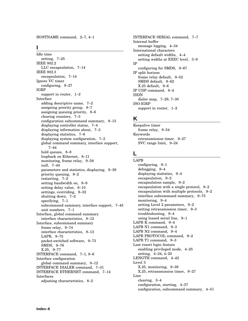HOSTNAME command, 2–7, 4–1

# **I**

Idle time setting, 7–25 IEEE 802.2 LLC encapsulation, 7–14 IEEE 802.3 encapsulation, 7–14 Ignore VC timer configuring, 9–27 IGRP support in router, 1–2 Interface adding descriptive name, 7–2 assigning priority group, 8–7 assigning queuing priority, 8–6 clearing counters, 7–3 configuration subcommand summary, 8–13 displaying controller status, 7–4 displaying information about, 7–3 displaying statistics, 7–6 displaying system configuration, 7–3 global command summary, interface support, 7–44 hold queues, 8–8 loopback on Ethernet, 8–11 monitoring, frame relay, 9–58 null, 7–44 parameters and statistics, displaying, 9–39 priority queuing, 8–2 restarting, 7–2 setting bandwidth on, 8–9 setting delay value, 8–10 settings, overriding, 9–32 shutting down, 7–2 specifying, 7–1 subcommand summary, interface support, 7–45 unit numbers, 7–1 Interface, global command summary interface characteristics, 8–12 Interface, subcommand summary frame relay, 9–74 interface characteristics, 8–13 LAPB, 9–75 packet-switched software, 9–73 SMDS, 9–76 X.25, 9–77 INTERFACE command, 7–1, 8–6 Interface configuration global command summary, 8–12 INTERFACE DIALER command, 7–31 INTERFACE ETHERNET command, 7–14 Interfaces adjusting characteristics, 8–2

INTERFACE SERIAL command, 7–7 Internal buffer message logging, 4–34 International characters setting default widths, 4–4 setting widths at EXEC level, 3–9 IP configuring for SMDS, 9–67 IP split horizon frame relay default, 9–52 SMDS default, 9–62 X.25 default, 9–6 IP UDP command, 8–4 ISDN dialer map, 7–29, 7–30 ISO-IGRP support in router, 1–2

# **K**

Keepalive timer frame relay, 9–54 Keywords retransmission timer, 9–27 SVC range limit, 9–24

## **L**

LAPB configuring, 9–1 debugging, 9–4 displaying statistics, 9–4 encapsulation, 9–2 encapsulation sample, 9–2 encapsulation with a single protocol, 9–2 encapsulation with multiple protocols, 9–2 interface subcommand summary, 9–75 monitoring, 9–4 setting Level 2 parameters, 9–2 setting retransmission timer, 9–3 troubleshooting, 9–4 using leased serial line, 9–1 LAPB K command, 9–4 LAPB N1 command, 9–3 LAPB N2 command, 9–4 LAPB PROTOCOL command, 9–2 LAPB T1 command, 9–3 Last resort login feature enabling privileged mode, 4–25 setting, 4–24, 4–25 LENGTH command, 4–42 Level 3 X.25, monitoring, 9–39 X.25, retransmission timer, 9–27 Line clearing, 3–4 configuration, starting, 4–37 configuration, subcommand summary, 4–51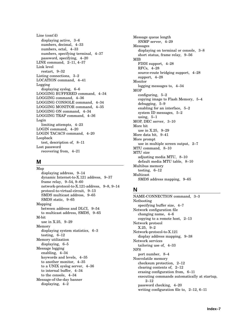Line (cont'd) displaying active, 3–6 numbers, decimal, 4–33 numbers, octal, 4–33 numbers, specifying terminal, 4–37 password, specifying, 4–20 LINE command, 2–11, 4–37 Link level restart, 9–32 Listing connections, 3–2 LOCATION command, 4–41 Logging displaying syslog, 6–6 LOGGING BUFFERED command, 4–34 LOGGING command, 4–36 LOGGING CONSOLE command, 4–34 LOGGING MONITOR command, 4–35 LOGGING ON command, 4–34 LOGGING TRAP command, 4–36 Login limiting attempts, 4–23 LOGIN command, 4–20 LOGIN TACACS command, 4–20 Loopback test, description of, 8–11 Lost password recovering from, 4–21

## **M**

Map displaying address, 9–14 dynamic Internet-to-X.121 address, 9–37 frame relay, 9–54, 9–60 network-protocol-to-X.121-address, 9–8, 9–14 protocol-to-virtual-circuit, 9–13 SMDS multicast address, 9–65 SMDS static, 9–65 Mapping between address and DLCI, 9–54 to multicast address, SMDS, 9–65 M-bit use in X.25, 9–29 Memory displaying system statistics, 6–3 testing, 6–12 Memory utilization displaying, 6–5 Message logging enabling, 4–34 keywords and levels, 4–35 to another monitor, 4–35 to a UNIX syslog server, 4–36 to internal buffer, 4–34 to the console, 4–34 Message-of-the-day banner displaying, 4–2

Message queue length SNMP server, 4–29 Messages displaying on terminal or console, 3–8 short status, frame relay, 9–56 MIB FDDI support, 4–28 RFCs, 4–28 source-route bridging support, 4–28 support, 4–28 Monitor logging messages to, 4–34 MOP configuring, 5–2 copying image to Flash Memory, 5–4 debugging, 5–9 enabling for an interface, 5–2 system ID messages, 5–2 using,  $5-1$ MOP, DEC server, 3–10 More bit use in X.25, 9–29 More data bit, 9–41 More prompt use in multiple screen output, 2–7 MTU command, 8–10 MTU size adjusting media MTU, 8–10 default media MTU table, 8–10 Multibus memory testing, 6–12 Multicast SMDS address mapping, 9–65

# **N**

NAME-CONNECTION command, 3–3 Netbooting specifying buffer size, 4–7 Network configuration file changing name, 4–6 copying to a remote host, 2–13 Network protocol X.25, 9–2 Network-protocol-to-X.121 display address mapping, 9–38 Network services tailoring use of, 4–33 NFS port number, 8–4 Nonvolatile memory checksum protection, 2–12 clearing contents of, 2–12 erasing configuration from, 6–11 executing commands automatically at startup, 2–12 password checking, 4–20 writing configuration file to, 2–12, 6–11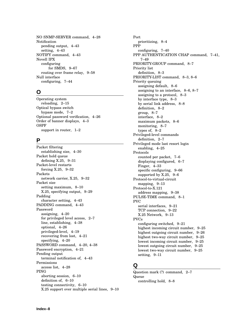NO SNMP-SERVER command, 4–28 Notification pending output, 4–43 setting, 4–43 NOTIFY command, 4–43 Novell IPX configuring for SMDS, 9–67 routing over frame relay, 9–58 Null interface configuring, 7–44

# **O**

Operating system reloading, 2–15 Optical bypass switch bypass mode, 7–2 Optional password verification, 4–26 Order of banner displays, 4–3 OSPF support in router, 1–2

# **P**

Packet filtering establishing size, 4–30 Packet hold queue defining X.25, 9–31 Packet-level restarts forcing X.25, 9–32 Packets network carrier, X.25, 9–32 Packet size setting maximum, 8–10 X.25, specifying output, 9–29 Padding character setting, 4–43 PADDING command, 4–43 Password assigning, 4–20 for privileged level access, 2–7 line, establishing, 4–38 optional, 4–26 privileged-level, 4–19 recovering from lost, 4–21 specifying, 4–20 PASSWORD command, 4–20, 4–38 Password encryption, 4–21 Pending output terminal notification of, 4–43 Permissions access list, 4–28 PING aborting session, 6–10 definition of, 6–10 testing connectivity, 6–10 X.25 support over multiple serial lines, 9–10

Port prioritizing, 8–4 PPP configuring, 7–40 PPP AUTHENTICATION CHAP command, 7–41, 7–49 PRIORITY-GROUP command, 8–7 Priority list definition, 8–3 PRIORITY-LIST command, 8–3, 8–6 Priority queuing assigning default, 8–6 assigning to an interface, 8–6, 8–7 assigning to a protocol, 8–3 by interface type, 8–3 by serial link address, 8–8 definition, 8–2 group, 8–7 interface, 8–2 maximum packets, 8–6 monitoring, 8–7 types of, 8–2 Privileged-level commands definition, 2–7 Privileged mode last resort login enabling, 4–25 Protocols counted per packet, 7–6 displaying configured, 6–7 Finger, 4–33 specific configuring, 9–66 supported by X.25, 9–6 Protocol-to-virtual-circuit mapping, 9–13 Protocol-to-X.121 address mapping, 9–38 PULSE-TIME command, 8–1 PVC serial interfaces, 9–21 TCP connection, 9–22 X.25 Network, 9–13 PVCs configuring switched, 9–21 highest incoming circuit number, 9–25 highest outgoing circuit number, 9–26 highest two-way circuit number, 9–25 lowest incoming circuit number, 9–25 lowest outgoing circuit number, 9–25 lowest two-way circuit number, 9–25 setting, 9–11

# **Q**

Question mark (?) command, 2–7 Queue controlling hold, 8–8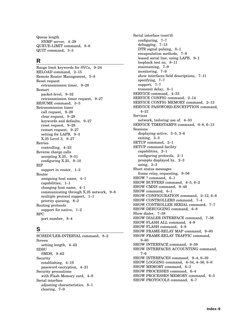Queue length SNMP server, 4–29 QUEUE-LIMIT command, 8–6 QUIT command, 3–3

# **R**

Range limit keywords for SVCs, 9–24 RELOAD command, 2–15 Remote Router Management, 5–8 Reset request retransmission timer, 9–28 Restart packet-level, 9–32 retransmission timer request, 9–27 RESUME command, 3–3 Retransmission timer call request, 9–28 clear request, 9–28 keywords and defaults, 9–27 reset request, 9–28 restart request, 9–27 setting for LAPB, 9–3 X.25 Level 3, 9–27 Retries controlling, 4–23 Reverse charge calls accepting X.25, 9–31 configuring X.25, 9–10 RIP support in router, 1–2 Router assigning host name, 4–1 capabilities, 1–1 changing host name, 4–1 communicating through X.25 network, 9–8 multiple protocol support, 1–1 priority queuing, 8–2 Routing protocols support for native, 1–2 RPC port number, 8–4

# **S**

SCHEDULER-INTERVAL command, 8–2 Screen setting length, 4–42 **SDSU** SMDS, 9–62 Security establishing, 4–19 password encryption, 4–21 Security precautions with Flash Memory card, 4–8 Serial interface adjusting characteristics, 8–1 clearing, 7–9

Serial interface (cont'd) configuring, 7–7 debugging, 7–13 DTR signal pulsing, 8–1 encapsulation methods, 7–8 leased serial line, using LAPB, 9–1 loopback test on, 8–11 maintaining, 7–9 monitoring, 7–9 show interfaces field descriptions, 7–11 specifying, 7–7 support, 7–7 transmit delay, 8–1 SERVICE command, 4–33 SERVICE CONFIG command, 2–14 SERVICE CONFIG MEMORY command, 2–13 SERVICE PASSWORD-ENCRYPTION command, 4–21 Services network, tailoring use of, 4–33 SERVICE TIMESTAMPS command, 6–8, 6–13 Sessions displaying active, 3–5, 3–6 exiting, 3–3 SETUP command, 2–1 SETUP command facility capabilities, 2–1 configuring protocols, 2–1 prompts displayed by, 2–3 using, 2–2 Short status messages frame relay, requesting, 9–56 SHOW ? command, 6–1 SHOW BUFFERS command, 4–5, 6–2 SHOW CMNS command, 9–48 SHOW command, 6–1 SHOW CONFIGURATION command, 2–12, 6–6 SHOW CONTROLLERS command, 7–4 SHOW CONTROLLER SERIAL command, 7–7 SHOW DEBUGGING command, 6–8 Show dialer, 7–38 SHOW DIALER INTERFACE command, 7–38 SHOW FLASH ALL command, 4–9 SHOW FLASH command, 4–9 SHOW FRAME-RELAY MAP command, 9–60 SHOW FRAME-RELAY TRAFFIC command, 9–60 SHOW INTERFACE command, 9–59 SHOW INTERFACES ACCOUNTING command, 7–6 SHOW INTERFACES command, 9–4, 9–39 SHOW LOGGING command, 4–34, 4–36, 6–6 SHOW MEMORY command, 6–3 SHOW PROCESSES command, 6–4 SHOW PROCESSES MEMORY command, 6–5 SHOW PROTOCOLS command, 6–7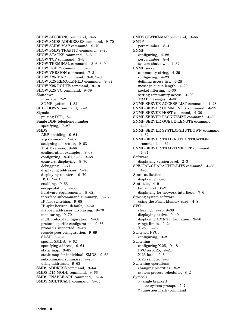SHOW SESSIONS command, 3–6 SHOW SMDS ADDRESSES command, 9–70 SHOW SMDS MAP command, 9–70 SHOW SMDS TRAFFIC command, 9–70 SHOW STACKS command, 6–6 SHOW TCP command, 3–5 SHOW TERMINAL command, 3–6, 3–9 SHOW USERS command, 3–6 SHOW VERSION command, 7–3 SHOW X25 MAP command, 9–8, 9–38 SHOW X25 REMOTE-RED command, 9–37 SHOW X25 ROUTE command, 9–19 SHOW X25 VC command, 9–39 Shutdown interface, 7–2 SNMP system, 4–32 SHUTDOWN command, 7–2 Signals pulsing DTR, 8–1 Single DDR telephone number specifying, 7–27 SMDS ARP, enabling, 9–64 arp command, 9–67 assigning addresses, 9–63 AT&T version, 9–66 configuration examples, 9–68 configuring, 9–61, 9–62, 9–68 counters, displaying, 9–70 debugging, 9–71 displaying addresses, 9–70 displaying counters, 9–70 DS1, 9–61 enabling, 9–63 encapsulation, 9–63 hardware requirements, 9-62 interface subcommand summary, 9–76 IP fast switching, 9–68 IP split horizon, default, 9–62 mapped addresses, displaying, 9–70 monitoring, 9–70 multiprotocol configuration, 9–68 protocol-specific configuration, 9–66 protocols supported, 9–67 remote peer configuration, 9–69 SDSU, 9–62 special SMDS, 9–62 specifying address, 9–64 static map, 9–65 static map for individual, SMDS, 9–65 subcommand summary, 9–76 using addresses, 9–63 SMDS ADDRESS command, 9–64 SMDS D15 MODE command, 9–66 SMDS ENABLE-ARP command, 9–64 SMDS MULTICAST command, 9–65

SMDS STATIC-MAP command, 9–65 SMTP port number, 8–4 SNMP configuring, 4–28 port number, 8–4 system shutdown, 4–32 SNMP server community string, 4–29 configuring, 4–29 defining access list, 4–28 message queue length, 4–29 packet filtering, 4–30 setting community access, 4–29 TRAP messages, 4–30 SNMP-SERVER ACCESS-LIST command, 4–28 SNMP-SERVER COMMUNITY command, 4–29 SNMP-SERVER HOST command, 4–30 SNMP-SERVER PACKETSIZE command, 4–30 SNMP-SERVER QUEUE-LENGTh command, 4–29 SNMP-SERVER SYSTEM-SHUTDOWN command, 4–32 SNMP-SERVER TRAP-AUTHENTICATION command, 4–31 SNMP-SERVER TRAP-TIMEOUT command, 4–31 Software displaying version level, 2–3 SPECIAL-CHARACTER-BITS command, 4–38, 4–53 Stack utilization displaying, 6–6 Statistics, 4–9 buffer pool, 6–2 displaying for network interfaces, 7–6 Storing system software using the Flash Memory card, 4–8 SVC clearing, 9–26, 9–39 displaying active, 9–40 displaying CMNS information, 9–50 range limits, 9–24 X.25, 9–26 Switched PVCs configuring, 9–21 Switching configuring  $X.25$ ,  $9-18$ PVC on X.25, 9–21 X.25 local, 9–6 X.25 remote, 9–6 Switching operations changing priorities, 8–2 system process scheduler, 8–2 Symbols > (angle bracket) as system prompt, 2–7 ? (question mark) command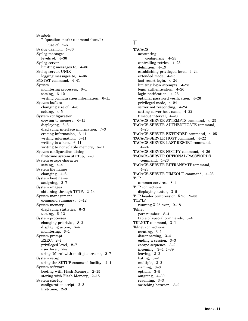Symbols ? (question mark) command (cont'd) use of, 2–7 Syslog daemon, 4–36 Syslog messages levels of, 4–36 Syslog server limiting messages to, 4–36 Syslog server, UNIX logging messages to, 4–36 SYSTAT command, 4–41 System monitoring processes, 6–1 testing, 6–12 writing configuration information, 6–11 System buffers changing size of, 4–6 setting, 4–5 System configuration copying to memory, 6–11 displaying, 6–6 displaying interface information, 7–3 erasing information, 6–11 writing information, 6–11 writing to a host, 6–11 writing to nonvolatile memory, 6–11 System configuration dialog first-time system startup, 2–3 System escape character setting, 4–41 System file names changing, 4–6 System host name assigning, 2–7 System images obtaining through TFTP, 2–14 System management command summary, 6–12 System memory displaying statistics, 6–3 testing, 6–12 System processes changing priorities, 8–2 displaying active, 6–4 monitoring, 6–1 System prompt EXEC, 2–7 privileged level, 2–7 user level, 2–7 using "More" with multiple screens, 2–7 System setup using the SETUP command facility, 2–1 System software booting with Flash Memory, 2–15 storing with Flash Memory, 2–15 System startup configuration script, 2–3 first-time, 2–3

## **T**

**TACACS** accounting configuring, 4–25 controlling retries, 4–23 definition, 4–19 establishing privileged-level, 4–24 extended mode, 4–25 last resort login, 4–24 limiting login attempts, 4–23 login authentication, 4–26 login notification, 4–26 optional password verification, 4–26 privileged mode, 4–24 server not responding, 4–24 setting server host name, 4–22 timeout interval, 4–23 TACACS-SERVER ATTEMPTS command, 4–23 TACACS-SERVER AUTHENTICATE command, 4–26 TACACS-SERVER EXTENDED command, 4–25 TACACS-SERVER HOST command, 4–22 TACACS-SERVER LAST-RESORT command, 4–24 TACACS-SERVER NOTIFY command, 4–26 TACACS-SERVER OPTIONAL-PASSWORDS command, 4–26 TACACS-SERVER RETRANSMIT command, 4–23 TACACS-SERVER TIMEOUT command, 4–23 TCP common services, 8–4 TCP connections displaying status, 3–5 TCP header compression, X.25, 9–33 TCP/IP running X.25 over, 9–18 Telnet port number, 8–4 table of special commands, 3–4 TELNET command, 3–1 Telnet connections creating, 3–1 disconnecting, 3–4 ending a session, 3–3 escape sequence, 3–2 incoming, 3–5, 4–39 leaving, 3–2 listing, 3–2 multiple, 3–2 naming, 3–3 options, 3–5 outgoing, 4–39 resuming, 3–3 switching between, 3–2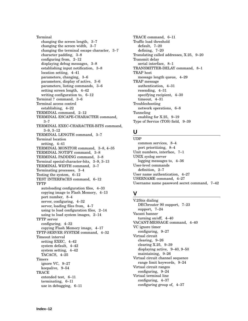Terminal changing the screen length, 3–7 changing the screen width, 3–7 changing the terminal escape character, 3–7 character padding, 3–8 configuring from, 2–12 displaying debug messages, 3–8 establishing input notification, 3–8 location setting, 4–41 parameters, changing, 3–6 parameters, display of active, 3–6 parameters, listing commands, 3–6 setting screen length, 4–42 writing configuration to, 6–12 Terminal ? command, 3–6 Terminal access control establishing, 4–22 TERMINAL command, 2–12 TERMINAL ESCAPE-CHARACTER command, 3–7 TERMINAL EXEC-CHARACTER-BITS command, 3–9, 3–12 TERMINAL LENGTH command, 3–7 Terminal location setting, 4–41 TERMINAL MONITOR command, 3–8, 4–35 TERMINAL NOTIFY command, 3–8 TERMINAL PADDING command, 3–8 Terminal special-character-bits, 3–9, 3–13 TERMINAL WIDTH command, 3–7 Terminating processes, 3–4 Testing the system, 6–12 TEST INTERFACES command, 6–12 **TFTP** autoloading configuration files, 4–33 copying image to Flash Memory, 4–13 port number, 8–4 server, configuring, 4–32 server, loading files from, 4–7 using to load configuration files, 2–14 using to load system images, 2–14 TFTP server configuring, 4–32 copying Flash Memory image, 4–17 TFTP-SERVER SYSTEM command, 4–32 Timeout interval setting EXEC, 4–42 system default, 4–42 system setting, 4–42 TACACS, 4–25 Timers ignore VC, 9–27 keepalive, 9–54 TRACE extended test, 6–11 terminating, 6–11 use in debugging, 6–11

TRACE command, 6–11 Traffic load threshold default, 7–20 defining, 7–20 Translating called addresses, X.25, 9–20 Transmit delay serial interface, 8–1 TRANSMITTER-DELAY command, 8–1 TRAP host message length queue, 4–29 TRAP message authentication, 4–31 resending, 4–31 specifying recipient, 4–30 timeout, 4–31 Troubleshooting network operations, 6–8 Tunneling enabling for X.25, 9–19 Type of Service (TOS) field, 9–39

# **U**

**UDP** common services, 8–4 port prioritizing, 8–4 Unit numbers, interface, 7–1 UNIX syslog server logging messages to, 4–36 User-level commands definition, 2–7 User name authentication, 4–27 USERNAME command, 4–27 Username name password secret command, 7–42

## **V**

V.25bis dialing DECbrouter 90 support, 7–23 support, 7–24 Vacant banner turning on/off, 4–40 VACANT-MESSAGE command, 4–40 VC ignore timer configuring, 9–27 Virtual circuit clearing, 9–26 clearing X.25, 9–39 displaying active, 9–40, 9–50 maintaining, 9–26 Virtual circuit channel sequence range limit keywords, 9–24 Virtual circuit ranges configuring, 9–24 Virtual terminal line configuring, 4–37 configuring group of, 4–37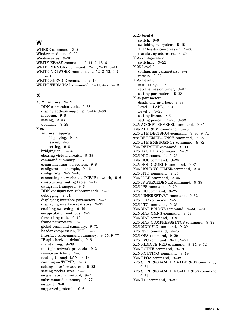#### **W**

WHERE command, 3–2 Window modulus, 9–29 Window sizes, 9–30 WRITE ERASE command, 2–11, 2–13, 6–11 WRITE MEMORY command, 2–11, 2–13, 6–11 WRITE NETWORK command, 2–12, 2–13, 4–7, 6–11 WRITE SERVICE command, 2–13 WRITE TERMINAL command, 2–11, 4–7, 6–12

### **X**

X.121 address, 9–19 DDN conversion table, 9–38 display address mapping, 9–14, 9–38 mapping, 9–8 setting, 9–23 updating, 9–29 X.25 address mapping displaying, 9–14 issues, 9–8 setting, 9–8 bridging on, 9–34 clearing virtual circuits, 9–39 command summary, 9–71 communicating via routers, 9–8 configuration example, 9–16 configuring,  $9-5$ ,  $9-10$ connecting networks via TCP/IP network, 9–6 constructing routing table, 9–19 datagram transport, 9–6 DDN configuration subcommands, 9–39 debugging, 9–41 displaying interface parameters, 9–39 displaying interface statistics, 9–39 enabling switching, 9–19 encapsulation methods, 9–7 forwarding calls, 9–19 frame parameters, 9–3 global command summary, 9–71 header compression, TCP, 9–33 interface subcommand summary, 9–75, 9–77 IP split horizon, default, 9–6 maintaining, 9–39 multiple network protocols, 9–2 remote switching, 9–6 routing through LAN, 9–18 running on TCP/IP, 9–18 setting interface address, 9–23 setting packet sizes, 9–29 single network protocol, 9–2 subcommand summary, 9–77 support, 9–6 supported protocols, 9–6

X.25 (cont'd) switch, 9–6 switching subsystem, 9–19 TCP header compression, 9–33 translating addresses, 9–20 X.25 configuration switching, 9–22 X.25 Level 2 configuring parameters, 9–2 restart, 9–32 X.25 Level 3 monitoring, 9–39 retransmission timer, 9–27 setting parameters, 9–23 X.25 parameters displaying interface, 9–39 Level 2, LAPB, 9–2 Level 3, 9–23 setting frame, 9–3 setting per-call, 9–23, 9–32 X25 ACCEPT-REVERSE command, 9–31 X25 ADDRESS command, 9–23 X25 BFE-DECISION command, 9–36, 9–71 x25 BFE-EMERGENCY command, 9–35 X25 BFE-EMERGENCY command, 9–72 X25 DEFAULT command, 9–14 X25 FACILITY command, 9–32 X25 HIC command, 9–25 X25 HOC command, 9–26 X25 HOLD-QUEUE command, 9–31 X25 HOLD-VC-TIMER command, 9–27 X25 HTC command, 9–25 X25 IDLE command, 9–26 X25 IP-PRECEDENCE command, 9–39 X25 IPS command, 9–29 X25 LIC command, 9–25 X25 LINKRESTART command, 9–32 X25 LOC command, 9–25 X25 LTC command, 9–25 X25 MAP BRIDGE command, 9–34, 9–81 X25 MAP CMNS command, 9–43 X25 MAP command, 9–8 X25 MAP COMPRESSEDTCP command, 9–33 X25 MODULO command, 9–29 X25 NVC command, 9–26 X25 OPS command, 9–29 X25 PVC command, 9–11, 9–21 X25 REMOTE-RED command, 9–35, 9–72 X25 ROUTE command, 9–19 X25 ROUTING command, 9–19 X25 RPOA command, 9–32 X25 SUPPRESS-CALLED-ADDRESS command, 9–31 X25 SUPPRESS-CALLING-ADDRESS command, 9–31 X25 T10 command, 9–27